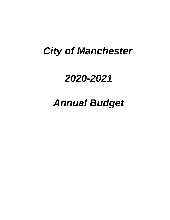# *City of Manchester*

# *2020-2021*

# *Annual Budget*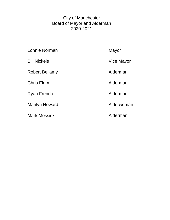### City of Manchester Board of Mayor and Alderman 2020-2021

| Lonnie Norman         | Mayor      |
|-----------------------|------------|
| <b>Bill Nickels</b>   | Vice Mayor |
| <b>Robert Bellamy</b> | Alderman   |
| <b>Chris Elam</b>     | Alderman   |
| <b>Ryan French</b>    | Alderman   |
| <b>Marilyn Howard</b> | Alderwoman |
| <b>Mark Messick</b>   | Alderman   |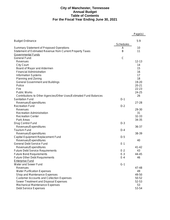### **City of Manchester, Tennessee Annual Budget Table of Contents For the Fiscal Year Ending June 30, 2021**

|                                                                    |              | Page(s)   |
|--------------------------------------------------------------------|--------------|-----------|
| <b>Budget Ordinance</b>                                            |              | $5-9$     |
|                                                                    | Schedules    |           |
| Summary Statement of Proposed Operations                           | A            | 10        |
| Statement of Estimated Revenue from Current Property Taxes         | Β            | 11        |
| Governmental Funds                                                 |              |           |
| General Fund:                                                      | $\mathsf{C}$ |           |
| Revenues                                                           |              | $12 - 13$ |
| <b>City Court</b>                                                  |              | 14        |
| Board of Mayor and Aldermen                                        |              | 15        |
| <b>Financial Administration</b>                                    |              | 16        |
| <b>Information Systems</b>                                         |              | 17        |
| Planning and Zoning                                                |              | 18        |
| <b>General Government and Buildings</b>                            |              | 19-20     |
| Police                                                             |              | $20 - 21$ |
| Fire                                                               |              | 22-23     |
| Public Works                                                       |              | 24-25     |
| Contributions to Other Agencies/Other Uses/Estimated Fund Balances |              | 26        |
| Sanitation Fund                                                    | $D-1$        |           |
| Revenues/Expenditures                                              |              | $27 - 28$ |
| <b>Recreation Fund</b>                                             | $D-2$        |           |
| Revenues                                                           |              | 29-30     |
| <b>Recreation Administration</b>                                   |              | 31        |
| <b>Recreation Center</b>                                           |              | 32-33     |
| Park Areas                                                         |              | 34-35     |
| Drug Control Fund                                                  | $D-3$        |           |
| Revenues/Expenditures                                              |              | 36-37     |
| Tourism Fund                                                       | $D-4$        |           |
| Revenues/Expenditures                                              |              | 38-39     |
| Capital Equipment Replacement Fund                                 | $D-5$        | 40        |
| Revenues/Expenditures<br>General Debt Service Fund                 | $E-1$        |           |
| Revenues/Expenditures                                              |              | $41 - 42$ |
| <b>Future Debt Service Requirements</b>                            | $E-2$        | 43        |
| <b>Future Bond Requirements</b>                                    | $E-3$        | 44-45     |
| Future Other Debt Requirements                                     | $E-4$        | 46        |
| <b>Enterprise Fund</b>                                             |              |           |
| Water and Sewer Fund                                               | $G-1$        |           |
| Revenues                                                           |              | 47-48     |
| <b>Water Purification Expenses</b>                                 |              | 49        |
| Shop and Maintenance Expenses                                      |              | 49-50     |
| <b>Customer Accounts and Collection Expenses</b>                   |              | 50-52     |
| Sewer Treatment and Disposal Expenses                              |              | 52-53     |
| Mechanical Maintenance Expenses                                    |              | 53        |
| Debt Service Expenses                                              |              | 53-54     |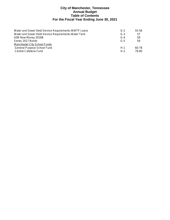### **City of Manchester, Tennessee Annual Budget Table of Contents For the Fiscal Year Ending June 30, 2021**

| Water and Sewer Debt Service Requirements-WWTP Loans | $G-2$ | 55-56 |
|------------------------------------------------------|-------|-------|
| Water and Sewer Debt Service Requirements-Water Tank | $G-3$ | 57    |
| \$5M New Money 2016B                                 | $G-4$ | 58    |
| Series 2017 Bonds                                    | $G-5$ | 59    |
| Manchester City School Funds                         |       |       |
| General Purpose School Fund                          | $H-1$ | 60-78 |
| Central Cafeteria Fund                               | $H-2$ | 79-80 |
|                                                      |       |       |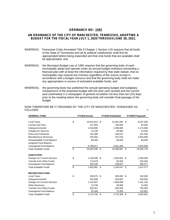### **ORDINANCE NO: 1592**

### **AN ORDINANCE OF THE CITY OF MANCHESTER, TENNESSEE, ADOPTING A BUDGET FOR THE FISCAL YEAR JULY 1, 2020 THROUGH JUNE 30, 2021.**

- WHEREAS, Tennessee Code Annotated Title 9 Chapter 1 Section 116 requires that all funds of the State of Tennessee and all its political subdivisions shall first be appropriated before being expended and that only funds that are available shall be appropriated; and
- WHEREAS, the Municipal Budget Law of 1982 requires that the governing body of each municipality adopt and operate under an annual budget ordinance presenting a financial plan with at least the information required by that state statute, that no municipality may expend any moneys regardless of the source except in accordance with a budget ordinance and that the governing body shall not make any appropriation in excess of estimated available funds; and
- WHEREAS, the governing body has published the annual operating budget and budgetary comparisons of the proposed budget with the prior year (actual) and the current year (estimated) in a newspaper of general circulation not less than ten (10) days prior to the meeting where the governing body will consider final passage of the budget.

| <b>GENERAL FUND</b>                 | FY2018 Actual<br>FY2019 Estimated |               | FY2020 Proposed |               |                 |
|-------------------------------------|-----------------------------------|---------------|-----------------|---------------|-----------------|
|                                     |                                   |               |                 |               |                 |
| Local Taxes                         | \$                                | 10,913,913 \$ |                 | 10,361,000 \$ | 9,537,000       |
| License and Fees                    |                                   | 127,653       |                 | 105,000       | 92,000          |
| Intergovernmental                   |                                   | 2,263,800     |                 | 2,299,083     | 2,174,699       |
| <b>Charges for Services</b>         |                                   | 13.145        |                 | 29,965        | 23,200          |
| <b>Fines and Forfeitures</b>        |                                   | 216,389       |                 | 226,537       | 201,000         |
| Miscellaneous Revenues              |                                   | 235,382       |                 | 347,016       | 4,353,830       |
| Nonspendable Fund Balance           |                                   | 80,000        |                 | 80,000        | 80,000          |
| Assigned Fund Balance               |                                   |               |                 |               |                 |
| Unassigned Fund Balance             |                                   | 6,799,017     |                 | 5,941,266     | 4,002,990       |
| <b>Total Available Funds</b>        | \$                                | 20,649,299 \$ |                 | 19,389,867 \$ | 20,464,719      |
| <b>SANITATION</b>                   |                                   |               |                 |               |                 |
| <b>Charges for Current Services</b> | \$                                | 1,100,586 \$  |                 | 1,056,000 \$  | 1,056,000       |
| <b>Transfer from Other Funds</b>    |                                   | 173,079       |                 | 50.000        | 250,000         |
| Unassigned Fund Balance             |                                   | 329,226       |                 | 228,647       | 206,377         |
| <b>Total Available Funds</b>        | \$                                | 1,602,891     | -\$             | 1,334,647 \$  | 1,512,377       |
| <b>RECREATION FUND</b>              |                                   |               |                 |               |                 |
| Local Taxes                         | \$                                | 238,975 \$    |                 | 200,000 \$    | 192,000         |
| Intergovernmental                   |                                   | 104,698       |                 | 463,825       | 429,000         |
| <b>Charges for Current Services</b> |                                   | 1,145,567     |                 | 1,006,998     | 1,191,100       |
| <b>Other Revenues</b>               |                                   | 13,706        |                 | 28,089        | 14,000          |
| <b>Transfer from Other Funds</b>    |                                   | 520,351       |                 | 950,000       | 700,000         |
| <b>Unassigned Fund Balance</b>      |                                   | 92,458        |                 | 73,456        | 125,961         |
| <b>Total Available Funds</b>        | \$                                | 2,115,755     | \$              | 2,722,368     | \$<br>2,652,061 |

NOW THEREFORE BE IT ORDAINED BY THE CITY OF MANCHESTER, TENNESSEE AS FOLLOWS: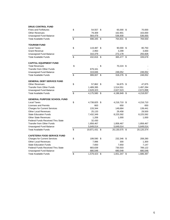| <b>DRUG CONTROL FUND</b>                 |                     |                 |                 |
|------------------------------------------|---------------------|-----------------|-----------------|
| <b>Fines and Forfeitures</b>             | \$<br>54,557 \$     | 65,000 \$       | 70,000          |
| <b>Other Revenues</b>                    | 79,309              | 162,901         | 163,000         |
| Unassigned Fund Balance                  | 564,479             | 536,930         | 536,930         |
| <b>Total Available Funds</b>             | \$<br>698,345 \$    | 764,831 \$      | 769,930         |
| <b>TOURISM FUND</b>                      |                     |                 |                 |
| <b>Local Taxes</b>                       | \$<br>119,487 \$    | 90,000 \$       | 80,750          |
| <b>Grant Revenue</b>                     | 2,950               | 3,299           | 3,000           |
| Unassigned Fund Balance                  | 310,379             | 272,178         | 255,928         |
| <b>Total Available Funds</b>             | \$<br>432,816 \$    | 365,477 \$      | 339,678         |
| <b>CAPITAL EQUIPMENT FUND</b>            |                     |                 |                 |
| <b>Total Revenues</b>                    | \$                  | \$<br>70,224 \$ |                 |
| <b>Transfer from Other Funds</b>         | 679,161             |                 |                 |
| Unassigned Fund Balance                  | 319,846             | 248,052         | 248,052         |
| <b>Total Available Funds</b>             | \$<br>999,007 \$    | 318,276 \$      | 248,052         |
| <b>GENERAL DEBT SERVICE FUND</b>         |                     |                 |                 |
| <b>Other Revenues</b>                    | \$<br>57,862 \$     | 54,875 \$       | 47,875          |
| <b>Transfer from Other Funds</b>         | 1,489,395           | 1,514,551       | 1,497,284       |
| Unassigned Fund Balance                  | 2,628,323           | 2,627,523       | 2,672,898       |
| <b>Total Available Funds</b>             | \$<br>4,175,580 \$  | 4,196,949 \$    | 4,218,057       |
| <b>GENERAL PURPOSE SCHOOL FUND</b>       |                     |                 |                 |
| <b>Local Taxes</b>                       | \$<br>4,738,825 \$  | 4,216,710 \$    | 4,216,710       |
| <b>Licenses and Permits</b>              | 663                 | 650             | 650             |
| <b>Charges for Current Services</b>      | 133,344             | 149,684         | 139,441         |
| <b>Other Local Revenues</b>              | 25,133              | 29,458          | 29,500          |
| <b>State Education Funds</b>             | 7,432,349           | 8,225,592       | 8,225,592       |
| <b>Other State Revenues</b>              | 1,206               | 1,000           | 1,000           |
| <b>Federal Funds Received Thru State</b> | 32,430              |                 |                 |
| <b>Transfer from Other Funds</b>         | 1,858,467           | 1,858,467       | 1,858,467       |
| Unassigned Fund Balance                  | 5,649,014           | 5,649,014       | 5,649,014       |
| <b>Total Available Funds</b>             | \$<br>19,871,431 \$ | 20,130,575 \$   | 20,120,374      |
| <b>CAFETERIA FOOD SERVICE FUND</b>       |                     |                 |                 |
| <b>Charges for Current Services</b>      | \$<br>199,590 \$    | 232,346 \$      | 208,280         |
| <b>Other Local Revenues</b>              | 7,996               | 300             | 1,300           |
| <b>State Education Funds</b>             | 7,650               | 7,650           | 7,147           |
| <b>Federal Funds Received Thru State</b> | 683,639             | 730,503         | 789,122         |
| Unassigned Fund Balance                  | 680,548             | 680,548         | 680,548         |
| <b>Total Available Funds</b>             | \$<br>1,579,423     | \$<br>1,651,347 | \$<br>1,686,397 |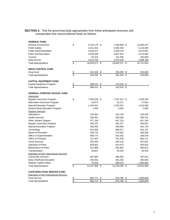#### **SECTION 2.** That the governing body appropriates from these anticipated revenues and unexpended and unencumbered funds as follows:

| <b>GENERAL FUND</b>                     |                           |               |                  |                 |
|-----------------------------------------|---------------------------|---------------|------------------|-----------------|
| <b>General Government</b>               | \$                        | 6,754,176 \$  | 7,169,909 \$     | 10,858,075      |
| <b>Public Safety</b>                    |                           | 4,611,915     | 5,003,293        | 5,116,299       |
| <b>Public Works/Sanitation</b>          |                           | 3,018,107     | 3,259,729        | 3,673,901       |
| Parks and Recreation                    |                           | 2,036,268     | 2,667,914        | 2,473,595       |
| Tourism                                 |                           | 94,153        | 131,500          | 100,000         |
| <b>Debt Service</b>                     |                           | 1,514,752     | 1,570,226        | 1,499,784       |
| <b>Total Appropriations</b>             | \$                        | 18,029,371 \$ | 19,802,571 \$    | 23,721,654      |
| <b>DRUG CONTROL FUND</b>                |                           |               |                  |                 |
| Drug Fund                               | $\frac{3}{2}$             | 154,206       | \$<br>255,450    | \$<br>233,000   |
| <b>Total Appropriations</b>             | $\overline{\mathfrak{s}}$ | 154,206       | \$<br>255,450    | \$<br>233,000   |
| <b>CAPITAL EQUIPMENT FUND</b>           |                           |               |                  |                 |
| Capital Equipment Program               | \$                        | 588,415       | \$<br>142,018    | \$              |
| <b>Total Appropriations</b>             | $\overline{\mathfrak{s}}$ | 588,415       | \$<br>142,018 \$ |                 |
| <b>GENERAL PURPOSE SCHOOL FUND</b>      |                           |               |                  |                 |
| Instruction                             |                           |               |                  |                 |
| Regular Instruction Program             | \$                        | 7,036,228 \$  | 7,337,913 \$     | 7,678,248       |
| Alternative Instruction Program         |                           | 34,973        | 32,271           | 37,902          |
| Special Education Program               |                           | 1,434,451     | 1,524,974        | 1,510,280       |
| <b>Student Body Education Program</b>   |                           | 1,500         | 2,000            | 2,000           |
| <b>Support Services</b>                 |                           |               |                  |                 |
| Attendance                              |                           | 135,362       | 133,728          | 129,978         |
| <b>Health Services</b>                  |                           | 246,481       | 264,638          | 266,731         |
| <b>Other Student Support</b>            |                           | 377,150       | 467,733          | 457,195         |
| <b>Regular Instruction Program</b>      |                           | 435,197       | 391,077          | 356,622         |
| Special Education Program               |                           | 263,450       | 289,456          | 281,724         |
| Technology                              |                           | 423,483       | 586,677          | 624,147         |
| Board of Education                      |                           | 238,776       | 275,922          | 289,208         |
| Office of Superintendent                |                           | 569,775       | 265,202          | 266,079         |
| Office of Principal                     |                           | 712,407       | 751,439          | 682,171         |
| <b>Fiscal Services</b>                  |                           | 281,484       | 294,116          | 297,061         |
| <b>Operation of Plant</b>               |                           | 830,681       | 914,673          | 933,623         |
| Maintenance of Plant                    |                           | 512,888       | 502,862          | 500,012         |
| Transportation                          |                           | 46,851        | 45,520           | 49,429          |
| Operation of Non-Instructional Services |                           |               |                  |                 |
| <b>Community Services</b>               |                           | 287,666       | 296,595          | 297,541         |
| Early Childhood Education               |                           | 292,053       | 301,530          | 282,005         |
| <b>Regular Capital Outlay</b>           |                           | 76,502        | 506,210          | 1,000,000       |
| <b>Total Appropriations</b>             | \$                        | 14,237,358 \$ | 15,184,536 \$    | 15,941,956      |
| <b>CAFETERIA FOOD SERVICE FUND</b>      |                           |               |                  |                 |
| Operation of Non-Instructional Services |                           |               |                  |                 |
| <b>Food Service</b>                     | $\frac{1}{2}$             | 800,771       | \$<br>970,799    | \$<br>1,005,849 |
| <b>Total Appropriations</b>             | $\overline{\$}$           | 800,771       | \$<br>970,799    | \$<br>1,005,849 |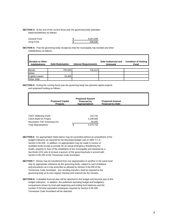**SECTION 3:** At the end of the current fiscal year the governing body estimates balances/(deficits) as follows:

| General Fund | 6.021.266 |
|--------------|-----------|
| Drug Fund    | 536.930   |

**SECTION 4:** That the governing body recognizes that the municipality has bonded and other indebtedness as follows:

| <b>Bonded or Other</b><br><b>Indebtedness</b> | <b>Debt Redemption</b> | <b>Interest Requirements</b> | Debt Authorized and<br><b>Unissued</b> | <b>Condition of Sinking</b><br><b>Fund</b> |
|-----------------------------------------------|------------------------|------------------------------|----------------------------------------|--------------------------------------------|
|                                               |                        |                              |                                        |                                            |
| Bonds                                         | 705,000                | 728,424                      |                                        |                                            |
| <b>Notes</b>                                  |                        | ۰                            |                                        |                                            |
| <b>Capital Leases</b>                         | 33,360                 |                              |                                        |                                            |
| <b>Other Debt</b>                             |                        |                              |                                        |                                            |

**SECTION 5:** During the coming fiscal year the governing body has planned capital projects and proposed funding as follows:

| <b>Proposed Capital</b><br><b>Projects</b> | <b>Proposed Amount</b><br><b>Financed by</b><br><b>Appropriations</b> | <b>Proposed Amount</b><br><b>Financed by Debt</b> |
|--------------------------------------------|-----------------------------------------------------------------------|---------------------------------------------------|
| <b>TDOT Widening Grant</b>                 | 110,733                                                               |                                                   |

| <b>CSES Build On Project</b> |   | 4.100.000 |
|------------------------------|---|-----------|
| Recreation-TAP Greenway Ext  |   | 60.000    |
| <b>Total Appropriations</b>  | S | 4.270.733 |
|                              |   |           |

- **SECTION 6**: No appropriation listed above may be exceeded without an amendment of the budget ordinance as required by the Municipal Budget Law of 1982 T.C.A. Section 6-56-208. In addition, no appropriation may be made in excess of available funds except to provide for an actual emergency threatening the health, property or lives of the inhabitants of the municipality and declared by a two-thirds (2/3) vote of at least a quorum of the governing body in accord with Section 6-56-205 of the Tennessee Code Annotated.
- **SECTION 7:** Money may be transferred from one appropriation to another in the same fund only by appropriate ordinance by the governing body, subject to such limitations and procedures as it may prescribe as allowed by Section 6-56-209 of the Tennessee Code Annotated. Any resulting transfers shall be reported to the governing body at its next regular meeting and entered into the minutes.
- **SECTION 8:** A detailed financial plan will be attached to this budget and become part of this budget ordinance. In addition, the published operating budget and budgetary comparisons shown by fund with beginning and ending fund balances and the number of full time equivalent employees required by Section 6-56-206, Tennessee Code Annotated will be attached.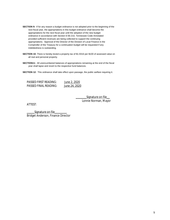- **SECTION 9:** If for any reason a budget ordinance is not adopted prior to the beginning of the next fiscal year, the appropriations in this budget ordinance shall become the appropriations for the next fiscal year until the adoption of the new budget ordinance in accordance with Section 6-56-210, Tennessee Code Annotated provided sufficient revenues are being collected to support the continuing appropriations. Approval of the Director of the Division of Local Finance in the Comptroller of the Treasury for a continuation budget will be requested if any indebtedness is outstanding.
- **SECTION 10:** There is hereby levied a property tax of \$1.9316 per \$100 of assessed value on all real and personal property.
- **SECTION11:** All unencumbered balances of appropriations remaining at the end of the fiscal year shall lapse and revert to the respective fund balances.

**SECTION 12:** This ordinance shall take effect upon passage, the public welfare requiring it.

| PASSED FIRST READING: | June 2, 2020  |
|-----------------------|---------------|
| PASSED FINAL READING: | June 24, 2020 |

Signature on file Lonnie Norman, Mayor

ATTEST:

Signature on file Bridget Anderson, Finance Director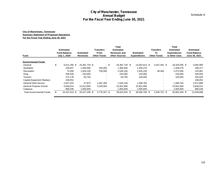#### **City of Manchester, Tennessee Summary Statement of Proposed Operations For the Fiscal Year Ending June 30, 2021**

| <b>City of Manchester, Tennessee</b><br><b>Annual Budget</b><br>For the Fiscal Year Ending June 30, 2021<br><b>City of Manchester, Tennessee</b><br><b>Summary Statement of Proposed Operations</b>                              |                                                                                                                                      |                                                                                                                    |                                                                        |                                                                                                                       |                                         |                                                                                                                        |                                              |                                                                                                                        |                                                                                                                     |
|----------------------------------------------------------------------------------------------------------------------------------------------------------------------------------------------------------------------------------|--------------------------------------------------------------------------------------------------------------------------------------|--------------------------------------------------------------------------------------------------------------------|------------------------------------------------------------------------|-----------------------------------------------------------------------------------------------------------------------|-----------------------------------------|------------------------------------------------------------------------------------------------------------------------|----------------------------------------------|------------------------------------------------------------------------------------------------------------------------|---------------------------------------------------------------------------------------------------------------------|
| For the Fiscal Year Ending June 30, 2021<br><b>Fund</b>                                                                                                                                                                          | <b>Estimated</b><br><b>Fund Balance</b><br>July 1, 2020                                                                              | <b>Estimated</b><br><b>Revenues</b>                                                                                | <b>Transfers</b><br>From<br><b>Other Funds</b>                         | <b>Total</b><br><b>Estimated</b><br><b>Revenues and</b><br><b>Other Sources</b>                                       | <b>Estimated</b><br><b>Expenditures</b> |                                                                                                                        | <b>Transfers</b><br>To<br><b>Other Funds</b> | <b>Total</b><br><b>Estimated</b><br><b>Expenditures</b><br>& Other Uses                                                | <b>Estimated</b><br><b>Fund Balance</b><br>June 30, 2021                                                            |
| <b>Governmental Funds</b><br>General<br>Sanitation<br>Recreation<br>Drug<br>Tourism<br><b>Capital Equipment Replace</b><br><b>General Debt Service</b><br>General Purpose School<br>Cafeteria<br><b>Total Governmental Funds</b> | \$<br>6,021,266 \$<br>228,647<br>73,456<br>536,930<br>272,178<br>248,052<br>2,627,523<br>5,649,014<br>680,548<br>\$<br>16,337,614 \$ | 16,381,729 \$<br>1,056,000<br>1,826,100<br>233,000<br>83,750<br>47,875<br>12,612,893<br>1,005,849<br>33,247,196 \$ | $-$ \$<br>250,000<br>700,000<br>1,497,284<br>3,329,063<br>5,776,347 \$ | 16,381,729 \$<br>1,306,000<br>2,526,100<br>233,000<br>83,750<br>1,545,159<br>15,941,956<br>1,005,849<br>39,023,543 \$ |                                         | 14,052,614 \$<br>1,328,270<br>2,435,235<br>233,000<br>100,000<br>1,499,784<br>15,941,956<br>1,005,849<br>36,596,708 \$ | 4,267,391 \$<br>38,360<br>4,305,751 \$       | 18,320,005 \$<br>1,328,270<br>2,473,595<br>233,000<br>100,000<br>1,499,784<br>15,941,956<br>1,005,849<br>40,902,459 \$ | 4,082,990<br>206,377<br>125,961<br>536,930<br>255,928<br>248,052<br>2,672,898<br>5,649,014<br>680,548<br>14,458,698 |
|                                                                                                                                                                                                                                  |                                                                                                                                      |                                                                                                                    |                                                                        |                                                                                                                       |                                         |                                                                                                                        |                                              |                                                                                                                        |                                                                                                                     |
|                                                                                                                                                                                                                                  |                                                                                                                                      |                                                                                                                    |                                                                        |                                                                                                                       |                                         |                                                                                                                        |                                              |                                                                                                                        | 10                                                                                                                  |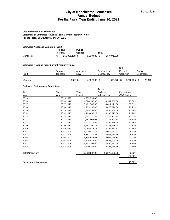#### **City of Manchester, Tennessee Statement of Estimated Revenue From Current Property Taxes For the Fiscal Year Ending June 30, 2021**

| <b>Estimated Assessed Valuation - 2019</b> |          |                |                  |              |       |             |
|--------------------------------------------|----------|----------------|------------------|--------------|-------|-------------|
|                                            | Real and |                | <b>Public</b>    |              |       |             |
|                                            | Personal |                | <b>Utilities</b> |              | Total |             |
| Manchester                                 |          | 251.951.118 \$ |                  | 6.019.980 \$ |       | 257.971.098 |

#### **Estimated Revenue From Current Property Taxes**

| Fund    | Proposed<br>Tax Rate | Amount of<br>Levy |           | Reserved for<br>Delinguency |            | Net<br>Estimated<br>Collection |              | Penny<br>Generation |        |
|---------|----------------------|-------------------|-----------|-----------------------------|------------|--------------------------------|--------------|---------------------|--------|
| General |                      | $1.9316$ \$       | 4,982,933 | \$.                         | 666.578 \$ |                                | 4,316,355 \$ |                     | 22.346 |

#### **Estimated Delinquency Percentage**

|                                                                                                                                                       |                             | <b>City of Manchester, Tennessee</b><br><b>Annual Budget</b> | For the Fiscal Year Ending June 30, 2021 |                         | Schedule B          |
|-------------------------------------------------------------------------------------------------------------------------------------------------------|-----------------------------|--------------------------------------------------------------|------------------------------------------|-------------------------|---------------------|
| <b>City of Manchester, Tennessee</b><br><b>Statement of Estimated Revenue From Current Property Taxes</b><br>For the Fiscal Year Ending June 30, 2021 |                             |                                                              |                                          |                         |                     |
| <b>Estimated Assessed Valuation - 2019</b>                                                                                                            | <b>Real and</b><br>Personal | <b>Public</b><br><b>Utilities</b>                            | Total                                    |                         |                     |
| Manchester                                                                                                                                            | \$<br>251,951,118 \$        | 6,019,980 \$                                                 | 257,971,098                              |                         |                     |
| <b>Estimated Revenue From Current Property Taxes</b>                                                                                                  |                             |                                                              |                                          | Net                     |                     |
| Fund                                                                                                                                                  | Proposed<br>Tax Rate        | Amount of<br>Levy                                            | Reserved for<br>Delinquency              | Estimated<br>Collection | Penny<br>Generation |
|                                                                                                                                                       |                             |                                                              |                                          |                         |                     |
| General                                                                                                                                               | 1.9316 \$                   | 4,982,933 \$                                                 | 666,578 \$                               | 4,316,355 \$            | 22,346              |
| <b>Estimated Delinquency Percentage</b>                                                                                                               |                             |                                                              |                                          |                         |                     |
|                                                                                                                                                       |                             |                                                              | Taxes                                    |                         |                     |
| Tax                                                                                                                                                   | Fiscal                      | Taxes                                                        | Collected                                | Percentage              |                     |
| Year<br>2019                                                                                                                                          | Year<br>2019-2020           | Levied                                                       | in Fiscal Year                           | Of Collection           |                     |
| 2018                                                                                                                                                  | 2018-2019                   | 4,982,933.00<br>4,696,366.00                                 | 4,367,850.00                             | 93.00%                  |                     |
| 2017                                                                                                                                                  | 2017-2018                   | 5,491,543.00                                                 | 4,811,121.00                             | 87.61%                  |                     |
| 2016                                                                                                                                                  | 2016-2017                   | 4,933,336.00                                                 | 4,476,024.00                             | 90.73%                  |                     |
| 2015                                                                                                                                                  | 2015-2016                   | 4,845,752.00                                                 | 4,450,244.00                             | 91.84%                  |                     |
| 2014                                                                                                                                                  | 2014-2015                   | 4,709,885.23                                                 | 4,295,275.00                             | 91.20%                  |                     |
| 2013                                                                                                                                                  | 2013-2014                   | 4,613,171.35                                                 | 4,226,461.35                             | 91.62%                  |                     |
| 2012                                                                                                                                                  | 2012-2013                   | 4,581,605.98                                                 | 4,321,642.70                             | 94.33%                  |                     |
| 2011                                                                                                                                                  | 2011-2012                   | 4,573,227.05                                                 | 4,266,228.48                             | 93.29%                  |                     |
| 2010                                                                                                                                                  | 2010-2011                   | 4,598,700.12                                                 | 4,201,966.28                             | 91.37%                  |                     |
| 2009                                                                                                                                                  | 2009-2010                   | 4,485,523.71                                                 | 4, 165, 237.82                           | 92.86%                  |                     |
| 2008                                                                                                                                                  | 2008-2009                   | 4,279,010.14                                                 | 4,074,152.93                             | 95.21%                  |                     |
| 2007                                                                                                                                                  | 2007-2008                   | 4,151,719.31                                                 | 3,906,980.46                             | 94.11%                  |                     |
| 2006                                                                                                                                                  | 2006-2007                   | 4,305,985.07                                                 | 4,046,179.88                             | 93.97%                  |                     |
| 2005                                                                                                                                                  | 2005-2006                   | 3,826,814.00                                                 | 3,648,100.00                             | 95.33%                  |                     |
| 2004                                                                                                                                                  | 2004-2005                   | 3,702,104.00                                                 | 3,520,767.00                             | 95.10%                  |                     |
| 2003                                                                                                                                                  | 2003-2004                   | 3,730,362.00                                                 | 3,495,154.35                             | 93.69%                  |                     |
|                                                                                                                                                       |                             |                                                              |                                          |                         |                     |
| <b>Total Collections</b>                                                                                                                              |                             | 76,508,037.96                                                | 66,273,385.25                            | 86.62%<br>100.00%       |                     |
|                                                                                                                                                       |                             |                                                              |                                          |                         |                     |
| Delinquency Percentage                                                                                                                                |                             |                                                              |                                          | 13.38%                  |                     |
|                                                                                                                                                       |                             |                                                              |                                          |                         |                     |
|                                                                                                                                                       |                             |                                                              |                                          |                         |                     |
|                                                                                                                                                       |                             |                                                              |                                          |                         |                     |
|                                                                                                                                                       |                             |                                                              |                                          |                         |                     |
|                                                                                                                                                       |                             |                                                              |                                          |                         |                     |
|                                                                                                                                                       |                             |                                                              |                                          |                         |                     |
|                                                                                                                                                       |                             |                                                              |                                          |                         |                     |
|                                                                                                                                                       |                             |                                                              |                                          |                         |                     |
|                                                                                                                                                       |                             |                                                              |                                          |                         |                     |
|                                                                                                                                                       |                             |                                                              |                                          |                         |                     |
|                                                                                                                                                       |                             |                                                              |                                          |                         |                     |
|                                                                                                                                                       |                             |                                                              |                                          |                         |                     |
|                                                                                                                                                       |                             |                                                              |                                          |                         |                     |
|                                                                                                                                                       |                             |                                                              |                                          |                         |                     |
|                                                                                                                                                       |                             |                                                              |                                          |                         | 11                  |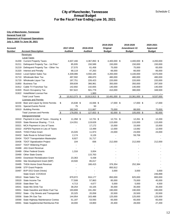|                  | <b>City of Manchester, Tennessee</b><br><b>Annual Budget</b><br>For the Fiscal Year Ending June 30, 2021 |                             |                     |                     |                     |                    |  |  |  |  |
|------------------|----------------------------------------------------------------------------------------------------------|-----------------------------|---------------------|---------------------|---------------------|--------------------|--|--|--|--|
|                  |                                                                                                          |                             |                     |                     |                     |                    |  |  |  |  |
|                  | <b>City of Manchester, Tennessee</b>                                                                     |                             |                     |                     |                     |                    |  |  |  |  |
| General Fund 110 |                                                                                                          |                             |                     |                     |                     |                    |  |  |  |  |
|                  | <b>Statement of Proposed Operations</b>                                                                  |                             |                     |                     |                     |                    |  |  |  |  |
|                  | July 1, 2020 To June 30, 2021                                                                            |                             |                     |                     |                     |                    |  |  |  |  |
|                  |                                                                                                          |                             |                     | 2019-2020           | 2019-2020           | 2020-2021          |  |  |  |  |
| Account          |                                                                                                          | 2017-2018                   | 2018-2019           | Original            | Amendment #2        | Approved           |  |  |  |  |
| Number           | <b>Account Description</b>                                                                               | <b>Audited</b>              | <b>Audited</b>      | <b>Budget</b>       | <b>Budget</b>       | <b>Budget</b>      |  |  |  |  |
|                  | Revenues                                                                                                 |                             |                     |                     |                     |                    |  |  |  |  |
|                  | <b>Local Taxes</b>                                                                                       |                             |                     |                     |                     |                    |  |  |  |  |
|                  | 31200 Current Property Taxes                                                                             | 4,637,166                   | 4,367,850 \$        | 4,400,000 \$        | 4,400,000 \$        | 4,200,000          |  |  |  |  |
| 31211            | Delinquent Property Tax - 1st Prior '                                                                    | 85,935                      | 150,589             | 150,000             | 150,000             | 150,000            |  |  |  |  |
| 31219            | Delinquent Property Tax - Other Yea                                                                      | 27,570                      | 61,458              | 75,000              | 75,000              | 65,000             |  |  |  |  |
|                  | 31320 Interest and Penalty                                                                               | 68,119                      | 47,263<br>4,550,165 | 66,000<br>4,200,000 | 66,000<br>4,100,000 | 66,000             |  |  |  |  |
| 31710            | 31610 Local Option Sales Tax<br><b>Wholesale Beer Tax</b>                                                | 4,339,086<br>497,592        | 496,870             | 480,000             | 480,000             | 3,570,000          |  |  |  |  |
|                  |                                                                                                          | 197,751                     | 226,423             |                     |                     | 480,000            |  |  |  |  |
| 31720<br>31850   | Wholesale Liquor Tax<br><b>Business Tax</b>                                                              | 359,839                     | 366,961             | 220,000<br>350,000  | 220,000<br>350,000  | 220,000<br>297,500 |  |  |  |  |
| 31912            | Cable TV Franchise Tax                                                                                   |                             |                     |                     |                     |                    |  |  |  |  |
| 31920            | Room Occupancy Tax                                                                                       | 142,692<br>557,622          | 142,655<br>501,779  | 140,000<br>410,000  | 140,000<br>380,000  | 140,000<br>348,500 |  |  |  |  |
|                  | 31922 Hotel/Motel License Fee                                                                            |                             | 1,900               |                     |                     | $\sim$             |  |  |  |  |
|                  | <b>Total Local Taxes</b>                                                                                 | 10,913,373 \$<br>\$         | 10,913,913 \$       | 10,491,000 \$       | 10,361,000 \$       | 9,537,000          |  |  |  |  |
|                  | <b>Licenses and Permits</b>                                                                              |                             |                     |                     |                     |                    |  |  |  |  |
|                  | 32230 Beer and Liquor by Drink Permits                                                                   | \$<br>15,638 \$             | 15,936 \$           | 17,000 \$           | 17,000 \$           | 17,000             |  |  |  |  |
| 32231            | <b>Special Events Permit</b>                                                                             | 75                          | 50                  |                     |                     |                    |  |  |  |  |
| 32610            | <b>Building Permits</b>                                                                                  | 162,342                     | 111,667             | 75,000              | 88,000              | 75,000             |  |  |  |  |
|                  | <b>Total Licenses and Permits</b>                                                                        | $\sqrt[6]{5}$<br>178,055 \$ | 127,653 \$          | 92,000 \$           | 105,000 \$          | 92,000             |  |  |  |  |
|                  | Intergovernmental                                                                                        |                             |                     |                     |                     |                    |  |  |  |  |
|                  | 33310 Payment in Lieu of Taxes - Housing \$                                                              | 11,358 \$                   | 12,731 \$           | 12,731 \$           | 12,261 \$           | 12,200             |  |  |  |  |
| 33320            | State Revenue Sharing - T.V.A.                                                                           | 114,551                     | 119,628             | 115,000             | 115,000             | 115,000            |  |  |  |  |
| 33321            | MCA Payment in Lieu of Taxes                                                                             |                             | 17,172              | 15,000              | 15,000              | 15,000             |  |  |  |  |
|                  | 33322 ASPEN Payment in Lieu of Taxes                                                                     |                             | 13,499              | 12,000              | 13,082              | 12,000             |  |  |  |  |
| 33425            | <b>THSO Police Grant</b>                                                                                 | 15,026                      | 11,973              | 23,000              | 23,000              | 24,000             |  |  |  |  |
|                  | 33432 Safe Route to School Grant                                                                         | 2,174                       | 6,126               |                     | 59,706              |                    |  |  |  |  |
| 33434            | <b>TDOT Transportation Masterplan</b>                                                                    | 8,927                       | 31,717              |                     |                     |                    |  |  |  |  |
| 33436            | <b>TDOT Signalization Project</b>                                                                        | 104                         | 836                 | 212,000             | 212,000             | 212,000            |  |  |  |  |
| 33437            | <b>TDOT Widening Project</b>                                                                             |                             |                     |                     |                     |                    |  |  |  |  |
| 33488            | <b>JAG Grant Revenue</b>                                                                                 |                             |                     |                     |                     |                    |  |  |  |  |
| 33489            | <b>Other Federal Grants</b>                                                                              | 1,316                       | 3,004               |                     |                     |                    |  |  |  |  |
| 33490            | <b>Other State Grants</b>                                                                                |                             | 115,763             |                     |                     |                    |  |  |  |  |
| 33493            | Downtown Revitalization Grant                                                                            | 23,363                      | 6,438               |                     |                     |                    |  |  |  |  |
| 33494            | Site Development Grant (MIP)                                                                             | 19,500                      | 85,017              |                     |                     |                    |  |  |  |  |
| 33495            | <b>THDA Home Grant Revenue</b>                                                                           |                             | 166,415             | 376,354             | 252,384             |                    |  |  |  |  |
| 33496            | <b>STP Grant Projects</b>                                                                                |                             |                     | 850,912             |                     |                    |  |  |  |  |
| 33497            | <b>BVP DOJ Grant (Vests)</b>                                                                             |                             |                     | 3,000               | 3,000               | 3,000              |  |  |  |  |
|                  | State Grant -COVID19                                                                                     |                             |                     |                     |                     | 246,899            |  |  |  |  |
| 33510            | <b>State Sales Tax</b>                                                                                   | 879,972                     | 916,177             | 850,000             | 825,000             | 800,000            |  |  |  |  |
| 33520            | State Income Tax                                                                                         | 77,508                      | 57,863              | 85,000              | 75,000              | 45,000             |  |  |  |  |
| 33530            | <b>State Beer Tax</b>                                                                                    | 4,713                       | 4,677               | 5,000               | 5,000               | 4,500              |  |  |  |  |
| 33541            | State Mix Drink Tax                                                                                      | 38,254                      | 43,105              | 35,000              | 35,000              | 35,000             |  |  |  |  |
| 33551            | State Gasoline and Motor Fuel Tax                                                                        | 193,808                     | 191,282             | 190,000             | 190,000             | 190,000            |  |  |  |  |
| 33552            | State - City Streets and Transportati                                                                    | 20,325                      | 20,058              | 20,500              | 20,500              | 20,500             |  |  |  |  |
| 33556            | State 3% Gas Tax                                                                                         | 144,954                     | 163,488             | 125,000             | 125,000             | 125,000            |  |  |  |  |
| 33590            | State Highway Maintenance Contra                                                                         | 51,187                      | 53,593              | 65,000              | 65,000              | 65,000             |  |  |  |  |
| 33591            | State Supplemental Reimburse-Poli                                                                        | 18,000                      | 19,800              | 20,400              | 28,000              | 27,200             |  |  |  |  |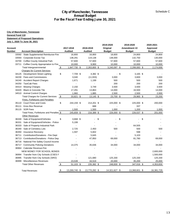| General Fund 110<br>Account | <b>Statement of Proposed Operations</b><br>July 1, 2020 To June 30, 2021 |               | 2017-2018              | 2018-2019             | 2019-2020<br>Original  | 2019-2020<br>Amendment #2 |                      | 2020-2021<br>Approved |
|-----------------------------|--------------------------------------------------------------------------|---------------|------------------------|-----------------------|------------------------|---------------------------|----------------------|-----------------------|
| Number                      | <b>Account Description</b>                                               |               | <b>Audited</b>         | <b>Audited</b>        | <b>Budget</b>          | <b>Budget</b>             |                      | <b>Budget</b>         |
|                             | 33592 State Supplemental Reimburse-Fire                                  |               | 16,800                 | 16,800                | 18,600                 | 24,800                    |                      | 24,800                |
| 33593                       | Corporate Excise Tax                                                     |               | 138,291                | 119,138               | 138,000                | 132,750                   |                      | 130,000               |
|                             | 33700 Coffee County Industrial Park                                      |               | 57,600                 | 57,600                | 57,600                 | 57,600                    |                      | 57,600                |
|                             | 33711 Coffee County Appropriation to Fire<br>Total Intergovernmental     | \$            | 10,000<br>1,847,730 \$ | 9,900<br>2,263,800 \$ | 10,000<br>3,240,097 \$ | 10,000<br>2,299,083 \$    |                      | 10,000<br>2,174,699   |
|                             | <b>Charges for Current Services</b>                                      |               |                        |                       |                        |                           |                      |                       |
|                             | 34125 Development Street Lighting                                        | \$            | 7,709 \$               | 4,382 \$              | - \$                   |                           | $3,165$ \$           |                       |
|                             | 34230 Fees and Commissions                                               |               | 3,040                  | (11, 933)             | 3,000                  | 3,600                     |                      | 3,000                 |
| 34240                       | <b>Accident Report Charges</b>                                           |               | 1,671                  | 1,199                 | 500                    |                           | 500                  | 500                   |
| 34250                       | <b>TaxiCab Fees</b>                                                      |               |                        |                       | 200                    |                           | 200                  | 200                   |
| 34314                       | <b>Mowing Charges</b>                                                    |               | 2,150                  | 3,749                 | 3,500                  | 3,500                     |                      | 3,500                 |
| 34420                       | <b>Black &amp; Concrete Tile</b>                                         |               | 17,291                 | 13,863                | 14,000                 | 16,500                    |                      | 14,000                |
|                             | 34510 Animal Control Charges                                             |               | 1,960                  | 1,885                 | 2,500                  | 2,500                     |                      | 2,000                 |
|                             | <b>Total Charges for Current Services</b>                                | $\sqrt{2}$    | 33,821 \$              | $13,145$ \$           | 23,700 \$              |                           | 29,965 \$            | 23,200                |
|                             | <b>Fines, Forfeitures and Penalties</b>                                  |               |                        |                       |                        |                           |                      |                       |
|                             | 35110 Court Fines and Costs                                              | \$            | 244,159 \$             | 214,201 \$            | 225,000 \$             | 225,000 \$                |                      | 200,000               |
| 35111                       | Knox Box Revenue                                                         |               |                        | 688                   |                        |                           | 337                  |                       |
|                             | 35115 SOR Fees                                                           |               | 1,500                  | 1,500                 | 1,000                  | 1,200                     |                      | 1,000                 |
|                             | Total Fines, Forfeitures and Penalties \$<br><b>Other Revenues</b>       |               | 245,659 \$             | 216,389 \$            | 226,000 \$             | 226,537 \$                |                      | 201,000               |
|                             | 36330 Sale of Equipment/Vehicles                                         | \$            | $3,668$ \$             | \$<br>ä,              |                        | \$                        | \$<br>$\blacksquare$ |                       |
| 36331                       | Sale of Equipment/Vehicles - Police                                      |               | 5,199                  |                       |                        |                           |                      |                       |
| 36333                       | Sale of Property-Industrial Park                                         |               |                        |                       |                        | 64,505                    |                      |                       |
| 36340                       | Sale of Cemetery Lots                                                    |               | 2,725                  | 2,450                 | 500                    |                           | 500                  | 500                   |
| 36350                       | <b>Insurance Recovery</b>                                                |               | 1,597                  | 5,602                 |                        |                           | 598                  | $\blacksquare$        |
|                             | 36711 Contribution/Donations - Fire Dept                                 |               |                        | 5,645                 |                        | 5,103                     |                      |                       |
|                             | 36713 Contribution/Donations - Police Dep                                |               |                        | 47,850                | 69,000                 | 81,780                    |                      | 69,000                |
|                             | 36716 National Fire Safety Council Income                                |               |                        |                       |                        |                           |                      |                       |
|                             | 36717 Community Policing Donations                                       |               | 14,375                 | 35,636                | 34,000                 | 34,000                    |                      | 34,000                |
|                             | 36964 Calendar Revenue-Fire                                              |               |                        |                       |                        |                           |                      |                       |
|                             | NEW MONEY FOR SCHOOL BONDS                                               |               |                        |                       |                        |                           |                      | 2,600,000             |
|                             | 36994 Transfer from City Schools (CSES F                                 |               |                        |                       |                        |                           |                      | 1,500,000             |
| 36995                       | Transfer from City Schools (SRO)                                         |               |                        | 121,680               | 125,330                | 125,330                   |                      | 125,330               |
| 36999                       | Miscellaneous Revenues                                                   |               | 23,539                 | 16,519                | 20,000                 | 35,200                    |                      | 25,000                |
|                             | <b>Total Other Revenues</b>                                              | $\sqrt[6]{5}$ | $51,103$ \$            | 235,382 \$            | 248,830 \$             | 347,016 \$                |                      | 4,353,830             |
|                             | <b>Total Revenues</b>                                                    | \$            | 13,269,740 \$          | 13,770,282 \$         | 14,321,627 \$          | 13,368,601 \$             |                      | 16,381,729            |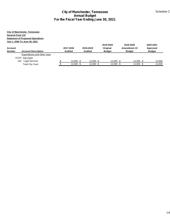|                                    |                                                                                                                  |                 |                            | <b>City of Manchester, Tennessee</b><br><b>Annual Budget</b><br>For the Fiscal Year Ending June 30, 2021 |                            |                            | Schedule C            |
|------------------------------------|------------------------------------------------------------------------------------------------------------------|-----------------|----------------------------|----------------------------------------------------------------------------------------------------------|----------------------------|----------------------------|-----------------------|
| <b>General Fund 110</b><br>Account | <b>City of Manchester, Tennessee</b><br><b>Statement of Proposed Operations</b><br>July 1, 2020 To June 30, 2021 |                 | 2017-2018                  | 2018-2019                                                                                                | 2019-2020<br>Original      | 2019-2020<br>Amendment #2  | 2020-2021<br>Approved |
| Number                             | <b>Account Description</b>                                                                                       |                 | <b>Audited</b>             | <b>Audited</b>                                                                                           | <b>Budget</b>              | <b>Budget</b>              | <b>Budget</b>         |
|                                    | <b>Expenditures and Other Uses</b><br>41210 City Court<br>252 Legal Services<br><b>Total City Court</b>          | $\frac{\$}{\$}$ | $12,000$ \$<br>$12,000$ \$ | $12,000$ \$<br>$12,000$ \$                                                                               | $12,000$ \$<br>$12,000$ \$ | $12,000$ \$<br>$12,000$ \$ | 12,000<br>12,000      |
|                                    |                                                                                                                  |                 |                            |                                                                                                          |                            |                            |                       |
|                                    |                                                                                                                  |                 |                            |                                                                                                          |                            |                            |                       |
|                                    |                                                                                                                  |                 |                            |                                                                                                          |                            |                            |                       |
|                                    |                                                                                                                  |                 |                            |                                                                                                          |                            |                            |                       |
|                                    |                                                                                                                  |                 |                            |                                                                                                          |                            |                            |                       |
|                                    |                                                                                                                  |                 |                            |                                                                                                          |                            |                            |                       |
|                                    |                                                                                                                  |                 |                            |                                                                                                          |                            |                            |                       |
|                                    |                                                                                                                  |                 |                            |                                                                                                          |                            |                            |                       |
|                                    |                                                                                                                  |                 |                            |                                                                                                          |                            |                            |                       |
|                                    |                                                                                                                  |                 |                            |                                                                                                          |                            |                            |                       |
|                                    |                                                                                                                  |                 |                            |                                                                                                          |                            |                            | 14                    |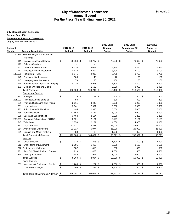| Account<br>Number | July 1, 2020 To June 30, 2021                                              |                               |                             |                             |            |                                        |            |                                            |                                        |
|-------------------|----------------------------------------------------------------------------|-------------------------------|-----------------------------|-----------------------------|------------|----------------------------------------|------------|--------------------------------------------|----------------------------------------|
|                   | <b>Account Description</b>                                                 |                               | 2017-2018<br><b>Audited</b> | 2018-2019<br><b>Audited</b> |            | 2019-2020<br>Original<br><b>Budget</b> |            | 2019-2020<br>Amendment #2<br><b>Budget</b> | 2020-2021<br>Approved<br><b>Budget</b> |
|                   | 41310 Board of Mayor and Aldermen                                          |                               |                             |                             |            |                                        |            |                                            |                                        |
|                   | <b>Personnel</b>                                                           |                               |                             |                             |            |                                        |            |                                            |                                        |
| 111               | <b>Regular Employee Salaries</b>                                           | \$                            | 66,464 \$                   | 68,787 \$                   |            | 70,600 \$                              |            | 70,600 \$                                  | 70,600                                 |
| 113               | Salaries-Overtime                                                          |                               |                             |                             |            |                                        |            | 150                                        |                                        |
| 141               | <b>OASI Employers Share</b>                                                |                               | 4,730                       | 5,019                       |            | 5,450                                  |            | 5,450                                      | 5,450                                  |
| 142               | Employee Health Insurance                                                  |                               | 24,874                      | 12,802                      |            | 13,100                                 |            | 13,100                                     | 13,100                                 |
| 143.001           | <b>Retirement-TCRS</b>                                                     |                               | 1,941                       | 2,013                       |            | 3,750                                  |            | 3,750                                      | 3,750                                  |
| 145               | Employee Life Insurance                                                    |                               | 100                         | 40                          |            | 76                                     |            | 76                                         | 100                                    |
| 147<br>148        | Unemployment Insurance                                                     |                               | 73                          | 25<br>9,998                 |            | 150                                    |            | 150                                        | 150                                    |
| 172               | Education/Training/Travel/ Lodging<br><b>Election Officials and Clerks</b> |                               | 8,720                       | 1,560                       |            | 17,300<br>3,000                        |            | 17,300<br>3,000                            | 17,300<br>3,000                        |
|                   | <b>Total Personnel</b>                                                     | $\frac{3}{2}$                 | 106,903 \$                  | 100,244 \$                  |            | $113,426$ \$                           |            | 113,576 \$                                 | 113,450                                |
|                   | <b>Contractual Services</b>                                                |                               |                             |                             |            |                                        |            |                                            |                                        |
|                   | 211 Postage                                                                | \$                            | $115$ \$                    | 168 \$                      |            | 600 \$                                 |            | 600 \$                                     | 600                                    |
| 211.001           | <b>Historical Zoning-Supplies</b>                                          |                               | 50                          |                             |            | 300                                    |            | 300                                        | 300                                    |
| 221               | Printing, Duplicating and Typing                                           |                               | 2,611                       | 3,442                       |            | 6,000                                  |            | 6,000                                      | 6,000                                  |
| 231               | <b>Legal Notices</b>                                                       |                               | 3,041                       | 2,961                       |            | 5,000                                  |            | 5,000                                      | 5,000                                  |
| 233               | Subscriptions/Publications                                                 |                               | 495                         | 2,325                       |            | 5,000                                  |            | 5,000                                      | 5,000                                  |
| 236               | <b>Public Relations</b>                                                    |                               | 12,655                      | 10,757                      |            | 18,000                                 |            | 18,000                                     | 18,000                                 |
| 239               | Dues and Subscriptions                                                     |                               | 3,464                       | 3,104                       |            | 6,200                                  |            | 6,200                                      | 6,200                                  |
| 239.001           | Dues and Subscriptions-SCTDD                                               |                               | 2,121                       | 2,121                       |            | 2,121                                  |            | 2,121                                      | 2,121                                  |
| 245               | Telephone                                                                  |                               | 3,058                       | 2,161                       |            | 4,000                                  |            | 4,000                                      | 4,000                                  |
| 252               | <b>Legal Services</b>                                                      |                               | 62,917                      | 72,253                      |            | 85,000                                 |            | 85,000                                     | 85,000                                 |
| 254               | Architectural/Engineering                                                  |                               | 22,317                      | 5,074                       |            | 25,000                                 |            | 25,000                                     | 25,000                                 |
| 261               | Repairs and Maint - Vehicle                                                |                               | 39                          | 85                          |            | 1,000                                  |            | 850                                        | 1,000                                  |
|                   | <b>Total Contractual Services</b>                                          | \$                            | $112,883$ \$                | $104,451$ \$                |            | $158,221$ \$                           |            | 158,071 \$                                 | 158,221                                |
|                   | <b>Supplies</b>                                                            |                               |                             |                             |            |                                        |            |                                            |                                        |
|                   | 311 Office Supplies                                                        | \$                            | $1,014$ \$                  | 895 \$                      |            | 1,500 \$                               |            | 1,500 \$                                   | 1,500                                  |
|                   | 312 Small Items of Equipment                                               |                               | 2,391                       | 1,465                       |            | 3,500                                  |            | 3,500                                      | 3,500                                  |
|                   | 326 Clothing and Uniforms                                                  |                               | 182                         | 415                         |            | 500                                    |            | 500                                        | 500                                    |
| 331               | Gas, Oil, Diesel Fuel and Grease                                           |                               | 228                         | 408                         |            | 1,500                                  |            | 1,500                                      | 1,500                                  |
|                   | 340 Meeting Expenses                                                       |                               | 1,445                       | 911                         |            | 3,000                                  |            | 3,000                                      | 3,000                                  |
|                   | <b>Total Supplies</b>                                                      | <u>\$</u>                     | $5,260$ \$                  | $4,094$ \$                  |            | 10,000 \$                              |            | $10,000$ \$                                | 10,000                                 |
|                   | <b>Fixed Charges</b>                                                       |                               |                             |                             |            |                                        |            |                                            |                                        |
|                   | 533 Machinery & Equipment - Copier<br><b>Total Fixed Charges</b>           | $\sqrt[6]{\frac{2}{5}}$<br>\$ | $1,205$ \$<br>$1,205$ \$    | 222 \$<br>222 \$            |            | $1,500$ \$<br>1,500 \$                 |            | $1,500$ \$<br>$1,500$ \$                   | 1,500                                  |
|                   |                                                                            |                               |                             |                             |            |                                        |            |                                            | 1,500                                  |
|                   |                                                                            |                               |                             |                             | 209,011 \$ |                                        | 283,147 \$ | 283,147 \$                                 | 283,171                                |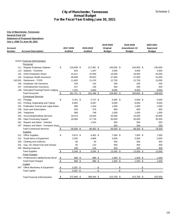|                   | <b>City of Manchester, Tennessee</b><br>General Fund 110<br><b>Statement of Proposed Operations</b><br>July 1, 2020 To June 30, 2021 |                         |                             |                             |                                        |                                            |                                        |
|-------------------|--------------------------------------------------------------------------------------------------------------------------------------|-------------------------|-----------------------------|-----------------------------|----------------------------------------|--------------------------------------------|----------------------------------------|
| Account<br>Number | <b>Account Description</b>                                                                                                           |                         | 2017-2018<br><b>Audited</b> | 2018-2019<br><b>Audited</b> | 2019-2020<br>Original<br><b>Budget</b> | 2019-2020<br>Amendment #2<br><b>Budget</b> | 2020-2021<br>Approved<br><b>Budget</b> |
|                   | 41510 Financial Administration<br>Personnel                                                                                          |                         |                             |                             |                                        |                                            |                                        |
|                   | 111 Regular Employee Salaries                                                                                                        | \$                      | 218,838 \$                  | 217,987 \$                  | 240,000 \$                             | 240,000 \$                                 | 240,000                                |
|                   | 113 Salaries - Overtime                                                                                                              |                         | 916                         | 1,547                       | 2,000                                  | 3,000                                      | 4,000                                  |
| 141               | <b>OASI Employers Share</b>                                                                                                          |                         | 15,511                      | 15,584                      | 18,500                                 | 18,500                                     | 20,000                                 |
| 142               | Employee Health Insurance                                                                                                            |                         | 46,958                      | 39,822                      | 47,000                                 | 47,000                                     | 52,000                                 |
| 143.001           | Retirement - TCRS                                                                                                                    |                         | 11,663                      | 11,476                      | 12,750                                 | 12,750                                     | 13,000                                 |
| 145<br>147        | Employee Life Insurance                                                                                                              |                         | 229<br>227                  | 142<br>146                  | 200<br>400                             | 200<br>400                                 | 250<br>400                             |
| 148               | Unemployment Insurance<br>Education/Training/Travel/ Lodging                                                                         |                         | 7,410                       | 4,694                       | 9,000                                  | 9,000                                      | 9,000                                  |
|                   | <b>Total Personnel</b><br><b>Contractual Services</b>                                                                                | \$                      | 301,751 \$                  | 291,398 \$                  | 329,850 \$                             | 330,850 \$                                 | 338,650                                |
|                   | 211 Postage                                                                                                                          | \$                      | $3,761$ \$                  | $3,737$ \$                  | $5,000$ \$                             | $5,000$ \$                                 | 5,000                                  |
| 221               | Printing, Duplicating and Typing                                                                                                     |                         | 6,952                       | 6,497                       | 6,000                                  | 6,000                                      | 6,000                                  |
| 231               | Publication Formal and Legal Notice                                                                                                  |                         | 386                         | 1,444                       | 1,000                                  | 1,000                                      | 1,000                                  |
| 239               | Dues and Subscription                                                                                                                |                         | 429                         | 379                         | 600                                    | 600                                        | 600                                    |
| 245               | Telephone                                                                                                                            |                         | 568                         | 748                         | 1,000                                  | 1,000                                      | 1,000                                  |
| 253               | <b>Accounting/Auditing Services</b>                                                                                                  |                         | 18,413                      | 24,916                      | 25,000                                 | 24,000                                     | 30,000                                 |
| 255               | Data Processing Support                                                                                                              |                         | 26,084                      | 47,718                      | 30,000                                 | 30,000                                     | 35,000                                 |
| 261<br>267        | Repairs and Maint - Vehicles<br>Repairs and Maint - Computer Equip                                                                   |                         |                             | 1,024                       | 500<br>250                             | 500<br>250                                 | 500<br>250                             |
|                   | <b>Total Contractual Services</b><br><b>Supplies</b>                                                                                 | \$                      | 56,594 \$                   | 86,463 \$                   | 69,350 \$                              | 68,350 \$                                  | 79,350                                 |
|                   | 311 Office Supplies                                                                                                                  | \$                      | 5,674 \$                    | 4,462 \$                    | 7,000 \$                               | 7,000 \$                                   | 7,000                                  |
|                   | 312 Small Items of Equipment                                                                                                         |                         | 2,255                       | 4,856                       | 5,000                                  | 5,000                                      | 5,000                                  |
| 326               | Clothing and Uniforms                                                                                                                |                         | 66                          | 40                          | 300                                    | 300                                        | 300                                    |
| 331               | Gas, Oil, Diesel Fuel and Grease                                                                                                     |                         | 55                          | 110                         | 400                                    | 400                                        | 400                                    |
|                   | 340 Meeting Expense                                                                                                                  |                         | 299                         | 126                         | 300                                    | 300                                        | 300                                    |
|                   | <b>Total Supplies</b><br><b>Fixed Charges</b>                                                                                        | $\sqrt{2}$              | 8,348 \$                    | $9,594$ \$                  | $13,000$ \$                            | 13,000 \$                                  | 13,000                                 |
|                   | 514 Professional Liability/Surety Bond                                                                                               | $\sqrt{2}$              | 989 \$                      | 989 \$                      | $1,500$ \$                             | $1,500$ \$                                 | 1,500                                  |
|                   | <b>Total Fixed Charges</b>                                                                                                           | $\sqrt[6]{\frac{2}{5}}$ | 989 \$                      | 989 \$                      | $1,500$ \$                             | $1,500$ \$                                 | 1,500                                  |
|                   | Capital                                                                                                                              |                         |                             |                             |                                        |                                            |                                        |
|                   | 947 Office Machinery & Equipment                                                                                                     | $\sqrt[6]{\frac{2}{5}}$ | $5,287$ \$                  | - \$                        |                                        | \$<br>$\sim$                               | \$                                     |
|                   | <b>Total Capital</b>                                                                                                                 | $\sqrt[6]{\frac{1}{2}}$ | $5,287$ \$                  | $\sqrt[6]{\frac{1}{2}}$     |                                        | \$                                         | \$                                     |
|                   | <b>Total Financial Administration</b>                                                                                                | \$                      | 372,969 \$                  | 388,444 \$                  | 413,700 \$                             | 413,700 \$                                 | 432,500                                |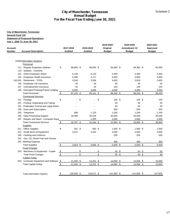| General Fund 110  | <b>City of Manchester, Tennessee</b><br><b>Statement of Proposed Operations</b><br>July 1, 2020 To June 30, 2021 |                             |             |                             |                                        |                                            |                                        |
|-------------------|------------------------------------------------------------------------------------------------------------------|-----------------------------|-------------|-----------------------------|----------------------------------------|--------------------------------------------|----------------------------------------|
| Account<br>Number | <b>Account Description</b>                                                                                       | 2017-2018<br><b>Audited</b> |             | 2018-2019<br><b>Audited</b> | 2019-2020<br>Original<br><b>Budget</b> | 2019-2020<br>Amendment #2<br><b>Budget</b> | 2020-2021<br>Approved<br><b>Budget</b> |
|                   | 41600 Information Systems                                                                                        |                             |             |                             |                                        |                                            |                                        |
|                   | Personnel                                                                                                        |                             |             |                             |                                        |                                            |                                        |
|                   | 111 Regular Employee Salaries                                                                                    | \$<br>68,000 \$             |             | 68,000 \$                   | 69,360 \$                              | 69,360 \$                                  | 69,360                                 |
|                   | 113 Salaries - Overtime<br>141 OASI Employers Share                                                              | 5,128                       |             | $\blacksquare$<br>5,133     | 5,350                                  | 5,350                                      | 5,350                                  |
|                   | 142 Employee Health Insurance                                                                                    | 5,295                       |             | 4,717                       | 5,650                                  | 5,650                                      | 5,650                                  |
| 143.001           | <b>Retirement - TCRS</b>                                                                                         | 3,549                       |             | 3,556                       | 3,650                                  | 3,650                                      | 3,650                                  |
| 145               | Employee Life Insurance                                                                                          | 45                          |             | 26                          | 40                                     | 40                                         | 45                                     |
|                   | 147 Unemployment Insurance                                                                                       | 32                          |             | 24                          | 150                                    | 150                                        | 150                                    |
|                   | 148 Education/Training/Travel/ Lodging                                                                           | 5,055                       |             | 3,685                       | 4,000                                  | 4,000                                      | 4,000                                  |
|                   | <b>Total Personnel</b>                                                                                           | \$<br>87,103 \$             |             | 85,141 \$                   | 88,200 \$                              | 88,200 \$                                  | 88,205                                 |
|                   | <b>Contractual Services</b>                                                                                      |                             |             |                             |                                        |                                            |                                        |
|                   | 211 Postage                                                                                                      | \$                          | \$          |                             | \$<br>100S                             | $100*$                                     | 100                                    |
| 221<br>231        | Printing, Duplicating and Typing<br>Publication Formal and Legal Notice                                          |                             |             |                             | 50<br>50                               | 50<br>50                                   | 50<br>50                               |
| 239               | Dues and Subscription                                                                                            |                             |             |                             | 500                                    | 500                                        | 500                                    |
| 245               | Telephone                                                                                                        | 698                         |             | 1,125                       | 1,200                                  | 1,200                                      | 1,200                                  |
| 255               | Data Processing Support                                                                                          | 18,089                      |             | 30,106                      | 30,000                                 | 30,000                                     | 35,000                                 |
|                   | 267 Repairs and Maint - Computer Equip                                                                           |                             |             | 1,203                       | 2,000                                  | 2,000                                      | 2,000                                  |
|                   | <b>Total Contractual Services</b>                                                                                | 18,787 \$<br>\$             |             | 32,434 \$                   | 33,900 \$                              | 33,900 \$                                  | 38,900                                 |
|                   | <b>Supplies</b>                                                                                                  |                             |             |                             |                                        |                                            |                                        |
|                   | 311 Office Supplies                                                                                              | \$                          | $351$ \$    | 682 \$                      | $1,000$ \$                             | $1,000$ \$                                 | 1,000                                  |
|                   | 312 Small Items of Equipment                                                                                     | 2,672                       |             | 3,163                       | 4,000                                  | 4,000                                      | 4,000                                  |
|                   | 326 Clothing and Uniforms                                                                                        |                             |             |                             | 200                                    | 200                                        | 200                                    |
|                   | 331 Gas, Oil, Diesel Fuel and Grease                                                                             |                             |             |                             |                                        |                                            |                                        |
|                   | 340 Meeting Expense                                                                                              |                             |             |                             | 300                                    | 300                                        | 300                                    |
|                   | <b>Total Supplies</b><br><b>Fixed Charges</b>                                                                    | $3,023$ \$<br>$\sqrt{2}$    |             | $3,845$ \$                  | $5,500$ \$                             | $5,500$ \$                                 | 5,500                                  |
|                   | 533 Machinery & Equipment - Copier                                                                               | $\sqrt[6]{\frac{2}{5}}$     | $-$ \$      | $-$ \$                      | 50 <sup>°</sup>                        | 50 <sup>°</sup>                            | 50                                     |
|                   | <b>Total Fixed Charges</b>                                                                                       | $\sqrt[6]{\frac{2}{5}}$     | $-$ \$      | $-$ \$                      | 50 \$                                  | 50 <sup>°</sup>                            | 50                                     |
|                   | <b>Capital Outlay</b>                                                                                            |                             |             |                             |                                        |                                            |                                        |
|                   | 944 Computer Equipment and Software \$                                                                           | $21,593$ \$                 |             | $13,251$ \$                 | $14,000$ \$                            | $14,000$ \$                                | 15,000                                 |
|                   |                                                                                                                  | $\sqrt[6]{\frac{1}{2}}$     | $21,593$ \$ | $13,251$ \$                 | $14,000$ \$                            | $14,000$ \$                                | 15,000                                 |
|                   | <b>Total Capital Outlay</b>                                                                                      |                             |             |                             |                                        |                                            |                                        |
|                   |                                                                                                                  |                             |             |                             |                                        |                                            |                                        |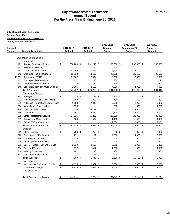|                   | General Fund 110<br><b>Statement of Proposed Operations</b><br>July 1, 2020 To June 30, 2021 |                             |               |                             |                                        |                                            |                                        |
|-------------------|----------------------------------------------------------------------------------------------|-----------------------------|---------------|-----------------------------|----------------------------------------|--------------------------------------------|----------------------------------------|
| Account<br>Number | <b>Account Description</b>                                                                   | 2017-2018<br><b>Audited</b> |               | 2018-2019<br><b>Audited</b> | 2019-2020<br>Original<br><b>Budget</b> | 2019-2020<br>Amendment #2<br><b>Budget</b> | 2020-2021<br>Approved<br><b>Budget</b> |
|                   | 41700 Planning and Zoning<br><b>Personnel</b>                                                |                             |               |                             |                                        |                                            |                                        |
|                   | 111 Regular Employee Salaries                                                                | \$<br>230,200 \$            |               | 231,240 \$                  | 236,000 \$                             | 236,000 \$                                 | 236,000                                |
| 113               | Salaries - Overtime                                                                          |                             |               |                             | 100                                    | 100                                        | 100                                    |
| 141               | <b>OASI Employers Share</b>                                                                  | 17,298                      |               | 17,358                      | 18,100                                 | 18,100                                     | 18,100                                 |
| 142               | Employee Health Insurance                                                                    | 11,833                      |               | 10,665                      | 20,600                                 | 20,600                                     | 20,600                                 |
| 143.001           | <b>Retirement - TCRS</b>                                                                     | 11,907                      |               | 12,094                      | 12,500                                 | 12,500                                     | 12,500                                 |
| 145               | Employee Life Insurance                                                                      |                             | 217           | 130                         | 200                                    | 200                                        | 210                                    |
| 147               | Unemployment Insurance                                                                       |                             | 180           | 122                         | 400                                    | 400                                        | 400                                    |
| 148               | Education/Training/Travel/Lodging<br><b>Total Personnel</b>                                  | 2,856                       |               | 3,150                       | 4,000                                  | 4,000                                      | 4,000                                  |
|                   | <b>Contractual Services</b>                                                                  | $\frac{1}{2}$               | 274,492 \$    | 274,759 \$                  | 291,900 \$                             | 291,900 \$                                 | 291,910                                |
|                   | 211 Postage                                                                                  | \$                          | 74 \$         | 57 <sup>°</sup>             | 400 \$                                 | 400 \$                                     | 400                                    |
| 221               | Printing, Duplicating and Typing                                                             |                             | 288           | 392                         | 400                                    | 400                                        | 400                                    |
| 231               | Publication Formal and Legal Notice                                                          | 1,158                       |               | 2,040                       | 2,000                                  | 2,000                                      | 2,000                                  |
| 234               | <b>Manuals and Code Updates</b>                                                              | 1,656                       |               |                             | 500                                    | 500                                        | 1,500                                  |
| 239               | Dues and Subscription                                                                        | 3,750                       |               | 4,249                       | 4,500                                  | 4,500                                      | 4,500                                  |
| 245               | Telephone                                                                                    | 2,361                       |               | 2,550                       | 2,800                                  | 2,800                                      | 3,000                                  |
| 259               | <b>Other Professional Service</b>                                                            | 27,825                      |               | 15,223                      | 28,000                                 | 28,000                                     | 30,000                                 |
| 261               | Repairs and Maint - Vehicles                                                                 |                             | 304           | 1,564                       | 1,400                                  | 1,400                                      | 1,400                                  |
|                   | 262 Online SDS Management                                                                    |                             |               |                             | 2,000                                  | 2,000                                      | 2,000                                  |
|                   | <b>Total Contractual Services</b>                                                            | \$                          | 37,416 \$     | 26,075 \$                   | 42,000 \$                              | 42,000 \$                                  | 45,200                                 |
|                   | <b>Supplies</b>                                                                              |                             |               |                             |                                        |                                            |                                        |
|                   | 311 Office Supplies                                                                          | \$                          | 786 \$<br>271 | 750 \$                      | 800 \$                                 | 800 \$                                     | 800                                    |
| 326               | 312 Small Items of Equipment<br><b>Clothing and Uniforms</b>                                 |                             | 574           | 1,191<br>462                | 2,000<br>600                           | 4,000<br>600                               | 2,000<br>600                           |
| 329               | <b>Other Operating Supplies</b>                                                              |                             |               | 18                          | 200                                    | 200                                        | 200                                    |
| 331               | Gas, Oil, Diesel Fuel and Grease                                                             | 2,339                       |               | 2,505                       | 3,000                                  | 3,000                                      | 3,300                                  |
|                   | 334 Tires and Tubes                                                                          |                             | 577           | 1,417                       | 1,500                                  | 1,500                                      | 1,500                                  |
| 340               | <b>Meeting Expenses</b>                                                                      |                             | 241           | 93                          | 400                                    | 400                                        | 400                                    |
| 341               | <b>City Cemetery Expense</b>                                                                 |                             |               | 11                          | 100                                    | 100                                        | 100                                    |
|                   | <b>Total Supplies</b>                                                                        | $\sqrt{2}$                  | $4,789$ \$    | $6,447$ \$                  | $8,600$ \$                             | $10,600$ \$                                | 8,900                                  |
|                   | <b>Fixed Charges</b>                                                                         |                             |               |                             |                                        |                                            |                                        |
|                   | 533 Machinery & Equipment - Copier                                                           | $\sqrt{2}$                  | $4,825$ \$    | $10,062$ \$                 | $3,000$ \$                             | $3,000$ \$                                 | 3,000                                  |
|                   | <b>Total Fixed Charges</b>                                                                   | $\sqrt[6]{\frac{1}{2}}$     | $4,825$ \$    | $10,062$ \$                 | $3,000$ \$                             | $3,000$ \$                                 | 3,000                                  |
|                   | <b>Capital Outlay</b>                                                                        |                             |               |                             |                                        |                                            |                                        |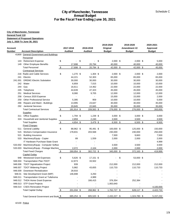# **City of Manchester, Tennessee<br>Annual Budget<br>Case of The Contract Contract Contract Contract Contract Contract Contract Contract Contract Contract Contract For the Fiscal Year Ending June 30, 2021**

|                  | <b>City of Manchester, Tennessee</b>                                                   |                                      |                  |                  |                  |                        |
|------------------|----------------------------------------------------------------------------------------|--------------------------------------|------------------|------------------|------------------|------------------------|
| General Fund 110 |                                                                                        |                                      |                  |                  |                  |                        |
|                  | <b>Statement of Proposed Operations</b>                                                |                                      |                  |                  |                  |                        |
|                  | July 1, 2020 To June 30, 2021                                                          |                                      |                  | 2019-2020        | 2019-2020        | 2020-2021              |
| Account          |                                                                                        | 2017-2018                            | 2018-2019        | Original         | Amendment #2     | Approved               |
| Number           | <b>Account Description</b>                                                             | <b>Audited</b>                       | <b>Audited</b>   | <b>Budget</b>    | <b>Budget</b>    | <b>Budget</b>          |
|                  | 41800 General Government and Buildings                                                 |                                      |                  |                  |                  |                        |
|                  | <b>Personnel</b>                                                                       |                                      |                  |                  |                  |                        |
|                  | 143 Retirement Expense                                                                 | \$                                   | \$<br>\$         | $2,000$ \$       | $2,000$ \$       | 5,000                  |
|                  | 149 Other Employee Benefits                                                            | 17,698                               | 20,794           | 40,000           | 40,000           | 40,000                 |
|                  | <b>Total Personnel</b><br><b>Contractual Services</b>                                  | $\sqrt[6]{\frac{1}{2}}$<br>17,698 \$ | 20,794 \$        | 42,000 \$        | 42,000 \$        | 45,000                 |
|                  | 216 Radio and Cable Services                                                           | \$<br>$1,270$ \$                     | $1,304$ \$       | $2,000$ \$       | $2,000$ \$       | 2,000                  |
| 241              | Electric                                                                               | 44,221                               | 52,303           | 65,000           | 65,000           | 65,000                 |
| 241.001          | <b>DREMC-Electric Substation</b>                                                       | 30,000                               | 30,000           | 30,000           | 30,000           | 30,000                 |
| 242              | Water                                                                                  | 6,859                                | 7,015            | 10,000           | 10,000           | 10,000                 |
| 244              | Gas                                                                                    | 16,611                               | 14,462           | 22,000           | 22,000           | 22,000                 |
| 245              | Telephone                                                                              | 44,639                               | 47,323           | 45,000           | 45,000           | 45,000                 |
| 251              | <b>Medical Services</b>                                                                | 8,080                                | 9,705            | 12,000           | 12,000           | 12,000                 |
| 258              | Census 2020 Expense                                                                    |                                      |                  | 15,000           | 15,000           | 2,000                  |
| 259              | <b>Other Professional Service</b>                                                      | 5,395                                | 959              | 10,000           | 10,000           | 5,000                  |
| 266<br>292       | Repairs and Maint - Buildings<br><b>Janitorial Services</b>                            | 13,995<br>20,845                     | 23,647<br>22,845 | 30,000<br>35,000 | 30,000<br>35,000 | 35,000<br>35,000       |
|                  | <b>Total Contractual Services</b>                                                      | $\frac{3}{2}$<br>191,914 \$          | 209,563 \$       | 276,000 \$       | 276,000 \$       | 263,000                |
|                  | <b>Supplies</b>                                                                        |                                      |                  |                  |                  |                        |
|                  | 311 Office Supplies                                                                    | \$<br>1,794 \$                       | 1,239 \$         | $3,000$ \$       | $3,000$ \$       | 3,000                  |
|                  | 324 Household and Janitorial Supplies                                                  | 2,859                                | 2,240            | 3,500            | 3,500            | 3,500                  |
|                  | <b>Total Supplies</b>                                                                  | $\boldsymbol{\theta}$<br>4,654 \$    | 3,479 \$         | 6,500 \$         | $6,500$ \$       | 6,500                  |
|                  | <b>Fixed Charges</b>                                                                   |                                      |                  |                  |                  |                        |
|                  | 511 General Liability                                                                  | \$<br>88,962 \$                      | 95,491 \$        | 100,000 \$       | 125,000 \$       | 150,000                |
|                  | 515 Workers Compensation Insurance                                                     | 178,831                              | 203,568          | 230,000          | 230,000          | 250,000                |
|                  | 521 Building Insurance                                                                 |                                      |                  | 7,500            | 9,663            | 7,500                  |
|                  | 533 Machinery/Equip - Copier                                                           | 89                                   | 1,559            | 2,000            | 2,000            | 2,000                  |
|                  | IT Hardware Purchase-State Grant                                                       |                                      |                  |                  |                  | 4,999                  |
|                  | 533.002 Machinery/Equip - Computer Softwa<br>533.003 Machinery/Equip - Postage Machine | 2,072                                | 2,104            | 3,500<br>2,000   | 3,500<br>2,000   | 3,500<br>2,000         |
|                  | <b>Total Fixed Charges</b>                                                             | $\sqrt{2}$<br>269,954 \$             | 302,722 \$       | 345,000 \$       | $372,163$ \$     | 419,999                |
|                  | <b>Capital Outlay</b>                                                                  |                                      |                  |                  |                  |                        |
| 948              | <b>Westwood Grant Expenses</b>                                                         | \$<br>5,626 \$                       | 17,151 \$        |                  | \$<br>53,000 \$  |                        |
| 948.004          | <b>Transportation Plan-TDOT</b>                                                        | 12,873                               | 33,502           |                  |                  |                        |
| 948.006          | <b>TDOT Signalization Project</b>                                                      | 939                                  |                  | 212,000          | 212,000          | 212,000                |
| 948.007          | <b>TDOT Widening Project</b>                                                           | 5,982                                | 43,655           | 110,733          | 110,733          | 110,733                |
| 948.009          | Downtown Revitalization                                                                | 28,916                               |                  |                  |                  |                        |
| 948.01           | Site Development Grant (MIP)                                                           | 146,698                              | 3,250            |                  |                  |                        |
|                  | 948.011 Transportation Grant w/ Tullahoma                                              |                                      | 4,989            |                  |                  |                        |
|                  | 948.012 THDA Home Grant Expense                                                        |                                      | 166,415          | 376,354          | 252,384          |                        |
|                  | 948.013 STP Grant Projects                                                             |                                      |                  | 1,063,640        |                  |                        |
|                  | 948.014 CSES Renovation Project<br><b>Total Capital Outlay</b>                         | 201,034 \$<br>\$                     | 268,962 \$       | 1,762,727 \$     | 628,117 \$       | 4,100,000<br>4,422,733 |
|                  |                                                                                        |                                      |                  |                  |                  |                        |
|                  | Total General Government and Build_\$                                                  | 685,254 \$                           | 805,520 \$       | 2,432,227 \$     | 1,324,780 \$     | 5, 157, 232            |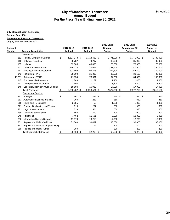|                         |                                                         |               |                | <b>City of Manchester, Tennessee</b><br><b>Annual Budget</b> |               |               | Schedule C    |
|-------------------------|---------------------------------------------------------|---------------|----------------|--------------------------------------------------------------|---------------|---------------|---------------|
|                         |                                                         |               |                | For the Fiscal Year Ending June 30, 2021                     |               |               |               |
|                         | <b>City of Manchester, Tennessee</b>                    |               |                |                                                              |               |               |               |
| <b>General Fund 110</b> |                                                         |               |                |                                                              |               |               |               |
|                         | <b>Statement of Proposed Operations</b>                 |               |                |                                                              |               |               |               |
|                         | July 1, 2020 To June 30, 2021                           |               |                |                                                              |               |               |               |
|                         |                                                         |               |                |                                                              | 2019-2020     | 2019-2020     | 2020-2021     |
| <b>Account</b>          |                                                         |               | 2017-2018      | 2018-2019                                                    | Original      | Amendment #2  | Approved      |
| <b>Number</b>           | <b>Account Description</b>                              |               | <b>Audited</b> | <b>Audited</b>                                               | <b>Budget</b> | <b>Budget</b> | <b>Budget</b> |
|                         | Personnel                                               |               |                |                                                              |               |               |               |
|                         | 111 Regular Employee Salaries                           | \$            | 1,607,278 \$   | 1,718,463 \$                                                 | 1,771,000 \$  | 1,771,000 \$  | 1,789,000     |
| 113                     | Salaries - Overtime                                     |               | 93,787         | 74,297                                                       | 85,000        | 85,000        | 85,000        |
| 135                     | Holiday                                                 |               | 53,305         | 49,830                                                       | 70,000        | 70,000        | 70,000        |
| 141                     | OASI Employers Share                                    |               | 126,714        | 132,662                                                      | 147,500       | 147,500       | 150,000       |
| 142                     | Employee Health Insurance                               |               | 301,592        | 299,416                                                      | 364,500       | 364,500       | 360,000       |
| 143                     | Retirement - ING                                        |               | 25,202         | 21,812                                                       | 33,500        | 33,500        | 35,000        |
| 143.001                 | <b>Retirement - TCRS</b>                                |               | 71,854         | 78,691                                                       | 84,300        | 84,300        | 105,000       |
| 145                     | Employee Life Insurance                                 |               | 1,748          | 1,159                                                        | 1,450         | 1,450         | 1,600         |
| 147                     | Unemployment Insurance                                  |               | 1,308          | 1,102                                                        | 3,500         | 3,500         | 3,500         |
| 148                     | Education/Training/Travel/ Lodging                      |               | 15,694         | 16,089                                                       | 17,000        | 17,000        | 17,000        |
|                         | <b>Total Personnel</b>                                  | $\frac{1}{2}$ | 2,298,482 \$   | 2,393,521 \$                                                 | 2,577,750 \$  | 2,577,750 \$  | 2,616,100     |
|                         | <b>Contractual Services</b>                             |               |                |                                                              |               |               |               |
| 211                     | Postage                                                 | \$            | 367 \$         | 446 \$                                                       | 650 \$        | 650 \$<br>350 | 650           |
| 213                     | Automobile Licenses and Title<br>Radio and TV Services  |               | 160            | 268                                                          | 350           |               | 350           |
| 216<br>221              |                                                         |               | 2,355<br>610   | 50<br>267                                                    | 1,800<br>600  | 1,800         | 1,800<br>600  |
| 231                     | Printing, Duplicating and Typing<br>Legal Advertisement |               | 728            | 504                                                          | 600           | 1,900<br>875  | 600           |
| 239                     | Dues and Subscription                                   |               | 560            | 410                                                          | 400           | 1,000         | 400           |
| 245                     | Telephone                                               |               | 7,462          | 11,591                                                       | 9,000         | 13,800        | 9,000         |
| 256                     | Information System Support                              |               | 11,570         | 10,218                                                       | 17,000        | 12,200        | 17,000        |
| 261                     | Repairs and Maint - Vehicles                            |               | 31,368         | 38,492                                                       | 38,000        | 38,000        | 38,000        |
| 267                     | Repairs and Maint - Computer Equip                      |               |                | 19                                                           | 200           | 200           | 200           |
| 269                     | Repairs and Maint - Other                               |               | 280            |                                                              | 200           | 200           | 200           |
|                         | <b>Total Contractual Services</b>                       | \$            | 55,460 \$      | 62,265 \$                                                    | 68,800 \$     | 70,975 \$     | 68,800        |
|                         |                                                         |               |                |                                                              |               |               |               |
|                         |                                                         |               |                |                                                              |               |               |               |
|                         |                                                         |               |                |                                                              |               |               |               |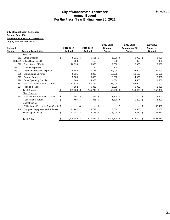|                         |                                                               |                         |                 | <b>City of Manchester, Tennessee</b><br><b>Annual Budget</b> |                |                  |                 | Schedule C       |
|-------------------------|---------------------------------------------------------------|-------------------------|-----------------|--------------------------------------------------------------|----------------|------------------|-----------------|------------------|
|                         |                                                               |                         |                 | For the Fiscal Year Ending June 30, 2021                     |                |                  |                 |                  |
|                         | <b>City of Manchester, Tennessee</b>                          |                         |                 |                                                              |                |                  |                 |                  |
| <b>General Fund 110</b> |                                                               |                         |                 |                                                              |                |                  |                 |                  |
|                         | <b>Statement of Proposed Operations</b>                       |                         |                 |                                                              |                |                  |                 |                  |
|                         | July 1, 2020 To June 30, 2021                                 |                         |                 |                                                              |                |                  |                 |                  |
|                         |                                                               |                         |                 |                                                              | 2019-2020      | 2019-2020        | 2020-2021       |                  |
| <b>Account</b>          |                                                               |                         | 2017-2018       | 2018-2019                                                    | Original       | Amendment #2     | <b>Approved</b> |                  |
| Number                  | <b>Account Description</b>                                    |                         | <b>Audited</b>  | <b>Audited</b>                                               | <b>Budget</b>  | <b>Budget</b>    | <b>Budget</b>   |                  |
|                         | <b>Supplies</b>                                               |                         |                 |                                                              |                |                  |                 |                  |
|                         | 311 Office Supplies                                           | \$                      | $5,221$ \$      | 5,651 \$                                                     | $6,000$ \$     | $6,000$ \$       |                 | 6,000            |
| 311.001                 | Office Supplies-SOR                                           |                         | 250             | 150                                                          | 350            | 350              |                 | 350              |
|                         | 312 Small Items of Equip                                      |                         | 20,824          | 23,038                                                       | 19,000         | 18,650           |                 | 19,000           |
| 323.001                 | <b>Trustee Expenses</b><br>323.002 Community Policing Expense |                         |                 | $\blacksquare$                                               | 200<br>34,000  |                  |                 | $\blacksquare$   |
| 326                     | <b>Clothing and Uniforms</b>                                  |                         | 28,583<br>9,035 | 30,741<br>9,286                                              | 10,500         | 34,000<br>10,500 |                 | 34,000<br>10,500 |
| 327                     | <b>Firearm Supplies</b>                                       |                         | 5,005           | 5,870                                                        | 6,500          | 4,925            |                 | 7,000            |
| 329                     | <b>Other Operating Supplies</b>                               |                         | 3,609           | 4,378                                                        | 4,500          | 4,500            |                 | 4,500            |
| 331                     | Gas, Oil, Diesel Fuel and Grease                              |                         | 53,624          | 60,740                                                       | 65,000         | 65,000           |                 | 70,000           |
|                         | 334 Tires and Tubes                                           |                         | 4,852           | 5,888                                                        | 6,000          | 6,000            |                 | 6,000            |
|                         | <b>Total Supplies</b>                                         | $\sqrt[6]{3}$           | $131,003$ \$    | 145,742 \$                                                   | $152,050$ \$   | 149,925 \$       |                 | 157,350          |
|                         | <b>Fixed Charges</b>                                          |                         |                 |                                                              |                |                  |                 |                  |
|                         | 533 Machinery & Equipment - Copier                            | $\sqrt{2}$              | 497 \$          | $366$ \$                                                     | $1,800$ \$     | $1,200$ \$       |                 | 1,800            |
|                         | <b>Total Fixed Charges</b>                                    | $\sqrt{2}$              | 497 \$          | $366$ \$                                                     | $1,800$ \$     | $1,200$ \$       |                 | 1,800            |
|                         | <b>Capital Outlay</b>                                         |                         |                 |                                                              |                |                  |                 |                  |
|                         | IT Hardware Purchase-State Grant \$                           |                         | $\blacksquare$  | \$<br>$\boldsymbol{\mathsf{S}}$<br>÷,                        | $\blacksquare$ | \$<br>\$<br>-    |                 | 35,460           |
|                         | 944 Computer Equipment and Software                           |                         | 12,947          | 15,743                                                       | 18,000         | 18,550           |                 | 18,000           |
|                         | <b>Total Capital Outlay</b>                                   | $\sqrt[6]{\frac{2}{5}}$ | $12,947$ \$     | $15,743$ \$                                                  | $18,000$ \$    | $18,550$ \$      |                 | 53,460           |
|                         | <b>Total Police</b>                                           | \$                      | 2,498,389 \$    | 2,617,637 \$                                                 | 2,818,400 \$   | 2,818,400 \$     |                 | 2,897,510        |
|                         |                                                               |                         |                 |                                                              |                |                  |                 |                  |
|                         |                                                               |                         |                 |                                                              |                |                  |                 |                  |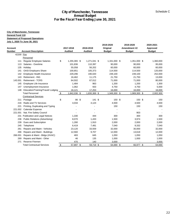|                  |                                                              |                              | <b>City of Manchester, Tennessee</b><br><b>Annual Budget</b> |                        |                           | Schedule C            |
|------------------|--------------------------------------------------------------|------------------------------|--------------------------------------------------------------|------------------------|---------------------------|-----------------------|
|                  |                                                              |                              | For the Fiscal Year Ending June 30, 2021                     |                        |                           |                       |
|                  | <b>City of Manchester, Tennessee</b>                         |                              |                                                              |                        |                           |                       |
| General Fund 110 |                                                              |                              |                                                              |                        |                           |                       |
|                  | <b>Statement of Proposed Operations</b>                      |                              |                                                              |                        |                           |                       |
|                  | July 1, 2020 To June 30, 2021                                |                              |                                                              |                        |                           |                       |
| Account          |                                                              | 2017-2018                    | 2018-2019                                                    | 2019-2020<br>Original  | 2019-2020<br>Amendment #2 | 2020-2021<br>Approved |
| Number           | <b>Account Description</b>                                   | <b>Audited</b>               | <b>Audited</b>                                               | <b>Budget</b>          | <b>Budget</b>             | <b>Budget</b>         |
| 42200 Fire       |                                                              |                              |                                                              |                        |                           |                       |
|                  | Personnel                                                    |                              |                                                              |                        |                           |                       |
|                  | 111 Regular Employee Salaries                                | \$<br>1,255,365 \$           | 1,271,041 \$                                                 | 1,331,000 \$           | 1,351,000 \$              | 1,360,000             |
| 113              | Salaries - Overtime                                          | 101,836                      | 110,397                                                      | 90,000                 | 90,000                    | 95,000                |
| 135              | Holiday                                                      | 55,058                       | 56,202                                                       | 60,000                 | 60,000                    | 60,000                |
| 141              | <b>OASI Employers Share</b>                                  | 100,851                      | 105,373                                                      | 114,500                | 114,500                   | 120,000               |
| 142              | Employee Health Insurance                                    | 229,296                      | 190,020                                                      | 239,100                | 239,100                   | 252,000               |
| 143              | <b>Retirement - ING</b>                                      | 16,462                       | 11,175                                                       | 21,750                 | 21,750                    | 13,000                |
| 143.001          | <b>Retirement - TCRS</b>                                     | 64,502                       | 67,012                                                       | 71,000                 | 71,000                    | 80,000                |
| 145              | Employee Life Insurance                                      | 1,484                        | 963                                                          | 1,200                  | 1,200                     | 1,300                 |
|                  | 147 Unemployment Insurance                                   | 1,062                        | 933                                                          | 4,750                  | 4,750                     | 5,000                 |
| 148              | Education/Training/Travel/ Lodging<br><b>Total Personnel</b> | 16,121<br>1,842,036 \$<br>\$ | 17,253<br>1,830,369 \$                                       | 16,000<br>1,949,300 \$ | 16,000<br>1,969,300 \$    | 16,000<br>2,002,300   |
|                  | <b>Contractual Services</b>                                  |                              |                                                              |                        |                           |                       |
|                  | 211 Postage                                                  | \$<br>86 \$                  | $141$ \$                                                     | 150 \$                 | 150 \$                    | 150                   |
| 216              | Radio and TV Services                                        | 4,034                        | 4,124                                                        | 4,500                  | 4,500                     | 4,500                 |
| 221              | Printing, Duplicating and Typing                             |                              |                                                              | 150                    | 150                       | 150                   |
| 221.002          | Calendar Expense                                             |                              |                                                              |                        |                           |                       |
| 221.001          | Nat. Fire Safety Council                                     |                              |                                                              |                        | 903                       |                       |
|                  | 231 Publication and Legal Notices                            | 1,330                        | 444                                                          | 300                    | 300                       | 300                   |
| 236              | <b>Public Relations (Advertising)</b>                        | 8,070                        | 1,433                                                        | 1,500                  | 3,974                     | 1,500                 |
| 239              | Dues and Subscription                                        | 1,280                        | 1,910                                                        | 2,000                  | 2,000                     | 2,000                 |
| 245              | Telephone                                                    | 6,419                        | 7,481                                                        | 7,040                  | 9,332                     | 7,040                 |
| 261              | Repairs and Maint - Vehicles                                 | 23,120                       | 33,559                                                       | 32,000                 | 30,000                    | 32,000                |
| 266              | Repairs and Maint - Buildings                                | 12,560                       | 9,707                                                        | 12,000                 | 13,618                    | 12,000                |
|                  | 266.001 Repairs & Maint - Bldgs (HVAC)                       | 483                          | 645                                                          | 1,050                  | 1,050                     | 1,050                 |
|                  | 269 Repairs and Maint - Other                                | 46                           | 135                                                          | 1,000                  | 1,000                     | 1,000                 |
|                  |                                                              |                              |                                                              |                        |                           |                       |
|                  |                                                              |                              |                                                              |                        |                           |                       |
|                  | 271 Reserve Firemen<br><b>Total Contractual Services</b>     | 470<br>57,897 \$<br>$\sqrt$$ | 140<br>59,719 \$                                             | 3,000<br>64,690 \$     | 66,977 \$                 | 3,000<br>64,690       |
|                  |                                                              |                              |                                                              |                        |                           | 22                    |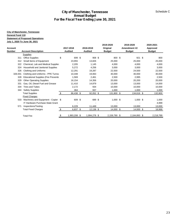|                  |                                                                   |                           |                 | <b>City of Manchester, Tennessee</b><br><b>Annual Budget</b><br>For the Fiscal Year Ending June 30, 2021 |                 |                 | Schedule C      |
|------------------|-------------------------------------------------------------------|---------------------------|-----------------|----------------------------------------------------------------------------------------------------------|-----------------|-----------------|-----------------|
|                  |                                                                   |                           |                 |                                                                                                          |                 |                 |                 |
|                  | <b>City of Manchester, Tennessee</b>                              |                           |                 |                                                                                                          |                 |                 |                 |
| General Fund 110 | <b>Statement of Proposed Operations</b>                           |                           |                 |                                                                                                          |                 |                 |                 |
|                  | July 1, 2020 To June 30, 2021                                     |                           |                 |                                                                                                          |                 |                 |                 |
|                  |                                                                   |                           |                 |                                                                                                          | 2019-2020       | 2019-2020       | 2020-2021       |
| <b>Account</b>   |                                                                   |                           | 2017-2018       | 2018-2019                                                                                                | Original        | Amendment #2    | Approved        |
| Number           | <b>Account Description</b>                                        |                           | <b>Audited</b>  | <b>Audited</b>                                                                                           | <b>Budget</b>   | <b>Budget</b>   | <b>Budget</b>   |
|                  | <b>Supplies</b>                                                   |                           |                 |                                                                                                          |                 |                 |                 |
|                  | 311 Office Supplies                                               | \$                        | 699 \$          | 908 \$                                                                                                   | 800 \$          | 921 \$          | 800             |
|                  | 312 Small Items of Equipment                                      |                           | 23,955          | 13,826                                                                                                   | 25,000          | 25,000          | 25,000          |
| 322              | Chemical, Lab and Medical Supplies                                |                           | 2,205           | 1,145                                                                                                    | 4,000           | 4,000           | 4,000           |
| 324<br>326       | Household and Janitorial Supplies<br><b>Clothing and Uniforms</b> |                           | 5,272<br>12,291 | 4,256<br>19,287                                                                                          | 3,000<br>22,500 | 3,000<br>24,500 | 3,000<br>22,500 |
| 326.001          | Clothing and Uniforms - PPE Turnot                                |                           | 10,348          | 19,063                                                                                                   | 30,000          | 30,000          | 30,000          |
| 328              | <b>Educational Supplies (Fire Preventionally</b>                  |                           | 1,569           | 2,461                                                                                                    | 2,500           | 2,995           | 2,500           |
| 329              | <b>Other Operating Supplies</b>                                   |                           | 16,154          | 14,356                                                                                                   | 20,000          | 20,200          | 20,000          |
| 331              | Gas, Oil, Diesel Fuel and Grease                                  |                           | 11,410          | 14,879                                                                                                   | 13,000          | 13,000          | 14,000          |
| 334              | <b>Tires and Tubes</b>                                            |                           | 2,172           | 934                                                                                                      | 10,000          | 10,000          | 10,000          |
| 344              | <b>Safety Supplies</b>                                            |                           | 364             | 937                                                                                                      | 1,000           | 1,000           | 1,000           |
|                  | <b>Total Supplies</b>                                             | $\boldsymbol{\mathsf{S}}$ | 86,438 \$       | 92,052 \$                                                                                                | 131,800 \$      | 134,616 \$      | 132,800         |
|                  | <b>Fixed Charges</b>                                              |                           |                 |                                                                                                          |                 |                 |                 |
|                  | 533 Machinery and Equipment - Copier \$                           |                           | 609 \$          | 689 \$                                                                                                   | 1,000 \$        | 1,000 \$        | 1,000           |
|                  | IT Hardware Purchase-State Grant                                  |                           |                 |                                                                                                          |                 |                 | 4,999           |
|                  | 571 Inspections/Testing                                           |                           | 6,229           | 11,449                                                                                                   | 13,000          | 13,000          | 13,000          |
|                  | <b>Total Fixed Charges</b>                                        | $\sqrt{2}$                | 6,837 \$        | $12,138$ \$                                                                                              | 14,000 \$       | 14,000 \$       | 18,999          |
|                  | <b>Total Fire</b>                                                 | \$                        | 1,993,208 \$    | 1,994,278 \$                                                                                             | 2,159,790 \$    | 2,184,893 \$    | 2,218,789       |
|                  |                                                                   |                           |                 |                                                                                                          |                 |                 |                 |
|                  |                                                                   |                           |                 |                                                                                                          |                 |                 |                 |
|                  |                                                                   |                           |                 |                                                                                                          |                 |                 |                 |
|                  |                                                                   |                           |                 |                                                                                                          |                 |                 |                 |
|                  |                                                                   |                           |                 |                                                                                                          |                 |                 |                 |
|                  |                                                                   |                           |                 |                                                                                                          |                 |                 |                 |
|                  |                                                                   |                           |                 |                                                                                                          |                 |                 |                 |
|                  |                                                                   |                           |                 |                                                                                                          |                 |                 |                 |
|                  |                                                                   |                           |                 |                                                                                                          |                 |                 |                 |
|                  |                                                                   |                           |                 |                                                                                                          |                 |                 |                 |
|                  |                                                                   |                           |                 |                                                                                                          |                 |                 |                 |
|                  |                                                                   |                           |                 |                                                                                                          |                 |                 |                 |
|                  |                                                                   |                           |                 |                                                                                                          |                 |                 |                 |
|                  |                                                                   |                           |                 |                                                                                                          |                 |                 |                 |
|                  |                                                                   |                           |                 |                                                                                                          |                 |                 |                 |
|                  |                                                                   |                           |                 |                                                                                                          |                 |                 |                 |
|                  |                                                                   |                           |                 |                                                                                                          |                 |                 |                 |
|                  |                                                                   |                           |                 |                                                                                                          |                 |                 |                 |
|                  |                                                                   |                           |                 |                                                                                                          |                 |                 |                 |
|                  |                                                                   |                           |                 |                                                                                                          |                 |                 |                 |
|                  |                                                                   |                           |                 |                                                                                                          |                 |                 |                 |
|                  |                                                                   |                           |                 |                                                                                                          |                 |                 |                 |
|                  |                                                                   |                           |                 |                                                                                                          |                 |                 |                 |
|                  |                                                                   |                           |                 |                                                                                                          |                 |                 |                 |
|                  |                                                                   |                           |                 |                                                                                                          |                 |                 |                 |
|                  |                                                                   |                           |                 |                                                                                                          |                 |                 |                 |
|                  |                                                                   |                           |                 |                                                                                                          |                 |                 |                 |
|                  |                                                                   |                           |                 |                                                                                                          |                 |                 |                 |
|                  |                                                                   |                           |                 |                                                                                                          |                 |                 |                 |
|                  |                                                                   |                           |                 |                                                                                                          |                 |                 | 23              |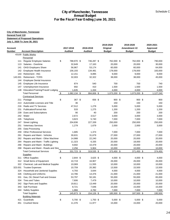|                  |                                                                          |                |              | <b>City of Manchester, Tennessee</b><br><b>Annual Budget</b> |                                          |               | Schedule C    |
|------------------|--------------------------------------------------------------------------|----------------|--------------|--------------------------------------------------------------|------------------------------------------|---------------|---------------|
|                  |                                                                          |                |              |                                                              | For the Fiscal Year Ending June 30, 2021 |               |               |
|                  | <b>City of Manchester, Tennessee</b>                                     |                |              |                                                              |                                          |               |               |
| General Fund 110 |                                                                          |                |              |                                                              |                                          |               |               |
|                  | <b>Statement of Proposed Operations</b><br>July 1, 2020 To June 30, 2021 |                |              |                                                              |                                          |               |               |
|                  |                                                                          |                |              |                                                              | 2019-2020                                | 2019-2020     | 2020-2021     |
| Account          |                                                                          | 2017-2018      |              | 2018-2019                                                    | Original                                 | Amendment #2  | Approved      |
| Number           | <b>Account Description</b>                                               | <b>Audited</b> |              | <b>Audited</b>                                               | <b>Budget</b>                            | <b>Budget</b> | <b>Budget</b> |
|                  | 43100 Public Works                                                       |                |              |                                                              |                                          |               |               |
|                  | <b>Personnel</b>                                                         |                |              |                                                              |                                          |               |               |
| 111              | <b>Regular Employee Salaries</b>                                         | \$             | 788,970 \$   | 746,287 \$                                                   | 762,000 \$                               | 762,000 \$    | 790,000       |
| 113              | Salaries - Overtime                                                      |                | 32,649       | 17,163                                                       | 20,000                                   | 20,000        | 30,000        |
| 141              | <b>OASI Employers Share</b>                                              |                | 56,967       | 53,174                                                       | 60,000                                   | 60,000        | 64,000        |
| 142              | Employee Health Insurance                                                | 156,193        |              | 134,481                                                      | 178,000                                  | 178,000       | 183,000       |
| 143              | <b>Retirement - ING</b>                                                  |                | 12,151       | 8,895                                                        | 9,000                                    | 9,000         | 9,000         |
| 143.001          | <b>Retirement - TCRS</b>                                                 |                | 32,003       | 32,322                                                       | 38,000                                   | 38,000        | 45,000        |
| 144              | <b>Employee Dental Insurance</b>                                         |                |              |                                                              |                                          |               |               |
| 145              | Employee Life Insurance                                                  |                | 874          | 540                                                          | 700                                      | 700           | 740           |
| 147              | Unemployment Insurance                                                   |                | 692          | 410                                                          | 1,500                                    | 1,500         | 1,500         |
| 148              | Education/Training/Travel/Lodging                                        |                | 1,635        | 1,334                                                        | 4,000                                    | 4,000         | 4,000         |
|                  | <b>Total Personnel</b>                                                   | \$             | 1,082,134 \$ | 994,606 \$                                                   | 1,073,200 \$                             | 1,073,200 \$  | 1,127,240     |
|                  | <b>Contractual Services</b>                                              |                |              |                                                              |                                          |               |               |
| 211              | Postage                                                                  | \$             | 367 \$       | 656 \$                                                       | $900$ \$                                 | $900$ \$      | 900           |
| 213              | Automobile Licenses and Title                                            |                | 36           |                                                              | 150                                      | 150           | 150           |
| 216              | Radio and TV Services                                                    |                | 47,512       | 1,278                                                        | 5,000                                    | 5,000         | 5,000         |
| 231              | <b>Publication/Formal Ads</b>                                            |                | 533          | 1,275                                                        | 1,200                                    | 1,200         | 1,200         |
| 239              | Dues and Subscriptions                                                   |                | 90           | 40                                                           | 200                                      | 200           | 200           |
| 242              | Water                                                                    |                | 2,672        | 3,517                                                        | 3,000                                    | 3,000         | 3,000         |
| 245              | Telephone                                                                |                | 3,823        | 5,740                                                        | 7,000                                    | 7,000         | 7,000         |
| 247              | <b>Street Lighting</b>                                                   | 204,836        |              | 227,339                                                      | 250,000                                  | 250,000       | 250,000       |
| 251              | <b>Veterinary Services</b>                                               |                | 1,279        | 1,679                                                        | 2,000                                    | 2,000         | 3,000         |
| 255              | Data Processing                                                          |                |              |                                                              |                                          |               |               |
| 259              | <b>Other Professional Services</b>                                       |                | 1,685        | 1,374                                                        | 7,000                                    | 7,000         | 7,000         |
| 261              | Repairs and Maint - Vehicles                                             |                | 30,631       | 31,679                                                       | 27,000                                   | 27,000        | 27,000        |
|                  | 262 Repairs and Maint - Other Machiner                                   |                | 14,988       | 22,240                                                       | 20,000                                   | 20,000        | 20,000        |
| 264              | Repairs and Maint - Traffic Lighting                                     |                | 11,323       | 6,335                                                        | 20,000                                   | 18,000        | 20,000        |
| 266              | Repairs and Maint - Buildings                                            |                | 9,692        | 10,479                                                       | 20,000                                   | 20,000        | 20,000        |
| 268              | Repairs and Maint - Roads and Stre                                       |                | 2,256        | 5,904                                                        | 10,000                                   | 10,000        | 10,000        |
|                  | <b>Total Contractual Services</b>                                        | $\sqrt{2}$     | 331,723 \$   | $319,535$ \$                                                 | $373,450$ \$                             | 371,450 \$    | 374,450       |
|                  | <b>Supplies</b>                                                          |                |              |                                                              |                                          |               |               |
|                  | 311 Office Supplies                                                      | \$             | $2,844$ \$   | $3,625$ \$                                                   | 4,000 \$                                 | 4,000 \$      | 4,000         |
|                  | 312 Small Items of Equipment                                             |                | 10,719       | 16,907                                                       | 26,000                                   | 26,000        | 26,000        |
| 322              | Chemical, Lab and Medical Supplies                                       |                | 10,069       | 11,555                                                       | 10,000                                   | 10,000        | 10,000        |
| 323.001          | <b>Trustee Expenses</b>                                                  |                | 10,759       | 20,382                                                       | 13,500                                   | 15,500        | 13,500        |
| 324              | Household and Janitorial Supplies                                        |                | 4,793        | 3,644                                                        | 4,000                                    | 4,000         | 4,000         |
| 326              | <b>Clothing and Uniforms</b>                                             |                | 14,786       | 14,476                                                       | 21,000                                   | 21,000        | 21,000        |
| 331              | Gas, Oil, Diesel Fuel and Grease                                         |                | 53,797       | 50,181                                                       | 55,000                                   | 55,000        | 65,000        |
| 334              | <b>Tires and Tubes</b>                                                   |                | 7,606        | 7,479                                                        | 10,000                                   | 10,000        | 10,000        |
| 342              | Sign Parts and Supplies                                                  |                | 19,811       | 13,449                                                       | 20,000                                   | 20,000        | 20,000        |
| 343              | Salt Purchase                                                            |                | 8,721        | 7,646                                                        | 15,000                                   | 15,000        | 15,000        |
| 344              | <b>Safety Supplies</b>                                                   |                | 1,966        | 4,782                                                        | 7,000                                    | 7,000         | 7,000         |
|                  |                                                                          |                | 145,873 \$   |                                                              | 185,500 \$                               |               |               |
|                  | <b>Total Supplies</b>                                                    | \$             |              | $154,126$ \$                                                 |                                          | 187,500 \$    | 195,500       |
|                  | <b>Building Materials</b><br>421 Guardrails                              |                | 5,700 \$     | 1,750 \$                                                     | $5,000$ \$                               | $5,000$ \$    | 5,000         |
| 451              | <b>Crushed Stone</b>                                                     | \$             | 11,376       | 11,977                                                       | 15,000                                   | 15,000        | 20,000        |
|                  |                                                                          |                |              |                                                              |                                          |               |               |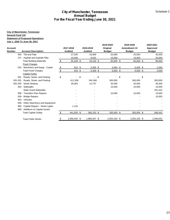|                          |                                                                       |                                          |                             | <b>City of Manchester, Tennessee</b><br><b>Annual Budget</b><br>For the Fiscal Year Ending June 30, 2021 |                                |                               | Schedule C                |
|--------------------------|-----------------------------------------------------------------------|------------------------------------------|-----------------------------|----------------------------------------------------------------------------------------------------------|--------------------------------|-------------------------------|---------------------------|
|                          |                                                                       |                                          |                             |                                                                                                          |                                |                               |                           |
|                          | <b>City of Manchester, Tennessee</b>                                  |                                          |                             |                                                                                                          |                                |                               |                           |
| General Fund 110         | <b>Statement of Proposed Operations</b>                               |                                          |                             |                                                                                                          |                                |                               |                           |
|                          | July 1, 2020 To June 30, 2021                                         |                                          |                             |                                                                                                          |                                |                               |                           |
|                          |                                                                       |                                          |                             |                                                                                                          | 2019-2020                      | 2019-2020                     | 2020-2021                 |
| <b>Account</b><br>Number | <b>Account Description</b>                                            |                                          | 2017-2018<br><b>Audited</b> | 2018-2019<br><b>Audited</b>                                                                              | Original<br><b>Budget</b>      | Amendment #2<br><b>Budget</b> | Approved<br><b>Budget</b> |
|                          | 455 Tile and Pipe                                                     |                                          | 27,545                      | 10,959                                                                                                   | 25,000                         | 25,000                        | 35,000                    |
|                          | 471 Asphalt and Asphalt Filler                                        |                                          | 10,546                      | 8,532                                                                                                    | 15,000                         | 15,000                        | 20,000                    |
|                          | <b>Total Building Materials</b>                                       | $\sqrt{\frac{2}{2}}$                     | $55,168$ \$                 | $33,218$ \$                                                                                              | $60,000$ \$                    | $60,000$ \$                   | 80,000                    |
|                          | <b>Fixed Charges</b><br>533 Machinery and Equip - Copier              |                                          | 533 \$                      | $5,359$ \$                                                                                               | $6,000$ \$                     | $6,000$ \$                    | 2,000                     |
|                          | <b>Total Fixed Charges</b>                                            | $\frac{2}{3}$<br>$\sqrt[6]{\frac{1}{2}}$ | 533 \$                      | $5,359$ \$                                                                                               | $6,000$ \$                     | $6,000$ \$                    | 2,000                     |
|                          | <b>Capital Outlay</b>                                                 |                                          |                             |                                                                                                          |                                |                               |                           |
|                          | 931 Roads, Street, and Parking                                        | \$                                       | \$<br>$\blacksquare$        | $-$ \$                                                                                                   | \$<br>$\overline{\phantom{0}}$ | $-$ \$                        |                           |
| 931.001                  | Roads, Street, and Parking                                            |                                          | 411,508                     | 345,366                                                                                                  | 300,000                        | 300,000                       | 300,000                   |
| 931.002<br>933           | <b>Street Striping</b><br>Sidewalks                                   |                                          | 28,363                      | 14,737                                                                                                   | 35,000                         | 35,000                        | 35,000                    |
|                          | <b>State Grant-Sidewalks</b>                                          |                                          |                             |                                                                                                          | 10,000                         | 10,000                        | 10,000<br>201,441         |
|                          | 938 Transition Plan Repairs                                           |                                          |                             |                                                                                                          | 10,000                         | 10,000                        | 10,000                    |
| 939                      | <b>Bridge Repairs</b>                                                 |                                          |                             |                                                                                                          |                                |                               | 10,000                    |
| 943                      | Vehicles                                                              |                                          |                             |                                                                                                          |                                |                               |                           |
| 949                      | Other Machinery and Equipment                                         |                                          |                             |                                                                                                          |                                |                               |                           |
| 960<br>999               | Capital Repairs - Street Lights<br><b>Additions to Capital Assets</b> |                                          | 1,132                       |                                                                                                          |                                |                               |                           |
|                          | <b>Total Capital Outlay</b>                                           | $\sqrt{2}$                               | 441,003 \$                  | 360,103 \$                                                                                               | $355,000$ \$                   | 355,000 \$                    | 566,441                   |
|                          | <b>Total Public Works</b>                                             | \$                                       | 2,056,434 \$                | 1,866,947 \$                                                                                             | 2,053,150 \$                   | 2,053,150 \$                  | 2,345,631                 |
|                          |                                                                       |                                          |                             |                                                                                                          |                                |                               |                           |
|                          |                                                                       |                                          |                             |                                                                                                          |                                |                               |                           |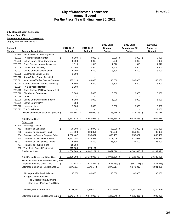|                    |                                                                       |           |                        | For the Fiscal Year Ending June 30, 2021 |                     |                        |                     |
|--------------------|-----------------------------------------------------------------------|-----------|------------------------|------------------------------------------|---------------------|------------------------|---------------------|
|                    | <b>City of Manchester, Tennessee</b>                                  |           |                        |                                          |                     |                        |                     |
| General Fund 110   |                                                                       |           |                        |                                          |                     |                        |                     |
|                    | <b>Statement of Proposed Operations</b>                               |           |                        |                                          |                     |                        |                     |
|                    | July 1, 2020 To June 30, 2021                                         |           |                        |                                          |                     |                        |                     |
|                    |                                                                       |           |                        |                                          | 2019-2020           | 2019-2020              | 2020-2021           |
| Account            |                                                                       |           | 2017-2018              | 2018-2019                                | Original            | Amendment #2           | Approved            |
| Number             | <b>Account Description</b>                                            |           | <b>Audited</b>         | <b>Audited</b>                           | <b>Budget</b>       | <b>Budget</b>          | <b>Budget</b>       |
|                    | 44210 Contributions to Other Agencies                                 |           |                        |                                          |                     |                        |                     |
|                    | 720.001 TN Rehabilitation Center                                      | \$        | $9,000$ \$             | $9,000$ \$                               | $9,000$ \$          | $9,000$ \$             | 9,000               |
|                    | 720.003 Coffee County Child Care Center                               |           | 2,500                  | 3,000                                    | 3,000               | 3,000                  | 3,000               |
| 720.005            | South Central Human Resources                                         |           | 1,515                  | 1,515                                    | 1,616               | 1,616                  | 1,616               |
|                    | 720.006 Coffee County Library                                         |           | 12,000                 | 12,500                                   | 12,500              | 12,500                 | 12,500              |
| 720.007<br>720.008 | <b>Coffee County Senior Center</b><br><b>Manchester Senior Center</b> |           | 5,000<br>3,000         | 8,500                                    | 8,500               | 8,500                  | 8,500               |
|                    | 720.010 Keep Coffee County Beautiful                                  |           | $\blacksquare$         |                                          |                     |                        |                     |
| 720.011            | Manchester/Coffee County Conferer                                     |           | 185,126                | 149,065                                  | 135,000             | 285,000                | 145,000             |
| 720.013            | Coffee County Children's Advocacy                                     |           | 6,500                  | 6,500                                    | 6,500               | 6,500                  | 6,500               |
| 720.014            | TN Backroads Heritage                                                 |           | 1,000                  |                                          |                     |                        |                     |
| 720.015            | South Central TN Development Dist                                     |           |                        |                                          |                     |                        |                     |
| 720.018            | <b>Chamber of Commerce</b>                                            |           | 7,000                  | 5,000                                    | 10,000              | 10,000                 | 10,000              |
| 720.019            | CASA                                                                  |           |                        |                                          |                     |                        |                     |
| 720.020            | <b>Coffee County Historical Society</b>                               |           | 5,000                  | 5,000                                    | 5,000               | 5,000                  | 5,000               |
| 720.021            | Coffee County DAV                                                     |           | 250                    |                                          |                     |                        |                     |
| 720.022            | Haven of Hope                                                         |           | 7,000                  | 5,000                                    | 5,000               | 5,000                  | 5,000               |
|                    | 720.023 The Storehouse                                                |           |                        |                                          |                     |                        | 3,000               |
|                    | Total Contributions to Other Agencie \$                               |           | 244,891 \$             | 205,080 \$                               | 196,116 \$          | 346,116 \$             | 209,116             |
|                    |                                                                       |           |                        |                                          |                     |                        |                     |
|                    | <b>Total Expenditures</b>                                             | \$        | 8,541,423 \$           | 8,550,931 \$                             | 10,855,680 \$       | 9,925,336 \$           | 14,052,614          |
|                    | Other Uses                                                            |           |                        |                                          |                     |                        |                     |
|                    | 51620 Operating Transfers                                             |           |                        |                                          |                     |                        |                     |
|                    | 762 Transfer to Sanitation                                            | \$        | 70,000 \$              | 173,079 \$                               | 50,000 \$           | 50,000 \$              | 250,000             |
| 763                | <b>Transfer to Recreation Fund</b>                                    |           | 557,500                | 520,351                                  | 700,000             | 950,000                | 700,000             |
| 764                | Transfer to General Purpose Schoc<br>Transfer to Debt Service Fund    |           | 1,858,467<br>1,412,152 | 1,858,467<br>1,425,549                   | 1,858,467           | 1,858,467<br>1,417,049 | 1,858,467           |
| 765<br>765.001     | Transfer to Debt Service-Leave                                        |           | 25,500                 | 25,500                                   | 1,417,049<br>25,500 | 25,500                 | 1,433,424<br>25,500 |
| 767                | Transfer to Tourism Fund                                              |           | 18,250                 |                                          |                     |                        |                     |
|                    | 768 Transfer to Capital Equipment                                     |           | 715,000                | 679,161                                  |                     |                        |                     |
|                    | <b>Total Other Uses</b>                                               | <u>\$</u> | 4,656,869 \$           | 4,682,107 \$                             | 4,051,016 \$        | 4,301,016 \$           | 4,267,391           |
|                    |                                                                       |           |                        |                                          |                     |                        |                     |
|                    | <b>Total Expenditures and Other Uses</b>                              | \$        | 13,198,292 \$          | 13,233,038 \$                            | 14,906,696 \$       | 14,226,352 \$          | 18,320,005          |
|                    | Revenues and Other Sources Over (Under)                               |           |                        |                                          |                     |                        |                     |
|                    | <b>Expenditures and Other Uses</b>                                    | \$        | 71,447 \$              | 537,244 \$                               | $(585,069)$ \$      | $(857,751)$ \$         | (1,938,276)         |
|                    | Estimated Beginning Fund Balance Ju                                   |           | 6,270,327              | 6,341,773                                | 6,879,017           | 6,879,017              | 6,021,266           |
|                    |                                                                       |           |                        |                                          |                     |                        |                     |
|                    | Non-spendable Fund Balance                                            |           | 80,000                 | 80,000                                   | 80,000              | 80,000                 | 80,000              |
|                    | Assigned Fund Balance                                                 |           |                        |                                          |                     |                        |                     |
|                    | Fire Department Equipment                                             |           |                        |                                          |                     |                        |                     |
|                    | Community Policing Fund Bala                                          |           |                        |                                          |                     |                        |                     |
|                    | Unassigned Fund Balance                                               |           | 6,261,773              | 6,799,017                                | 6,213,948           | 5,941,266              | 4,002,990           |
|                    | Estimated Ending Fund Balance June \$                                 |           | $6,341,773$ \$         | 6,879,017 \$                             | $6,293,948$ \$      | $6,021,266$ \$         | 4,082,990           |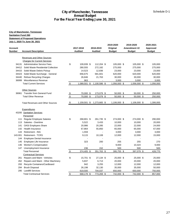### **City of Manchester, Tennessee Annual Budget For the Fiscal Year Ending June 30, 2021**

| Account<br><b>Number</b> | <b>Account Description</b>              |               | 2017-2018<br><b>Audited</b> | 2018-2019<br><b>Audited</b> | 2019-2020<br>Original<br><b>Budget</b> | 2019-2020<br>Amendment #2<br><b>Budget</b> | 2020-2021<br>Approved<br><b>Budget</b> |
|--------------------------|-----------------------------------------|---------------|-----------------------------|-----------------------------|----------------------------------------|--------------------------------------------|----------------------------------------|
|                          |                                         |               |                             |                             |                                        |                                            |                                        |
|                          | <b>Revenues and Other Sources</b>       |               |                             |                             |                                        |                                            |                                        |
|                          | <b>Charges for Current Services</b>     |               |                             |                             |                                        |                                            |                                        |
|                          | 34131 Administrative Service Fees       | \$            | 109,939 \$                  | 112,204 \$                  | 105,000 \$                             | 105,000 \$                                 | 105,000                                |
| 34412                    | Solid Waste Residential Collection      |               | 280,555                     | 272,182                     | 275,000                                | 275,000                                    | 275,000                                |
| 34415                    | Solid Waste Debris Pickup               |               | 14,523                      | 12,836                      | 23,000                                 | 23,000                                     | 23,000                                 |
| 34423                    | Solid Waste Surcharge - General         |               | 656,675                     | 681,601                     | 620,000                                | 620,000                                    | 620,000                                |
| 34440                    | <b>Refuse Recycling Charges</b>         |               | 26,846                      | 21,763                      | 30,000                                 | 30,000                                     | 30,000                                 |
| 36999                    | Miscellaneous Revenue                   |               | 963                         |                             | 3,000                                  | 3,000                                      | 3,000                                  |
|                          | <b>Total Current Services</b>           | $\,$          | 1,089,501 \$                | 1,100,586 \$                | 1,056,000 \$                           | 1,056,000 \$                               | 1,056,000                              |
|                          | <b>Other Sources</b>                    |               |                             |                             |                                        |                                            |                                        |
|                          | 36961 Transfer from General Fund        | $\frac{1}{2}$ | 70,000 \$                   | 173,079 \$                  | 50,000 \$                              | 50,000 \$                                  | 250,000                                |
|                          | <b>Total Other Revenue</b>              | \$            | 70,000 \$                   | 173,079 \$                  | 50,000 \$                              | 50,000 \$                                  | 250,000                                |
|                          |                                         |               |                             |                             |                                        |                                            |                                        |
|                          | <b>Total Revenues and Other Sources</b> | \$            |                             | 1,159,501 \$ 1,273,665 \$   | 1,106,000 \$                           | 1,106,000 \$                               | 1,306,000                              |
|                          |                                         |               |                             |                             |                                        |                                            |                                        |
|                          | Expenditures                            |               |                             |                             |                                        |                                            |                                        |
|                          | 43200 Sanitation Services               |               |                             |                             |                                        |                                            |                                        |
|                          | Personnel                               |               |                             |                             |                                        |                                            |                                        |
|                          | 111 Regular Employee Salaries           | \$            | 268,801 \$                  | 261,735 \$                  | 274,000 \$                             | 274,000 \$                                 | 290,000                                |
| 113                      | Salaries - Overtime                     |               | 5,522                       | 3,433                       | 10,000                                 | 10,000                                     | 20,000                                 |
| 141                      | <b>OASI</b> Employers Share             |               | 20,986                      | 20,285                      | 22,000                                 | 22,000                                     | 24,000                                 |
|                          | 142 Health Insurance                    |               | 67,864                      | 55,850                      | 65,000                                 | 65,000                                     | 67,000                                 |
| 143                      | <b>Retirement - ING</b>                 |               | 1,559                       |                             | 3,000                                  | 3,000                                      | 3,000                                  |
| 143.001                  | <b>Retirement - TCRS</b>                |               | 9,115                       | 10,108                      | 12,000                                 | 12,000                                     | 15,000                                 |
| 144                      | <b>Employee Dental Insurance</b>        |               |                             |                             |                                        |                                            |                                        |
| 145                      | Employee Life Insurance                 |               | 323                         | 200                         | 255                                    | 255                                        | 270                                    |
| 146                      | Worker's Compensation                   |               |                             |                             | 9,000                                  | 10,324                                     | 9,000                                  |
|                          | 147 Unemployment Insurance              |               | 236                         | 152                         | 500                                    | 500                                        | 500                                    |
|                          | <b>Total Personnel</b>                  | \$            | 374,405 \$                  | 351,763 \$                  | 395,755 \$                             | 397,079 \$                                 | 428,770                                |
|                          | <b>Contractual Services</b>             |               |                             |                             |                                        |                                            |                                        |
| 261                      | Repairs and Maint - Vehicles            | \$            | 15,701 \$                   | 27,134 \$                   | 25,000 \$                              | 25,000 \$                                  | 25,000                                 |
| 262                      | Repairs and Maint - Other Machinery     |               | 5,837                       | 6,713                       | 20,000                                 | 20,000                                     | 20,000                                 |
| 293                      | Recycle Containers/Cardboard            |               | 942                         | 3,255                       | 12,000                                 | 12,000                                     | 12,000                                 |
| 294                      | <b>Brush Disposal</b>                   |               | 26,198                      | 32,130                      | 35,000                                 | 35,000                                     | 50,000                                 |
| 295                      | <b>Landfill Services</b>                |               | 619,500                     | 704,037                     | 650,000                                | 650,000                                    | 750,000                                |
|                          | <b>Total Contractual Services</b>       | \$            | 668,178 \$                  | 773,269 \$                  | 742,000 \$                             | 742,000 \$                                 | 857,000                                |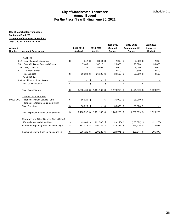### **City of Manchester, Tennessee Annual Budget For the Fiscal Year Ending June 30, 2021**

|                |                                                                            |                          |                |                    |      | 2019-2020      | 2019-2020       | 2020-2021     |
|----------------|----------------------------------------------------------------------------|--------------------------|----------------|--------------------|------|----------------|-----------------|---------------|
| <b>Account</b> |                                                                            |                          | 2017-2018      | 2018-2019          |      | Original       | Amendment #2    | Approved      |
| <b>Number</b>  | <b>Account Description</b>                                                 |                          | <b>Audited</b> | <b>Audited</b>     |      | <b>Budget</b>  | <b>Budget</b>   | <b>Budget</b> |
|                |                                                                            |                          |                |                    |      |                |                 |               |
|                | <b>Supplies</b>                                                            |                          |                |                    |      |                |                 |               |
| 312            | Small Items of Equipment                                                   | \$                       | 242 \$         | $3,544$ \$         |      | $2,000$ \$     | $2,000$ \$      | 2,000         |
| 331            | Gas, Oil, Diesel Fuel and Grease                                           |                          | 7,405          | 16,715             |      | 20,000         | 20,000          | 30,000        |
| 334            | Tires, Tubes, ETC.                                                         |                          | 3,235          | 5,869              |      | 8,000          | 8,000           | 8,000         |
| 511            | <b>General Liability</b>                                                   |                          |                | $\blacksquare$     |      | 2,500          | 2,500           | 2,500         |
|                | <b>Total Supplies</b>                                                      | \$                       | 10,882 \$      | 26,128 \$          |      | $32,500$ \$    | 32,500 \$       | 42,500        |
|                | <b>Capital Outlay</b>                                                      |                          |                |                    |      |                |                 |               |
|                | 999 Additions to Fixed Assets                                              | $\overline{\mathcal{F}}$ |                | \$                 | \$   | $\blacksquare$ | \$              | \$            |
|                | <b>Total Capital Outlay</b>                                                | \$                       | $\overline{a}$ | \$<br>$\mathbf{r}$ | \$   | $-$ \$         | $\sim$          | \$            |
|                | <b>Total Expenditures</b>                                                  | \$                       | 1,053,466 \$   | 1,151,160 \$       |      | 1,170,255 \$   | 1,171,579 \$    | 1,328,270     |
|                | <b>Transfer to Other Funds</b>                                             |                          |                |                    |      |                |                 |               |
| 50000-001      | <b>Transfer to Debt Service Fund</b><br>Transfer to Capital Equipment Fund | \$                       | 56,626 \$      |                    | - \$ | 35,000 \$      | 35,000 \$       |               |
|                | <b>Total Transfers</b>                                                     | $\frac{3}{2}$            | $56,626$ \$    |                    | \$   | 35,000 \$      | 35,000 \$       |               |
|                | <b>Total Expenditures and Other Sources</b>                                | \$                       | 1,110,092 \$   | 1,151,160 \$       |      | 1,205,255 \$   | 1,206,579 \$    | 1,328,270     |
|                | Revenues and Other Sources Over (Under)                                    |                          |                |                    |      |                |                 |               |
|                | <b>Expenditures and Other Uses</b>                                         | \$                       | 49,409 \$      | 122,505 \$         |      | $(99, 255)$ \$ | $(100, 579)$ \$ | (22, 270)     |
|                | Estimated Beginning Fund Balance July 1                                    | \$                       | 157,312 \$     | 206,721 \$         |      | 329,226 \$     | 329,226 \$      | 228,647       |
|                | Estimated Ending Fund Balance June 30                                      | <u>_\$</u>               | 206,721 \$     | 329,226 \$         |      | 229,971 \$     | 228,647 \$      | 206,377       |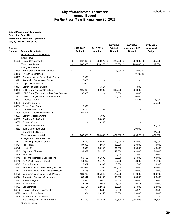|                            | <b>City of Manchester, Tennessee</b>                    |                |                 |                 |      |                  |                     |                  |
|----------------------------|---------------------------------------------------------|----------------|-----------------|-----------------|------|------------------|---------------------|------------------|
| <b>Recreation Fund 122</b> |                                                         |                |                 |                 |      |                  |                     |                  |
|                            | <b>Statement of Proposed Operations</b>                 |                |                 |                 |      |                  |                     |                  |
|                            | <u>July 1, 2020 To June 30, 2021</u>                    |                |                 |                 |      |                  |                     |                  |
|                            |                                                         |                |                 |                 |      | 2019-2020        | 2019-2020           | 2020-2021        |
| Account                    |                                                         |                | 2017-2018       | 2018-2019       |      | Original         | <b>Amendment #2</b> | <b>Approved</b>  |
| Number                     | <b>Account Description</b>                              |                | <b>Audited</b>  | <b>Audited</b>  |      | Budget           | <b>Budget</b>       | <b>Budget</b>    |
|                            | <b>Revenues and Other Sources</b><br><b>Local Taxes</b> |                |                 |                 |      |                  |                     |                  |
|                            | 31920 Room Occupancy Tax                                |                | 267,860 \$      | 238,975 \$      |      | 225,000 \$       | 200,000 \$          | 192,000          |
|                            | <b>Total Local Taxes</b>                                | <u>ა</u><br>\$ | 267,860 \$      | 238,975 \$      |      | 225,000 \$       | 200,000 \$          | 192,000          |
|                            | Intergovernmental                                       |                |                 |                 |      |                  |                     |                  |
|                            | 33485 Arts Bldg Comm Grant Revenue                      | \$             | $-$ \$          |                 | - \$ | $8,000$ \$       | $8,000$ \$          |                  |
|                            | 33486 TN Arts Commission                                |                |                 |                 |      |                  | $9,400$ \$          |                  |
| 33489                      | Bonnaroo Works Grant-Movie Screen                       |                | 7,000           |                 |      |                  |                     |                  |
| 33491                      | <b>Recreation Department- Grants</b>                    |                | 7,000           |                 |      |                  |                     |                  |
| 33492                      | Dept of Health Grant                                    |                | 20,000          |                 |      |                  |                     |                  |
|                            | 33494 Comm Foundation Grant                             |                |                 | 5,317           |      |                  | 5,000               |                  |
|                            | 33498 LPRF Grant (Soccer Complex)                       |                | 105,000         | 60,000          |      | 336,000          | 336,000             |                  |
|                            | 33499 LPRF Grant (Soccer Complex)-Park Partners         |                | 35,000          |                 |      | 15,000           | 19,000              |                  |
| 33500                      | LPRF Grant (Soccer Complex)-InKind                      |                |                 |                 |      | 70,000           | 70,000              |                  |
| 33501                      | Diabetes Grant B                                        |                |                 |                 |      |                  | 6,425               | 15,000           |
| 33502                      | Diabetes Grant A                                        |                |                 |                 |      |                  |                     | 150,000          |
| 33504                      | <b>Tennis Court Grant</b>                               |                | 15,000          |                 |      |                  |                     |                  |
| 33505                      | Diabetes Bike Grant                                     |                | 13,766          | 1,234           |      |                  |                     |                  |
| 33506                      | Soccer Complex Electric Grant                           |                | 57,607          |                 |      |                  |                     |                  |
| 33507<br>33508             | Commit to Health Grant<br>Dog Park Dash Grant           |                |                 | 5,000<br>30,000 |      |                  |                     |                  |
| 33509                      | <b>Forestry Grant</b>                                   |                |                 | 3,147           |      |                  |                     |                  |
|                            | 33510 TAP Greenway Grant                                |                |                 |                 |      |                  |                     | 240,000          |
| 33511                      | <b>Built Environment Grant</b>                          |                |                 |                 |      |                  | 10,000              |                  |
|                            | State Grant-COVID19                                     |                |                 |                 |      |                  |                     | 24,000           |
|                            | Total Intergovernmental                                 | \$             | 260,373 \$      | 104,698 \$      |      | 429,000 \$       | 463,825 \$          | 429,000          |
|                            | <b>Charges for Current Services</b>                     |                |                 |                 |      |                  |                     |                  |
|                            | 34723 Swimming Lesson Charges                           | \$             | 44,150 \$       | 60,502 \$       |      | 53,000 \$        | 53,000 \$           | 55,000           |
| 34724                      | Pool Rental                                             |                | 37,800          | 42,067          |      | 36,000           | 28,000              | 40,000           |
|                            | 34742 Activity Fees                                     |                | 19,393          | 38,242          |      | 31,000           | 26,000              | 40,000           |
| 34743                      | Day Camp Charges                                        |                | 38,653          | 52,246          |      | 43,000           | 43,000              | 50,000           |
| 34744                      | Fireworks                                               |                |                 |                 |      | 2,000            | 2,000               | 2,000            |
| 34745                      | Park and Recreation Concessions                         |                | 59,760          | 61,698          |      | 60,000           | 25,000              | 60,000           |
|                            | 34746 ADA Wright Center - Rental                        |                | 14,067          | 11,478          |      | 13,000           | 8,000               | 11,000           |
| 34747                      | <b>Shelter Rentals</b>                                  |                | 3,397           | 3,389           |      | 3,600            | 1,500               | 3,500            |
| 34771                      | Membership and Dues - Yearly Passes                     |                | 581,083         | 531,980         |      | 595,000          | 525,000             | 560,000          |
| 34772                      | Membership and Dues - Monthly Passes                    |                | 18,166          | 14,302          |      | 19,000           | 19,000              | 16,000           |
| 34773                      | Membership and Dues - Daily Passes                      |                | 189,732         | 165,848         |      | 170,000          | 140,000             | 180,000          |
| 34774<br>34777             | <b>Recreation Complex Concessions</b>                   |                | 89,941          | 85,182          |      | 90,000<br>28,000 | 65,000              | 86,000           |
| 34779                      | Athletic League<br>Silver and Fit                       |                | 22,680<br>4,181 | 23,010<br>6,016 |      | 5,000            | 20,000<br>9,073     | 28,000<br>10,000 |
| 34781                      | Sponsorships                                            |                | 15,414          | 22,951          |      | 20,000           | 15,000              | 23,000           |
| 34782                      | Christmas Parade Sponsorships                           |                | 1,750           | 3,400           |      | 2,000            | 4,325               | 3,500            |
|                            | 34792 Meeting Room Rental                               |                | 21,384          | 23,256          |      | 23,000           | 23,000              | 23,000           |
| 34795                      | Food Booth/Space Rentals                                |                |                 |                 |      |                  | 100                 | 100              |
|                            | <b>Total Charges for Current Services</b>               | \$             | 1,161,550 \$    | 1,145,567 \$    |      | 1,193,600 \$     | 1,006,998 \$        | 1,191,100        |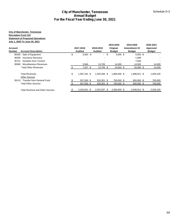|                                 |                                                                                                                                                |                                           | <b>City of Manchester, Tennessee</b><br><b>Annual Budget</b><br>For the Fiscal Year Ending June 30, 2021 |                             |                            |                                        |                                            | Schedule D-2                           |    |
|---------------------------------|------------------------------------------------------------------------------------------------------------------------------------------------|-------------------------------------------|----------------------------------------------------------------------------------------------------------|-----------------------------|----------------------------|----------------------------------------|--------------------------------------------|----------------------------------------|----|
|                                 | <b>City of Manchester, Tennessee</b><br><b>Recreation Fund 122</b><br><b>Statement of Proposed Operations</b><br>July 1, 2020 To June 30, 2021 |                                           |                                                                                                          |                             |                            |                                        |                                            |                                        |    |
| <b>Account</b><br><b>Number</b> | <b>Account Description</b>                                                                                                                     |                                           | 2017-2018<br><b>Audited</b>                                                                              | 2018-2019<br><b>Audited</b> |                            | 2019-2020<br>Original<br><b>Budget</b> | 2019-2020<br>Amendment #2<br><b>Budget</b> | 2020-2021<br>Approved<br><b>Budget</b> |    |
| 36350<br>36731<br>36999         | 36330 Sale of Equipment<br>Insurance Recovery<br>Donation from Tourism<br>Miscellaneous Revenues                                               | \$                                        | $3,563$ \$<br>3,994                                                                                      | $\blacksquare$<br>13,706    | $\boldsymbol{\mathsf{\$}}$ | 5,000 \$<br>14,000                     | 5,000 \$<br>1,589<br>7,500<br>14,000       | 14,000                                 |    |
|                                 | <b>Total Other Revenues</b>                                                                                                                    | $\frac{3}{2}$                             | $7,557$ \$                                                                                               | 13,706 \$                   |                            | $19,000$ \$                            | 28,089 \$                                  | 14,000                                 |    |
|                                 | <b>Total Revenues</b><br><b>Other Sources</b>                                                                                                  | $\, \, \raisebox{12pt}{$\scriptstyle \$}$ | 1,697,341 \$                                                                                             | 1,502,946 \$                |                            | 1,866,600 \$                           | 1,698,912 \$                               | 1,826,100                              |    |
|                                 | 39110 Transfer from General Fund<br><b>Total Other Sources</b>                                                                                 | <u>\$</u><br>S.                           | $557,500$ \$<br>557,500 \$                                                                               | $520,351$ \$<br>520,351 \$  |                            | 700,000 \$<br>700,000 \$               | 950,000 \$<br>950,000 \$                   | 700,000<br>700,000                     |    |
|                                 | <b>Total Revenue and Other Sources</b>                                                                                                         | \$                                        | 2,254,841 \$                                                                                             | 2,023,297 \$                |                            | 2,566,600 \$                           | 2,648,912 \$                               | 2,526,100                              |    |
|                                 |                                                                                                                                                |                                           |                                                                                                          |                             |                            |                                        |                                            |                                        |    |
|                                 |                                                                                                                                                |                                           |                                                                                                          |                             |                            |                                        |                                            |                                        |    |
|                                 |                                                                                                                                                |                                           |                                                                                                          |                             |                            |                                        |                                            |                                        |    |
|                                 |                                                                                                                                                |                                           |                                                                                                          |                             |                            |                                        |                                            |                                        |    |
|                                 |                                                                                                                                                |                                           |                                                                                                          |                             |                            |                                        |                                            |                                        |    |
|                                 |                                                                                                                                                |                                           |                                                                                                          |                             |                            |                                        |                                            |                                        | 30 |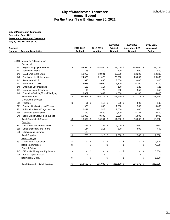| <b>Account Description</b><br>44410 Recreation Administration<br>Personnel<br>Regular Employee Salaries<br>113 Salaries-Overtime<br><b>OASI</b> Employers Share<br>Employee Health Insurance<br><b>Retirement - ING</b><br><b>Retirement - TCRS</b><br>Employee Life Insurance<br>Unemployment Insurance | \$                                                                                                                                                                                                                                                                                                                                                                       | 2017-2018<br><b>Audited</b><br>154,930 \$<br>86<br>10,957<br>24,025 | 2018-2019<br><b>Audited</b><br>154,930 \$<br>319<br>10,921 |                                                                                                                                                       | 2019-2020<br>Original<br><b>Budget</b><br>159,000 \$                                      |                                  | 2019-2020<br>Amendment #2<br><b>Budget</b>                                        | 2020-2021<br>Approved<br><b>Budget</b>                                                   |
|----------------------------------------------------------------------------------------------------------------------------------------------------------------------------------------------------------------------------------------------------------------------------------------------------------|--------------------------------------------------------------------------------------------------------------------------------------------------------------------------------------------------------------------------------------------------------------------------------------------------------------------------------------------------------------------------|---------------------------------------------------------------------|------------------------------------------------------------|-------------------------------------------------------------------------------------------------------------------------------------------------------|-------------------------------------------------------------------------------------------|----------------------------------|-----------------------------------------------------------------------------------|------------------------------------------------------------------------------------------|
|                                                                                                                                                                                                                                                                                                          |                                                                                                                                                                                                                                                                                                                                                                          |                                                                     |                                                            |                                                                                                                                                       |                                                                                           |                                  |                                                                                   |                                                                                          |
|                                                                                                                                                                                                                                                                                                          |                                                                                                                                                                                                                                                                                                                                                                          |                                                                     |                                                            |                                                                                                                                                       |                                                                                           |                                  |                                                                                   |                                                                                          |
|                                                                                                                                                                                                                                                                                                          |                                                                                                                                                                                                                                                                                                                                                                          |                                                                     |                                                            |                                                                                                                                                       |                                                                                           |                                  |                                                                                   |                                                                                          |
|                                                                                                                                                                                                                                                                                                          |                                                                                                                                                                                                                                                                                                                                                                          |                                                                     |                                                            |                                                                                                                                                       |                                                                                           |                                  | 159,000 \$                                                                        | 159,000                                                                                  |
|                                                                                                                                                                                                                                                                                                          |                                                                                                                                                                                                                                                                                                                                                                          |                                                                     |                                                            |                                                                                                                                                       | 500                                                                                       |                                  | 500                                                                               | 500                                                                                      |
|                                                                                                                                                                                                                                                                                                          |                                                                                                                                                                                                                                                                                                                                                                          |                                                                     |                                                            |                                                                                                                                                       | 12,200                                                                                    |                                  | 12,200                                                                            | 12,200                                                                                   |
|                                                                                                                                                                                                                                                                                                          |                                                                                                                                                                                                                                                                                                                                                                          |                                                                     | 21,628                                                     |                                                                                                                                                       | 26,000                                                                                    |                                  | 26,000                                                                            | 26,000                                                                                   |
|                                                                                                                                                                                                                                                                                                          |                                                                                                                                                                                                                                                                                                                                                                          | 946                                                                 | 1,436                                                      |                                                                                                                                                       | 3,000                                                                                     |                                  | 3,000                                                                             | 2,800                                                                                    |
|                                                                                                                                                                                                                                                                                                          |                                                                                                                                                                                                                                                                                                                                                                          | 6,083                                                               | 6,090                                                      |                                                                                                                                                       | 6,300                                                                                     |                                  | 6,300                                                                             | 6,300                                                                                    |
|                                                                                                                                                                                                                                                                                                          |                                                                                                                                                                                                                                                                                                                                                                          | 168                                                                 | 114                                                        |                                                                                                                                                       | 120                                                                                       |                                  | 120                                                                               | 125                                                                                      |
|                                                                                                                                                                                                                                                                                                          |                                                                                                                                                                                                                                                                                                                                                                          | 96                                                                  | 72                                                         |                                                                                                                                                       | 550                                                                                       |                                  | 550                                                                               | 550                                                                                      |
| Education/Training/Travel/ Lodging                                                                                                                                                                                                                                                                       |                                                                                                                                                                                                                                                                                                                                                                          | 3,627                                                               | 2,669                                                      |                                                                                                                                                       | 4,000                                                                                     |                                  | 4,108                                                                             | 4,000                                                                                    |
| <b>Total Personnel</b><br><b>Contractual Services</b>                                                                                                                                                                                                                                                    | $\frac{1}{2}$                                                                                                                                                                                                                                                                                                                                                            | 200,918 \$                                                          | 198,179 \$                                                 |                                                                                                                                                       | 211,670 \$                                                                                |                                  | 211,778 \$                                                                        | 211,475                                                                                  |
| Postage                                                                                                                                                                                                                                                                                                  | \$                                                                                                                                                                                                                                                                                                                                                                       | 61 \$                                                               | 117S                                                       |                                                                                                                                                       | 500 \$                                                                                    |                                  | 500                                                                               | 500                                                                                      |
|                                                                                                                                                                                                                                                                                                          |                                                                                                                                                                                                                                                                                                                                                                          |                                                                     |                                                            |                                                                                                                                                       |                                                                                           |                                  |                                                                                   | 3,000                                                                                    |
|                                                                                                                                                                                                                                                                                                          |                                                                                                                                                                                                                                                                                                                                                                          |                                                                     |                                                            |                                                                                                                                                       |                                                                                           |                                  |                                                                                   | 2,000                                                                                    |
|                                                                                                                                                                                                                                                                                                          |                                                                                                                                                                                                                                                                                                                                                                          |                                                                     |                                                            |                                                                                                                                                       |                                                                                           |                                  |                                                                                   | 2,500                                                                                    |
|                                                                                                                                                                                                                                                                                                          |                                                                                                                                                                                                                                                                                                                                                                          |                                                                     |                                                            |                                                                                                                                                       |                                                                                           |                                  |                                                                                   | 2,000                                                                                    |
| <b>Total Contractual Services</b>                                                                                                                                                                                                                                                                        | \$                                                                                                                                                                                                                                                                                                                                                                       |                                                                     |                                                            |                                                                                                                                                       |                                                                                           |                                  | 10,892 \$                                                                         | 10,000                                                                                   |
| <b>Supplies</b>                                                                                                                                                                                                                                                                                          |                                                                                                                                                                                                                                                                                                                                                                          |                                                                     |                                                            |                                                                                                                                                       |                                                                                           |                                  |                                                                                   |                                                                                          |
| 311 Office Supplies and Materials                                                                                                                                                                                                                                                                        | \$                                                                                                                                                                                                                                                                                                                                                                       |                                                                     |                                                            |                                                                                                                                                       |                                                                                           |                                  | 2,000                                                                             | 2,000                                                                                    |
| 319 Office Stationary and Forms                                                                                                                                                                                                                                                                          |                                                                                                                                                                                                                                                                                                                                                                          | 144                                                                 | 211                                                        |                                                                                                                                                       | 500                                                                                       |                                  | 500                                                                               | 500                                                                                      |
| 326 Clothing and Uniforms                                                                                                                                                                                                                                                                                |                                                                                                                                                                                                                                                                                                                                                                          | 123                                                                 |                                                            |                                                                                                                                                       |                                                                                           |                                  |                                                                                   |                                                                                          |
| <b>Total Supplies</b>                                                                                                                                                                                                                                                                                    |                                                                                                                                                                                                                                                                                                                                                                          |                                                                     |                                                            |                                                                                                                                                       |                                                                                           |                                  |                                                                                   | 2,500                                                                                    |
| <b>Fixed Charges</b>                                                                                                                                                                                                                                                                                     |                                                                                                                                                                                                                                                                                                                                                                          |                                                                     |                                                            |                                                                                                                                                       |                                                                                           |                                  |                                                                                   |                                                                                          |
|                                                                                                                                                                                                                                                                                                          |                                                                                                                                                                                                                                                                                                                                                                          | $\blacksquare$                                                      | $\sim$ $-$                                                 |                                                                                                                                                       | $\blacksquare$                                                                            |                                  | $\sim$                                                                            | 4,500                                                                                    |
|                                                                                                                                                                                                                                                                                                          |                                                                                                                                                                                                                                                                                                                                                                          |                                                                     |                                                            |                                                                                                                                                       |                                                                                           |                                  | $\sim 100$                                                                        | 4,500                                                                                    |
|                                                                                                                                                                                                                                                                                                          |                                                                                                                                                                                                                                                                                                                                                                          |                                                                     |                                                            |                                                                                                                                                       |                                                                                           |                                  |                                                                                   |                                                                                          |
|                                                                                                                                                                                                                                                                                                          |                                                                                                                                                                                                                                                                                                                                                                          |                                                                     |                                                            |                                                                                                                                                       |                                                                                           |                                  |                                                                                   | 5,500                                                                                    |
|                                                                                                                                                                                                                                                                                                          |                                                                                                                                                                                                                                                                                                                                                                          |                                                                     |                                                            |                                                                                                                                                       |                                                                                           |                                  |                                                                                   |                                                                                          |
|                                                                                                                                                                                                                                                                                                          |                                                                                                                                                                                                                                                                                                                                                                          |                                                                     |                                                            |                                                                                                                                                       |                                                                                           |                                  |                                                                                   | 5,500                                                                                    |
|                                                                                                                                                                                                                                                                                                          | \$                                                                                                                                                                                                                                                                                                                                                                       |                                                                     |                                                            |                                                                                                                                                       |                                                                                           |                                  |                                                                                   | 233,975                                                                                  |
|                                                                                                                                                                                                                                                                                                          | Printing, Duplicating and Typing<br><b>Publication Formal/Legal Notices</b><br>Dues and Subscription<br>Bank, Credit Card, Fines, & Fees<br>533 Machinery & Equipment<br><b>Total Fixed Charges</b><br><b>Capital Outlay</b><br>947 Office Machinery and Equipment<br>999 Add to Capital Assets<br><b>Total Capital Outlay</b><br><b>Total Recreation Administration</b> | \$<br>$\frac{3}{3}$<br>\$<br>$\frac{1}{2}$                          | 1,938<br>2,441<br>1,470<br>10,092<br>$\blacksquare$        | 1,345<br>1,528<br>2,559<br>9,395<br>16,002 \$<br>1,466 \$<br>$1,733$ \$<br>\$<br>\$<br>$\mathcal{L}_{\mathrm{max}}$<br>\$<br>$\sqrt{ }$<br>218,653 \$ | 14,944 \$<br>1,704 \$<br>$1,915$ \$<br>\$<br>$\mathfrak{S}$<br>\$<br>$-$ \$<br>215,038 \$ | 1,000<br>2,000<br>2,500<br>5,000 | $11,000$ \$<br>$2,000$ \$<br>$2,500$ \$<br>\$<br>\$<br>\$<br>$-$ \$<br>225,170 \$ | 1,567<br>2,000<br>5,325<br>1,500<br>$2,500$ \$<br>\$<br>\$<br>\$<br>$-$ \$<br>225,170 \$ |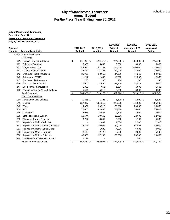| <b>City of Manchester, Tennessee</b><br><b>Recreation Fund 122</b><br><b>Statement of Proposed Operations</b><br>July 1, 2020 To June 30, 2021<br><b>Account</b><br><b>Number</b><br>44420 Recreation Center<br>Personnel<br>111<br>113<br>121<br>141 | <b>Account Description</b><br>Regular Employee Salaries<br>Salaries - Overtime | \$            | For the Fiscal Year Ending June 30, 2021<br>2017-2018<br><b>Audited</b> | 2018-2019<br><b>Audited</b> | 2019-2020<br>Original<br><b>Budget</b> | 2019-2020<br>Amendment #2<br><b>Budget</b> | 2020-2021<br>Approved<br><b>Budget</b> |
|-------------------------------------------------------------------------------------------------------------------------------------------------------------------------------------------------------------------------------------------------------|--------------------------------------------------------------------------------|---------------|-------------------------------------------------------------------------|-----------------------------|----------------------------------------|--------------------------------------------|----------------------------------------|
|                                                                                                                                                                                                                                                       |                                                                                |               |                                                                         |                             |                                        |                                            |                                        |
|                                                                                                                                                                                                                                                       |                                                                                |               |                                                                         |                             |                                        |                                            |                                        |
|                                                                                                                                                                                                                                                       |                                                                                |               |                                                                         |                             |                                        |                                            |                                        |
|                                                                                                                                                                                                                                                       |                                                                                |               |                                                                         |                             |                                        |                                            |                                        |
|                                                                                                                                                                                                                                                       |                                                                                |               |                                                                         |                             |                                        |                                            |                                        |
|                                                                                                                                                                                                                                                       |                                                                                |               |                                                                         |                             |                                        |                                            |                                        |
|                                                                                                                                                                                                                                                       |                                                                                |               |                                                                         |                             |                                        |                                            |                                        |
|                                                                                                                                                                                                                                                       |                                                                                |               |                                                                         |                             |                                        |                                            |                                        |
|                                                                                                                                                                                                                                                       |                                                                                |               |                                                                         |                             |                                        |                                            |                                        |
|                                                                                                                                                                                                                                                       |                                                                                |               |                                                                         |                             |                                        |                                            |                                        |
|                                                                                                                                                                                                                                                       |                                                                                |               | 211,032 \$                                                              | 214,712 \$                  | 224,500 \$                             | 224,500 \$                                 | 227,000                                |
|                                                                                                                                                                                                                                                       |                                                                                |               | 5,098                                                                   | 5,839                       | 5,000                                  | 5,000                                      | 5,000                                  |
|                                                                                                                                                                                                                                                       | Wages - Part-Time                                                              |               | 249,954                                                                 | 281,701                     | 250,000                                | 250,000                                    | 270,000                                |
|                                                                                                                                                                                                                                                       | <b>OASI</b> Employers Share                                                    |               | 34,637                                                                  | 37,791                      | 37,000                                 | 37,000                                     | 39,000                                 |
| 142                                                                                                                                                                                                                                                   | Employee Health Insurance                                                      |               | 35,923                                                                  | 33,956                      | 44,250                                 | 44,250                                     | 52,000                                 |
| 143                                                                                                                                                                                                                                                   | <b>Retirement - TCRS</b>                                                       |               | 11,217                                                                  | 11,445                      | 12,200                                 | 12,200                                     | 12,500                                 |
| 145                                                                                                                                                                                                                                                   | Employee Life Insurance                                                        |               | 278                                                                     | 168                         | 230                                    | 230                                        | 245                                    |
| 146                                                                                                                                                                                                                                                   | <b>Worker's Compensation</b>                                                   |               | 10,000                                                                  | 21,690                      | 21,690                                 | 23,435                                     | 22,000                                 |
| 147                                                                                                                                                                                                                                                   | Unemployment Insurance                                                         |               | 1,300                                                                   | 956                         | 1,500                                  | 1,500                                      | 1,500                                  |
| 148                                                                                                                                                                                                                                                   | Education/Training/Travel/ Lodging                                             |               | 5,464                                                                   | 5,018                       | 3,500                                  | 3,500                                      | 3,500                                  |
|                                                                                                                                                                                                                                                       | <b>Total Personnel</b>                                                         | $\frac{1}{2}$ | 564,903 \$                                                              | 613,276 \$                  | 599,870 \$                             | 601,615 \$                                 | 632,745                                |
|                                                                                                                                                                                                                                                       | <b>Contractual Services</b>                                                    |               |                                                                         |                             |                                        |                                            |                                        |
|                                                                                                                                                                                                                                                       | 216 Radio and Cable Services                                                   | \$            | 1,366 \$                                                                | 1,435 \$                    | 1,500 \$                               | 1,500 \$                                   | 1,500                                  |
| 241<br>Electric                                                                                                                                                                                                                                       |                                                                                |               | 257,317                                                                 | 291,518                     | 275,000                                | 275,000                                    | 285,000                                |
| 242<br>Water                                                                                                                                                                                                                                          |                                                                                |               | 24,022                                                                  | 29,710                      | 25,000                                 | 25,000                                     | 25,000                                 |
| Gas<br>244                                                                                                                                                                                                                                            |                                                                                |               | 76,054                                                                  | 84,696                      | 75,000                                 | 75,000                                     | 75,000                                 |
| 245                                                                                                                                                                                                                                                   | Telephone                                                                      |               | 4,055                                                                   | 5,685                       | 4,500                                  | 4,500                                      | 5,000                                  |
| 255                                                                                                                                                                                                                                                   | Data Processing Support                                                        |               | 15,574                                                                  | 10,650                      | 12,000                                 | 12,000                                     | 12,000                                 |
| 258                                                                                                                                                                                                                                                   | Christmas Parade Expense                                                       |               | 3,717                                                                   | 3,847                       | 5,000                                  | 1,169                                      | 5,000                                  |
| 261                                                                                                                                                                                                                                                   | Repairs and Maint - Vehicles                                                   |               |                                                                         | 2,667                       | 1,500                                  | 1,500                                      | 1,500                                  |
| 262                                                                                                                                                                                                                                                   | Repairs and Maint - Other Machinery                                            |               | 34,817                                                                  | 36,004                      | 40,000                                 | 48,057                                     | 40,000                                 |
| 263                                                                                                                                                                                                                                                   | Repairs and Maint - Office Equip                                               |               | 93                                                                      | 1,983                       | 4,000                                  | 5,935                                      | 4,000                                  |
| 265                                                                                                                                                                                                                                                   | Repairs and Maint - Grounds                                                    |               | 2,483                                                                   | 2,726                       | 5,000                                  | 2,500                                      | 5,000                                  |
|                                                                                                                                                                                                                                                       | 266 Repairs and Maint - Buildings                                              |               | 30,583                                                                  | 27,106                      | 20,000                                 | 25,507                                     | 20,000                                 |
|                                                                                                                                                                                                                                                       | 270 Contracted Recreational Services                                           |               | 2,191                                                                   |                             |                                        | 200                                        |                                        |
|                                                                                                                                                                                                                                                       | <b>Total Contractual Services</b>                                              | $\frac{1}{2}$ | 452,272 \$                                                              | 498,027 \$                  | 468,500 \$                             | 477,868 \$                                 | 479,000                                |
|                                                                                                                                                                                                                                                       |                                                                                |               |                                                                         |                             |                                        |                                            |                                        |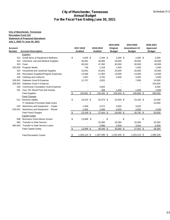| For the Fiscal Year Ending June 30, 2021<br><b>City of Manchester, Tennessee</b><br><b>Recreation Fund 122</b><br><b>Statement of Proposed Operations</b><br>July 1, 2020 To June 30, 2021<br>2019-2020<br>2019-2020<br>2020-2021<br>2017-2018<br>2018-2019<br>Original<br>Amendment #2<br>Approved<br><b>Account Description</b><br><b>Audited</b><br><b>Audited</b><br><b>Budget</b><br><b>Budget</b><br><b>Budget</b><br><b>Supplies</b><br>312 Small Items of Equipment-Wellness<br>\$<br>2,835 \$<br>$2,494$ \$<br>$2,000$ \$<br>$2,000$ \$<br>2,000<br>Chemical, Lab and Medical Supplies<br>26,081<br>30,892<br>28,000<br>322<br>28,000<br>323<br>Food<br>49,262<br>47,382<br>40,000<br>30,000<br>739<br>323.002<br>Program Meals<br>1,318<br>1,500<br>1,500<br>1,500<br>Household and Janitorial Supplies<br>22,831<br>24,641<br>20,000<br>324<br>20,000<br>Recreation Supplies/Program Expenses<br>13,599<br>325<br>11,952<br>13,000<br>13,000<br>326<br><b>Clothing and Uniforms</b><br>1,587<br>3,781<br>3,500<br>3,500<br>329.001<br>Diabetes Grant B Expense<br>11,757<br>3,822<br>7,656<br>15,000<br>329.002<br>Diabetes Grant A Expense<br>150,000<br><b>Community Foundation Grant Expense</b><br>3,602<br>5,000<br>330<br>408<br>1,200<br>1,200<br>331<br>Gas, Oil, Diesel Fuel and Grease<br>2,000<br><b>Total Supplies</b><br>$\sqrt[6]{3}$<br>128,691 \$<br>130,292 \$<br>109,200 \$<br>106,856 \$<br>280,000<br><b>Fixed Charges</b><br>\$<br>511 General Liability<br>19,315 \$<br>20,373 \$<br>22,000 \$<br>23,150 \$<br>22,000<br>IT Hardware Purchase-State Grant<br>24,000<br>533 Machinery and Equipment - Copier<br>1,469<br>4,572<br>3,000<br>3,632<br>2,465<br>2,699<br>4,000<br>4,000<br>4,000<br>533.001<br>Machinery and Equipment - Rental<br><b>Total Fixed Charges</b><br>$\frac{1}{2}$<br>23,249 \$<br>27,644 \$<br>29,000 \$<br>$30,782$ \$<br>50,000<br><b>Capital Outlay</b><br>\$<br>Bonnaroo Grant-Movie Screen<br>13,999 \$<br>\$<br>\$<br>\$<br>948<br>$\blacksquare$<br>$\sim$<br>$\overline{\phantom{a}}$<br><b>Transfer to Debt Service</b><br>33,360<br>33,360<br>33,360<br>960<br>33,360<br>4,986<br>2,500<br>3,642<br>5,000<br>960.002 Transfer to Debt Service-Leave<br>\$<br>13,999 \$<br>38,346 \$<br>35,860 \$<br>37,002 \$<br>38,360<br><b>Total Capital Outlay</b><br>1,480,105<br>S<br>1.183.114 \$<br>1.307.585 \$<br>1.242.430 \$<br>1.254.123 \$<br><b>Total Recreation Center</b> |                |  | <b>Annual Budget</b> | <b>City of Manchester, Tennessee</b> |  |  | Schedule D-2 |
|------------------------------------------------------------------------------------------------------------------------------------------------------------------------------------------------------------------------------------------------------------------------------------------------------------------------------------------------------------------------------------------------------------------------------------------------------------------------------------------------------------------------------------------------------------------------------------------------------------------------------------------------------------------------------------------------------------------------------------------------------------------------------------------------------------------------------------------------------------------------------------------------------------------------------------------------------------------------------------------------------------------------------------------------------------------------------------------------------------------------------------------------------------------------------------------------------------------------------------------------------------------------------------------------------------------------------------------------------------------------------------------------------------------------------------------------------------------------------------------------------------------------------------------------------------------------------------------------------------------------------------------------------------------------------------------------------------------------------------------------------------------------------------------------------------------------------------------------------------------------------------------------------------------------------------------------------------------------------------------------------------------------------------------------------------------------------------------------------------------------------------------------------------------------------------------------------------------------------------------------------------------------------------------------------------------------------------------------------------------------------------------------------------------------------------------------|----------------|--|----------------------|--------------------------------------|--|--|--------------|
|                                                                                                                                                                                                                                                                                                                                                                                                                                                                                                                                                                                                                                                                                                                                                                                                                                                                                                                                                                                                                                                                                                                                                                                                                                                                                                                                                                                                                                                                                                                                                                                                                                                                                                                                                                                                                                                                                                                                                                                                                                                                                                                                                                                                                                                                                                                                                                                                                                                |                |  |                      |                                      |  |  |              |
|                                                                                                                                                                                                                                                                                                                                                                                                                                                                                                                                                                                                                                                                                                                                                                                                                                                                                                                                                                                                                                                                                                                                                                                                                                                                                                                                                                                                                                                                                                                                                                                                                                                                                                                                                                                                                                                                                                                                                                                                                                                                                                                                                                                                                                                                                                                                                                                                                                                |                |  |                      |                                      |  |  |              |
|                                                                                                                                                                                                                                                                                                                                                                                                                                                                                                                                                                                                                                                                                                                                                                                                                                                                                                                                                                                                                                                                                                                                                                                                                                                                                                                                                                                                                                                                                                                                                                                                                                                                                                                                                                                                                                                                                                                                                                                                                                                                                                                                                                                                                                                                                                                                                                                                                                                |                |  |                      |                                      |  |  |              |
|                                                                                                                                                                                                                                                                                                                                                                                                                                                                                                                                                                                                                                                                                                                                                                                                                                                                                                                                                                                                                                                                                                                                                                                                                                                                                                                                                                                                                                                                                                                                                                                                                                                                                                                                                                                                                                                                                                                                                                                                                                                                                                                                                                                                                                                                                                                                                                                                                                                |                |  |                      |                                      |  |  |              |
|                                                                                                                                                                                                                                                                                                                                                                                                                                                                                                                                                                                                                                                                                                                                                                                                                                                                                                                                                                                                                                                                                                                                                                                                                                                                                                                                                                                                                                                                                                                                                                                                                                                                                                                                                                                                                                                                                                                                                                                                                                                                                                                                                                                                                                                                                                                                                                                                                                                |                |  |                      |                                      |  |  |              |
|                                                                                                                                                                                                                                                                                                                                                                                                                                                                                                                                                                                                                                                                                                                                                                                                                                                                                                                                                                                                                                                                                                                                                                                                                                                                                                                                                                                                                                                                                                                                                                                                                                                                                                                                                                                                                                                                                                                                                                                                                                                                                                                                                                                                                                                                                                                                                                                                                                                |                |  |                      |                                      |  |  |              |
|                                                                                                                                                                                                                                                                                                                                                                                                                                                                                                                                                                                                                                                                                                                                                                                                                                                                                                                                                                                                                                                                                                                                                                                                                                                                                                                                                                                                                                                                                                                                                                                                                                                                                                                                                                                                                                                                                                                                                                                                                                                                                                                                                                                                                                                                                                                                                                                                                                                | <b>Account</b> |  |                      |                                      |  |  |              |
|                                                                                                                                                                                                                                                                                                                                                                                                                                                                                                                                                                                                                                                                                                                                                                                                                                                                                                                                                                                                                                                                                                                                                                                                                                                                                                                                                                                                                                                                                                                                                                                                                                                                                                                                                                                                                                                                                                                                                                                                                                                                                                                                                                                                                                                                                                                                                                                                                                                | <b>Number</b>  |  |                      |                                      |  |  |              |
|                                                                                                                                                                                                                                                                                                                                                                                                                                                                                                                                                                                                                                                                                                                                                                                                                                                                                                                                                                                                                                                                                                                                                                                                                                                                                                                                                                                                                                                                                                                                                                                                                                                                                                                                                                                                                                                                                                                                                                                                                                                                                                                                                                                                                                                                                                                                                                                                                                                |                |  |                      |                                      |  |  |              |
|                                                                                                                                                                                                                                                                                                                                                                                                                                                                                                                                                                                                                                                                                                                                                                                                                                                                                                                                                                                                                                                                                                                                                                                                                                                                                                                                                                                                                                                                                                                                                                                                                                                                                                                                                                                                                                                                                                                                                                                                                                                                                                                                                                                                                                                                                                                                                                                                                                                |                |  |                      |                                      |  |  |              |
|                                                                                                                                                                                                                                                                                                                                                                                                                                                                                                                                                                                                                                                                                                                                                                                                                                                                                                                                                                                                                                                                                                                                                                                                                                                                                                                                                                                                                                                                                                                                                                                                                                                                                                                                                                                                                                                                                                                                                                                                                                                                                                                                                                                                                                                                                                                                                                                                                                                |                |  |                      |                                      |  |  | 28,000       |
|                                                                                                                                                                                                                                                                                                                                                                                                                                                                                                                                                                                                                                                                                                                                                                                                                                                                                                                                                                                                                                                                                                                                                                                                                                                                                                                                                                                                                                                                                                                                                                                                                                                                                                                                                                                                                                                                                                                                                                                                                                                                                                                                                                                                                                                                                                                                                                                                                                                |                |  |                      |                                      |  |  | 40,000       |
|                                                                                                                                                                                                                                                                                                                                                                                                                                                                                                                                                                                                                                                                                                                                                                                                                                                                                                                                                                                                                                                                                                                                                                                                                                                                                                                                                                                                                                                                                                                                                                                                                                                                                                                                                                                                                                                                                                                                                                                                                                                                                                                                                                                                                                                                                                                                                                                                                                                |                |  |                      |                                      |  |  |              |
|                                                                                                                                                                                                                                                                                                                                                                                                                                                                                                                                                                                                                                                                                                                                                                                                                                                                                                                                                                                                                                                                                                                                                                                                                                                                                                                                                                                                                                                                                                                                                                                                                                                                                                                                                                                                                                                                                                                                                                                                                                                                                                                                                                                                                                                                                                                                                                                                                                                |                |  |                      |                                      |  |  | 20,000       |
|                                                                                                                                                                                                                                                                                                                                                                                                                                                                                                                                                                                                                                                                                                                                                                                                                                                                                                                                                                                                                                                                                                                                                                                                                                                                                                                                                                                                                                                                                                                                                                                                                                                                                                                                                                                                                                                                                                                                                                                                                                                                                                                                                                                                                                                                                                                                                                                                                                                |                |  |                      |                                      |  |  | 13,000       |
|                                                                                                                                                                                                                                                                                                                                                                                                                                                                                                                                                                                                                                                                                                                                                                                                                                                                                                                                                                                                                                                                                                                                                                                                                                                                                                                                                                                                                                                                                                                                                                                                                                                                                                                                                                                                                                                                                                                                                                                                                                                                                                                                                                                                                                                                                                                                                                                                                                                |                |  |                      |                                      |  |  | 3,500        |
|                                                                                                                                                                                                                                                                                                                                                                                                                                                                                                                                                                                                                                                                                                                                                                                                                                                                                                                                                                                                                                                                                                                                                                                                                                                                                                                                                                                                                                                                                                                                                                                                                                                                                                                                                                                                                                                                                                                                                                                                                                                                                                                                                                                                                                                                                                                                                                                                                                                |                |  |                      |                                      |  |  |              |
|                                                                                                                                                                                                                                                                                                                                                                                                                                                                                                                                                                                                                                                                                                                                                                                                                                                                                                                                                                                                                                                                                                                                                                                                                                                                                                                                                                                                                                                                                                                                                                                                                                                                                                                                                                                                                                                                                                                                                                                                                                                                                                                                                                                                                                                                                                                                                                                                                                                |                |  |                      |                                      |  |  |              |
|                                                                                                                                                                                                                                                                                                                                                                                                                                                                                                                                                                                                                                                                                                                                                                                                                                                                                                                                                                                                                                                                                                                                                                                                                                                                                                                                                                                                                                                                                                                                                                                                                                                                                                                                                                                                                                                                                                                                                                                                                                                                                                                                                                                                                                                                                                                                                                                                                                                |                |  |                      |                                      |  |  |              |
|                                                                                                                                                                                                                                                                                                                                                                                                                                                                                                                                                                                                                                                                                                                                                                                                                                                                                                                                                                                                                                                                                                                                                                                                                                                                                                                                                                                                                                                                                                                                                                                                                                                                                                                                                                                                                                                                                                                                                                                                                                                                                                                                                                                                                                                                                                                                                                                                                                                |                |  |                      |                                      |  |  |              |
|                                                                                                                                                                                                                                                                                                                                                                                                                                                                                                                                                                                                                                                                                                                                                                                                                                                                                                                                                                                                                                                                                                                                                                                                                                                                                                                                                                                                                                                                                                                                                                                                                                                                                                                                                                                                                                                                                                                                                                                                                                                                                                                                                                                                                                                                                                                                                                                                                                                |                |  |                      |                                      |  |  |              |
|                                                                                                                                                                                                                                                                                                                                                                                                                                                                                                                                                                                                                                                                                                                                                                                                                                                                                                                                                                                                                                                                                                                                                                                                                                                                                                                                                                                                                                                                                                                                                                                                                                                                                                                                                                                                                                                                                                                                                                                                                                                                                                                                                                                                                                                                                                                                                                                                                                                |                |  |                      |                                      |  |  |              |
|                                                                                                                                                                                                                                                                                                                                                                                                                                                                                                                                                                                                                                                                                                                                                                                                                                                                                                                                                                                                                                                                                                                                                                                                                                                                                                                                                                                                                                                                                                                                                                                                                                                                                                                                                                                                                                                                                                                                                                                                                                                                                                                                                                                                                                                                                                                                                                                                                                                |                |  |                      |                                      |  |  |              |
|                                                                                                                                                                                                                                                                                                                                                                                                                                                                                                                                                                                                                                                                                                                                                                                                                                                                                                                                                                                                                                                                                                                                                                                                                                                                                                                                                                                                                                                                                                                                                                                                                                                                                                                                                                                                                                                                                                                                                                                                                                                                                                                                                                                                                                                                                                                                                                                                                                                |                |  |                      |                                      |  |  |              |
|                                                                                                                                                                                                                                                                                                                                                                                                                                                                                                                                                                                                                                                                                                                                                                                                                                                                                                                                                                                                                                                                                                                                                                                                                                                                                                                                                                                                                                                                                                                                                                                                                                                                                                                                                                                                                                                                                                                                                                                                                                                                                                                                                                                                                                                                                                                                                                                                                                                |                |  |                      |                                      |  |  |              |
|                                                                                                                                                                                                                                                                                                                                                                                                                                                                                                                                                                                                                                                                                                                                                                                                                                                                                                                                                                                                                                                                                                                                                                                                                                                                                                                                                                                                                                                                                                                                                                                                                                                                                                                                                                                                                                                                                                                                                                                                                                                                                                                                                                                                                                                                                                                                                                                                                                                |                |  |                      |                                      |  |  |              |
|                                                                                                                                                                                                                                                                                                                                                                                                                                                                                                                                                                                                                                                                                                                                                                                                                                                                                                                                                                                                                                                                                                                                                                                                                                                                                                                                                                                                                                                                                                                                                                                                                                                                                                                                                                                                                                                                                                                                                                                                                                                                                                                                                                                                                                                                                                                                                                                                                                                |                |  |                      |                                      |  |  |              |
|                                                                                                                                                                                                                                                                                                                                                                                                                                                                                                                                                                                                                                                                                                                                                                                                                                                                                                                                                                                                                                                                                                                                                                                                                                                                                                                                                                                                                                                                                                                                                                                                                                                                                                                                                                                                                                                                                                                                                                                                                                                                                                                                                                                                                                                                                                                                                                                                                                                |                |  |                      |                                      |  |  |              |
|                                                                                                                                                                                                                                                                                                                                                                                                                                                                                                                                                                                                                                                                                                                                                                                                                                                                                                                                                                                                                                                                                                                                                                                                                                                                                                                                                                                                                                                                                                                                                                                                                                                                                                                                                                                                                                                                                                                                                                                                                                                                                                                                                                                                                                                                                                                                                                                                                                                |                |  |                      |                                      |  |  |              |
|                                                                                                                                                                                                                                                                                                                                                                                                                                                                                                                                                                                                                                                                                                                                                                                                                                                                                                                                                                                                                                                                                                                                                                                                                                                                                                                                                                                                                                                                                                                                                                                                                                                                                                                                                                                                                                                                                                                                                                                                                                                                                                                                                                                                                                                                                                                                                                                                                                                |                |  |                      |                                      |  |  |              |
|                                                                                                                                                                                                                                                                                                                                                                                                                                                                                                                                                                                                                                                                                                                                                                                                                                                                                                                                                                                                                                                                                                                                                                                                                                                                                                                                                                                                                                                                                                                                                                                                                                                                                                                                                                                                                                                                                                                                                                                                                                                                                                                                                                                                                                                                                                                                                                                                                                                |                |  |                      |                                      |  |  |              |
|                                                                                                                                                                                                                                                                                                                                                                                                                                                                                                                                                                                                                                                                                                                                                                                                                                                                                                                                                                                                                                                                                                                                                                                                                                                                                                                                                                                                                                                                                                                                                                                                                                                                                                                                                                                                                                                                                                                                                                                                                                                                                                                                                                                                                                                                                                                                                                                                                                                |                |  |                      |                                      |  |  |              |
|                                                                                                                                                                                                                                                                                                                                                                                                                                                                                                                                                                                                                                                                                                                                                                                                                                                                                                                                                                                                                                                                                                                                                                                                                                                                                                                                                                                                                                                                                                                                                                                                                                                                                                                                                                                                                                                                                                                                                                                                                                                                                                                                                                                                                                                                                                                                                                                                                                                |                |  |                      |                                      |  |  |              |
|                                                                                                                                                                                                                                                                                                                                                                                                                                                                                                                                                                                                                                                                                                                                                                                                                                                                                                                                                                                                                                                                                                                                                                                                                                                                                                                                                                                                                                                                                                                                                                                                                                                                                                                                                                                                                                                                                                                                                                                                                                                                                                                                                                                                                                                                                                                                                                                                                                                |                |  |                      |                                      |  |  |              |
|                                                                                                                                                                                                                                                                                                                                                                                                                                                                                                                                                                                                                                                                                                                                                                                                                                                                                                                                                                                                                                                                                                                                                                                                                                                                                                                                                                                                                                                                                                                                                                                                                                                                                                                                                                                                                                                                                                                                                                                                                                                                                                                                                                                                                                                                                                                                                                                                                                                |                |  |                      |                                      |  |  |              |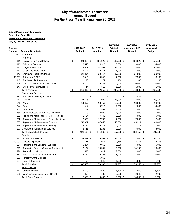| <b>Recreation Fund 122</b> | <b>City of Manchester, Tennessee</b>                |                           |                      |                 |                      |                  |                 |
|----------------------------|-----------------------------------------------------|---------------------------|----------------------|-----------------|----------------------|------------------|-----------------|
|                            | <b>Statement of Proposed Operations</b>             |                           |                      |                 |                      |                  |                 |
|                            | July 1, 2020 To June 30, 2021                       |                           |                      |                 |                      |                  |                 |
|                            |                                                     |                           |                      |                 | 2019-2020            | 2019-2020        | 2020-2021       |
| <b>Account</b>             |                                                     |                           | 2017-2018            | 2018-2019       | Original             | Amendment #2     | Approved        |
| <b>Number</b>              | <b>Account Description</b>                          |                           | <b>Audited</b>       | <b>Audited</b>  | <b>Budget</b>        | <b>Budget</b>    | <b>Budget</b>   |
|                            | 44720 Park Area                                     |                           |                      |                 |                      |                  |                 |
|                            | Personnel                                           |                           |                      |                 |                      |                  |                 |
| 111                        | <b>Regular Employee Salaries</b>                    | \$                        | 94,818 \$            | 101,920 \$      | 136,920 \$           | 136,920 \$       | 150,000         |
| 113                        | Salaries - Overtime                                 |                           | 3,546                | 4,323           | 3,000                | 3,000            | 4,000           |
| 121                        | Wages - Part-Time                                   |                           | 73,677               | 57,959          | 38,000               | 38,000           | 42,000          |
| 141                        | <b>OASI Employers Share</b>                         |                           | 12,717               | 12,157          | 14,000               | 14,000           | 15,000          |
| 142<br>143.001             | Employee Health Insurance<br><b>Retirement-TCRS</b> |                           | 22,394<br>5,315      | 20,417<br>5,545 | 37,500<br>7,500      | 37,500<br>7,500  | 30,000<br>8,100 |
| 145                        | Employee Life Insurance                             |                           | 120                  | 79              | 160                  | 160              | 160             |
| 146                        | Worker's Compensation Insurance                     |                           | 3,800                | 9,845           | 10,000               | 10,000           | 10,000          |
| 147                        | Unemployment Insurance                              |                           | 444                  | 310             | 1,000                | 1,000            | 1,000           |
|                            | <b>Total Personnel</b>                              | $\boldsymbol{\mathsf{S}}$ | 216,832 \$           | 212,555 \$      | 248,080 \$           | 248,080 \$       | 260,260         |
|                            | <b>Contractual Services</b>                         |                           |                      |                 |                      |                  |                 |
| 231                        | <b>Publication and Legal Notices</b>                | \$                        | \$<br>$\blacksquare$ | $\blacksquare$  | \$<br>$\blacksquare$ | \$<br>$1,034$ \$ | $\blacksquare$  |
| 241                        | Electric                                            |                           | 24,405               | 27,930          | 28,000               | 28,000           | 28,000          |
| 242                        | Water                                               |                           | 14,657               | 13,759          | 13,000               | 13,000           | 14,000          |
| 244                        | Gas                                                 |                           | 1,914                | 3,713           | 2,000                | 2,000            | 4,000           |
| 245                        | Telephone                                           |                           | 462                  | 552             | 1,000                | 1,000            | 2,000           |
| 259                        | <b>Other Professional Services - Fireworks</b>      |                           | 10,800               | 10,900          | 11,000               | 11,000           | 11,000          |
| 261                        | Repair and Maintenance - Motor Vehicles             |                           | 1,714                | 7,445           | 5,000                | 5,000            | 5,000           |
| 262                        | Repair and Maintenance - Other Machinery            |                           | 8,852                | 17,756          | 7,000                | 7,000            | 7,000           |
| 265                        | Repair and Maintenance - Grounds                    |                           | 53,381               | 47,457          | 40,000               | 45,211           | 40,000          |
| 266                        | Repair and Maintenance - Buildings                  |                           | 8,334                | 9,475           | 7,000                | 12,211           | 7,000           |
|                            | 270 Contracted Recreational Services                |                           | 3,645                | 2,281           | 3,000                | 3,000            | 3,000           |
|                            | <b>Total Contractual Services</b>                   | $\frac{1}{2}$             | 128,163 \$           | 141,268 \$      | 117,000 \$           | 128,456 \$       | 121,000         |
|                            | <b>Supplies</b>                                     |                           |                      |                 |                      |                  |                 |
|                            | 323 Food - Concessions                              | \$                        | 34,897 \$            | 36,959 \$       | 38,000 \$            | 22,000 \$        | 38,000          |
| 323.001                    | <b>Trustee Expenses</b>                             |                           | 1,541                | 1,951           | 2,755                | 2,755            | 2,755           |
| 324                        | Household and Janitorial Supplies                   |                           | 6,264                | 9,066           | 6,000                | 6,000            | 6,000           |
| 325                        | Recreation Supplies/Program Equipment               |                           | 13,164               | 13,581          | 10,000               | 14,198           | 10,000          |
| 326                        | <b>Recreation Uniforms</b>                          |                           | 1,525                | 1,619           | 2,000                | 2,000            | 2,000           |
| 331                        | Gas, Oil, Diesel Fuel, and Grease                   |                           | 8,730                | 9,802           | 8,000                | 8,000            | 10,000          |
| 333                        | <b>Forestry Grant Expense</b>                       |                           |                      | 6,069           |                      |                  |                 |
|                            | 334 Tires, Tubes, ETC.                              |                           | 453                  | 346             | 1,000                | 1,000            | 1,000           |
|                            | <b>Total Supplies</b>                               | $\frac{3}{2}$             | 66,573 \$            | 79,393 \$       | $67,755$ \$          | $55,953$ \$      | 69,755          |
|                            | <b>Fixed Charges</b>                                |                           |                      |                 |                      |                  |                 |
|                            | 511 General Liability                               | \$                        | 6,500 \$             | 6,500 \$        | 6,500 \$             | 11,660 \$        | 6,500           |
|                            | 533 Machinery and Equipment - Rental                |                           | 850                  | 182             | 2,000                | 2,346            | 2,000           |
|                            | <b>Total Fixed Charges</b>                          | $\frac{3}{2}$             | $7,350$ \$           | $6,682$ \$      | $8,500$ \$           | $14,006$ \$      | 8,500           |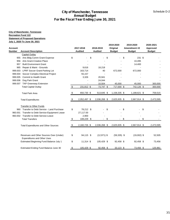| <b>Recreation Fund 122</b><br><b>Statement of Proposed Operations</b><br>July 1, 2020 To June 30, 2021<br>2019-2020<br>2019-2020<br>2017-2018<br><b>Account</b><br>2018-2019<br>Original<br>Amendment #2<br>Number<br><b>Account Description</b><br><b>Audited</b><br><b>Audited</b><br><b>Budget</b><br><b>Budget</b><br><b>Capital Outlay</b><br>955 Arts Bldg Comm Grant Expense<br>\$<br>231 \$<br>\$<br>\$<br>\$<br>956 Arts Grant-Creative Place<br>10,495<br><b>Built Environment Grant</b><br>14,400<br>957<br>Repair & Maint - Grounds<br>965<br>9,616<br>18,218<br>999.003 LPRF Soccer Grant-Parking Lot<br>163,714<br>40<br>672,000<br>672,000<br>999.004 Soccer Complex Electrical Project<br>55,157<br>999.005 Commit to Health Grant<br>3,326<br>20,941<br>999.006 Dog Park Grant<br>24,044<br>999.007 TAP Greenway Extension<br>45,000<br>10,504<br>45,000<br>$\frac{1}{2}$<br>231,812 \$<br>742,126 \$<br><b>Total Capital Outlay</b><br>$73,747$ \$<br>717,000 \$<br>650,730 \$<br>1,158,335 \$<br>1,188,621 \$<br>\$<br>513,645 \$<br><b>Total Park Area</b><br>2,036,268 \$<br>2,625,935 \$<br>2,667,914 \$<br>\$<br>2,052,497 \$<br><b>Total Expenditures</b><br><b>Transfer to Other Funds</b><br>\$<br>78,212 \$<br>Transfer to Debt Service - Land Purchase<br>\$<br>\$<br>\$<br>960<br>27,117.00<br>Transfer to Debt Service-Equipment Lease<br>960.001<br>960.002 Transfer to Debt Service-Leave<br>2,900<br>108,229 \$<br>\$<br>\$<br>\$<br><b>Total Transfers</b><br>\$<br>2,625,935 \$<br>\$<br>2,160,726 \$<br>2,036,268 \$<br>2,667,914 \$<br><b>Total Expenditures and Other Sources</b><br>Revenues and Other Sources Over (Under)<br>\$<br>94,115 \$<br>$(12,971)$ \$<br>$(59,335)$ \$<br>$(19,002)$ \$<br><b>Expenditures and Other Uses</b><br>\$<br>11,314 \$<br>105,429 \$<br><b>Estimated Beginning Fund Balance July 1</b><br>92,458 \$<br>92,458 \$<br>73,456 \$<br>Estimated Ending Fund Balance June 30<br>105,429 \$<br>$92,458$ \$<br>$33,123$ \$<br><u>\$</u> |               |  |  | <b>City of Manchester, Tennessee</b> |  |
|------------------------------------------------------------------------------------------------------------------------------------------------------------------------------------------------------------------------------------------------------------------------------------------------------------------------------------------------------------------------------------------------------------------------------------------------------------------------------------------------------------------------------------------------------------------------------------------------------------------------------------------------------------------------------------------------------------------------------------------------------------------------------------------------------------------------------------------------------------------------------------------------------------------------------------------------------------------------------------------------------------------------------------------------------------------------------------------------------------------------------------------------------------------------------------------------------------------------------------------------------------------------------------------------------------------------------------------------------------------------------------------------------------------------------------------------------------------------------------------------------------------------------------------------------------------------------------------------------------------------------------------------------------------------------------------------------------------------------------------------------------------------------------------------------------------------------------------------------------------------------------------------------------------------------------------------------------------------------------------------------------|---------------|--|--|--------------------------------------|--|
|                                                                                                                                                                                                                                                                                                                                                                                                                                                                                                                                                                                                                                                                                                                                                                                                                                                                                                                                                                                                                                                                                                                                                                                                                                                                                                                                                                                                                                                                                                                                                                                                                                                                                                                                                                                                                                                                                                                                                                                                            |               |  |  |                                      |  |
|                                                                                                                                                                                                                                                                                                                                                                                                                                                                                                                                                                                                                                                                                                                                                                                                                                                                                                                                                                                                                                                                                                                                                                                                                                                                                                                                                                                                                                                                                                                                                                                                                                                                                                                                                                                                                                                                                                                                                                                                            |               |  |  |                                      |  |
|                                                                                                                                                                                                                                                                                                                                                                                                                                                                                                                                                                                                                                                                                                                                                                                                                                                                                                                                                                                                                                                                                                                                                                                                                                                                                                                                                                                                                                                                                                                                                                                                                                                                                                                                                                                                                                                                                                                                                                                                            | 2020-2021     |  |  |                                      |  |
|                                                                                                                                                                                                                                                                                                                                                                                                                                                                                                                                                                                                                                                                                                                                                                                                                                                                                                                                                                                                                                                                                                                                                                                                                                                                                                                                                                                                                                                                                                                                                                                                                                                                                                                                                                                                                                                                                                                                                                                                            | Approved      |  |  |                                      |  |
|                                                                                                                                                                                                                                                                                                                                                                                                                                                                                                                                                                                                                                                                                                                                                                                                                                                                                                                                                                                                                                                                                                                                                                                                                                                                                                                                                                                                                                                                                                                                                                                                                                                                                                                                                                                                                                                                                                                                                                                                            | <b>Budget</b> |  |  |                                      |  |
|                                                                                                                                                                                                                                                                                                                                                                                                                                                                                                                                                                                                                                                                                                                                                                                                                                                                                                                                                                                                                                                                                                                                                                                                                                                                                                                                                                                                                                                                                                                                                                                                                                                                                                                                                                                                                                                                                                                                                                                                            |               |  |  |                                      |  |
|                                                                                                                                                                                                                                                                                                                                                                                                                                                                                                                                                                                                                                                                                                                                                                                                                                                                                                                                                                                                                                                                                                                                                                                                                                                                                                                                                                                                                                                                                                                                                                                                                                                                                                                                                                                                                                                                                                                                                                                                            |               |  |  |                                      |  |
|                                                                                                                                                                                                                                                                                                                                                                                                                                                                                                                                                                                                                                                                                                                                                                                                                                                                                                                                                                                                                                                                                                                                                                                                                                                                                                                                                                                                                                                                                                                                                                                                                                                                                                                                                                                                                                                                                                                                                                                                            |               |  |  |                                      |  |
|                                                                                                                                                                                                                                                                                                                                                                                                                                                                                                                                                                                                                                                                                                                                                                                                                                                                                                                                                                                                                                                                                                                                                                                                                                                                                                                                                                                                                                                                                                                                                                                                                                                                                                                                                                                                                                                                                                                                                                                                            |               |  |  |                                      |  |
|                                                                                                                                                                                                                                                                                                                                                                                                                                                                                                                                                                                                                                                                                                                                                                                                                                                                                                                                                                                                                                                                                                                                                                                                                                                                                                                                                                                                                                                                                                                                                                                                                                                                                                                                                                                                                                                                                                                                                                                                            |               |  |  |                                      |  |
|                                                                                                                                                                                                                                                                                                                                                                                                                                                                                                                                                                                                                                                                                                                                                                                                                                                                                                                                                                                                                                                                                                                                                                                                                                                                                                                                                                                                                                                                                                                                                                                                                                                                                                                                                                                                                                                                                                                                                                                                            |               |  |  |                                      |  |
|                                                                                                                                                                                                                                                                                                                                                                                                                                                                                                                                                                                                                                                                                                                                                                                                                                                                                                                                                                                                                                                                                                                                                                                                                                                                                                                                                                                                                                                                                                                                                                                                                                                                                                                                                                                                                                                                                                                                                                                                            |               |  |  |                                      |  |
|                                                                                                                                                                                                                                                                                                                                                                                                                                                                                                                                                                                                                                                                                                                                                                                                                                                                                                                                                                                                                                                                                                                                                                                                                                                                                                                                                                                                                                                                                                                                                                                                                                                                                                                                                                                                                                                                                                                                                                                                            |               |  |  |                                      |  |
|                                                                                                                                                                                                                                                                                                                                                                                                                                                                                                                                                                                                                                                                                                                                                                                                                                                                                                                                                                                                                                                                                                                                                                                                                                                                                                                                                                                                                                                                                                                                                                                                                                                                                                                                                                                                                                                                                                                                                                                                            | 300,000       |  |  |                                      |  |
|                                                                                                                                                                                                                                                                                                                                                                                                                                                                                                                                                                                                                                                                                                                                                                                                                                                                                                                                                                                                                                                                                                                                                                                                                                                                                                                                                                                                                                                                                                                                                                                                                                                                                                                                                                                                                                                                                                                                                                                                            | 300,000       |  |  |                                      |  |
|                                                                                                                                                                                                                                                                                                                                                                                                                                                                                                                                                                                                                                                                                                                                                                                                                                                                                                                                                                                                                                                                                                                                                                                                                                                                                                                                                                                                                                                                                                                                                                                                                                                                                                                                                                                                                                                                                                                                                                                                            | 759,515       |  |  |                                      |  |
|                                                                                                                                                                                                                                                                                                                                                                                                                                                                                                                                                                                                                                                                                                                                                                                                                                                                                                                                                                                                                                                                                                                                                                                                                                                                                                                                                                                                                                                                                                                                                                                                                                                                                                                                                                                                                                                                                                                                                                                                            | 2,473,595     |  |  |                                      |  |
|                                                                                                                                                                                                                                                                                                                                                                                                                                                                                                                                                                                                                                                                                                                                                                                                                                                                                                                                                                                                                                                                                                                                                                                                                                                                                                                                                                                                                                                                                                                                                                                                                                                                                                                                                                                                                                                                                                                                                                                                            |               |  |  |                                      |  |
|                                                                                                                                                                                                                                                                                                                                                                                                                                                                                                                                                                                                                                                                                                                                                                                                                                                                                                                                                                                                                                                                                                                                                                                                                                                                                                                                                                                                                                                                                                                                                                                                                                                                                                                                                                                                                                                                                                                                                                                                            |               |  |  |                                      |  |
|                                                                                                                                                                                                                                                                                                                                                                                                                                                                                                                                                                                                                                                                                                                                                                                                                                                                                                                                                                                                                                                                                                                                                                                                                                                                                                                                                                                                                                                                                                                                                                                                                                                                                                                                                                                                                                                                                                                                                                                                            |               |  |  |                                      |  |
|                                                                                                                                                                                                                                                                                                                                                                                                                                                                                                                                                                                                                                                                                                                                                                                                                                                                                                                                                                                                                                                                                                                                                                                                                                                                                                                                                                                                                                                                                                                                                                                                                                                                                                                                                                                                                                                                                                                                                                                                            |               |  |  |                                      |  |
|                                                                                                                                                                                                                                                                                                                                                                                                                                                                                                                                                                                                                                                                                                                                                                                                                                                                                                                                                                                                                                                                                                                                                                                                                                                                                                                                                                                                                                                                                                                                                                                                                                                                                                                                                                                                                                                                                                                                                                                                            |               |  |  |                                      |  |
|                                                                                                                                                                                                                                                                                                                                                                                                                                                                                                                                                                                                                                                                                                                                                                                                                                                                                                                                                                                                                                                                                                                                                                                                                                                                                                                                                                                                                                                                                                                                                                                                                                                                                                                                                                                                                                                                                                                                                                                                            |               |  |  |                                      |  |
|                                                                                                                                                                                                                                                                                                                                                                                                                                                                                                                                                                                                                                                                                                                                                                                                                                                                                                                                                                                                                                                                                                                                                                                                                                                                                                                                                                                                                                                                                                                                                                                                                                                                                                                                                                                                                                                                                                                                                                                                            | 2,473,595     |  |  |                                      |  |
|                                                                                                                                                                                                                                                                                                                                                                                                                                                                                                                                                                                                                                                                                                                                                                                                                                                                                                                                                                                                                                                                                                                                                                                                                                                                                                                                                                                                                                                                                                                                                                                                                                                                                                                                                                                                                                                                                                                                                                                                            | 52,505        |  |  |                                      |  |
|                                                                                                                                                                                                                                                                                                                                                                                                                                                                                                                                                                                                                                                                                                                                                                                                                                                                                                                                                                                                                                                                                                                                                                                                                                                                                                                                                                                                                                                                                                                                                                                                                                                                                                                                                                                                                                                                                                                                                                                                            | 73,456        |  |  |                                      |  |
|                                                                                                                                                                                                                                                                                                                                                                                                                                                                                                                                                                                                                                                                                                                                                                                                                                                                                                                                                                                                                                                                                                                                                                                                                                                                                                                                                                                                                                                                                                                                                                                                                                                                                                                                                                                                                                                                                                                                                                                                            |               |  |  |                                      |  |
|                                                                                                                                                                                                                                                                                                                                                                                                                                                                                                                                                                                                                                                                                                                                                                                                                                                                                                                                                                                                                                                                                                                                                                                                                                                                                                                                                                                                                                                                                                                                                                                                                                                                                                                                                                                                                                                                                                                                                                                                            | 125,961       |  |  |                                      |  |
|                                                                                                                                                                                                                                                                                                                                                                                                                                                                                                                                                                                                                                                                                                                                                                                                                                                                                                                                                                                                                                                                                                                                                                                                                                                                                                                                                                                                                                                                                                                                                                                                                                                                                                                                                                                                                                                                                                                                                                                                            |               |  |  |                                      |  |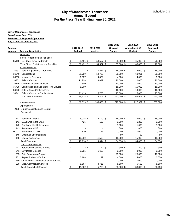### **City of Manchester, Tennessee Annual Budget For the Fiscal Year Ending June 30, 2021**

| Account |                                                   |               | 2017-2018      |    | 2018-2019      | 2019-2020<br>Original | 2019-2020<br>Amendment #2 |  |               | 2020-2021<br>Approved |               |
|---------|---------------------------------------------------|---------------|----------------|----|----------------|-----------------------|---------------------------|--|---------------|-----------------------|---------------|
| Number  | <b>Account Description</b>                        |               | <b>Audited</b> |    | <b>Audited</b> |                       | <b>Budget</b>             |  | <b>Budget</b> |                       | <b>Budget</b> |
|         | Revenues                                          |               |                |    |                |                       |                           |  |               |                       |               |
|         | Fines, Forfeitures and Penalties                  |               |                |    |                |                       |                           |  |               |                       |               |
|         | 35110 City Court Fines and Costs                  | <u>\$</u>     | 59,491 \$      |    | 54,557 \$      |                       | 65,000 \$                 |  | 65,000 \$     |                       | 70,000        |
|         | <b>Total Fines, Forfeitures and Penalties</b>     | \$            | 59,491 \$      |    | 54,557 \$      |                       | 65,000 \$                 |  | 65,000 \$     |                       | 70,000        |
|         | <b>Other Revenues</b>                             |               |                |    |                |                       |                           |  |               |                       |               |
|         | 36332 Sale of Equipment - Drug Fund               | \$            |                | \$ | 10,864 \$      |                       | 18,000 \$                 |  | 18,000 \$     |                       | 18,000        |
| 36340   | Confiscations                                     |               | 81,799         |    | 54,783         |                       | 50,000                    |  | 60,901        |                       | 60,000        |
| 36350   | <b>Insurance Recovery</b>                         |               | 6,087          |    | 4,072          |                       | 4,000                     |  | 4,000         |                       | 5,000         |
| 36362   | Sale of Vehicles                                  |               | 11,728         |    | 3,832          |                       | 20,000                    |  | 20,000        |                       | 20,000        |
| 36715   | <b>Contribution and Donations</b>                 |               | 500            |    |                |                       | 10,000                    |  | 10,000        |                       | 10,000        |
| 36735   | <b>Contribution and Donations - Individuals</b>   |               | 5,000          |    |                |                       | 15,000                    |  | 15,000        |                       | 15,000        |
| 36940   | Sale of Seized Vehicle Fees                       |               |                |    |                |                       | 10,000                    |  | 10,000        |                       | 10,000        |
| 36941   | Sale of Vehicles - Confiscations                  |               | 21,413         |    | 5,758          |                       | 25,000                    |  | 25,000        |                       | 25,000        |
|         | <b>Total Other Revenues</b>                       | $\frac{1}{2}$ | 126,528 \$     |    | 79,309 \$      |                       | 152,000 \$                |  | 162,901 \$    |                       | 163,000       |
|         | <b>Total Revenues</b>                             | \$            | 186,019 \$     |    | 133,866 \$     |                       | 217,000 \$                |  | 227,901 \$    |                       | 233,000       |
|         | <b>Expenditures</b>                               |               |                |    |                |                       |                           |  |               |                       |               |
|         | 42129 Drug Investigation and Control<br>Personnel |               |                |    |                |                       |                           |  |               |                       |               |
| 113     | Salaries-Overtime                                 | \$            | 5,935 \$       |    | 2,799 \$       |                       | 15,000 \$                 |  | 15,000 \$     |                       | 15,000        |
| 141     | <b>OASI</b> Employers Share                       |               | 425            |    | 199            |                       | 1,200                     |  | 1,200         |                       | 1,200         |
| 142     | Employee Health Insurance                         |               |                |    |                |                       | 1,000                     |  | 1,000         |                       | 1,000         |
| 143     | <b>Retirement - ING</b>                           |               | $\blacksquare$ |    |                |                       | 800                       |  | 800           |                       | 800           |
| 143.001 | <b>Retirement - TCRS</b>                          |               | 310            |    | 146            |                       | 1,000                     |  | 1,000         |                       | 1,000         |
| 145     | Employee Life Insurance                           |               |                |    |                |                       | 50                        |  | 50            |                       | 50            |
|         | 148 Education/Training                            |               | 12,239         |    | 11,500         |                       | 15,000                    |  | 15,000        |                       | 15,000        |
|         | <b>Total Personnel</b>                            | $\frac{1}{2}$ | 18,910 \$      |    | $14,644$ \$    |                       | 34,050 \$                 |  | 34,050 \$     |                       | 34,050        |
|         | <b>Contractual Services</b>                       |               |                |    |                |                       |                           |  |               |                       |               |
|         | 213 Automobile Licenses & Titles                  | \$            | 213 \$         |    | 112 \$         |                       | 300 \$                    |  | 300 \$        |                       | 300           |
| 241     | Gov.Deals Expense                                 |               | 2,795          |    | 1,669          |                       | 3,000                     |  | 3,000         |                       | 3,000         |
| 255     | Data Processing Support                           |               |                |    |                |                       | 25,000                    |  | 25,000        |                       | 17,000        |
| 261     | Repair & Maint - Vehicle                          |               | 3,188          |    | 292            |                       | 4,000                     |  | 4,000         |                       | 3,650         |
| 269     | Other Repair and Maintenance Services             |               |                |    | $\overline{a}$ |                       | 1,000                     |  | 1,000         |                       | 1,000         |
| 299     | Misc. Contractual Services                        |               | 5,667          |    | 3,715          |                       | 5,500                     |  | 5,500         |                       | 5,500         |
|         | <b>Total Contractual Services</b>                 | \$            | 11,862 \$      |    | 5,788 \$       |                       | 38,800 \$                 |  | 38,800 \$     |                       | 30,450        |
|         |                                                   |               |                |    |                |                       |                           |  |               |                       |               |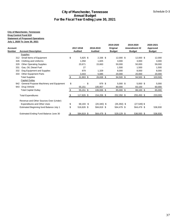### **City of Manchester, Tennessee Drug Control Fund 619 Statement of Proposed Operations July 1, 2020 To June 30, 2021**

|                |                                         |           |                          |                | 2019-2020     | 2019-2020      | 2020-2021     |
|----------------|-----------------------------------------|-----------|--------------------------|----------------|---------------|----------------|---------------|
| <b>Account</b> |                                         |           | 2017-2018                | 2018-2019      | Original      | Amendment #2   | Approved      |
| <b>Number</b>  | <b>Account Description</b>              |           | <b>Audited</b>           | <b>Audited</b> | <b>Budget</b> | <b>Budget</b>  | <b>Budget</b> |
|                | <b>Supplies</b>                         |           |                          |                |               |                |               |
| 312            | Small Items of Equipment                | \$        | $5,825$ \$               | $2,336$ \$     | 12,000 \$     | 12,000 \$      | 12,000        |
| 326            | Clothing and Uniforms                   |           | 1,058                    | 1,825          | 3,000         | 3,000          | 3,000         |
| 329            | <b>Other Operating Supplies</b>         |           | 20,671                   | 15,663         | 50,000        | 50,000         | 59,000        |
| 331            | Gas, Oil, Diesel Fuel                   |           | 27                       |                | 1,500         | 1,500          | 1,500         |
| 332            | Dog Equipment and Supplies              |           | 879                      | 1,329          | 8,000         | 8,000          | 8,000         |
| 333            | <b>Other Equipment Parts</b>            |           | 3,443                    | 5,685          | 20,000        | 20,000         | 20,000        |
|                | <b>Total Supplies</b>                   | \$        | 31,903 \$                | $26,838$ \$    | 94,500 \$     | 94,500 \$      | 103,500       |
|                | <b>Capital Outlay</b>                   |           |                          |                |               |                |               |
| 942            | General Purpose Machinery and Equipment | \$        | $\overline{\phantom{0}}$ | \$<br>979 \$   | $5,000$ \$    | $5,000$ \$     | 5,000         |
| 943            | Drug Vehicle                            |           | 55,151                   | 105,957        | 80,000        | 83,100         | 60,000        |
|                | <b>Total Capital Outlay</b>             | \$        | $55,151$ \$              | 106,936 \$     | 85,000 \$     | 88,100 \$      | 65,000        |
|                | <b>Total Expenditures</b>               | \$        | 117,826 \$               | 154,206 \$     | 252,350 \$    | 255,450 \$     | 233,000       |
|                | Revenue and Other Sources Over (Under)  |           |                          |                |               |                |               |
|                | <b>Expenditures and Other Uses</b>      | \$        | 68,193 \$                | $(20, 340)$ \$ | $(35,350)$ \$ | $(27, 549)$ \$ |               |
|                | Estimated Beginning fund Balance July 1 | \$        | 516,626 \$               | 584,819 \$     | 564,479 \$    | 564,479 \$     | 536,930       |
|                | Estimated Ending Fund Balance June 30   | <u>\$</u> | 584,819 \$               | 564,479 \$     | 529,129 \$    | 536,930 \$     | 536,930       |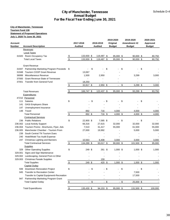## **City of Manchester, Tennessee Tourism Fund 130**

#### **Statement of Proposed Operations**

**July 1, 2020 To June 30, 2021**

|         |                                           |                     |                |        |                |        | 2019-2020     |        | 2019-2020     | 2020-2021     |  |
|---------|-------------------------------------------|---------------------|----------------|--------|----------------|--------|---------------|--------|---------------|---------------|--|
| Account |                                           |                     | 2017-2018      |        | 2018-2019      |        | Original      |        | Amendment #2  | Approved      |  |
| Number  | <b>Account Description</b>                |                     | <b>Audited</b> |        | <b>Audited</b> |        | <b>Budget</b> |        | <b>Budget</b> | <b>Budget</b> |  |
|         | Revenues                                  |                     |                |        |                |        |               |        |               |               |  |
|         | <b>Local Taxes</b>                        |                     |                |        |                |        |               |        |               |               |  |
|         | 31920 Room Occupancy Tax                  | \$                  | 133,930 \$     |        | 119,487 \$     |        | 95,000 \$     |        | $90,000$ \$   | 80,750        |  |
|         | <b>Total Local Taxes</b>                  | \$                  | 133,930 \$     |        | 119,487 \$     |        | 95,000 \$     |        | 90,000 \$     | 80,750        |  |
|         | <b>Grant Revenue</b>                      |                     |                |        |                |        |               |        |               |               |  |
| 31947   | Partnership Marketing Program Proceeds \$ |                     |                | \$     |                | \$     |               | \$     |               | \$            |  |
| 31948   | <b>Tourism COOP Grant Revenue</b>         |                     | 13,067         |        |                |        |               |        |               |               |  |
| 36999   | Miscellaneous Revenue                     |                     | 1,500          |        | 2,950          |        |               |        | 3,299         | 3,000         |  |
| 37000   | <b>Grant Revenue-State of Tennessee</b>   |                     |                |        |                |        |               |        |               |               |  |
| 37001   | <b>Transfer from General Fund</b>         |                     | 18,250         |        |                |        |               |        |               |               |  |
|         |                                           | $\pmb{\mathsf{\$}}$ | 32,817 \$      |        | 2,950 \$       |        | $\sim$        | \$     | 3,299 \$      | 3,000         |  |
|         | <b>Total Revenues</b>                     | \$                  | 166,747 \$     |        | 122,437 \$     |        | 95,000 \$     |        | 93,299 \$     | 83,750        |  |
|         | Expenditures                              |                     |                |        |                |        |               |        |               |               |  |
|         | 47210 Personnel                           |                     |                |        |                |        |               |        |               |               |  |
| 111     | <b>Salaries</b>                           | \$                  |                | \$     |                | - \$   |               | \$     |               | \$            |  |
| 141     | <b>OASI</b> Employers Share               |                     |                |        |                |        |               |        |               |               |  |
| 147     | Unemployment Insurance                    |                     |                |        |                |        |               |        |               |               |  |
|         | 148 Travel                                |                     | 892            |        | 716            |        | 4,000         |        | 4,000         | 4,000         |  |
|         | <b>Total Personnel</b>                    | \$                  | 892 \$         |        | 716 \$         |        | 4,000 \$      |        | 4,000 \$      | 4,000         |  |
|         | <b>Contractual Services</b>               |                     |                |        |                |        |               |        |               |               |  |
|         | 236 Public Relations                      | \$                  | 22,900 \$      |        | 7,585 \$       |        |               | \$     |               | \$            |  |
|         | 236.002 Local Activity Support            |                     | 66,316         |        | 27,615         |        | 32,000        |        | 32,000        | 32,000        |  |
| 236.004 | Tourism Promo - Brochures, Flyer, Ads     |                     | 7,510          |        | 31,417         |        | 55,000        |        | 61,500        | 55,000        |  |
| 236.005 | Manchester Chamber - Tourism Prom         |                     | 27,000         |        | 19,992         |        |               |        | 5,000         | 5,000         |  |
|         | 239 South Central TN Tourism Dues         |                     |                |        |                |        |               |        |               |               |  |
|         | 240 Hotel/Motel Tax Audit Expense         |                     |                |        |                |        |               |        |               |               |  |
|         | 247 Christmas Lighting and Banners        |                     | 10,563         |        | 6,408          |        | 3,000         |        | 3,000         | 3,000         |  |
|         | <b>Total Contractual Services</b>         | \$                  | 134,289 \$     |        | 93,017 \$      |        | 90,000 \$     |        | 101,500 \$    | 95,000        |  |
|         | <b>Supplies</b>                           |                     |                |        |                |        |               |        |               |               |  |
|         | 329 Other Operating Supplies              | \$                  | 249 \$         |        | 261 \$         |        | $1,000$ \$    |        | $1,000$ \$    | 1,000         |  |
| 329.001 | Signs and Sign Maintenance                |                     |                |        |                |        |               |        |               |               |  |
| 329.002 | Landscaping, General Prom & Other         |                     |                |        |                |        |               |        |               |               |  |
| 329.003 | <b>Christmas Parade Supplies</b>          |                     |                |        | 159            |        |               |        |               |               |  |
|         | <b>Total Supplies</b>                     | \$                  | 249 \$         |        | 420 \$         |        | $1,000$ \$    |        | $1,000$ \$    | 1,000         |  |
|         | <b>Capital Outlay</b>                     |                     |                |        |                |        |               |        |               |               |  |
| 939     | Downtown Renovation Project               | \$                  |                | S      |                | - \$   |               | \$     |               | \$            |  |
|         | 945 Transfer to Recreation Center         |                     |                |        |                |        |               |        | 7,500         |               |  |
|         | Transfer to Capital Equipmenti-Recreation |                     |                |        |                |        |               |        | 17,500        |               |  |
|         | 947 Partnership Marketing Program Grant   |                     |                |        |                |        |               |        |               |               |  |
|         | <b>Total Capital Outlay</b>               | $\frac{1}{2}$       |                | $-$ \$ |                | $-$ \$ |               | $-$ \$ | 25,000 \$     |               |  |
|         | <b>Total Expenditures</b>                 |                     | 135,430 \$     |        |                |        | 95,000 \$     |        |               | 100,000       |  |
|         |                                           | $$\mathbb{S}$$      |                |        | 94,153 \$      |        |               |        | 131,500 \$    |               |  |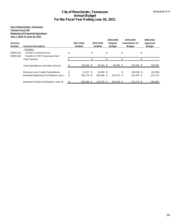#### **City of Manchester, Tennessee Tourism Fund 130 Statement of Proposed Operations July 1, 2020 To June 30, 2021**

| Account<br><b>Number</b> | <b>Account Description</b>                  |    | 2017-2018<br><b>Audited</b> | 2018-2019<br><b>Audited</b> |      | 2019-2020<br>Original<br><b>Budget</b> |      | 2019-2020<br>Amendment #2<br><b>Budget</b> |    | 2020-2021<br>Approved<br><b>Budget</b> |
|--------------------------|---------------------------------------------|----|-----------------------------|-----------------------------|------|----------------------------------------|------|--------------------------------------------|----|----------------------------------------|
|                          | Transfers                                   |    |                             |                             |      |                                        |      |                                            |    |                                        |
| 50000.002                | Transfer to General Fund                    | \$ | $\mathcal{L}^{\text{max}}$  | \$                          | - \$ | $-$ \$                                 |      | - \$                                       |    |                                        |
| 50000.004                | Transfer to TDOT Greenway Grant             |    |                             |                             |      |                                        |      |                                            |    |                                        |
|                          | <b>Total Transfers</b>                      |    | $\sim$                      | \$                          | - \$ | $\overline{\phantom{a}}$               | \$   |                                            | £. |                                        |
|                          | <b>Total Expenditures and Other Sources</b> |    | 135.430 \$                  | 94,153 \$                   |      | 95,000 \$                              |      | 131.500 \$                                 |    | 100,000                                |
|                          | Revenues over (Under) Expenditures          | \$ | $31.317$ \$                 | 28.284 \$                   |      |                                        | - \$ | $(38,201)$ \$                              |    | (16, 250)                              |
|                          | Estimated Beginning Fund Balance July 1     | \$ | 250.778 \$                  | 282.095 \$                  |      | 310.379 \$                             |      | 310.379 \$                                 |    | 272,178                                |
|                          | Estimated Ending Fund Balance June 30       |    | 282,095 \$                  | 310,379 \$                  |      | 310,379 \$                             |      | 272,178 \$                                 |    | 255,928                                |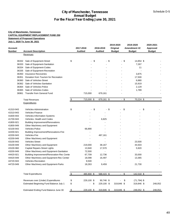### **City of Manchester, Tennessee CAPITAL EQUIPMENT REPLACEMENT FUND 250 Statement of Proposed Operations July 1, 2020 To June 30, 2021**

|                               | <b>City of Manchester, Tennessee</b><br><b>CAPITAL EQUIPMENT REPLACEMENT FUND 250</b> |                      |                      |        |               |        |                |                                              |
|-------------------------------|---------------------------------------------------------------------------------------|----------------------|----------------------|--------|---------------|--------|----------------|----------------------------------------------|
|                               | <b>Statement of Proposed Operations</b>                                               |                      |                      |        |               |        |                |                                              |
| July 1, 2020 To June 30, 2021 |                                                                                       |                      |                      |        |               |        |                |                                              |
|                               |                                                                                       |                      |                      |        | 2019-2020     |        | 2019-2020      | 2020-2021<br>Approved<br><b>Budget</b><br>\$ |
| <b>Account</b>                |                                                                                       | 2017-2018            | 2018-2019            |        | Original      |        | Amendment #2   |                                              |
| <b>Number</b>                 | <b>Account Description</b>                                                            | <b>Audited</b>       | <b>Audited</b>       |        | <b>Budget</b> |        | <b>Budget</b>  |                                              |
|                               | Revenues                                                                              |                      |                      |        |               |        |                |                                              |
|                               | 36332 Sale of Equipment-Street                                                        | \$                   | \$                   | $-$ \$ |               | - \$   | 14,854 \$      |                                              |
| 36333                         | Sale of Equipment-Sanitation                                                          |                      |                      |        |               |        | 7,267          |                                              |
| 36334                         | Sale of Equipment-Codes                                                               |                      |                      |        |               |        | 11             |                                              |
| 36335                         | Sale of Equipment-Recreation                                                          |                      |                      |        |               |        |                |                                              |
| 36350                         | <b>Insurance Recoveries</b>                                                           |                      |                      |        |               |        | 3,875          |                                              |
| 36351                         | Donation from Tourism for Recreation                                                  |                      |                      |        |               |        | 17,500         |                                              |
| 36360                         | Sale of Vehicles-Street                                                               |                      |                      |        |               |        | 6,880          |                                              |
| 36362                         | Sale of Vehicles-Sanitation                                                           |                      |                      |        |               |        | 15,919         |                                              |
| 36364                         | Sale of Vehicles-Police                                                               |                      |                      |        |               |        | 2,129          |                                              |
| 36365                         | Sale of Vehicles-Codes                                                                |                      |                      |        |               |        | 1,789          |                                              |
| 36961                         | <b>Transfer from General Fund</b>                                                     | 715,000              | 679,161              |        |               |        |                |                                              |
|                               | <b>Total Revenues</b>                                                                 | \$<br>715,000 \$     | 679,161 \$           |        |               | $-$ \$ | 70,224 \$      |                                              |
|                               | Expenditures                                                                          |                      |                      |        |               |        |                |                                              |
|                               |                                                                                       |                      |                      |        |               |        |                |                                              |
| 41310-943                     | Vehicles-Administration                                                               | \$<br>$\blacksquare$ | \$<br>$\blacksquare$ | \$     |               | \$     |                |                                              |
| 41510-943                     | Vehicles-Finance                                                                      |                      |                      |        |               |        |                |                                              |
| 41600-943                     | Vehicles-Information Systems                                                          |                      |                      |        |               |        |                |                                              |
| 41700-943                     | Vehicles- Health and Codes                                                            |                      | 6,825                |        |               |        |                |                                              |
| 41800-921                     | <b>Building Improvement/Renovations</b>                                               |                      |                      |        |               |        |                |                                              |
| 41800-949                     | Other Machinery and Equipment                                                         |                      |                      |        |               |        |                |                                              |
| 42100-943                     | Vehicles-Police                                                                       | 66,890               |                      |        |               |        |                |                                              |
| 42200-921                     | Building Improvement/Renovations-Fire                                                 |                      |                      |        |               |        |                |                                              |
| 42200-943                     | Vehicles-Fire                                                                         |                      | 487,161              |        |               |        |                |                                              |
| 42200-949                     | Other Machinery and Equipment                                                         |                      |                      |        |               |        | $\blacksquare$ |                                              |
| 43100-943                     | Vehicles-Street                                                                       |                      |                      |        |               |        | 23,500         |                                              |
| 43100-949                     | Other Machinery and Equipment                                                         | 219,000              | 38,167               |        |               |        | 44,503         |                                              |
| 43100-960                     | <b>Capital Repairs-Street Lights</b>                                                  | 13,940               | 17,570               |        |               |        | 5,920          |                                              |
| 43200-949                     | Other Machinery and Equipment-Sanitation                                              | 72,500               |                      |        |               |        |                |                                              |
| 44420-921                     | Building Improvement/Renovation-Rec Cente                                             | 67,709               | 12,736               |        |               |        | 33,000         |                                              |
| 44420-949                     | Other Machinery and Equipment-Rec Center                                              | 18,098               | 16,497               |        |               |        | 13,365         |                                              |
| 44720-943                     | Vehicles-Recreation                                                                   | 9,500                |                      |        |               |        |                |                                              |
| 44720-949                     | Other Machinery and Equipment-Parks                                                   | 18,263               | 9,459                |        |               |        | 21,730         |                                              |
|                               |                                                                                       |                      |                      |        |               |        |                |                                              |
|                               | <b>Total Expenditures</b>                                                             | \$<br>485,900 \$     | 588,415 \$           |        |               | \$     | 142,018 \$     |                                              |
|                               | Revenues over (Under) Expenditures                                                    | \$<br>229,100 \$     | 90,746 \$            |        |               | \$     | $(71, 794)$ \$ |                                              |
|                               | Estimated Beginning Fund Balance July 1                                               | \$                   | \$<br>229,100 \$     |        | 319,846 \$    |        | 319,846 \$     | 248,052                                      |
|                               |                                                                                       |                      |                      |        |               |        |                |                                              |
|                               | Estimated Ending Fund Balance June 30                                                 | \$<br>229,100 \$     | 319,846 \$           |        | 319,846 \$    |        | 248,052 \$     | 248,052                                      |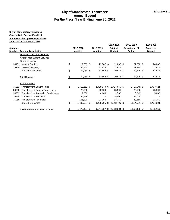## **City of Manchester, Tennessee General Debt Service Fund 211 Statement of Proposed Operations July 1, 2020 To June 30, 2021**

|                |                                                                                                                         |                | <b>Annual Budget</b> | <b>City of Manchester, Tennessee</b>     |                       |                           | Schedule E-1          |
|----------------|-------------------------------------------------------------------------------------------------------------------------|----------------|----------------------|------------------------------------------|-----------------------|---------------------------|-----------------------|
|                |                                                                                                                         |                |                      | For the Fiscal Year Ending June 30, 2021 |                       |                           |                       |
|                | <b>City of Manchester, Tennessee</b><br><b>General Debt Service Fund 211</b><br><b>Statement of Proposed Operations</b> |                |                      |                                          |                       |                           |                       |
| <b>Account</b> | July 1, 2020 To June 30, 2021                                                                                           |                | 2017-2018            | 2018-2019                                | 2019-2020<br>Original | 2019-2020<br>Amendment #2 | 2020-2021<br>Approved |
|                | <b>Number</b> Account Description                                                                                       |                | <b>Audited</b>       | <b>Audited</b>                           | <b>Budget</b>         | <b>Budget</b>             | <b>Budget</b>         |
|                | Revenues and Other Sources<br><b>Charges for Current Services</b><br><b>Other Revenues</b>                              |                |                      |                                          |                       |                           |                       |
|                | 36101 Interest Earnings<br>36220 Lease of Property                                                                      | \$             | 19,209 \$<br>55,750  | 29,987 \$<br>27,875                      | 12,000 \$<br>27,875   | 27,000 \$<br>27,875       | 20,000<br>27,875      |
|                | <b>Total Other Revenues</b>                                                                                             | $$\mathbb{S}$$ | 74,959 \$            | 57,862 \$                                | 39,875 \$             | 54,875 \$                 | 47,875                |
|                | <b>Total Revenues</b>                                                                                                   | \$             | 74,959 \$            | 57,862 \$                                | 39,875 \$             | 54,875 \$                 | 47,875                |
|                | <b>Other Sources</b>                                                                                                    |                |                      |                                          |                       |                           |                       |
|                | 36961 Transfer from General Fund                                                                                        | \$             | 1,412,152 \$         | 1,425,549 \$                             | 1,417,049 \$          | 1,417,049 \$              | 1,433,424             |
| 36962          | Transfer from General Fund-Leave                                                                                        |                | 25,500               | 25,500                                   | 25,500                | 25,500                    | 25,500                |
| 36963          | Transfer from Recreation Fund-Leave                                                                                     |                | 2,900                | 4,986                                    | 2,500                 | 3,642                     | 5,000                 |
| 36965          | <b>Transfer from Sanitation</b>                                                                                         |                | 56,626               | $\blacksquare$                           | 35,000                | 35,000                    |                       |
|                | 36968 Transfer from Recreation                                                                                          |                | 105,329              | 33,360                                   | 33,360                | 33,360                    | 33,360                |
|                | <b>Total Other Sources</b>                                                                                              | $\frac{1}{2}$  | 1,602,507 \$         | 1,489,395 \$                             | 1,513,409 \$          | $1,514,551$ \$            | 1,497,284             |
|                | <b>Total Revenue and Other Sources</b>                                                                                  | \$             | 1,677,467 \$         | 1,547,257 \$                             | 1,553,284 \$          | 1,569,426 \$              | 1,545,159             |
|                |                                                                                                                         |                |                      |                                          |                       |                           |                       |
|                |                                                                                                                         |                |                      |                                          |                       |                           | 41                    |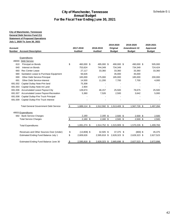#### **City of Manchester, Tennessee General Debt Service Fund 211 Statement of Proposed Operations July 1, 2020 To June 30, 2021**

| <b>Number</b> Account Description<br>Expenditures<br>49000 Debt Service<br>Principal on Bonds<br>Interest on Bonds<br><b>Rec Center Lease</b> | \$                                                                                                                                                                                                                                                                                                                                                                                                                                                                                                                   | <b>Audited</b><br>460,000 \$ | <b>Audited</b><br>495,000 \$                         |                 | <b>Budget</b>                         |                 | <b>Budget</b>                                                                                                                                           |                 | <b>Budget</b>                                                                                          |
|-----------------------------------------------------------------------------------------------------------------------------------------------|----------------------------------------------------------------------------------------------------------------------------------------------------------------------------------------------------------------------------------------------------------------------------------------------------------------------------------------------------------------------------------------------------------------------------------------------------------------------------------------------------------------------|------------------------------|------------------------------------------------------|-----------------|---------------------------------------|-----------------|---------------------------------------------------------------------------------------------------------------------------------------------------------|-----------------|--------------------------------------------------------------------------------------------------------|
|                                                                                                                                               |                                                                                                                                                                                                                                                                                                                                                                                                                                                                                                                      |                              |                                                      |                 |                                       |                 |                                                                                                                                                         |                 |                                                                                                        |
|                                                                                                                                               |                                                                                                                                                                                                                                                                                                                                                                                                                                                                                                                      |                              |                                                      |                 |                                       |                 |                                                                                                                                                         |                 |                                                                                                        |
|                                                                                                                                               |                                                                                                                                                                                                                                                                                                                                                                                                                                                                                                                      |                              |                                                      |                 | 490,000 \$                            |                 | 490,000 \$                                                                                                                                              |                 | 505,000                                                                                                |
|                                                                                                                                               |                                                                                                                                                                                                                                                                                                                                                                                                                                                                                                                      | 753,624                      | 744,349                                              |                 | 734,349                               |                 | 734,349                                                                                                                                                 |                 | 724,424                                                                                                |
|                                                                                                                                               |                                                                                                                                                                                                                                                                                                                                                                                                                                                                                                                      | 27,117                       | 33,360                                               |                 | 33,360                                |                 | 33,360                                                                                                                                                  |                 | 33,360                                                                                                 |
| Sanitation Lease to Purchase Equipment                                                                                                        |                                                                                                                                                                                                                                                                                                                                                                                                                                                                                                                      | 56,626                       | $\blacksquare$                                       |                 | 35,000                                |                 | 35,000                                                                                                                                                  |                 |                                                                                                        |
| Other Debt Service-Principal                                                                                                                  |                                                                                                                                                                                                                                                                                                                                                                                                                                                                                                                      | 165,000                      | 175,000                                              |                 | 185,000                               |                 | 185,000                                                                                                                                                 |                 | 200,000                                                                                                |
| Other Debt Service-Interest                                                                                                                   |                                                                                                                                                                                                                                                                                                                                                                                                                                                                                                                      | 14,500                       | 11,200                                               |                 | 7,700                                 |                 | 7,700                                                                                                                                                   |                 | 4,000                                                                                                  |
|                                                                                                                                               |                                                                                                                                                                                                                                                                                                                                                                                                                                                                                                                      |                              |                                                      |                 |                                       |                 |                                                                                                                                                         |                 |                                                                                                        |
|                                                                                                                                               |                                                                                                                                                                                                                                                                                                                                                                                                                                                                                                                      |                              |                                                      |                 |                                       |                 |                                                                                                                                                         |                 |                                                                                                        |
|                                                                                                                                               |                                                                                                                                                                                                                                                                                                                                                                                                                                                                                                                      |                              |                                                      |                 |                                       |                 |                                                                                                                                                         |                 | 25,500<br>5,000                                                                                        |
|                                                                                                                                               |                                                                                                                                                                                                                                                                                                                                                                                                                                                                                                                      |                              |                                                      |                 |                                       |                 |                                                                                                                                                         |                 |                                                                                                        |
|                                                                                                                                               |                                                                                                                                                                                                                                                                                                                                                                                                                                                                                                                      |                              |                                                      |                 |                                       |                 |                                                                                                                                                         |                 |                                                                                                        |
|                                                                                                                                               | $\sqrt[6]{\frac{2}{5}}$                                                                                                                                                                                                                                                                                                                                                                                                                                                                                              | 1,689,114 \$                 |                                                      |                 |                                       |                 |                                                                                                                                                         |                 | 1,497,284                                                                                              |
|                                                                                                                                               |                                                                                                                                                                                                                                                                                                                                                                                                                                                                                                                      |                              |                                                      |                 |                                       |                 |                                                                                                                                                         |                 |                                                                                                        |
|                                                                                                                                               |                                                                                                                                                                                                                                                                                                                                                                                                                                                                                                                      | 2,160                        |                                                      |                 |                                       |                 |                                                                                                                                                         |                 | 2,500                                                                                                  |
|                                                                                                                                               | \$                                                                                                                                                                                                                                                                                                                                                                                                                                                                                                                   | $2,160$ \$                   |                                                      |                 |                                       |                 |                                                                                                                                                         |                 | 2,500                                                                                                  |
|                                                                                                                                               | \$                                                                                                                                                                                                                                                                                                                                                                                                                                                                                                                   | 1,691,274 \$                 |                                                      |                 |                                       |                 |                                                                                                                                                         |                 | 1,499,784                                                                                              |
|                                                                                                                                               |                                                                                                                                                                                                                                                                                                                                                                                                                                                                                                                      |                              |                                                      |                 |                                       |                 |                                                                                                                                                         |                 | 45,375                                                                                                 |
|                                                                                                                                               | \$                                                                                                                                                                                                                                                                                                                                                                                                                                                                                                                   | 2,609,626                    |                                                      |                 |                                       |                 |                                                                                                                                                         |                 | 2,627,523                                                                                              |
|                                                                                                                                               |                                                                                                                                                                                                                                                                                                                                                                                                                                                                                                                      | 2,595,818 \$                 |                                                      |                 |                                       |                 |                                                                                                                                                         |                 | 2,672,898                                                                                              |
|                                                                                                                                               | Capital Outlay Note-Prin land<br>Capital Outlay Note-Int Land<br><b>Accumulated Leave Payout-City</b><br>Accumulated Leave Payout-Recreation<br>Capital Outlay-Fire Truck Principal<br>Capital Outlay-Fire Truck Interest<br><b>Total General Government Debt Service</b><br>49501 Expenditures<br>692 Bank Service Charges<br><b>Total Service Charges</b><br><b>Total Expenditures</b><br>Revenues and Other Sources Over (Under)<br>Estimated Ending Fund Balance July 1<br>Estimated Ending Fund Balance June 30 | \$                           | 75,308<br>2,904<br>128,674<br>5,360<br>$(13,808)$ \$ | 46,157<br>7,526 | $2,160$ \$<br>$2,160$ \$<br>32,505 \$ | 25,500<br>2,500 | 1,512,592 \$ 1,513,409 \$<br>$2,500$ \$<br>2,500 \$<br>1,514,752 \$ 1,515,909 \$<br>37,375 \$<br>2,595,818 \$ 2,628,323 \$<br>2,628,323 \$ 2,665,698 \$ | 78,675<br>3,642 | 1,567,726 \$<br>$2,500$ \$<br>$2,500$ \$<br>1,570,226 \$<br>$(800)$ \$<br>2,628,323 \$<br>2,627,523 \$ |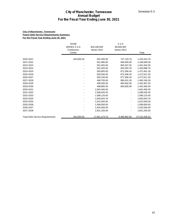#### **City of Manchester, Tennessee Future Debt Service Requirements Summary For the Fiscal Year Ending June 30, 2021**

|                                                                                                                                                                                                                                                                                  | For the Fiscal Year Ending June 30, 2021      | <b>City of Manchester, Tennessee</b><br><b>Annual Budget</b>                                                                                                                                                                                                                              |                                                                                                                                                                                                   | Schedule E-2                                                                                                                                                                                                                                                                                                  |
|----------------------------------------------------------------------------------------------------------------------------------------------------------------------------------------------------------------------------------------------------------------------------------|-----------------------------------------------|-------------------------------------------------------------------------------------------------------------------------------------------------------------------------------------------------------------------------------------------------------------------------------------------|---------------------------------------------------------------------------------------------------------------------------------------------------------------------------------------------------|---------------------------------------------------------------------------------------------------------------------------------------------------------------------------------------------------------------------------------------------------------------------------------------------------------------|
| <b>City of Manchester, Tennessee</b><br><b>Future Debt Service Requirements Summary</b><br>For the Fiscal Year Ending June 30, 2021                                                                                                                                              |                                               |                                                                                                                                                                                                                                                                                           |                                                                                                                                                                                                   |                                                                                                                                                                                                                                                                                                               |
|                                                                                                                                                                                                                                                                                  | 2016B<br>SERIES Z-4-A<br>Conference<br>Center | \$19,180,000<br>Series 2010                                                                                                                                                                                                                                                               | $Z - 1 - A$<br>\$9,690,000<br>Series 2013                                                                                                                                                         | Total                                                                                                                                                                                                                                                                                                         |
| 2020-2021<br>2021-2022<br>2022-2023<br>2023-2024<br>2024-2025<br>2025-2026<br>2026-2027<br>2027-2028<br>2028-2029<br>2029-2030<br>2030-2031<br>2031-2032<br>2032-2033<br>2033-2034<br>2034-2035<br>2035-2036<br>2036-2037<br>2037-2038<br><b>Total Debt Service Requirements</b> | 204,000.00<br>204,000.00                      | 502,305.00<br>501,980.00<br>501,655.00<br>501,305.00<br>500,905.00<br>500,505.00<br>500,105.00<br>499,705.00<br>499,305.00<br>498,885.00<br>1,603,465.00<br>1,596,635.00<br>1,588,125.00<br>1,605,843.76<br>1,615,500.00<br>1,599,000.00<br>1,625,000.00<br>1,601,250.00<br>17,841,473.76 | 727,118.76<br>946,600.00<br>950,287.50<br>952,593.76<br>971,556.26<br>972,406.26<br>977,506.26<br>985,631.26<br>992,662.50<br>993,600.00<br>$\blacksquare$<br>$\overline{a}$<br>۰<br>9,469,962.56 | 1,433,423.76<br>1,448,580.00<br>1,451,942.50<br>1,453,898.76<br>1,472,461.26<br>1,472,911.26<br>1,477,611.26<br>1,485,336.26<br>1,491,967.50<br>1,492,485.00<br>1,603,465.00<br>1,596,635.00<br>1,588,125.00<br>1,605,843.76<br>1,615,500.00<br>1,599,000.00<br>1,625,000.00<br>1,601,250.00<br>27,515,436.32 |
|                                                                                                                                                                                                                                                                                  |                                               |                                                                                                                                                                                                                                                                                           |                                                                                                                                                                                                   | 43                                                                                                                                                                                                                                                                                                            |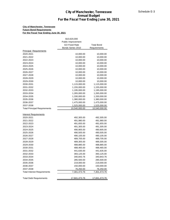#### **City of Manchester, Tennessee Future Bond Requirements For the Fiscal Year Ending June 30, 2021**

| <b>Principal Requirements</b><br>2020-2021<br>10,000.00<br>10,000.00<br>2021-2022<br>10,000.00<br>10,000.00<br>10,000.00<br>2022-2023<br>10,000.00<br>2023-2024<br>10,000.00<br>10,000.00<br>2024-2025<br>10,000.00<br>10,000.00<br>10,000.00<br>2025-2026<br>10,000.00<br>2026-2027<br>10,000.00<br>10,000.00<br>2027-2028<br>10,000.00<br>10,000.00<br>2028-2029<br>10,000.00<br>10,000.00<br>2029-2030<br>10,000.00<br>10,000.00<br>2030-2031<br>1,115,000.00<br>1,115,000.00<br>2031-2032<br>1,155,000.00<br>1,155,000.00<br>2032-2033<br>1,195,000.00<br>1,195,000.00<br>2033-2034<br>1,265,000.00<br>1,265,000.00<br>2034-2035<br>1,330,000.00<br>1,330,000.00<br>2035-2036<br>1,380,000.00<br>1,380,000.00<br>2036-2037<br>1,475,000.00<br>1,475,000.00<br>2037-2038<br>1,525,000.00<br>1,525,000.00<br><b>Total Principal Requirements</b><br>10,540,000.00<br>10,540,000.00<br><b>Interest Requirements</b><br>2020-2021<br>492,305.00<br>492,305.00<br>2021-2022<br>491,980.00<br>491,980.00<br>2022-2023<br>491,655.00<br>491,655.00<br>2023-2024<br>491,305.00<br>491,305.00<br>2024-2025<br>490,905.00<br>490,905.00<br>2025-2026<br>490,505.00<br>490,505.00<br>2026-2027<br>490,105.00<br>490,105.00<br>2027-2028<br>489,705.00<br>489,705.00<br>2028-2029<br>489,305.00<br>489,305.00<br>2029-2030<br>488,885.00<br>488,885.00<br>2030-2031<br>488,465.00<br>488,465.00<br>2031-2032<br>441,635.00<br>441,635.00<br>2032-2033<br>393,125.00<br>393,125.00<br>2033-2034<br>340,843.76<br>340,843.76<br>2034-2035<br>285,500.00<br>285,500.00<br>2035-2036<br>219,000.00<br>219,000.00<br>2036-2037<br>150,000.00<br>150,000.00<br>2037-2038<br>76,250.00<br>76,250.00<br><b>Total Interest Requirements</b><br>7,301,473.76<br>7,301,473.76<br>17,841,473.76<br>17,841,473.76<br><b>Total Debt Requirements</b> | \$10,620,000<br>Public Improvement<br><b>GO Fixed Rate</b><br>Bonds Series 2010 | <b>Total Bond</b><br>Requirements |
|--------------------------------------------------------------------------------------------------------------------------------------------------------------------------------------------------------------------------------------------------------------------------------------------------------------------------------------------------------------------------------------------------------------------------------------------------------------------------------------------------------------------------------------------------------------------------------------------------------------------------------------------------------------------------------------------------------------------------------------------------------------------------------------------------------------------------------------------------------------------------------------------------------------------------------------------------------------------------------------------------------------------------------------------------------------------------------------------------------------------------------------------------------------------------------------------------------------------------------------------------------------------------------------------------------------------------------------------------------------------------------------------------------------------------------------------------------------------------------------------------------------------------------------------------------------------------------------------------------------------------------------------------------------------------------------------------------------------------------------------------------------------------------------------------------------------------------|---------------------------------------------------------------------------------|-----------------------------------|
|                                                                                                                                                                                                                                                                                                                                                                                                                                                                                                                                                                                                                                                                                                                                                                                                                                                                                                                                                                                                                                                                                                                                                                                                                                                                                                                                                                                                                                                                                                                                                                                                                                                                                                                                                                                                                                |                                                                                 |                                   |
|                                                                                                                                                                                                                                                                                                                                                                                                                                                                                                                                                                                                                                                                                                                                                                                                                                                                                                                                                                                                                                                                                                                                                                                                                                                                                                                                                                                                                                                                                                                                                                                                                                                                                                                                                                                                                                |                                                                                 |                                   |
|                                                                                                                                                                                                                                                                                                                                                                                                                                                                                                                                                                                                                                                                                                                                                                                                                                                                                                                                                                                                                                                                                                                                                                                                                                                                                                                                                                                                                                                                                                                                                                                                                                                                                                                                                                                                                                |                                                                                 |                                   |
|                                                                                                                                                                                                                                                                                                                                                                                                                                                                                                                                                                                                                                                                                                                                                                                                                                                                                                                                                                                                                                                                                                                                                                                                                                                                                                                                                                                                                                                                                                                                                                                                                                                                                                                                                                                                                                |                                                                                 |                                   |
|                                                                                                                                                                                                                                                                                                                                                                                                                                                                                                                                                                                                                                                                                                                                                                                                                                                                                                                                                                                                                                                                                                                                                                                                                                                                                                                                                                                                                                                                                                                                                                                                                                                                                                                                                                                                                                |                                                                                 |                                   |
|                                                                                                                                                                                                                                                                                                                                                                                                                                                                                                                                                                                                                                                                                                                                                                                                                                                                                                                                                                                                                                                                                                                                                                                                                                                                                                                                                                                                                                                                                                                                                                                                                                                                                                                                                                                                                                |                                                                                 |                                   |
|                                                                                                                                                                                                                                                                                                                                                                                                                                                                                                                                                                                                                                                                                                                                                                                                                                                                                                                                                                                                                                                                                                                                                                                                                                                                                                                                                                                                                                                                                                                                                                                                                                                                                                                                                                                                                                |                                                                                 |                                   |
|                                                                                                                                                                                                                                                                                                                                                                                                                                                                                                                                                                                                                                                                                                                                                                                                                                                                                                                                                                                                                                                                                                                                                                                                                                                                                                                                                                                                                                                                                                                                                                                                                                                                                                                                                                                                                                |                                                                                 |                                   |
|                                                                                                                                                                                                                                                                                                                                                                                                                                                                                                                                                                                                                                                                                                                                                                                                                                                                                                                                                                                                                                                                                                                                                                                                                                                                                                                                                                                                                                                                                                                                                                                                                                                                                                                                                                                                                                |                                                                                 |                                   |
|                                                                                                                                                                                                                                                                                                                                                                                                                                                                                                                                                                                                                                                                                                                                                                                                                                                                                                                                                                                                                                                                                                                                                                                                                                                                                                                                                                                                                                                                                                                                                                                                                                                                                                                                                                                                                                |                                                                                 |                                   |
|                                                                                                                                                                                                                                                                                                                                                                                                                                                                                                                                                                                                                                                                                                                                                                                                                                                                                                                                                                                                                                                                                                                                                                                                                                                                                                                                                                                                                                                                                                                                                                                                                                                                                                                                                                                                                                |                                                                                 |                                   |
|                                                                                                                                                                                                                                                                                                                                                                                                                                                                                                                                                                                                                                                                                                                                                                                                                                                                                                                                                                                                                                                                                                                                                                                                                                                                                                                                                                                                                                                                                                                                                                                                                                                                                                                                                                                                                                |                                                                                 |                                   |
|                                                                                                                                                                                                                                                                                                                                                                                                                                                                                                                                                                                                                                                                                                                                                                                                                                                                                                                                                                                                                                                                                                                                                                                                                                                                                                                                                                                                                                                                                                                                                                                                                                                                                                                                                                                                                                |                                                                                 |                                   |
|                                                                                                                                                                                                                                                                                                                                                                                                                                                                                                                                                                                                                                                                                                                                                                                                                                                                                                                                                                                                                                                                                                                                                                                                                                                                                                                                                                                                                                                                                                                                                                                                                                                                                                                                                                                                                                |                                                                                 |                                   |
|                                                                                                                                                                                                                                                                                                                                                                                                                                                                                                                                                                                                                                                                                                                                                                                                                                                                                                                                                                                                                                                                                                                                                                                                                                                                                                                                                                                                                                                                                                                                                                                                                                                                                                                                                                                                                                |                                                                                 |                                   |
|                                                                                                                                                                                                                                                                                                                                                                                                                                                                                                                                                                                                                                                                                                                                                                                                                                                                                                                                                                                                                                                                                                                                                                                                                                                                                                                                                                                                                                                                                                                                                                                                                                                                                                                                                                                                                                |                                                                                 |                                   |
|                                                                                                                                                                                                                                                                                                                                                                                                                                                                                                                                                                                                                                                                                                                                                                                                                                                                                                                                                                                                                                                                                                                                                                                                                                                                                                                                                                                                                                                                                                                                                                                                                                                                                                                                                                                                                                |                                                                                 |                                   |
|                                                                                                                                                                                                                                                                                                                                                                                                                                                                                                                                                                                                                                                                                                                                                                                                                                                                                                                                                                                                                                                                                                                                                                                                                                                                                                                                                                                                                                                                                                                                                                                                                                                                                                                                                                                                                                |                                                                                 |                                   |
|                                                                                                                                                                                                                                                                                                                                                                                                                                                                                                                                                                                                                                                                                                                                                                                                                                                                                                                                                                                                                                                                                                                                                                                                                                                                                                                                                                                                                                                                                                                                                                                                                                                                                                                                                                                                                                |                                                                                 |                                   |
|                                                                                                                                                                                                                                                                                                                                                                                                                                                                                                                                                                                                                                                                                                                                                                                                                                                                                                                                                                                                                                                                                                                                                                                                                                                                                                                                                                                                                                                                                                                                                                                                                                                                                                                                                                                                                                |                                                                                 |                                   |
|                                                                                                                                                                                                                                                                                                                                                                                                                                                                                                                                                                                                                                                                                                                                                                                                                                                                                                                                                                                                                                                                                                                                                                                                                                                                                                                                                                                                                                                                                                                                                                                                                                                                                                                                                                                                                                |                                                                                 |                                   |
|                                                                                                                                                                                                                                                                                                                                                                                                                                                                                                                                                                                                                                                                                                                                                                                                                                                                                                                                                                                                                                                                                                                                                                                                                                                                                                                                                                                                                                                                                                                                                                                                                                                                                                                                                                                                                                |                                                                                 |                                   |
|                                                                                                                                                                                                                                                                                                                                                                                                                                                                                                                                                                                                                                                                                                                                                                                                                                                                                                                                                                                                                                                                                                                                                                                                                                                                                                                                                                                                                                                                                                                                                                                                                                                                                                                                                                                                                                |                                                                                 |                                   |
|                                                                                                                                                                                                                                                                                                                                                                                                                                                                                                                                                                                                                                                                                                                                                                                                                                                                                                                                                                                                                                                                                                                                                                                                                                                                                                                                                                                                                                                                                                                                                                                                                                                                                                                                                                                                                                |                                                                                 |                                   |
|                                                                                                                                                                                                                                                                                                                                                                                                                                                                                                                                                                                                                                                                                                                                                                                                                                                                                                                                                                                                                                                                                                                                                                                                                                                                                                                                                                                                                                                                                                                                                                                                                                                                                                                                                                                                                                |                                                                                 |                                   |
|                                                                                                                                                                                                                                                                                                                                                                                                                                                                                                                                                                                                                                                                                                                                                                                                                                                                                                                                                                                                                                                                                                                                                                                                                                                                                                                                                                                                                                                                                                                                                                                                                                                                                                                                                                                                                                |                                                                                 |                                   |
|                                                                                                                                                                                                                                                                                                                                                                                                                                                                                                                                                                                                                                                                                                                                                                                                                                                                                                                                                                                                                                                                                                                                                                                                                                                                                                                                                                                                                                                                                                                                                                                                                                                                                                                                                                                                                                |                                                                                 |                                   |
|                                                                                                                                                                                                                                                                                                                                                                                                                                                                                                                                                                                                                                                                                                                                                                                                                                                                                                                                                                                                                                                                                                                                                                                                                                                                                                                                                                                                                                                                                                                                                                                                                                                                                                                                                                                                                                |                                                                                 |                                   |
|                                                                                                                                                                                                                                                                                                                                                                                                                                                                                                                                                                                                                                                                                                                                                                                                                                                                                                                                                                                                                                                                                                                                                                                                                                                                                                                                                                                                                                                                                                                                                                                                                                                                                                                                                                                                                                |                                                                                 |                                   |
|                                                                                                                                                                                                                                                                                                                                                                                                                                                                                                                                                                                                                                                                                                                                                                                                                                                                                                                                                                                                                                                                                                                                                                                                                                                                                                                                                                                                                                                                                                                                                                                                                                                                                                                                                                                                                                |                                                                                 |                                   |
|                                                                                                                                                                                                                                                                                                                                                                                                                                                                                                                                                                                                                                                                                                                                                                                                                                                                                                                                                                                                                                                                                                                                                                                                                                                                                                                                                                                                                                                                                                                                                                                                                                                                                                                                                                                                                                |                                                                                 |                                   |
|                                                                                                                                                                                                                                                                                                                                                                                                                                                                                                                                                                                                                                                                                                                                                                                                                                                                                                                                                                                                                                                                                                                                                                                                                                                                                                                                                                                                                                                                                                                                                                                                                                                                                                                                                                                                                                |                                                                                 |                                   |
|                                                                                                                                                                                                                                                                                                                                                                                                                                                                                                                                                                                                                                                                                                                                                                                                                                                                                                                                                                                                                                                                                                                                                                                                                                                                                                                                                                                                                                                                                                                                                                                                                                                                                                                                                                                                                                |                                                                                 |                                   |
|                                                                                                                                                                                                                                                                                                                                                                                                                                                                                                                                                                                                                                                                                                                                                                                                                                                                                                                                                                                                                                                                                                                                                                                                                                                                                                                                                                                                                                                                                                                                                                                                                                                                                                                                                                                                                                |                                                                                 |                                   |
|                                                                                                                                                                                                                                                                                                                                                                                                                                                                                                                                                                                                                                                                                                                                                                                                                                                                                                                                                                                                                                                                                                                                                                                                                                                                                                                                                                                                                                                                                                                                                                                                                                                                                                                                                                                                                                |                                                                                 |                                   |
|                                                                                                                                                                                                                                                                                                                                                                                                                                                                                                                                                                                                                                                                                                                                                                                                                                                                                                                                                                                                                                                                                                                                                                                                                                                                                                                                                                                                                                                                                                                                                                                                                                                                                                                                                                                                                                |                                                                                 |                                   |
|                                                                                                                                                                                                                                                                                                                                                                                                                                                                                                                                                                                                                                                                                                                                                                                                                                                                                                                                                                                                                                                                                                                                                                                                                                                                                                                                                                                                                                                                                                                                                                                                                                                                                                                                                                                                                                |                                                                                 |                                   |
|                                                                                                                                                                                                                                                                                                                                                                                                                                                                                                                                                                                                                                                                                                                                                                                                                                                                                                                                                                                                                                                                                                                                                                                                                                                                                                                                                                                                                                                                                                                                                                                                                                                                                                                                                                                                                                |                                                                                 |                                   |
|                                                                                                                                                                                                                                                                                                                                                                                                                                                                                                                                                                                                                                                                                                                                                                                                                                                                                                                                                                                                                                                                                                                                                                                                                                                                                                                                                                                                                                                                                                                                                                                                                                                                                                                                                                                                                                |                                                                                 |                                   |
|                                                                                                                                                                                                                                                                                                                                                                                                                                                                                                                                                                                                                                                                                                                                                                                                                                                                                                                                                                                                                                                                                                                                                                                                                                                                                                                                                                                                                                                                                                                                                                                                                                                                                                                                                                                                                                |                                                                                 |                                   |
|                                                                                                                                                                                                                                                                                                                                                                                                                                                                                                                                                                                                                                                                                                                                                                                                                                                                                                                                                                                                                                                                                                                                                                                                                                                                                                                                                                                                                                                                                                                                                                                                                                                                                                                                                                                                                                |                                                                                 |                                   |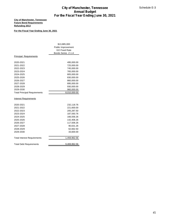### **City of Manchester, Tennessee Future Bond Requirements Refunding 2013**

### **For the Fiscal Year Ending June 30, 2021**

|                                                                                           | <b>City of Manchester, Tennessee</b>                                             | Schedule E-3 |
|-------------------------------------------------------------------------------------------|----------------------------------------------------------------------------------|--------------|
|                                                                                           | <b>Annual Budget</b>                                                             |              |
|                                                                                           | For the Fiscal Year Ending June 30, 2021                                         |              |
| <b>City of Manchester, Tennessee</b><br><b>Future Bond Requirements</b><br>Refunding 2013 |                                                                                  |              |
| For the Fiscal Year Ending June 30, 2021                                                  |                                                                                  |              |
|                                                                                           |                                                                                  |              |
|                                                                                           |                                                                                  |              |
|                                                                                           |                                                                                  |              |
|                                                                                           | \$13,885,000<br>Public Improvement<br><b>GO Fixed Rate</b><br>Bonds Series Z-1-A |              |
| <b>Principal Requirements</b>                                                             |                                                                                  |              |
| 2020-2021                                                                                 | 495,000.00                                                                       |              |
| 2021-2022                                                                                 | 725,000.00                                                                       |              |
| 2022-2023                                                                                 | 745,000.00                                                                       |              |
|                                                                                           |                                                                                  |              |
| 2023-2024                                                                                 | 765,000.00                                                                       |              |
| 2024-2025                                                                                 | 805,000.00                                                                       |              |
| 2025-2026                                                                                 | 830,000.00                                                                       |              |
| 2026-2027                                                                                 | 860,000.00                                                                       |              |
| 2027-2028                                                                                 | 895,000.00                                                                       |              |
| 2028-2029                                                                                 | 930,000.00                                                                       |              |
| 2029-2030                                                                                 | 960,000.00                                                                       |              |
| <b>Total Principal Requirements</b>                                                       | 8,010,000.00                                                                     |              |
|                                                                                           |                                                                                  |              |
| <b>Interest Requirements</b>                                                              |                                                                                  |              |
| 2020-2021                                                                                 | 232,118.76                                                                       |              |
| 2021-2022                                                                                 | 221,600.00                                                                       |              |
| 2022-2023                                                                                 | 205,287.50                                                                       |              |
| 2023-2024                                                                                 | 187,593.76                                                                       |              |
|                                                                                           |                                                                                  |              |
| 2024-2025                                                                                 | 166,556.26                                                                       |              |
| 2025-2026                                                                                 | 142,406.26                                                                       |              |
| 2026-2027                                                                                 | 117,506.26                                                                       |              |
| 2027-2028                                                                                 | 90,631.26                                                                        |              |
| 2028-2029                                                                                 | 62,662.50                                                                        |              |
| 2029-2030                                                                                 | 33,600.00                                                                        |              |
| <b>Total Interest Requirements</b>                                                        | 1,459,962.56                                                                     |              |
| <b>Total Debt Requirements</b>                                                            | 9,469,962.56                                                                     |              |
|                                                                                           |                                                                                  |              |
|                                                                                           |                                                                                  |              |
|                                                                                           |                                                                                  |              |
|                                                                                           |                                                                                  |              |
|                                                                                           |                                                                                  |              |
|                                                                                           |                                                                                  |              |
|                                                                                           |                                                                                  |              |
|                                                                                           |                                                                                  |              |
|                                                                                           |                                                                                  |              |
|                                                                                           |                                                                                  |              |
|                                                                                           |                                                                                  |              |
|                                                                                           |                                                                                  |              |
|                                                                                           |                                                                                  |              |
|                                                                                           |                                                                                  |              |
|                                                                                           |                                                                                  |              |
|                                                                                           |                                                                                  |              |
|                                                                                           |                                                                                  |              |
|                                                                                           |                                                                                  |              |
|                                                                                           |                                                                                  |              |
|                                                                                           |                                                                                  |              |
|                                                                                           |                                                                                  |              |
|                                                                                           |                                                                                  |              |
|                                                                                           |                                                                                  |              |
|                                                                                           |                                                                                  | 45           |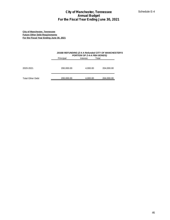|                                                                                                                           | <b>City of Manchester, Tennessee</b><br><b>Annual Budget</b><br>For the Fiscal Year Ending June 30, 2021 |                                                  |                                                      |    |  |  |  |  |  |
|---------------------------------------------------------------------------------------------------------------------------|----------------------------------------------------------------------------------------------------------|--------------------------------------------------|------------------------------------------------------|----|--|--|--|--|--|
| <b>City of Manchester, Tennessee</b><br><b>Future Other Debt Requirements</b><br>For the Fiscal Year Ending June 30, 2021 |                                                                                                          |                                                  |                                                      |    |  |  |  |  |  |
|                                                                                                                           | Principal                                                                                                | PORTION OF Z-4-A PBA BONDS)<br>Total<br>Interest | 2016B REFUNDING (Z-4 A Refunded CITY OF MANCHESTER'S |    |  |  |  |  |  |
| 2020-2021                                                                                                                 | 200,000.00                                                                                               | 4,000.00                                         | 204,000.00                                           |    |  |  |  |  |  |
| <b>Total Other Debt</b>                                                                                                   | 200,000.00                                                                                               | 4,000.00                                         | 204,000.00                                           |    |  |  |  |  |  |
|                                                                                                                           |                                                                                                          |                                                  |                                                      |    |  |  |  |  |  |
|                                                                                                                           |                                                                                                          |                                                  |                                                      |    |  |  |  |  |  |
|                                                                                                                           |                                                                                                          |                                                  |                                                      |    |  |  |  |  |  |
|                                                                                                                           |                                                                                                          |                                                  |                                                      |    |  |  |  |  |  |
|                                                                                                                           |                                                                                                          |                                                  |                                                      |    |  |  |  |  |  |
|                                                                                                                           |                                                                                                          |                                                  |                                                      |    |  |  |  |  |  |
|                                                                                                                           |                                                                                                          |                                                  |                                                      |    |  |  |  |  |  |
|                                                                                                                           |                                                                                                          |                                                  |                                                      |    |  |  |  |  |  |
|                                                                                                                           |                                                                                                          |                                                  |                                                      |    |  |  |  |  |  |
|                                                                                                                           |                                                                                                          |                                                  |                                                      |    |  |  |  |  |  |
|                                                                                                                           |                                                                                                          |                                                  |                                                      |    |  |  |  |  |  |
|                                                                                                                           |                                                                                                          |                                                  |                                                      |    |  |  |  |  |  |
|                                                                                                                           |                                                                                                          |                                                  |                                                      |    |  |  |  |  |  |
|                                                                                                                           |                                                                                                          |                                                  |                                                      | 46 |  |  |  |  |  |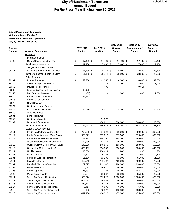## **City of Manchester, Tennessee Water and Sewer Fund 413 Statement of Proposed Operations July 1, 2020 To June 30, 2021**

| Amendment #2<br>Account<br>2017-2018<br>2018-2019<br>Original<br>Approved<br><b>Number</b><br><b>Account Description</b><br>Audited<br>Audited<br><b>Budget</b><br><b>Budget</b><br><b>Budget</b><br>Revenues<br>Intergovernmental<br>17,400 \$<br>33700<br>Coffee County Industrial Park<br>17,400 \$<br>17,400 \$<br>17,400 \$<br>17,400<br><u>୍ଚ</u><br>\$<br>17,400 \$<br>17,400 \$<br>17,400 \$<br>17,400 \$<br>Total Intergovernmental<br>17,400<br><b>Charges for Current Services</b><br>31,185 \$<br>34461<br>Billing and Admin Fees/Sanitation<br>\$<br>38,772 \$<br>28,500 \$<br>28,500 \$<br>28,500<br>\$<br>31,185 \$<br>38,772 \$<br>$28,500$ \$<br>28,500 \$<br><b>Total Charges for Current Services</b><br>28,500<br><b>Other Revenues</b><br>\$<br><b>Interest Earnings</b><br>33,856 \$<br>36101<br>43,057 \$<br>16,000 \$<br>16,000 \$<br>33,000<br>36330<br>Sale of Equipment/Vehicles<br>13,373<br>3,000<br>3,000<br>3,000<br><b>Insurance Recoveries</b><br>7,495<br>9,514<br>Loss on Disposal of Fixed Assets<br>(38,022)<br>36950<br><b>Bad Debts Collections</b><br>(39)<br>1,000<br>1,000<br>1,000<br><b>Booster Station Revenue</b><br>57,663<br><b>Water Tower Revenue</b><br><b>Grant Revenue</b><br><b>Contribution from County</b><br>AT & T Rental Revenue<br>14,520<br>14,520<br>19,360<br>19,360<br>24,800<br><b>Other Revenues</b><br><b>Bond Premiums</b><br><b>Contributed Assets</b><br>31,877<br>456,221<br>36999<br>Donated Infrastructure<br>300,000<br>300,000<br>100,000<br>67,978 \$<br><b>Total Other Revenues</b><br>\$<br>566,543 \$<br>339,360 \$<br>348,874 \$<br>161,800<br>Water & Sewer Revenue<br>\$<br>Inside Res/Metered Water Sales<br>798,233 \$<br>824,892 \$<br>850,000 \$<br>850,000 \$<br>868,000<br>37112<br>Inside Comm/Metered Water Sales<br>563,873<br>557,916<br>575,000<br>575,000<br>600,000<br>Inside Ind/Metered Water Sales<br>172,922<br>184,790<br>185,000<br>200,000<br>185,000<br><b>Outside Res/Metered Water Sales</b><br>782,280<br>787,362<br>790,000<br>790,000<br>820,000<br>37115<br><b>Outside Comm/Metered Water Sales</b><br>158,000<br>148,865<br>145,870<br>153,000<br>153,000<br><b>Outside Ind/Metered Water Sales</b><br>445,000<br>378,439<br>394,856<br>380,000<br>380,000<br><b>Unbilled Water</b><br>800<br>800<br>800<br>10,654<br>120,443<br>37121<br>Ready To Serve<br>7,227<br>6,268<br>7,000<br>7,000<br>4,800<br>37131<br>Sprinkler Syst/Fire Protection<br>61,186<br>61,186<br>61,000<br>61,000<br>61,000<br>Sales to Hillsville<br>475,000<br>37141<br>486,542<br>446,707<br>460,000<br>460,000<br><b>Forfeited Discounts/Penalties</b><br>102,677<br>120,000<br>112,146<br>120,000<br>120,000<br>37193<br>54,671<br>60.910<br>60,000<br>60,000<br>65,000<br><b>Water Service Calls</b><br>Water Tap Fees<br>76,383<br>94,133<br>65,000<br>104,310<br>90,000<br>33,694<br>25,500<br>25,500<br>Miscellaneous-Water<br>66,667<br>25,500<br>Sewer Chg/Inside Residential<br>953,676<br>982,225<br>1,000,000<br>1,000,000<br>1,020,000<br>Sewer Chg/Inside Commercial<br>658,613<br>646,439<br>660,000<br>660,000<br>670,000<br>Sewer Chg/Inside Industrial<br>276,115<br>285,000<br>285,000<br>285,000<br>280,573<br>7,414<br>Sewer Chg/Outside Residential<br>6,096<br>6,000<br>6,000<br>6,000<br>Sewer Chg/Outside Commercial<br>105,100<br>110,000<br>98,022<br>100,000<br>100,000<br>Sewer Chg/Outside Industrial<br>455,000<br>500,000<br>447,454<br>464,312<br>455,000 |       |  |  |  | 2019-2020 | 2019-2020 | 2020-2021 |
|-----------------------------------------------------------------------------------------------------------------------------------------------------------------------------------------------------------------------------------------------------------------------------------------------------------------------------------------------------------------------------------------------------------------------------------------------------------------------------------------------------------------------------------------------------------------------------------------------------------------------------------------------------------------------------------------------------------------------------------------------------------------------------------------------------------------------------------------------------------------------------------------------------------------------------------------------------------------------------------------------------------------------------------------------------------------------------------------------------------------------------------------------------------------------------------------------------------------------------------------------------------------------------------------------------------------------------------------------------------------------------------------------------------------------------------------------------------------------------------------------------------------------------------------------------------------------------------------------------------------------------------------------------------------------------------------------------------------------------------------------------------------------------------------------------------------------------------------------------------------------------------------------------------------------------------------------------------------------------------------------------------------------------------------------------------------------------------------------------------------------------------------------------------------------------------------------------------------------------------------------------------------------------------------------------------------------------------------------------------------------------------------------------------------------------------------------------------------------------------------------------------------------------------------------------------------------------------------------------------------------------------------------------------------------------------------------------------------------------------------------------------------------------------------------------------------------------------------------------------------------------------------------------------------------------------------------------------------------------------------------------------------------------------------------------------------------------------------------------------------------------------------------------------------------------------------------------------------------------------------------------------------------------------------------------------------------------------------------------------------------------------------------------------------------------------------------------------------------------------|-------|--|--|--|-----------|-----------|-----------|
|                                                                                                                                                                                                                                                                                                                                                                                                                                                                                                                                                                                                                                                                                                                                                                                                                                                                                                                                                                                                                                                                                                                                                                                                                                                                                                                                                                                                                                                                                                                                                                                                                                                                                                                                                                                                                                                                                                                                                                                                                                                                                                                                                                                                                                                                                                                                                                                                                                                                                                                                                                                                                                                                                                                                                                                                                                                                                                                                                                                                                                                                                                                                                                                                                                                                                                                                                                                                                                                                                   |       |  |  |  |           |           |           |
|                                                                                                                                                                                                                                                                                                                                                                                                                                                                                                                                                                                                                                                                                                                                                                                                                                                                                                                                                                                                                                                                                                                                                                                                                                                                                                                                                                                                                                                                                                                                                                                                                                                                                                                                                                                                                                                                                                                                                                                                                                                                                                                                                                                                                                                                                                                                                                                                                                                                                                                                                                                                                                                                                                                                                                                                                                                                                                                                                                                                                                                                                                                                                                                                                                                                                                                                                                                                                                                                                   |       |  |  |  |           |           |           |
|                                                                                                                                                                                                                                                                                                                                                                                                                                                                                                                                                                                                                                                                                                                                                                                                                                                                                                                                                                                                                                                                                                                                                                                                                                                                                                                                                                                                                                                                                                                                                                                                                                                                                                                                                                                                                                                                                                                                                                                                                                                                                                                                                                                                                                                                                                                                                                                                                                                                                                                                                                                                                                                                                                                                                                                                                                                                                                                                                                                                                                                                                                                                                                                                                                                                                                                                                                                                                                                                                   |       |  |  |  |           |           |           |
|                                                                                                                                                                                                                                                                                                                                                                                                                                                                                                                                                                                                                                                                                                                                                                                                                                                                                                                                                                                                                                                                                                                                                                                                                                                                                                                                                                                                                                                                                                                                                                                                                                                                                                                                                                                                                                                                                                                                                                                                                                                                                                                                                                                                                                                                                                                                                                                                                                                                                                                                                                                                                                                                                                                                                                                                                                                                                                                                                                                                                                                                                                                                                                                                                                                                                                                                                                                                                                                                                   |       |  |  |  |           |           |           |
|                                                                                                                                                                                                                                                                                                                                                                                                                                                                                                                                                                                                                                                                                                                                                                                                                                                                                                                                                                                                                                                                                                                                                                                                                                                                                                                                                                                                                                                                                                                                                                                                                                                                                                                                                                                                                                                                                                                                                                                                                                                                                                                                                                                                                                                                                                                                                                                                                                                                                                                                                                                                                                                                                                                                                                                                                                                                                                                                                                                                                                                                                                                                                                                                                                                                                                                                                                                                                                                                                   |       |  |  |  |           |           |           |
|                                                                                                                                                                                                                                                                                                                                                                                                                                                                                                                                                                                                                                                                                                                                                                                                                                                                                                                                                                                                                                                                                                                                                                                                                                                                                                                                                                                                                                                                                                                                                                                                                                                                                                                                                                                                                                                                                                                                                                                                                                                                                                                                                                                                                                                                                                                                                                                                                                                                                                                                                                                                                                                                                                                                                                                                                                                                                                                                                                                                                                                                                                                                                                                                                                                                                                                                                                                                                                                                                   |       |  |  |  |           |           |           |
|                                                                                                                                                                                                                                                                                                                                                                                                                                                                                                                                                                                                                                                                                                                                                                                                                                                                                                                                                                                                                                                                                                                                                                                                                                                                                                                                                                                                                                                                                                                                                                                                                                                                                                                                                                                                                                                                                                                                                                                                                                                                                                                                                                                                                                                                                                                                                                                                                                                                                                                                                                                                                                                                                                                                                                                                                                                                                                                                                                                                                                                                                                                                                                                                                                                                                                                                                                                                                                                                                   |       |  |  |  |           |           |           |
|                                                                                                                                                                                                                                                                                                                                                                                                                                                                                                                                                                                                                                                                                                                                                                                                                                                                                                                                                                                                                                                                                                                                                                                                                                                                                                                                                                                                                                                                                                                                                                                                                                                                                                                                                                                                                                                                                                                                                                                                                                                                                                                                                                                                                                                                                                                                                                                                                                                                                                                                                                                                                                                                                                                                                                                                                                                                                                                                                                                                                                                                                                                                                                                                                                                                                                                                                                                                                                                                                   |       |  |  |  |           |           |           |
|                                                                                                                                                                                                                                                                                                                                                                                                                                                                                                                                                                                                                                                                                                                                                                                                                                                                                                                                                                                                                                                                                                                                                                                                                                                                                                                                                                                                                                                                                                                                                                                                                                                                                                                                                                                                                                                                                                                                                                                                                                                                                                                                                                                                                                                                                                                                                                                                                                                                                                                                                                                                                                                                                                                                                                                                                                                                                                                                                                                                                                                                                                                                                                                                                                                                                                                                                                                                                                                                                   |       |  |  |  |           |           |           |
|                                                                                                                                                                                                                                                                                                                                                                                                                                                                                                                                                                                                                                                                                                                                                                                                                                                                                                                                                                                                                                                                                                                                                                                                                                                                                                                                                                                                                                                                                                                                                                                                                                                                                                                                                                                                                                                                                                                                                                                                                                                                                                                                                                                                                                                                                                                                                                                                                                                                                                                                                                                                                                                                                                                                                                                                                                                                                                                                                                                                                                                                                                                                                                                                                                                                                                                                                                                                                                                                                   |       |  |  |  |           |           |           |
|                                                                                                                                                                                                                                                                                                                                                                                                                                                                                                                                                                                                                                                                                                                                                                                                                                                                                                                                                                                                                                                                                                                                                                                                                                                                                                                                                                                                                                                                                                                                                                                                                                                                                                                                                                                                                                                                                                                                                                                                                                                                                                                                                                                                                                                                                                                                                                                                                                                                                                                                                                                                                                                                                                                                                                                                                                                                                                                                                                                                                                                                                                                                                                                                                                                                                                                                                                                                                                                                                   |       |  |  |  |           |           |           |
|                                                                                                                                                                                                                                                                                                                                                                                                                                                                                                                                                                                                                                                                                                                                                                                                                                                                                                                                                                                                                                                                                                                                                                                                                                                                                                                                                                                                                                                                                                                                                                                                                                                                                                                                                                                                                                                                                                                                                                                                                                                                                                                                                                                                                                                                                                                                                                                                                                                                                                                                                                                                                                                                                                                                                                                                                                                                                                                                                                                                                                                                                                                                                                                                                                                                                                                                                                                                                                                                                   |       |  |  |  |           |           |           |
|                                                                                                                                                                                                                                                                                                                                                                                                                                                                                                                                                                                                                                                                                                                                                                                                                                                                                                                                                                                                                                                                                                                                                                                                                                                                                                                                                                                                                                                                                                                                                                                                                                                                                                                                                                                                                                                                                                                                                                                                                                                                                                                                                                                                                                                                                                                                                                                                                                                                                                                                                                                                                                                                                                                                                                                                                                                                                                                                                                                                                                                                                                                                                                                                                                                                                                                                                                                                                                                                                   | 36350 |  |  |  |           |           |           |
|                                                                                                                                                                                                                                                                                                                                                                                                                                                                                                                                                                                                                                                                                                                                                                                                                                                                                                                                                                                                                                                                                                                                                                                                                                                                                                                                                                                                                                                                                                                                                                                                                                                                                                                                                                                                                                                                                                                                                                                                                                                                                                                                                                                                                                                                                                                                                                                                                                                                                                                                                                                                                                                                                                                                                                                                                                                                                                                                                                                                                                                                                                                                                                                                                                                                                                                                                                                                                                                                                   | 36530 |  |  |  |           |           |           |
|                                                                                                                                                                                                                                                                                                                                                                                                                                                                                                                                                                                                                                                                                                                                                                                                                                                                                                                                                                                                                                                                                                                                                                                                                                                                                                                                                                                                                                                                                                                                                                                                                                                                                                                                                                                                                                                                                                                                                                                                                                                                                                                                                                                                                                                                                                                                                                                                                                                                                                                                                                                                                                                                                                                                                                                                                                                                                                                                                                                                                                                                                                                                                                                                                                                                                                                                                                                                                                                                                   |       |  |  |  |           |           |           |
|                                                                                                                                                                                                                                                                                                                                                                                                                                                                                                                                                                                                                                                                                                                                                                                                                                                                                                                                                                                                                                                                                                                                                                                                                                                                                                                                                                                                                                                                                                                                                                                                                                                                                                                                                                                                                                                                                                                                                                                                                                                                                                                                                                                                                                                                                                                                                                                                                                                                                                                                                                                                                                                                                                                                                                                                                                                                                                                                                                                                                                                                                                                                                                                                                                                                                                                                                                                                                                                                                   | 36974 |  |  |  |           |           |           |
|                                                                                                                                                                                                                                                                                                                                                                                                                                                                                                                                                                                                                                                                                                                                                                                                                                                                                                                                                                                                                                                                                                                                                                                                                                                                                                                                                                                                                                                                                                                                                                                                                                                                                                                                                                                                                                                                                                                                                                                                                                                                                                                                                                                                                                                                                                                                                                                                                                                                                                                                                                                                                                                                                                                                                                                                                                                                                                                                                                                                                                                                                                                                                                                                                                                                                                                                                                                                                                                                                   | 36975 |  |  |  |           |           |           |
|                                                                                                                                                                                                                                                                                                                                                                                                                                                                                                                                                                                                                                                                                                                                                                                                                                                                                                                                                                                                                                                                                                                                                                                                                                                                                                                                                                                                                                                                                                                                                                                                                                                                                                                                                                                                                                                                                                                                                                                                                                                                                                                                                                                                                                                                                                                                                                                                                                                                                                                                                                                                                                                                                                                                                                                                                                                                                                                                                                                                                                                                                                                                                                                                                                                                                                                                                                                                                                                                                   | 36976 |  |  |  |           |           |           |
|                                                                                                                                                                                                                                                                                                                                                                                                                                                                                                                                                                                                                                                                                                                                                                                                                                                                                                                                                                                                                                                                                                                                                                                                                                                                                                                                                                                                                                                                                                                                                                                                                                                                                                                                                                                                                                                                                                                                                                                                                                                                                                                                                                                                                                                                                                                                                                                                                                                                                                                                                                                                                                                                                                                                                                                                                                                                                                                                                                                                                                                                                                                                                                                                                                                                                                                                                                                                                                                                                   | 36977 |  |  |  |           |           |           |
|                                                                                                                                                                                                                                                                                                                                                                                                                                                                                                                                                                                                                                                                                                                                                                                                                                                                                                                                                                                                                                                                                                                                                                                                                                                                                                                                                                                                                                                                                                                                                                                                                                                                                                                                                                                                                                                                                                                                                                                                                                                                                                                                                                                                                                                                                                                                                                                                                                                                                                                                                                                                                                                                                                                                                                                                                                                                                                                                                                                                                                                                                                                                                                                                                                                                                                                                                                                                                                                                                   | 36978 |  |  |  |           |           |           |
|                                                                                                                                                                                                                                                                                                                                                                                                                                                                                                                                                                                                                                                                                                                                                                                                                                                                                                                                                                                                                                                                                                                                                                                                                                                                                                                                                                                                                                                                                                                                                                                                                                                                                                                                                                                                                                                                                                                                                                                                                                                                                                                                                                                                                                                                                                                                                                                                                                                                                                                                                                                                                                                                                                                                                                                                                                                                                                                                                                                                                                                                                                                                                                                                                                                                                                                                                                                                                                                                                   | 36980 |  |  |  |           |           |           |
|                                                                                                                                                                                                                                                                                                                                                                                                                                                                                                                                                                                                                                                                                                                                                                                                                                                                                                                                                                                                                                                                                                                                                                                                                                                                                                                                                                                                                                                                                                                                                                                                                                                                                                                                                                                                                                                                                                                                                                                                                                                                                                                                                                                                                                                                                                                                                                                                                                                                                                                                                                                                                                                                                                                                                                                                                                                                                                                                                                                                                                                                                                                                                                                                                                                                                                                                                                                                                                                                                   | 36981 |  |  |  |           |           |           |
|                                                                                                                                                                                                                                                                                                                                                                                                                                                                                                                                                                                                                                                                                                                                                                                                                                                                                                                                                                                                                                                                                                                                                                                                                                                                                                                                                                                                                                                                                                                                                                                                                                                                                                                                                                                                                                                                                                                                                                                                                                                                                                                                                                                                                                                                                                                                                                                                                                                                                                                                                                                                                                                                                                                                                                                                                                                                                                                                                                                                                                                                                                                                                                                                                                                                                                                                                                                                                                                                                   | 36998 |  |  |  |           |           |           |
|                                                                                                                                                                                                                                                                                                                                                                                                                                                                                                                                                                                                                                                                                                                                                                                                                                                                                                                                                                                                                                                                                                                                                                                                                                                                                                                                                                                                                                                                                                                                                                                                                                                                                                                                                                                                                                                                                                                                                                                                                                                                                                                                                                                                                                                                                                                                                                                                                                                                                                                                                                                                                                                                                                                                                                                                                                                                                                                                                                                                                                                                                                                                                                                                                                                                                                                                                                                                                                                                                   |       |  |  |  |           |           |           |
|                                                                                                                                                                                                                                                                                                                                                                                                                                                                                                                                                                                                                                                                                                                                                                                                                                                                                                                                                                                                                                                                                                                                                                                                                                                                                                                                                                                                                                                                                                                                                                                                                                                                                                                                                                                                                                                                                                                                                                                                                                                                                                                                                                                                                                                                                                                                                                                                                                                                                                                                                                                                                                                                                                                                                                                                                                                                                                                                                                                                                                                                                                                                                                                                                                                                                                                                                                                                                                                                                   |       |  |  |  |           |           |           |
|                                                                                                                                                                                                                                                                                                                                                                                                                                                                                                                                                                                                                                                                                                                                                                                                                                                                                                                                                                                                                                                                                                                                                                                                                                                                                                                                                                                                                                                                                                                                                                                                                                                                                                                                                                                                                                                                                                                                                                                                                                                                                                                                                                                                                                                                                                                                                                                                                                                                                                                                                                                                                                                                                                                                                                                                                                                                                                                                                                                                                                                                                                                                                                                                                                                                                                                                                                                                                                                                                   |       |  |  |  |           |           |           |
|                                                                                                                                                                                                                                                                                                                                                                                                                                                                                                                                                                                                                                                                                                                                                                                                                                                                                                                                                                                                                                                                                                                                                                                                                                                                                                                                                                                                                                                                                                                                                                                                                                                                                                                                                                                                                                                                                                                                                                                                                                                                                                                                                                                                                                                                                                                                                                                                                                                                                                                                                                                                                                                                                                                                                                                                                                                                                                                                                                                                                                                                                                                                                                                                                                                                                                                                                                                                                                                                                   | 37111 |  |  |  |           |           |           |
|                                                                                                                                                                                                                                                                                                                                                                                                                                                                                                                                                                                                                                                                                                                                                                                                                                                                                                                                                                                                                                                                                                                                                                                                                                                                                                                                                                                                                                                                                                                                                                                                                                                                                                                                                                                                                                                                                                                                                                                                                                                                                                                                                                                                                                                                                                                                                                                                                                                                                                                                                                                                                                                                                                                                                                                                                                                                                                                                                                                                                                                                                                                                                                                                                                                                                                                                                                                                                                                                                   |       |  |  |  |           |           |           |
|                                                                                                                                                                                                                                                                                                                                                                                                                                                                                                                                                                                                                                                                                                                                                                                                                                                                                                                                                                                                                                                                                                                                                                                                                                                                                                                                                                                                                                                                                                                                                                                                                                                                                                                                                                                                                                                                                                                                                                                                                                                                                                                                                                                                                                                                                                                                                                                                                                                                                                                                                                                                                                                                                                                                                                                                                                                                                                                                                                                                                                                                                                                                                                                                                                                                                                                                                                                                                                                                                   | 37113 |  |  |  |           |           |           |
|                                                                                                                                                                                                                                                                                                                                                                                                                                                                                                                                                                                                                                                                                                                                                                                                                                                                                                                                                                                                                                                                                                                                                                                                                                                                                                                                                                                                                                                                                                                                                                                                                                                                                                                                                                                                                                                                                                                                                                                                                                                                                                                                                                                                                                                                                                                                                                                                                                                                                                                                                                                                                                                                                                                                                                                                                                                                                                                                                                                                                                                                                                                                                                                                                                                                                                                                                                                                                                                                                   | 37114 |  |  |  |           |           |           |
|                                                                                                                                                                                                                                                                                                                                                                                                                                                                                                                                                                                                                                                                                                                                                                                                                                                                                                                                                                                                                                                                                                                                                                                                                                                                                                                                                                                                                                                                                                                                                                                                                                                                                                                                                                                                                                                                                                                                                                                                                                                                                                                                                                                                                                                                                                                                                                                                                                                                                                                                                                                                                                                                                                                                                                                                                                                                                                                                                                                                                                                                                                                                                                                                                                                                                                                                                                                                                                                                                   |       |  |  |  |           |           |           |
|                                                                                                                                                                                                                                                                                                                                                                                                                                                                                                                                                                                                                                                                                                                                                                                                                                                                                                                                                                                                                                                                                                                                                                                                                                                                                                                                                                                                                                                                                                                                                                                                                                                                                                                                                                                                                                                                                                                                                                                                                                                                                                                                                                                                                                                                                                                                                                                                                                                                                                                                                                                                                                                                                                                                                                                                                                                                                                                                                                                                                                                                                                                                                                                                                                                                                                                                                                                                                                                                                   | 37116 |  |  |  |           |           |           |
|                                                                                                                                                                                                                                                                                                                                                                                                                                                                                                                                                                                                                                                                                                                                                                                                                                                                                                                                                                                                                                                                                                                                                                                                                                                                                                                                                                                                                                                                                                                                                                                                                                                                                                                                                                                                                                                                                                                                                                                                                                                                                                                                                                                                                                                                                                                                                                                                                                                                                                                                                                                                                                                                                                                                                                                                                                                                                                                                                                                                                                                                                                                                                                                                                                                                                                                                                                                                                                                                                   | 37117 |  |  |  |           |           |           |
|                                                                                                                                                                                                                                                                                                                                                                                                                                                                                                                                                                                                                                                                                                                                                                                                                                                                                                                                                                                                                                                                                                                                                                                                                                                                                                                                                                                                                                                                                                                                                                                                                                                                                                                                                                                                                                                                                                                                                                                                                                                                                                                                                                                                                                                                                                                                                                                                                                                                                                                                                                                                                                                                                                                                                                                                                                                                                                                                                                                                                                                                                                                                                                                                                                                                                                                                                                                                                                                                                   |       |  |  |  |           |           |           |
|                                                                                                                                                                                                                                                                                                                                                                                                                                                                                                                                                                                                                                                                                                                                                                                                                                                                                                                                                                                                                                                                                                                                                                                                                                                                                                                                                                                                                                                                                                                                                                                                                                                                                                                                                                                                                                                                                                                                                                                                                                                                                                                                                                                                                                                                                                                                                                                                                                                                                                                                                                                                                                                                                                                                                                                                                                                                                                                                                                                                                                                                                                                                                                                                                                                                                                                                                                                                                                                                                   |       |  |  |  |           |           |           |
|                                                                                                                                                                                                                                                                                                                                                                                                                                                                                                                                                                                                                                                                                                                                                                                                                                                                                                                                                                                                                                                                                                                                                                                                                                                                                                                                                                                                                                                                                                                                                                                                                                                                                                                                                                                                                                                                                                                                                                                                                                                                                                                                                                                                                                                                                                                                                                                                                                                                                                                                                                                                                                                                                                                                                                                                                                                                                                                                                                                                                                                                                                                                                                                                                                                                                                                                                                                                                                                                                   |       |  |  |  |           |           |           |
|                                                                                                                                                                                                                                                                                                                                                                                                                                                                                                                                                                                                                                                                                                                                                                                                                                                                                                                                                                                                                                                                                                                                                                                                                                                                                                                                                                                                                                                                                                                                                                                                                                                                                                                                                                                                                                                                                                                                                                                                                                                                                                                                                                                                                                                                                                                                                                                                                                                                                                                                                                                                                                                                                                                                                                                                                                                                                                                                                                                                                                                                                                                                                                                                                                                                                                                                                                                                                                                                                   | 37191 |  |  |  |           |           |           |
|                                                                                                                                                                                                                                                                                                                                                                                                                                                                                                                                                                                                                                                                                                                                                                                                                                                                                                                                                                                                                                                                                                                                                                                                                                                                                                                                                                                                                                                                                                                                                                                                                                                                                                                                                                                                                                                                                                                                                                                                                                                                                                                                                                                                                                                                                                                                                                                                                                                                                                                                                                                                                                                                                                                                                                                                                                                                                                                                                                                                                                                                                                                                                                                                                                                                                                                                                                                                                                                                                   |       |  |  |  |           |           |           |
|                                                                                                                                                                                                                                                                                                                                                                                                                                                                                                                                                                                                                                                                                                                                                                                                                                                                                                                                                                                                                                                                                                                                                                                                                                                                                                                                                                                                                                                                                                                                                                                                                                                                                                                                                                                                                                                                                                                                                                                                                                                                                                                                                                                                                                                                                                                                                                                                                                                                                                                                                                                                                                                                                                                                                                                                                                                                                                                                                                                                                                                                                                                                                                                                                                                                                                                                                                                                                                                                                   | 37196 |  |  |  |           |           |           |
|                                                                                                                                                                                                                                                                                                                                                                                                                                                                                                                                                                                                                                                                                                                                                                                                                                                                                                                                                                                                                                                                                                                                                                                                                                                                                                                                                                                                                                                                                                                                                                                                                                                                                                                                                                                                                                                                                                                                                                                                                                                                                                                                                                                                                                                                                                                                                                                                                                                                                                                                                                                                                                                                                                                                                                                                                                                                                                                                                                                                                                                                                                                                                                                                                                                                                                                                                                                                                                                                                   | 37199 |  |  |  |           |           |           |
|                                                                                                                                                                                                                                                                                                                                                                                                                                                                                                                                                                                                                                                                                                                                                                                                                                                                                                                                                                                                                                                                                                                                                                                                                                                                                                                                                                                                                                                                                                                                                                                                                                                                                                                                                                                                                                                                                                                                                                                                                                                                                                                                                                                                                                                                                                                                                                                                                                                                                                                                                                                                                                                                                                                                                                                                                                                                                                                                                                                                                                                                                                                                                                                                                                                                                                                                                                                                                                                                                   | 37211 |  |  |  |           |           |           |
|                                                                                                                                                                                                                                                                                                                                                                                                                                                                                                                                                                                                                                                                                                                                                                                                                                                                                                                                                                                                                                                                                                                                                                                                                                                                                                                                                                                                                                                                                                                                                                                                                                                                                                                                                                                                                                                                                                                                                                                                                                                                                                                                                                                                                                                                                                                                                                                                                                                                                                                                                                                                                                                                                                                                                                                                                                                                                                                                                                                                                                                                                                                                                                                                                                                                                                                                                                                                                                                                                   | 37212 |  |  |  |           |           |           |
|                                                                                                                                                                                                                                                                                                                                                                                                                                                                                                                                                                                                                                                                                                                                                                                                                                                                                                                                                                                                                                                                                                                                                                                                                                                                                                                                                                                                                                                                                                                                                                                                                                                                                                                                                                                                                                                                                                                                                                                                                                                                                                                                                                                                                                                                                                                                                                                                                                                                                                                                                                                                                                                                                                                                                                                                                                                                                                                                                                                                                                                                                                                                                                                                                                                                                                                                                                                                                                                                                   | 37213 |  |  |  |           |           |           |
|                                                                                                                                                                                                                                                                                                                                                                                                                                                                                                                                                                                                                                                                                                                                                                                                                                                                                                                                                                                                                                                                                                                                                                                                                                                                                                                                                                                                                                                                                                                                                                                                                                                                                                                                                                                                                                                                                                                                                                                                                                                                                                                                                                                                                                                                                                                                                                                                                                                                                                                                                                                                                                                                                                                                                                                                                                                                                                                                                                                                                                                                                                                                                                                                                                                                                                                                                                                                                                                                                   | 37214 |  |  |  |           |           |           |
|                                                                                                                                                                                                                                                                                                                                                                                                                                                                                                                                                                                                                                                                                                                                                                                                                                                                                                                                                                                                                                                                                                                                                                                                                                                                                                                                                                                                                                                                                                                                                                                                                                                                                                                                                                                                                                                                                                                                                                                                                                                                                                                                                                                                                                                                                                                                                                                                                                                                                                                                                                                                                                                                                                                                                                                                                                                                                                                                                                                                                                                                                                                                                                                                                                                                                                                                                                                                                                                                                   | 37215 |  |  |  |           |           |           |
|                                                                                                                                                                                                                                                                                                                                                                                                                                                                                                                                                                                                                                                                                                                                                                                                                                                                                                                                                                                                                                                                                                                                                                                                                                                                                                                                                                                                                                                                                                                                                                                                                                                                                                                                                                                                                                                                                                                                                                                                                                                                                                                                                                                                                                                                                                                                                                                                                                                                                                                                                                                                                                                                                                                                                                                                                                                                                                                                                                                                                                                                                                                                                                                                                                                                                                                                                                                                                                                                                   | 37216 |  |  |  |           |           |           |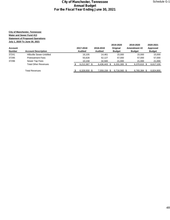|               |                             |                |                | 2019-2020     | 2019-2020           | 2020-2021        |
|---------------|-----------------------------|----------------|----------------|---------------|---------------------|------------------|
| Account       |                             | 2017-2018      | 2018-2019      | Original      | <b>Amendment #2</b> | Approved         |
| <b>Number</b> | <b>Account Description</b>  | <b>Audited</b> | <b>Audited</b> | <b>Budget</b> | <b>Budget</b>       | <b>Budget</b>    |
| 37241         | Hillsville Sewer-Unbilled   | 16.105         | 14.461         | 15.000        | 15.000              | 15,000           |
| 37295         | <b>Pretreatment Fees</b>    | 55,628         | 52.127         | 57,000        | 57.000              | 57,000           |
| 37296         | Sewer Tap Fees              | 10,158         | 32,500         | 21,000        | 21,000              | 21,000           |
|               | <b>Total Other Revenues</b> | 6,212,367 \$   | 6,436,443 \$   | 6,331,300 \$  | 6,370,610 \$        | 6,617,100        |
|               | Total Revenues              | 6,328,930      | 7,059,158      | 6.716.560 \$  | 6,765,384           | 6,824,800<br>- S |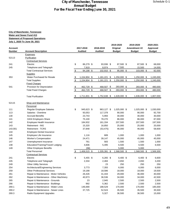## **City of Manchester, Tennessee Water and Sewer Fund 413 Statement of Proposed Operations July 1, 2020 To June 30, 2021**

| 2019-2020                                                                                              | 2019-2020                   | 2020-2021     |
|--------------------------------------------------------------------------------------------------------|-----------------------------|---------------|
| 2017-2018<br><b>Account</b><br>2018-2019<br>Original                                                   | Amendment #2                | Approved      |
| <b>Number</b><br><b>Account Description</b><br><b>Audited</b><br><b>Audited</b><br><b>Budget</b>       | <b>Budget</b>               | <b>Budget</b> |
| <b>Expenses</b>                                                                                        |                             |               |
| 52113<br>Purification                                                                                  |                             |               |
| <b>Contractual Services</b>                                                                            |                             |               |
| \$<br>86,279 \$<br>Electric<br>93,936 \$<br>87,500 \$<br>241                                           | 87,500 \$                   | 68,000        |
| 7,500<br>Telephone and Telegraph<br>7,919<br>8,974<br>245                                              | 15,500                      | 14,000        |
| $\frac{1}{2}$<br><b>Total Contractual Services</b><br>94,198 \$<br>102,910 \$                          | $95,000$ \$<br>$103,000$ \$ | 82,000        |
| <b>Supplies</b>                                                                                        |                             |               |
| Water Purchased for Resale<br>1,154,904 \$<br>$1,181,221$ \$<br>1,250,000 \$<br>353<br><u>\$</u>       | 1,250,000 \$                | 1,245,000     |
| 1,154,904 \$<br>-\$<br><b>Total Supplies</b><br>\$<br>1,181,221<br>1,250,000 \$                        | $1,250,000$ \$              | 1,245,000     |
| <b>Fixed Charges</b>                                                                                   |                             |               |
| 468,507 \$<br>283,000 \$<br>541<br>Provision for Depreciation<br>$\sqrt[6]{\frac{2}{5}}$<br>462,729 \$ | 283,000 \$                  | 480,000       |
| \$<br>462,729 \$<br>468,507 \$<br><b>Total Fixed Charges</b><br>283,000 \$                             | 283,000 \$                  | 480,000       |
| \$<br>1,711,831 \$<br>1,752,638 \$<br>1,628,000 \$<br><b>Total Purification</b>                        | 1,636,000 \$                | 1,807,000     |
| 52115<br>Shop and Maintenance                                                                          |                             |               |
| Personnel                                                                                              |                             |               |
| \$<br>945,623 \$<br>Regular Employee Salaries<br>963,127 \$<br>1,025,000 \$<br>111                     | 1,025,000 \$                | 1,030,000     |
| 113<br>Salaries - Overtime<br>93,053<br>117,378<br>90,000                                              | 90,000                      | 92,700        |
| 130<br><b>Accrued Benefits</b><br>23,743<br>5,993<br>30,000                                            | 30,000                      | 30,000        |
| 141<br><b>OASI</b> Employers Share<br>75,100<br>78,270<br>86,000                                       | 86,000                      | 87,000        |
| 142<br>Employee Health Insurance<br>184,932<br>161,334<br>207,500                                      | 207,500                     | 197,500       |
| 143<br><b>Retirement - ING</b><br>15,320<br>16,850<br>25,000                                           | 25,000                      | 20,000        |
| 143.001<br><b>Retirement - TCRS</b><br>37,848<br>46,000<br>(53, 475)                                   | 46,000                      | 58,600        |
| 144<br><b>Employee Dental Insurance</b>                                                                |                             |               |
| 1,116<br>1,000<br>145<br>Employee Life Insurance<br>689                                                | 1,000                       | 1,000         |
| <b>Worker's Compensation</b><br>24,471<br>39,147<br>45,000<br>146                                      | 45,000                      | 45,000        |
| Unemployment Insurance<br>761<br>583<br>1,500<br>147                                                   | 1,500                       | 1,000         |
| Education/Training/Travel/Lodging<br>4,606<br>5,495<br>6,500<br>148                                    | 6,500                       | 6,500         |
| (58)<br>5,000<br>149<br><b>Other Employee Benefits</b>                                                 | 5,000                       |               |
| <b>Total Personnel</b><br>1,406,515 \$<br>1,335,391 \$<br>1,568,500 \$<br>\$                           | 1,568,500 \$                | 1,569,300     |
| <b>Contractual Services</b>                                                                            |                             |               |
| \$<br>Electric<br>5,455 \$<br>$6,265$ \$<br>241                                                        | 6,400 \$<br>6,400 \$        | 6,600         |
| Telephone and Telegraph<br>2,334<br>2,484<br>2,650<br>245                                              | 2,650                       | 3,200         |
| 249<br><b>Other Utility Services</b><br>23                                                             | 250<br>250                  | 250           |
| 6,000<br>254<br>Architectural/Engineering Services<br>3,773<br>7,355                                   | 6,000                       | 6,000         |
| 18,000<br>259<br><b>Other Professional Services</b><br>19,188<br>18,586                                | 18,000                      | 19,500        |
| 261<br>Repair & Maintenance - Motor Vehicles<br>26,426<br>29,000<br>31,444                             | 36,000                      | 40,000        |
| Repair & Maintenance - Other Machinery<br>40,973<br>34,000<br>262<br>36,536                            | 34,000                      | 42,500        |
| Repair & Maintenance - Grounds<br>23<br>2,945<br>2,500<br>265                                          | 2,500                       | 2,500         |
| Repair & Maintenance - Buildings<br>992<br>5,362<br>2,500<br>266                                       | 2,500                       | 2,500         |
| Repair & Maintenance - Water Lines<br>146,690<br>188,529<br>170,000<br>269.1                           | 170,000                     | 185,000       |
| 269.2<br>Repair & Maintenance - Sewer Lines<br>37,725<br>52,524<br>35,500                              | 35,500                      | 35,500        |
| 269.3<br>Radio Equipment Upgrades<br>5,327<br>36,500                                                   | 36,500                      | 15,000        |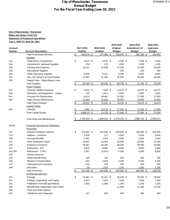### **City of Manchester, Tennessee Water and Sewer Fund 413 Statement of Proposed Operations July 1, 2020 To June 30, 2021**

|                |                                                                              |                          |                 |                   | 2019-2020       | 2019-2020       | 2020-2021        |
|----------------|------------------------------------------------------------------------------|--------------------------|-----------------|-------------------|-----------------|-----------------|------------------|
| <b>Account</b> |                                                                              |                          | 2017-2018       | 2018-2019         | Original        | Amendment #2    | Approved         |
| <b>Number</b>  | <b>Account Description</b>                                                   |                          | <b>Audited</b>  | <b>Audited</b>    | <b>Budget</b>   | <b>Budget</b>   | <b>Budget</b>    |
|                | <b>Total Contractual Services</b>                                            | $\mathfrak{L}$           | 283,578 \$      | 357,380 \$        | 343,300 \$      | 350,300 \$      | 358,550          |
|                | <b>Supplies</b>                                                              |                          |                 |                   |                 |                 |                  |
| 312            | Small items of Equipment                                                     | \$                       | $9,507$ \$      | $9,575$ \$        | 2,500 \$        | 7,500 \$        | 3,500            |
| 324            | Household & Janitorial Supplies                                              |                          | 258             | 375               | 1,000           | 1,000           | 1,000            |
| 326            | <b>Clothing and Uniforms</b>                                                 |                          | 16,012          | 15,589            | 21,500          | 21,500          | 24,000           |
| 328            | <b>Educational Supplies</b>                                                  |                          |                 |                   | 250             | 250             | 250              |
| 329            | <b>Other Operating Supplies</b>                                              |                          | 6,600           | 8,412             | 6,000           | 6,000           | 6,000            |
| 331            | Gas, Oil, Diesel Fuel and Grease                                             |                          | 27,962          | 31,394            | 35,500          | 35,500          | 35,500           |
| 338            | Repair Parts - Water/Sewer Lines                                             |                          |                 |                   |                 |                 |                  |
|                | <b>Total Supplies</b>                                                        | $\sqrt{2}$               | 60,340 \$       | 65,345 \$         | 66,750 \$       | 71,750 \$       | 70,250           |
|                | <b>Fixed Charges</b>                                                         |                          |                 |                   |                 |                 |                  |
| 511            | General Liability Insurance                                                  | \$                       | $9,033$ \$      | $7,000$ \$        | 14,575 \$       | 14,575 \$       | 14,575           |
| 533            | Machinery and Equipment - Copier                                             |                          | 100             | 1,911             | 3,500           | 3,500           | 3,500            |
| 541            | Provision for Depreciation                                                   |                          | 9,413           | 48,481            | 37,000          | 37,000          | 37,000           |
| 564            | State-Annual Maintenance                                                     |                          | 10,066          | 13,828            | 15,000          | 15,000          | 15,000           |
|                | <b>Total Fixed Charges</b>                                                   | $\sqrt[6]{\frac{2}{5}}$  | 28,612 \$       | 71,220 \$         | 70,075 \$       | 70,075 \$       | 70,075           |
|                | <b>Capital Outlay</b>                                                        |                          |                 |                   |                 |                 |                  |
| 943            | Vehicles                                                                     | $\overline{\mathcal{F}}$ | 4,986 \$        | $10,178$ \$       | 27,500 \$       | 27,500 \$       | 27,500           |
|                | <b>Total Capital Outlay</b>                                                  | \$                       | 4,986.23 \$     | 10,178 \$         | 27,500 \$       | 27,500 \$       | 27,500           |
|                | <b>Total Shop and Maintenance</b>                                            | \$                       | 1,784,030 \$    | 1,839,514 \$      | 2,076,125 \$    | 2,088,125 \$    | 2,095,675        |
|                |                                                                              |                          |                 |                   |                 |                 |                  |
| 52116          | <b>Customer Accounts &amp; Collections</b>                                   |                          |                 |                   |                 |                 |                  |
|                | Personnel                                                                    | \$                       | 152,663 \$      |                   |                 |                 |                  |
| 111            | <b>Regular Employee Salaries</b>                                             |                          |                 | 182,395 \$<br>127 | 190,000 \$      | 190,000 \$      | 155,000          |
| 113            | Salaries - Overtime<br><b>Accrued Benefits</b>                               |                          | 1,938           |                   | 4,500           | 4,500           | 4,650            |
| 130<br>141     |                                                                              |                          | 5,361<br>10,857 | 1,353<br>12,804   | 2,500<br>15,000 | 2,500<br>15,000 | 2,500            |
| 142            | <b>OASI</b> Employers Share<br>Employee Insurance                            |                          | 39,387          | 40,295            | 48,000          | 48,000          | 12,500<br>34,000 |
| 143            | <b>Retirement - ING</b>                                                      |                          | 8,220           | 8,084             | 8,650           | 8,650           | 6,000            |
| 143.001        | <b>Retirement - TCRS</b>                                                     |                          | 2,057           |                   | 4,000           |                 |                  |
| 144            | Dental Insurance                                                             |                          |                 | (4, 287)          |                 | 4,000           | 8,300            |
| 145            | Death Benefit Plans                                                          |                          | 194             | 150               | 200             | 200             | 200              |
| 146            | Worker's Compensation                                                        |                          | 241             | 2,000             | 2,000           | 6,400           | 6,000            |
| 147            | Unemployment Insurance                                                       |                          | 140             | 153               | 500             | 500             | 200              |
| 148            | Education                                                                    |                          | 50              | 1,625             | 1,200           | 1,200           | 1,200            |
|                | <b>Total Personnel</b>                                                       |                          | $221,109$ \$    | 244,699 \$        | 276,550 \$      | 280,950 \$      | 230,550          |
|                | <b>Contractual Services</b>                                                  | <u>\$</u>                |                 |                   |                 |                 |                  |
| 211            | Postage                                                                      | \$                       | 31,962 \$       | $30,201$ \$       |                 | 28,250 \$       |                  |
|                |                                                                              |                          |                 |                   | 28,250 \$       |                 | 29,500           |
| 221            | Printing, Duplicating, and Typing<br><b>Publication Formal/Legal Notices</b> |                          | 6,837           | 7,679             | 7,000           | 7,000           | 7,000            |
| 231            |                                                                              |                          | 1,003           | 1,008             | 1,200           | 1,200           | 1,200            |
| 235            | Membership, Registration and Tuition                                         |                          |                 |                   | 11,500          | 11,500          | 11,500           |
| 239            | Dues and Subscriptions                                                       |                          |                 |                   |                 |                 |                  |
| 245            | Telephone and Telegraph                                                      |                          | 317             | 356               | 400             | 400             | 400              |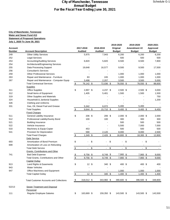|                |                                                |                                        |                 |                        | 2019-2020          | 2019-2020            | 2020-2021      |
|----------------|------------------------------------------------|----------------------------------------|-----------------|------------------------|--------------------|----------------------|----------------|
| <b>Account</b> |                                                |                                        | 2017-2018       | 2018-2019              | Original           | Amendment #2         | Approved       |
| <b>Number</b>  | <b>Account Description</b>                     |                                        | <b>Audited</b>  | <b>Audited</b>         | <b>Budget</b>      | <b>Budget</b>        | <b>Budget</b>  |
| 249            | <b>Other Utility Services</b>                  |                                        | 5,975           | 7,943                  | 6,200              | 6,200                | 6,200          |
| 252            | <b>Legal Services</b>                          |                                        |                 |                        | 500                | 500                  | 500            |
| 253            | <b>Accounting/Auditing Services</b>            |                                        | 6,820           | 5,820                  | 8,500              | 8,500                | 7,800          |
| 254            | Architectural/Engineering Services             |                                        |                 |                        |                    |                      |                |
| 255            | Data Processing Support                        |                                        | 19,648          | 16,577                 | 9,500              | 9,500                | 17,500         |
| 256            | <b>Consultant's Services</b>                   |                                        |                 |                        |                    |                      |                |
| 259            | <b>Other Professional Services</b>             |                                        |                 |                        | 1,000              | 1,000                | 1,000          |
| 263            | Repair and Maintenance - Furniture             |                                        | 83              | 245                    | 1,000              | 1,000                | 1,000          |
| 267            | Repair and Maintenance - Computer Equip        |                                        | 3,498           | 2,207                  | 3,500              | 3,500                | 5,000          |
|                | <b>Total Contractual Services</b>              | $\frac{\$}{}$                          | 76,142 \$       | 72,036 \$              | $78,550$ \$        | 78,550 \$            | 88,600         |
|                | <b>Supplies</b>                                |                                        |                 |                        |                    |                      |                |
| 311            | <b>Office Supplies</b>                         | \$                                     | 2,897 \$        | 4,237 \$               | 2,500 \$           | 2,500 \$             | 3,000          |
| 312            | Small Items of Equipment                       |                                        | 1,405           | 5,401                  | 1,500              | 1,500                | 1,500          |
| 319            | Other Supplies and Materials                   |                                        |                 |                        |                    |                      | 750            |
| 324            | Household & Janitorial Supplies                |                                        |                 |                        |                    |                      | 1,200          |
| 326            | Clothing and Uniforms                          |                                        |                 |                        |                    |                      |                |
| 331            | Gas, Oil, Diesel Fuel and Grease               |                                        | 5,342           | 6,072                  | 5,400              | 5,400                |                |
|                | <b>Total Supplies</b>                          | \$                                     | 9,644 \$        | 15,710 \$              | $9,400$ \$         | $9,400$ \$           | 6,450          |
|                | <b>Fixed Charges</b>                           |                                        |                 |                        |                    |                      |                |
| 511            | General Liability Insurance                    | \$                                     | 206 \$          | 206 \$                 | $2,000$ \$         | $2,000$ \$           | 2,000          |
| 512            | Professional Liability/Surety Bond             |                                        | 100             | 100                    | 300                | 300                  | 300            |
| 521            | <b>Building Insurance</b>                      |                                        |                 |                        | 500                | 500                  | 500            |
| 522            | Vehicle Insurance                              |                                        |                 |                        | 5,500              | 7,000                | 7,000          |
| 533            | Machinery & Equip-Copier                       |                                        | 453             |                        | 500                | 500                  | 500            |
| 541            | Provision for Depreciation                     |                                        | 590             | 2,120                  | 8,000              | 8,000                | 2,500          |
|                | <b>Total Fixed Charges</b>                     | $\frac{1}{2}$                          | 1,349 \$        | 2,426 \$               | 16,800 \$          | 18,300 \$            | 12,800         |
|                | <b>Debt Service</b>                            |                                        |                 |                        |                    |                      |                |
| 693            | Amortization of Bond Premium                   | \$                                     |                 | \$                     | \$                 | \$                   | \$             |
| 699            | Amortization of Loss on Refunding              |                                        |                 |                        |                    |                      |                |
|                | <b>Total Debt Service</b>                      | \$                                     | $\blacksquare$  | \$<br>$\blacksquare$   | \$<br>$\mathbf{r}$ | \$<br>$\blacksquare$ | \$             |
|                | <b>Grants, Contributions and Other</b>         |                                        |                 |                        |                    |                      |                |
| 741            | <b>Bad Debt Expense</b>                        |                                        | $9,756$ \$      |                        | 7,900 \$           |                      |                |
|                | Total Grants, Contributions and Other          | <u>\$</u><br>$\boldsymbol{\mathsf{S}}$ | 9,756 \$        | $8,749$ \$<br>8,749 \$ | 7,900 \$           | 7,900 \$<br>7,900 \$ | 9,000<br>9,000 |
|                |                                                |                                        |                 |                        |                    |                      |                |
|                | <b>Capital Outlay</b>                          |                                        |                 |                        |                    |                      |                |
| 913            | Land Rights & Easements                        | \$                                     | $12 \text{ } $$ | 340 \$                 | 400 \$             | 400 \$               | 400            |
| 943            | Water Vehicles                                 |                                        | $\blacksquare$  |                        |                    |                      |                |
| 947            | Office Machinery and Equipment                 |                                        |                 |                        | 1,000              | 1,000                | 1,000          |
|                | <b>Total Capital Outlay</b>                    | $\sqrt{2}$                             | $12 \quad$      | 340 \$                 | $1,400$ \$         | $1,400$ \$           | 1,400          |
|                | <b>Total Customer Accounts and Collections</b> | \$                                     | 318,012 \$      | 343,960 \$             | 390,600 \$         | 396,500 \$           | 348,800        |
| 52213          | <b>Sewer Treatment and Disposal</b>            |                                        |                 |                        |                    |                      |                |
|                | Personnel                                      |                                        |                 |                        |                    |                      |                |
| 111            | Regular Employee Salaries                      | \$                                     | 163,669 \$      | 159,350 \$             | 143,500 \$         | 143,500 \$           | 143,500        |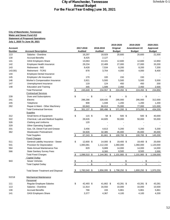|                |                                           |            |                |                      | 2019-2020            | 2019-2020     | 2020-2021     |
|----------------|-------------------------------------------|------------|----------------|----------------------|----------------------|---------------|---------------|
| <b>Account</b> |                                           |            | 2017-2018      | 2018-2019            | Original             | Amendment #2  | Approved      |
| <b>Number</b>  | <b>Account Description</b>                |            | <b>Audited</b> | <b>Audited</b>       | <b>Budget</b>        | <b>Budget</b> | <b>Budget</b> |
| 113            | Salaries - Overtime                       |            | 16,297         | 18,929               | 20,600               | 20,600        | 21,500        |
| 130            | <b>Accrued Benefits</b>                   |            | 8,425          | 2,127                |                      |               |               |
| 141            | <b>OASI</b> Employers Share               |            | 13,063         | 13,101               | 12,600               | 12,600        | 12,850        |
| 142            | Employee Health Insurance                 |            | 29,234         | 22,489               | 27,000               | 27,000        | 33,200        |
| 143            | Retirement - ING                          |            | 9,428          | 7,534                | 8,200                | 8,200         | 7,200         |
| 143.001        | <b>Retirement - TCRS</b>                  |            | 878            | 3,704                | 4,000                | 4,000         | 8,400         |
| 144            | Employee Dental Insurance                 |            |                |                      |                      |               |               |
| 145            | Employee Life Insurance                   |            | 170            | 100                  | 150                  | 150           |               |
| 146            | <b>Worker's Compensation Insurance</b>    |            | 3,921          | 5,500                | 5,500                | 5,500         | 5,500         |
| 147            | Unemployment Insurance                    |            | 119            | 124                  | 450                  | 450           | 200           |
| 148            | <b>Education and Training</b>             |            | 445            | 1,599                | 2,450                | 2,450         | 2,500         |
|                | <b>Total Personnel</b>                    | \$         | 245,649 \$     | 234,557 \$           | 224,450 \$           | 224,450 \$    | 234,850       |
|                | <b>Contractual Services</b>               |            |                |                      |                      |               |               |
| 239            | Dues and Subscriptions                    | \$         |                | \$<br>$\blacksquare$ | \$<br>$\blacksquare$ | \$            | \$            |
| 241            | Electric                                  |            | 286,286        | 328,435              | 295,000              | 295,000       | 312,000       |
| 245            | Telephone                                 |            | 908            | 1,048                | 1,200                | 1,200         | 1,200         |
| 262            | Repair & Maint - Other Machinery          |            | 63,943         | 66,013               | 75,000               | 77,000        | 121,000       |
|                | <b>Total Contractual Services</b>         | $\sqrt{2}$ | 351,137 \$     | 395,496 \$           | 371,200 \$           | 373,200 \$    | 434,200       |
|                | <b>Supplies</b>                           |            |                |                      |                      |               |               |
| 312            | Small Items of Equipment                  | \$         | 115 \$         | 58 \$                | 500 \$               | 500 \$        | 40,000        |
| 322            | Chemical, Lab and Medical Supplies        |            | 28,626         | 44,605               | 50,000               | 50,000        | 55,000        |
| 326            | <b>Clothing and Uniforms</b>              |            | 120            |                      |                      |               |               |
| 329            | <b>Other Operating Supplies</b>           |            |                |                      |                      |               |               |
| 331            | Gas, Oil, Diesel Fuel and Grease          |            | 3,456          | 4,613                | 5,200                | 5,200         | 5,200         |
| 362            | <b>Wastewater Pretreatment</b>            |            | 34,926         | 32,385               | 45,000               | 45,000        | 45,000        |
|                | <b>Total Supplies</b>                     | \$         | 67,243 \$      | 81,661 \$            | 100,700 \$           | 100,700 \$    | 145,200       |
|                | <b>Fixed Charges</b>                      |            |                |                      |                      |               |               |
| 511            | General Liability Insurance - Sewer       | \$         | 12,600 \$      | 14,000 \$            | 19,400 \$            | 19,400 \$     | 20,000        |
| 541            | Provision for Depreciation                |            | 1,083,081      | 1,112,192            | 1,060,000            | 1,060,000     | 1,120,000     |
| 564            | State-Annual Maintenance Fee              |            | 829            | 9,889                | 14,000               | 14,000        | 14,000        |
| 566            | <b>State Sanitary Survey Fees</b>         |            |                | 8,300                | 8,500                | 8,500         | 2,000         |
|                | <b>Total Fixed Charges</b>                | \$         | 1,096,510 \$   | 1,144,381 \$         | 1,101,900 \$         | 1,101,900 \$  | 1,156,000     |
|                | <b>Capital Outlay</b>                     |            |                |                      |                      |               |               |
| 943            | <b>Sewer Vehicles</b>                     | <u>\$</u>  |                | \$                   |                      | \$            | \$            |
|                | <b>Total Capital Outlay</b>               | \$         |                | \$<br>$\blacksquare$ | \$                   | \$            | \$            |
|                |                                           |            |                |                      |                      |               |               |
|                | <b>Total Sewer Treatment and Disposal</b> | \$         | 1,760,540 \$   | 1,856,095 \$         | 1,798,250 \$         | 1,800,250 \$  | 1,970,250     |
|                |                                           |            |                |                      |                      |               |               |
| 52218          | <b>Mechanical Maintenance</b>             |            |                |                      |                      |               |               |
|                | Personnel                                 |            |                |                      |                      |               |               |
| 111            | Regular Employee Salaries                 | \$         | 42,493 \$      | 41,662 \$            | 43,281 \$            | 43,281 \$     | 43,281        |
| 113            | Salaries - Overtime                       |            | 11,914         | 16,550               | 10,000               | 10,000        | 10,500        |
| 130            | <b>Accrued Benefits</b>                   |            | 766            | 193                  | 5,861                | 5,861         | 5,861         |
| 141            | <b>OASI</b> Employers Share               |            | 3,377          | 4,367                | 4,100                | 4,100         | 4,200         |
|                |                                           |            |                |                      |                      |               |               |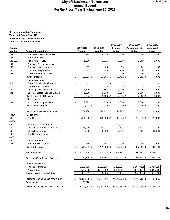### **City of Manchester, Tennessee Water and Sewer Fund 413 Statement of Proposed Operations July 1, 2020 To June 30, 2021**

|                |                                       |                         |                |                | 2019-2020                   | 2019-2020     | 2020-2021     |
|----------------|---------------------------------------|-------------------------|----------------|----------------|-----------------------------|---------------|---------------|
| <b>Account</b> |                                       |                         | 2017-2018      | 2018-2019      | Original                    | Amendment #2  | Approved      |
| <b>Number</b>  | <b>Account Description</b>            |                         | <b>Audited</b> | <b>Audited</b> | <b>Budget</b>               | <b>Budget</b> | <b>Budget</b> |
| 142            | Employee Health Insurance             |                         | 5,295          | 4,828          | 5,650                       | 5,650         | 5,500         |
| 143            | Retirement - ING                      |                         |                |                |                             |               |               |
| 143.001        | <b>Retirement - TCRS</b>              |                         | 1,920          | (3,832)        | 3,000                       | 3,000         | 2,800         |
| 144            | Employee Dental Insurance             |                         |                |                |                             |               |               |
| 145            | Employee Life Insurance               |                         | 57             | 38             | 50                          | 50            | 50            |
| 146            | <b>Worker's Compensation</b>          |                         | 32             | 150            | 150                         | 1,650         | 1,600         |
| 147            | Unemployment Insurance                |                         |                |                | 400                         | 400           | 100           |
|                | <b>Total Personnel</b>                | \$                      | 65,853 \$      | 63,956 \$      | 72,492 \$                   | 73,992 \$     | 73,892        |
|                | <b>Contractual Services</b>           |                         |                |                |                             |               |               |
| 322            | Chemical, Lab & Med supplies          | \$                      | Ξ.             | \$             | \$                          | \$            | \$            |
| 326            | Clothing and Uniforms                 |                         |                |                |                             |               |               |
| 329            | <b>Other Operating Supplies</b>       |                         | 1,799          | 1,803          | 3,000                       | 3,000         | 3,500         |
| 331            | Gas, Oil, Diesel Fuel and Grease      |                         | 1,005          | 1,333          | 1,500                       | 1,500         | 1,500         |
|                | <b>Total Contractual Services</b>     | $\sqrt{2}$              | $2,804$ \$     | $3,136$ \$     | 4,500 \$                    | $4,500$ \$    | 5,000         |
|                | <b>Fixed Charges</b>                  |                         |                |                |                             |               |               |
| 541            | Provision for Depreciation            | $\frac{1}{2}$           | 2,823 \$       | 3,029 \$       | $3,000$ \$                  | $3,000$ \$    | 3,200         |
|                | <b>Total Fixed Charges</b>            | $$\mathbb{S}$$          | 2,823 \$       | 3,029 \$       | $3,000$ \$                  | $3,000$ \$    | 3,200         |
|                |                                       |                         |                |                |                             |               |               |
|                | <b>Total Mechanical Maintenance</b>   | \$                      | 71,480 \$      | 70,121 \$      | 79,992 \$                   | 81,492 \$     | 82,092        |
| 49100          | <b>Debt Service</b>                   |                         |                |                |                             |               |               |
| 630            | <b>Bond Interest</b>                  | \$                      | 461,323 \$     | 443,330 \$     | 248,875 \$                  | 260,875 \$    | 317,000       |
| 49200          |                                       |                         |                |                |                             |               |               |
| 650            | SRF-Base Loan Interest                |                         |                |                | 100,034                     | 100,034       |               |
| 664            | <b>USDA Loan Interest-Water Tank</b>  |                         | 11,980         | 10,945         | 9,631                       | 9,631         | 8,700         |
| 665            | <b>USDA Loan Interest</b>             |                         | 36,593         | 35,896         | 35,280                      | 35,280        | 35,000        |
| 700            | <b>Bond Issuance Costs</b>            |                         |                |                |                             |               |               |
| 49501          |                                       |                         |                |                |                             |               |               |
| 690            | <b>Other Debt Service</b>             |                         |                |                |                             |               |               |
| 691            | <b>Bank Service Charges</b>           |                         | 355            | 1,155          | 2,000                       | 2,000         | 2,000         |
|                | <b>Total Debt Service</b>             | $\sqrt[6]{\frac{1}{2}}$ | 510,251 \$     | 491,326 \$     | 395,820 \$                  | 407,820 \$    | 362,700       |
|                | <b>Total Expenses</b>                 | \$                      | 6,156,144 \$   | 6,353,654 \$   | 6,368,787 \$                | 6,410,187 \$  | 6,666,517     |
|                | Revenues Over (Under) Expenses        | \$                      | 172,786 \$     | 705,504 \$     | 347,773 \$                  | 355,197 \$    | 158,283       |
|                | <b>Convert to Cash Basis:</b>         |                         |                |                |                             |               |               |
|                | <b>Principal Payments</b>             |                         | (1, 109, 060)  | (1,539,828)    | (1,229,334)                 | (1, 194, 829) | (1,324,065)   |
|                | Depreciation                          |                         | 1,558,635      | 1,634,329      | 1,391,000                   | 1,391,000     | 1,642,700     |
|                | <b>Total Conversion to Cash Basis</b> |                         | 622,361        | 800,005        | 509,439                     | 551,368       | 476,918       |
|                |                                       |                         |                |                |                             |               |               |
|                | Estimated Beginning Net Assets July 1 | \$                      | 23,340,600 \$  | 23,537,264     | 24,242,768 \$               | 24,242,768 \$ | 24,597,965    |
|                | Restatement                           |                         | 23,878         |                |                             |               |               |
|                | Estimated Ending Net Assets June 30   | $\frac{1}{2}$           | 23,537,264 \$  |                | 24,242,768 \$ 24,590,541 \$ | 24,597,965 \$ | 24,756,248    |
|                |                                       |                         |                |                |                             |               |               |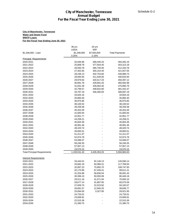#### **City of Manchester, Tennessee Water and Sewer Fund WWTP Loans For the Fiscal Year Ending June 30, 2021**

|                                                                                                                                      | <b>City of Manchester, Tennessee</b><br>For the Fiscal Year Ending June 30, 2021 | <b>Annual Budget</b>               |                          | Schedule G-2 |
|--------------------------------------------------------------------------------------------------------------------------------------|----------------------------------------------------------------------------------|------------------------------------|--------------------------|--------------|
|                                                                                                                                      |                                                                                  |                                    |                          |              |
| <b>City of Manchester, Tennessee</b><br><b>Water and Sewer Fund</b><br><b>WWTP Loans</b><br>For the Fiscal Year Ending June 30, 2021 |                                                                                  |                                    |                          |              |
|                                                                                                                                      | 38 yrs                                                                           | 20 yrs                             |                          |              |
| \$1,348,000 - Loan                                                                                                                   | <b>USDA</b><br>\$1,348,000<br>3.25%                                              | <b>SRF</b><br>\$7,500,000<br>2.16% | <b>Total Payments</b>    |              |
| <b>Principal Requirements</b>                                                                                                        |                                                                                  |                                    |                          |              |
| 2020-2021                                                                                                                            | 25,046.96                                                                        | 369,445.20                         | 394,492.16               |              |
| 2021-2022                                                                                                                            | 25,808.78                                                                        | 377,504.40                         | 403,313.18               |              |
| 2022-2023                                                                                                                            | 26,593.78                                                                        | 385,740.00                         | 412,333.78               |              |
| 2023-2024                                                                                                                            | 27,402.65                                                                        | 394,154.40                         | 421,557.05               |              |
| 2024-2025<br>2025-2026                                                                                                               | 28,236.13<br>29,094.94                                                           | 402,753.60<br>411,540.00           | 430,989.73<br>440,634.94 |              |
| 2026-2027                                                                                                                            | 29,979.92                                                                        | 420,517.20                         | 450,497.12               |              |
| 2027-2028                                                                                                                            | 30,891.78                                                                        | 429,691.20                         | 460,582.98               |              |
| 2028-2029                                                                                                                            | 31,831.39                                                                        | 439,064.40                         | 470,895.79               |              |
| 2029-2030                                                                                                                            | 32,799.57                                                                        | 448,642.80                         | 481,442.37               |              |
| 2030-2031                                                                                                                            | 33,797.19                                                                        | 356,300.00                         | 390,097.19               |              |
| 2031-2032                                                                                                                            | 34,825.16                                                                        |                                    | 34,825.16                |              |
| 2032-2033                                                                                                                            | 35,884.40                                                                        |                                    | 35,884.40                |              |
| 2033-2034                                                                                                                            | 36,975.85                                                                        |                                    | 36,975.85                |              |
| 2034-2035                                                                                                                            | 38,100.52                                                                        |                                    | 38,100.52                |              |
| 2035-2036<br>2036-2037                                                                                                               | 39,259.38<br>40,453.49                                                           |                                    | 39,259.38<br>40,453.49   |              |
| 2037-2038                                                                                                                            | 41,683.94                                                                        |                                    | 41,683.94                |              |
| 2038-2039                                                                                                                            | 42,951.77                                                                        |                                    | 42,951.77                |              |
| 2039-2040                                                                                                                            | 44,258.21                                                                        |                                    | 44,258.21                |              |
| 2040-2041                                                                                                                            | 45,604.36                                                                        |                                    | 45,604.36                |              |
| 2041-2042                                                                                                                            | 46,991.46                                                                        |                                    | 46,991.46                |              |
| 2042-2043                                                                                                                            | 48,420.74                                                                        |                                    | 48,420.74                |              |
| 2043-2044                                                                                                                            | 49,893.51                                                                        |                                    | 49,893.51                |              |
| 2044-2045                                                                                                                            | 51,411.07                                                                        |                                    | 51,411.07                |              |
| 2045-2046                                                                                                                            | 52,974.78                                                                        |                                    | 52,974.78<br>54,586.07   |              |
| 2046-2047<br>2047-2048                                                                                                               | 54,586.07<br>56,246.35                                                           |                                    | 56,246.35                |              |
| 2048-2049                                                                                                                            | 57,957.13                                                                        |                                    | 57,957.13                |              |
| 2049-2050                                                                                                                            | 19,570.15                                                                        |                                    | 19,570.15                |              |
| <b>Total Principal Requirements</b>                                                                                                  | 1,159,531.43                                                                     | 4,435,353.20                       | 5,594,884.63             |              |
| <b>Interest Requirements</b>                                                                                                         |                                                                                  |                                    |                          |              |
| 2020-2021                                                                                                                            | 34,444.01                                                                        | 92,146.13                          | 126,590.14               |              |
| 2021-2022                                                                                                                            | 33,682.19                                                                        | 84,086.31                          | 117,768.50               |              |
| 2022-2023                                                                                                                            | 32,897.23                                                                        | 75,850.70                          | 108,747.93               |              |
| 2023-2024                                                                                                                            | 32,175.80                                                                        | 67,435.41                          | 99,611.21                |              |
| 2024-2025                                                                                                                            | 31,254.89                                                                        | 58,836.54                          | 90,091.43                |              |
| 2025-2026                                                                                                                            | 30,396.10                                                                        | 50,050.08                          | 80,446.18                |              |
| 2026-2027<br>2027-2028                                                                                                               | 29,511.16<br>28,677.14                                                           | 41,071.94                          | 70,583.10<br>60,575.09   |              |
| 2028-2029                                                                                                                            | 27,659.75                                                                        | 31,897.95<br>22,523.82             | 50,183.57                |              |
| 2029-2030                                                                                                                            | 26,691.57                                                                        | 12,945.20                          | 39,636.77                |              |
| 2030-2031                                                                                                                            | 25,694.00                                                                        | 3,327.95                           | 29,021.95                |              |
| 2031-2032                                                                                                                            | 24,733.01                                                                        |                                    | 24,733.01                |              |
| 2032-2033                                                                                                                            | 23,606.81                                                                        |                                    | 23,606.81                |              |
| 2033-2034                                                                                                                            | 22,515.36                                                                        |                                    | 22,515.36                |              |
| 2034-2035                                                                                                                            | 21,390.75                                                                        |                                    | 21,390.75                |              |
|                                                                                                                                      |                                                                                  |                                    |                          |              |
|                                                                                                                                      |                                                                                  |                                    |                          | 54           |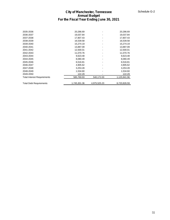|                                    |                                          | <b>City of Manchester, Tennessee</b> |              | Schedule G-2 |
|------------------------------------|------------------------------------------|--------------------------------------|--------------|--------------|
|                                    |                                          | <b>Annual Budget</b>                 |              |              |
|                                    | For the Fiscal Year Ending June 30, 2021 |                                      |              |              |
|                                    |                                          |                                      |              |              |
| 2035-2036                          | 20,286.69                                |                                      | 20,286.69    |              |
| 2036-2037                          | 19,037.84                                |                                      | 19,037.84    |              |
| 2037-2038                          | 17,807.43                                |                                      | 17,807.43    |              |
| 2038-2039                          | 16,539.58                                |                                      | 16,539.58    |              |
| 2039-2040                          | 15,274.19                                |                                      | 15,274.19    |              |
| 2040-2041                          | 13,887.09                                |                                      | 13,887.09    |              |
| 2041-2042                          | 12,500.01                                |                                      | 12,500.01    |              |
| 2042-2043                          | 11,070.76                                |                                      | 11,070.76    |              |
| 2043-2044                          | 9,623.48                                 |                                      | 9,623.48     |              |
| 2044-2045                          | 8,080.49                                 |                                      | 8,080.49     |              |
| 2045-2046                          | 6,516.81                                 |                                      | 6,516.81     |              |
| 2046-2047                          | 4,905.62                                 |                                      | 4,905.62     |              |
| 2047-2048                          | 3,253.28                                 |                                      | 3,253.28     |              |
| 2048-2049                          | 1,534.60                                 |                                      | 1,534.60     |              |
| 2049-2050                          | 122.29                                   | $\blacksquare$                       | 122.29       |              |
| <b>Total Interest Requirements</b> | 585,769.93                               | 540,172.03                           | 1,125,941.96 |              |
|                                    |                                          |                                      |              |              |
| <b>Total Debt Requirements</b>     | 1,745,301.36                             | 4,975,525.23                         | 6,720,826.59 |              |
|                                    |                                          |                                      |              |              |
|                                    |                                          |                                      |              |              |
|                                    |                                          |                                      |              |              |
|                                    |                                          |                                      |              |              |
|                                    |                                          |                                      |              |              |
|                                    |                                          |                                      |              |              |
|                                    |                                          |                                      |              |              |
|                                    |                                          |                                      |              |              |
|                                    |                                          |                                      |              |              |
|                                    |                                          |                                      |              |              |
|                                    |                                          |                                      |              |              |
|                                    |                                          |                                      |              |              |
|                                    |                                          |                                      |              |              |
|                                    |                                          |                                      |              |              |
|                                    |                                          |                                      |              |              |
|                                    |                                          |                                      |              |              |
|                                    |                                          |                                      |              |              |
|                                    |                                          |                                      |              |              |
|                                    |                                          |                                      |              |              |
|                                    |                                          |                                      |              |              |
|                                    |                                          |                                      |              |              |
|                                    |                                          |                                      |              |              |
|                                    |                                          |                                      |              |              |
|                                    |                                          |                                      |              |              |
|                                    |                                          |                                      |              |              |
|                                    |                                          |                                      |              |              |
|                                    |                                          |                                      |              |              |
|                                    |                                          |                                      |              |              |
|                                    |                                          |                                      |              |              |
|                                    |                                          |                                      |              |              |
|                                    |                                          |                                      |              |              |
|                                    |                                          |                                      |              |              |
|                                    |                                          |                                      |              |              |
|                                    |                                          |                                      |              |              |
|                                    |                                          |                                      |              |              |
|                                    |                                          |                                      |              |              |
|                                    |                                          |                                      |              |              |
|                                    |                                          |                                      |              |              |
|                                    |                                          |                                      |              |              |
|                                    |                                          |                                      |              |              |
|                                    |                                          |                                      |              |              |
|                                    |                                          |                                      |              |              |
|                                    |                                          |                                      |              | 55           |
|                                    |                                          |                                      |              |              |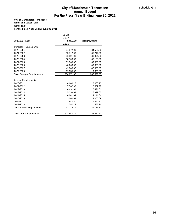#### **City of Manchester, Tennessee Water and Sewer Fund Water Tank For the Fiscal Year Ending June 30, 2021**

|                                          |             | <b>City of Manchester, Tennessee</b>     | Schedule G-3 |
|------------------------------------------|-------------|------------------------------------------|--------------|
|                                          |             | <b>Annual Budget</b>                     |              |
|                                          |             | For the Fiscal Year Ending June 30, 2021 |              |
| <b>City of Manchester, Tennessee</b>     |             |                                          |              |
| <b>Water and Sewer Fund</b>              |             |                                          |              |
| <b>Water Tank</b>                        |             |                                          |              |
| For the Fiscal Year Ending June 30, 2021 |             |                                          |              |
|                                          |             |                                          |              |
|                                          | 39 yrs      |                                          |              |
|                                          | <b>USDA</b> |                                          |              |
| \$943,000 - Loan                         | \$943,000   | <b>Total Payments</b>                    |              |
|                                          | 3.25%       |                                          |              |
| <b>Principal Requirements</b>            |             |                                          |              |
| 2020-2021                                | 34,572.00   | 34,572.00                                |              |
| 2021-2022                                | 35,712.00   | 35,712.00                                |              |
| 2022-2023                                | 36,891.00   | 36,891.00                                |              |
| 2023-2024                                | 38,108.00   | 38,108.00                                |              |
| 2024-2025                                | 39,365.00   | 39,365.00                                |              |
| 2025-2026                                | 40,663.00   | 40,663.00                                |              |
| 2026-2027                                | 42,005.00   | 42,005.00                                |              |
| 2027-2028                                | 19,355.00   | 19,355.00                                |              |
| <b>Total Principal Requirements</b>      | 286,671.00  | 286,671.00                               |              |
|                                          |             |                                          |              |
| <b>Interest Requirements</b>             |             |                                          |              |
| 2020-2021                                | 8,600.13    | 8,600.13                                 |              |
| 2021-2022                                | 7,562.97    | 7,562.97                                 |              |
| 2022-2023                                | 6,491.61    | 6,491.61                                 |              |
| 2023-2024                                | 5,399.63    | 5,399.63                                 |              |
| 2024-2025                                | 4,241.64    | 4,241.64                                 |              |
| 2025-2026                                | 3,060.69    | 3,060.69                                 |              |
| 2026-2027                                | 1,840.80    | 1,840.80                                 |              |
| 2027-2028                                | 582.24      | 582.24                                   |              |
| <b>Total Interest Requirements</b>       | 37,779.71   | 37,779.71                                |              |
| <b>Total Debt Requirements</b>           | 324,450.71  | 324,450.71                               |              |
|                                          |             |                                          |              |
|                                          |             |                                          |              |
|                                          |             |                                          |              |
|                                          |             |                                          |              |
|                                          |             |                                          |              |
|                                          |             |                                          |              |
|                                          |             |                                          |              |
|                                          |             |                                          |              |
|                                          |             |                                          |              |
|                                          |             |                                          |              |
|                                          |             |                                          |              |
|                                          |             |                                          |              |
|                                          |             |                                          |              |
|                                          |             |                                          |              |
|                                          |             |                                          |              |
|                                          |             |                                          |              |
|                                          |             |                                          |              |
|                                          |             |                                          |              |
|                                          |             |                                          |              |
|                                          |             |                                          |              |
|                                          |             |                                          |              |
|                                          |             |                                          |              |
|                                          |             |                                          |              |
|                                          |             |                                          |              |
|                                          |             |                                          |              |
|                                          |             |                                          |              |
|                                          |             |                                          |              |
|                                          |             |                                          |              |
|                                          |             |                                          |              |
|                                          |             |                                          |              |
|                                          |             |                                          |              |
|                                          |             |                                          |              |
|                                          |             |                                          |              |
|                                          |             |                                          | 56           |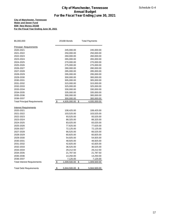#### **City of Manchester, Tennessee Water and Sewer Fund \$5M New Money 2016B For the Fiscal Year Ending June 30, 2021**

| \$5,000,000                         | 2016B Bonds                   | <b>Total Payments</b> |
|-------------------------------------|-------------------------------|-----------------------|
| <b>Principal Requirements</b>       |                               |                       |
| 2020-2021                           | 245,000.00                    | 245,000.00            |
| 2021-2022                           | 250,000.00                    | 250,000.00            |
| 2022-2023                           | 260,000.00                    | 260,000.00            |
| 2023-2024                           | 265,000.00                    | 265,000.00            |
| 2024-2025                           | 270,000.00                    | 270,000.00            |
| 2025-2026                           | 275,000.00                    | 275,000.00            |
| 2026-2027                           | 280,000.00                    | 280,000.00            |
| 2027-2028                           | 285,000.00                    | 285,000.00            |
| 2028-2029                           | 295,000.00                    | 295,000.00            |
| 2029-2030                           | 300,000.00                    | 300,000.00            |
| 2030-2031                           | 305,000.00                    | 305,000.00            |
| 2031-2032                           | 315,000.00                    | 315,000.00            |
| 2032-2033                           | 325,000.00                    | 325,000.00            |
| 2033-2034                           | 330,000.00                    | 330,000.00            |
| 2034-2035                           | 335,000.00                    | 335,000.00            |
| 2035-2036                           | 300,000.00                    | 300,000.00            |
| 2036-2037                           | 300,000.00                    | 300,000.00            |
| <b>Total Principal Requirements</b> | \$<br>4,935,000.00            | \$<br>4,935,000.00    |
| <b>Interest Requirements</b>        |                               |                       |
| 2020-2021                           | 108,425.00                    | 108,425.00            |
| 2021-2022                           | 103,525.00                    | 103,525.00            |
| 2022-2023                           | 93,525.00                     | 93,525.00             |
| 2023-2024                           | 88,325.00                     | 88,325.00             |
| 2024-2025                           | 83,025.00                     | 83,025.00             |
| 2025-2026                           | 77,625.00                     | 77,625.00             |
| 2026-2027                           | 72,125.00                     | 72,125.00             |
| 2027-2028                           | 66,525.00                     | 66,525.00             |
| 2028-2029                           | 60,825.00                     | 60,825.00             |
| 2029-2030                           | 54,925.00                     | 54,925.00             |
| 2030-2031                           | 48,925.00                     | 48,925.00             |
| 2031-2032                           | 42,825.00                     | 42,825.00             |
| 2032-2033                           | 36,525.00                     | 36,525.00             |
| 2033-2034                           | 29,212.50                     | 29,212.50             |
| 2034-2035                           | 21,787.50                     | 21,787.50             |
| 2035-2036                           | 14,250.00                     | 14,250.00             |
| 2036-2037                           | 7,125.00                      | 7,125.00              |
| <b>Total Interest Requirements</b>  | \$<br>1,009,500.00            | \$<br>1,009,500.00    |
| <b>Total Debt Requirements</b>      | $\frac{1}{2}$<br>5,944,500.00 | 5,944,500.00<br>\$    |
|                                     |                               |                       |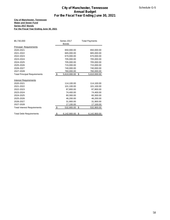#### **City of Manchester, Tennessee Water and Sewer Fund Series 2017 Bonds For the Fiscal Year Ending June 30, 2021**

|                                          |            |                             | <b>City of Manchester, Tennessee</b>     | Schedule G-5 |
|------------------------------------------|------------|-----------------------------|------------------------------------------|--------------|
|                                          |            |                             | <b>Annual Budget</b>                     |              |
|                                          |            |                             | For the Fiscal Year Ending June 30, 2021 |              |
| <b>City of Manchester, Tennessee</b>     |            |                             |                                          |              |
| <b>Water and Sewer Fund</b>              |            |                             |                                          |              |
| Series 2017 Bonds                        |            |                             |                                          |              |
| For the Fiscal Year Ending June 30, 2021 |            |                             |                                          |              |
|                                          |            |                             |                                          |              |
|                                          |            |                             |                                          |              |
| \$5,730,000                              |            | Series 2017<br><b>Bonds</b> | <b>Total Payments</b>                    |              |
| <b>Principal Requirements</b>            |            |                             |                                          |              |
| 2020-2021                                |            | 650,000.00                  | 650,000.00                               |              |
| 2021-2022                                |            | 665,000.00                  | 665,000.00                               |              |
| 2022-2023                                |            | 670,000.00                  | 670,000.00                               |              |
| 2023-2024                                |            | 705,000.00                  | 705,000.00                               |              |
| 2024-2025                                |            | 705,000.00                  | 705,000.00                               |              |
| 2025-2026                                |            | 715,000.00<br>740,000.00    | 715,000.00                               |              |
| 2026-2027<br>2027-2028                   |            | 760,000.00                  | 740,000.00<br>760,000.00                 |              |
| <b>Total Principal Requirements</b>      | \$         | 5,610,000.00 \$             | 5,610,000.00                             |              |
|                                          |            |                             |                                          |              |
| <b>Interest Requirements</b>             |            |                             |                                          |              |
| 2020-2021                                |            | 114,100.00                  | 114,100.00                               |              |
| 2021-2022                                |            | 101,100.00                  | 101,100.00                               |              |
| 2022-2023                                |            | 87,800.00                   | 87,800.00                                |              |
| 2023-2024                                |            | 74,400.00                   | 74,400.00                                |              |
| 2024-2025                                |            | 60,300.00                   | 60,300.00                                |              |
| 2025-2026                                |            | 46,200.00                   | 46,200.00                                |              |
| 2026-2027                                |            | 31,900.00                   | 31,900.00                                |              |
| 2027-2028                                |            | 17,100.00                   | 17,100.00                                |              |
| <b>Total Interest Requirements</b>       | $\sqrt{2}$ | 532,900.00 \$               | 532,900.00                               |              |
| <b>Total Debt Requirements</b>           | <u>\$</u>  | $6,142,900.00$ \$           | 6,142,900.00                             |              |
|                                          |            |                             |                                          |              |
|                                          |            |                             |                                          |              |
|                                          |            |                             |                                          |              |
|                                          |            |                             |                                          |              |
|                                          |            |                             |                                          |              |
|                                          |            |                             |                                          |              |
|                                          |            |                             |                                          |              |
|                                          |            |                             |                                          |              |
|                                          |            |                             |                                          |              |
|                                          |            |                             |                                          |              |
|                                          |            |                             |                                          |              |
|                                          |            |                             |                                          |              |
|                                          |            |                             |                                          |              |
|                                          |            |                             |                                          |              |
|                                          |            |                             |                                          |              |
|                                          |            |                             |                                          |              |
|                                          |            |                             |                                          |              |
|                                          |            |                             |                                          |              |
|                                          |            |                             |                                          |              |
|                                          |            |                             |                                          |              |
|                                          |            |                             |                                          |              |
|                                          |            |                             |                                          |              |
|                                          |            |                             |                                          |              |
|                                          |            |                             |                                          |              |
|                                          |            |                             |                                          |              |
|                                          |            |                             |                                          |              |
|                                          |            |                             |                                          |              |
|                                          |            |                             |                                          |              |
|                                          |            |                             |                                          |              |
|                                          |            |                             |                                          |              |
|                                          |            |                             |                                          |              |
|                                          |            |                             |                                          | 58           |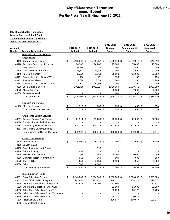|             |                                                    |           |                | <b>Annual Budget</b><br>For the Fiscal Year Ending June 30, 2021 |               |                |               |
|-------------|----------------------------------------------------|-----------|----------------|------------------------------------------------------------------|---------------|----------------|---------------|
|             |                                                    |           |                |                                                                  |               |                |               |
|             | <b>City of Manchester, Tennessee</b>               |           |                |                                                                  |               |                |               |
|             | <b>General Purpose School Fund</b>                 |           |                |                                                                  |               |                |               |
|             | <b>Statement of Proposed Operations</b>            |           |                |                                                                  |               |                |               |
|             | July 01, 2020 to June 30, 2021                     |           |                |                                                                  |               |                |               |
|             |                                                    |           |                |                                                                  | 2019-2020     | 2019-2020      | 2020-2021     |
| Account     |                                                    |           | 2017-2018      | 2018-2019                                                        | Original      | Amendment #2   | Approved      |
| Number      | <b>Account Description</b>                         |           | <b>Audited</b> | <b>Audited</b>                                                   | <b>Budget</b> | <b>Budget</b>  | <b>Budget</b> |
|             | <b>Revenues and Other Sources</b>                  |           |                |                                                                  |               |                |               |
|             | <b>Local Taxes</b><br>40110 Current Property Taxes | \$        | 2,488,862 \$   | 2,549,752 \$                                                     | 2,349,210 \$  | 2,349,210 \$   | 2,349,210     |
|             | 40120 Trustee's Collections-Prior Year             |           | 66,960         | 70,269                                                           | 75,000        | 75,000         | 75,000        |
|             | Bankruptcy                                         |           | 10,104         | 1,318                                                            | 500           | 500            | 500           |
|             | 40130 Cir Clk/Master-Prior Year                    |           | 25,702         | 24,230                                                           | 31,000        | 31,000         | 31,000        |
|             | 40140 Interest & Penalty                           |           | 19,096         | 20,722                                                           | 25,000        | 25,000         | 25,000        |
|             | 40161 Payments in lieu of taxes-T.V.A.             |           | 156            | 161                                                              | 150           | 150            | 150           |
|             | 40162 Payments-Utilities                           |           | 2,820          | 3,040                                                            | 2,200         | 2,200          | 2,200         |
|             | 40163 Payments in lieu of taxes - Other            |           | 821            | 50,639                                                           | 700           | 700            | 700           |
|             | 40210 Local Option Sales Tax                       |           | 1,961,488      | 2,018,694                                                        | 1,730,350     | 1,730,350      | 1,730,350     |
|             | 40275 Mixed Drink Tax                              |           |                |                                                                  | 2,000         | 2,000          | 2,000         |
|             | 40350 Telecommunications                           |           | 0              | 0                                                                | 600           | 600            | 600           |
|             | <b>Total Local Taxes</b>                           | S         | 4,576,009 \$   | 4,738,825 \$                                                     | 4,216,710 \$  | 4,216,710 \$   | 4,216,710     |
|             | <b>Licenses and Permits</b>                        |           |                |                                                                  |               |                |               |
|             | 41110 Marriage Licenses                            | <u>\$</u> | $523$ \$       | 663 \$                                                           | 650 \$        | 650 \$         | 650           |
|             | <b>Total Licenses and Permits</b>                  | \$        | 523 \$         | 663 \$                                                           | 650 \$        | 650 \$         | 650           |
|             | <b>Charges for Current Services</b>                |           |                |                                                                  |               |                |               |
|             | 43511 Tuition - Regular Day Students               | \$        | 21,914 \$      | 19,209 \$                                                        | 22,000 \$     | 22,000 \$      | 22,000        |
|             | 43570 Receipts from Individual Schools             |           |                |                                                                  |               |                |               |
|             | 43581 Community Services - E.S.P.                  |           | 127,278        | 114,135                                                          | 127,684       | 127,684        | 117,441       |
|             | 43583 TBI Criminal Background Fee                  |           |                |                                                                  |               |                |               |
|             | Total Charges for Current Services                 | \$        | 149,192 \$     | 133,344 \$                                                       | 149,684 \$    | 149,684 \$     | 139,441       |
|             |                                                    |           |                |                                                                  |               |                |               |
|             | <b>Other Local Revenues</b>                        |           |                |                                                                  |               |                |               |
|             | 44110 Interest Income<br>44120 Lease/Rentals       | \$        | $6,600$ \$     | 10,142 \$                                                        | $4,000$ \$    | $4,000$ \$     | 4,000         |
|             | 44130 Sale of Materials and Supplies               |           |                | 598                                                              |               |                |               |
|             | 44146 E-Rate Funding                               |           | 1,933          |                                                                  |               |                |               |
|             | 44170 Miscellaneous Refunds                        |           | 13,394         | 3,963                                                            | 20,000        | 20,000         | 20,000        |
|             | 44560 Damages Recovered from Indv.                 |           | 913            | 380                                                              | 500           | 500            | 500           |
|             | 44570 Cont. & Gifts                                |           | 7,250          | 6,050                                                            | 2,500         | 4,958          | 5,000         |
| 44590 Other |                                                    |           | 2,500          | 4,000                                                            |               | $\blacksquare$ |               |
|             | <b>Total Other Local Revenues</b>                  | \$        | 32,590 \$      | $25,133$ \$                                                      | 27,000 \$     | 29,458 \$      | 29,500        |
|             | <b>State Education Funds</b>                       |           |                |                                                                  |               |                |               |
|             | 46511 Basic Education Program                      | \$        | 7,243,000 \$   | 6,816,000 \$                                                     | 7,633,000 \$  | 7,633,000 \$   | 7,633,000     |
|             | 46515 Early Childhood Ed. Program                  |           | 287,881        | 281,870                                                          | 278,321       | 278,321        | 278,321       |
|             | 46590 Other State Ed. Funds - Safe Schools         |           | 258,535        | 290,103                                                          | 37,800        |                | 30,671        |
|             | 46590 Other State Education Funds CSH              |           |                |                                                                  | 81,000        | 81,000         | 81,000        |
|             | 46590 Other State Education FundsFRC               |           |                |                                                                  | 59,223        | 60,723         | 60,723        |
|             | 46590 Other State Education Funds-Technolog        |           |                |                                                                  |               |                |               |
|             | 46590 Other State Education Funds                  |           |                |                                                                  | 15,120        | 30,671         |               |
|             | 46590 21st Century Grant                           |           |                |                                                                  | 109,877       | 109,877        | 109,877       |
|             | 46595 Student Mgmt. System                         |           |                |                                                                  |               |                |               |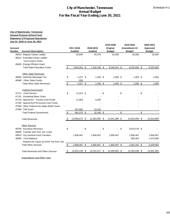#### **City of Manchester, Tennessee General Purpose School Fund Statement of Proposed Operations July 01, 2020 to June 30, 2021**

| Account | <b>City of Manchester, Tennessee</b><br><b>General Purpose School Fund</b><br><b>Statement of Proposed Operations</b><br>July 01, 2020 to June 30, 2021 |               | 2017-2018      | 2018-2019      |      | 2019-2020                 |     | 2019-2020<br>Amendment #2 |        | 2020-2021                 |
|---------|---------------------------------------------------------------------------------------------------------------------------------------------------------|---------------|----------------|----------------|------|---------------------------|-----|---------------------------|--------|---------------------------|
| Number  | <b>Account Description</b>                                                                                                                              |               | <b>Audited</b> | <b>Audited</b> |      | Original<br><b>Budget</b> |     | <b>Budget</b>             |        | Approved<br><b>Budget</b> |
|         | 46610 Regular Career Ladder                                                                                                                             |               | 34,845         | 44,376         |      | 32,000                    |     | 32,000                    |        | 32,000                    |
|         | 46612 Extended Career Ladder                                                                                                                            |               |                |                |      |                           |     |                           |        |                           |
|         | 21st Century Grant                                                                                                                                      |               |                |                |      |                           |     |                           |        |                           |
|         | 46630 Energy Efficient Grant<br><b>Total State Education Funds</b>                                                                                      | \$            | 7,824,261 \$   | 7,432,349 \$   |      | 8,246,341 \$              |     | 8,225,592 \$              |        | 8,225,592                 |
|         |                                                                                                                                                         |               |                |                |      |                           |     |                           |        |                           |
|         | <b>Other State Revenues</b>                                                                                                                             |               |                |                |      |                           |     |                           |        |                           |
|         | 46840 Alcoholic Beverage Tax                                                                                                                            | \$            | $1,227$ \$     | $1,206$ \$     |      | $1,000$ \$                |     | $1,000$ \$                |        | 1,000                     |
|         | 46980 Other State Grants                                                                                                                                |               | 800            |                |      |                           |     |                           |        |                           |
|         | <b>Total Other State Revenues</b>                                                                                                                       | $\sqrt{2}$    | $2,027$ \$     | $1,206$ \$     |      | $1,000$ \$                |     | $1,000$ \$                |        | 1,000                     |
|         | <b>Federal Government</b>                                                                                                                               |               |                |                |      |                           |     |                           |        |                           |
|         | 47111 Food Service                                                                                                                                      | \$            | 11,542 \$      |                | - \$ | - \$                      |     |                           | - \$   |                           |
|         | 47131 Vocational Basic Grant                                                                                                                            |               |                |                |      |                           |     |                           |        |                           |
|         | 47143 Special Ed. - Excess Cost Funds                                                                                                                   |               | 11,663         | 9,200          |      |                           |     |                           |        |                           |
|         | 47145 Special Ed.P/S-Excess Cost Funds<br>47590 Other Federal thru State-SNAP Grant                                                                     |               |                |                |      |                           |     |                           |        |                           |
|         | 47990 TAP Grant                                                                                                                                         |               | 457,865        | 23,230         |      |                           |     |                           |        |                           |
|         | <b>Total Federal Government</b>                                                                                                                         | \$            | 481,070 \$     | 32,430 \$      |      | $-$ \$                    |     |                           | $-$ \$ |                           |
|         | <b>Total Revenues</b>                                                                                                                                   | \$            | 13,065,672 \$  | 12,363,950 \$  |      | 12,641,385 \$             |     | 12,623,094 \$             |        | 12,612,893                |
|         |                                                                                                                                                         |               |                |                |      |                           |     |                           |        |                           |
|         | <b>Other Sources</b><br>49700 Insurance Recovery                                                                                                        | \$            | $-$ \$         |                | - \$ |                           | -\$ | 19,521.00 \$              |        |                           |
|         | 49800 Transfer from Fed. Ind. Costs                                                                                                                     |               |                |                |      |                           |     |                           |        |                           |
|         | 49810 City General Fund Transfers                                                                                                                       |               | 1,858,467      | 1,858,467      |      | 1,858,467                 |     | 1,858,467                 |        | 1,858,467                 |
|         | 39000 Fund Balance                                                                                                                                      |               |                |                |      |                           |     | 683,454                   |        | 1,470,596                 |
|         | Request for Liquor by Drink Tax from City                                                                                                               |               |                |                |      |                           |     |                           |        |                           |
|         | <b>Total Other Sources</b>                                                                                                                              | $\frac{1}{2}$ | 1,858,467 \$   | 1,858,467 \$   |      | 1,858,467 \$              |     | 2,561,442 \$              |        | 3,329,063                 |
|         | <b>Total Revenues and Other Sources</b>                                                                                                                 | S             | 14,924,139 \$  | 14,222,417 \$  |      | 14,499,852 \$             |     | 15,184,536 \$             |        | 15,941,956                |
|         | <b>Expenditures and Other Uses</b>                                                                                                                      |               |                |                |      |                           |     |                           |        |                           |
|         |                                                                                                                                                         |               |                |                |      |                           |     |                           |        |                           |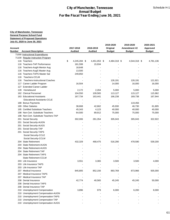| <b>Annual Budget</b><br>For the Fiscal Year Ending June 30, 2021 |                                         |    |                |                |  |               |               |               |  |
|------------------------------------------------------------------|-----------------------------------------|----|----------------|----------------|--|---------------|---------------|---------------|--|
|                                                                  |                                         |    |                |                |  |               |               |               |  |
|                                                                  | <b>City of Manchester, Tennessee</b>    |    |                |                |  |               |               |               |  |
|                                                                  | <b>General Purpose School Fund</b>      |    |                |                |  |               |               |               |  |
|                                                                  | <b>Statement of Proposed Operations</b> |    |                |                |  |               |               |               |  |
|                                                                  | July 01, 2020 to June 30, 2021          |    |                |                |  |               |               |               |  |
|                                                                  |                                         |    |                |                |  | 2019-2020     | 2019-2020     | 2020-2021     |  |
| Account                                                          |                                         |    | 2017-2018      | 2018-2019      |  | Original      | Amendment #2  | Approved      |  |
| Number                                                           | <b>Account Description</b>              |    | <b>Audited</b> | <b>Audited</b> |  | <b>Budget</b> | <b>Budget</b> | <b>Budget</b> |  |
|                                                                  | 71000 Instructional Expenditures        |    |                |                |  |               |               |               |  |
|                                                                  | 71100 Regular Instruction Program       |    |                |                |  |               |               |               |  |
|                                                                  | 116 Teachers                            | \$ | 4,245,284 \$   | 4,451,053 \$   |  | 4,484,318 \$  | 4,544,318 \$  | 4,781,136     |  |
|                                                                  | 116 Teachers-TAP Performance            |    | 181,599        | 15,934         |  |               |               |               |  |
|                                                                  | 116 Teachers-AugN Mentor Aug            |    | 18,648         |                |  |               |               |               |  |
|                                                                  | 116 Teachers-AugS Master Aug            |    | 13,500         |                |  |               |               |               |  |
|                                                                  | 116 Teachers-TAPS Master Sal            |    | 249,850        |                |  |               |               |               |  |
| 116                                                              | Teachers-CCLM                           |    |                |                |  |               |               |               |  |
| 116                                                              | <b>Teachers-Instructional Coaches</b>   |    |                |                |  | 126,191       | 126,191       | 121,921       |  |
|                                                                  | 117 Career Ladder Program               |    | 16,504         |                |  | 14,000        | 16,000        | 16,000        |  |
|                                                                  | 127 Extended Career Ladder              |    |                |                |  |               |               |               |  |
| 128                                                              | Homebound                               |    | 2,172          | 2,264          |  | 5,000         | 5,000         | 5,000         |  |
|                                                                  | 162 Clerical Personnel                  |    | 104,550        | 109,565        |  | 113,127       | 115,127       | 115,962       |  |
|                                                                  | 163 Educational Assistants              |    | 167,734        | 163,441        |  | 166,238       | 169,738       | 167,944       |  |
|                                                                  | <b>Educational Assistants-CCLE</b>      |    |                |                |  |               |               |               |  |
|                                                                  | 188 Bonus Payments                      |    |                |                |  |               | 119,456       |               |  |
|                                                                  | 189 Other Salaries                      |    | 38,668         | 42,662         |  | 45,930        | 46,730        | 61,805        |  |
|                                                                  | 195 Certified Substitute Teachers       |    | 45,343         | 4,123          |  | 40,000        | 40,000        | 40,000        |  |
|                                                                  | 198 Non-Cert. Substitute Teachers       |    | 64,500         | 89,912         |  | 75,000        | 75,000        | 75,000        |  |
|                                                                  | 198 Non-Cert. Substitute Teachers-TAP   |    |                |                |  |               |               |               |  |
|                                                                  | 201 Social Security                     |    | 302,006        | 281,354        |  | 305,043       | 305,043       | 322,922       |  |
|                                                                  | 201 Social Security-AUGN                |    |                |                |  |               |               |               |  |
|                                                                  | 201 Social Security-AUGS                |    |                |                |  |               |               |               |  |
|                                                                  | 201 Social Security-TAP                 |    |                |                |  |               |               |               |  |
|                                                                  | 201 Social Security-TAPS                |    |                |                |  |               |               |               |  |
|                                                                  | Social Security-CCLE                    |    |                |                |  |               |               |               |  |
|                                                                  | Social Security-CCLM                    |    |                |                |  |               |               |               |  |
|                                                                  | 204 State Retirement                    |    | 432,329        | 468,475        |  | 516,290       | 478,590       | 539,200       |  |
|                                                                  | 204 State Retirement-AUGN               |    |                |                |  |               |               |               |  |
|                                                                  | 204 State Retirement-AUGS               |    |                |                |  |               |               |               |  |
|                                                                  | 204 State Retirement TAP                |    |                |                |  |               |               |               |  |
|                                                                  | 204 State Retirement TAPS               |    |                |                |  |               |               |               |  |
|                                                                  | <b>State Retirement CCLM</b>            |    |                |                |  |               |               |               |  |
|                                                                  | 203 Life Insurance                      |    | 3,551          | 3,365          |  | 3,500         | 3,500         | 4,000         |  |
|                                                                  | 203 Life Insurance TAPS                 |    |                |                |  |               |               |               |  |
|                                                                  | 203 Life Insurance TAP                  |    |                |                |  |               |               |               |  |
|                                                                  | 207 Medical Insurance                   |    | 845,805        | 852,156        |  | 893,769       | 873,966       | 935,000       |  |
|                                                                  | 207 Medical Insurance TAPS              |    |                |                |  |               |               |               |  |
|                                                                  | 207 Medical Insurance TAP               |    |                |                |  |               |               |               |  |
|                                                                  | 208 Dental Insurance                    |    | 42,774         | 40,565         |  | 45,245        | 45,245        | 50,000        |  |
|                                                                  | 208 Dental Insurance TAPS               |    |                |                |  |               |               |               |  |
|                                                                  | 208 Dental Insurance TAP                |    |                |                |  |               |               |               |  |
| 210                                                              | <b>Unemployment Compensation</b>        |    | 3,896          | 979            |  | 6,000         | 6,200         | 8,000         |  |
| 210                                                              | Unemployment Compensation-AUGN          |    |                |                |  |               |               |               |  |
| 210                                                              | Unemployment Compensation-TAPS          |    |                |                |  |               |               |               |  |
| 210                                                              | Unemployment Compensation TAP           |    |                |                |  |               |               |               |  |
|                                                                  | 210 Unemployment Compensation AUGS      |    |                |                |  |               |               |               |  |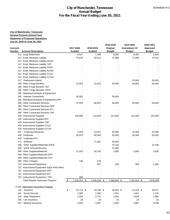| <b>City of Manchester, Tennessee</b><br><b>Annual Budget</b><br>For the Fiscal Year Ending June 30, 2021 |                                                                               |                    |                |               |               |               |  |  |
|----------------------------------------------------------------------------------------------------------|-------------------------------------------------------------------------------|--------------------|----------------|---------------|---------------|---------------|--|--|
|                                                                                                          |                                                                               |                    |                |               |               |               |  |  |
|                                                                                                          |                                                                               |                    |                |               |               |               |  |  |
|                                                                                                          | <b>City of Manchester, Tennessee</b>                                          |                    |                |               |               |               |  |  |
|                                                                                                          | <b>General Purpose School Fund</b><br><b>Statement of Proposed Operations</b> |                    |                |               |               |               |  |  |
|                                                                                                          | July 01, 2020 to June 30, 2021                                                |                    |                |               |               |               |  |  |
|                                                                                                          |                                                                               |                    |                | 2019-2020     | 2019-2020     | 2020-2021     |  |  |
| <b>Account</b>                                                                                           |                                                                               | 2017-2018          | 2018-2019      | Original      | Amendment #2  | Approved      |  |  |
| Number                                                                                                   | <b>Account Description</b>                                                    | <b>Audited</b>     | <b>Audited</b> | <b>Budget</b> | <b>Budget</b> | <b>Budget</b> |  |  |
|                                                                                                          | 211 Local Retirement                                                          | 8,527              | 7,489          | 8,000         | 8,000         | 8,500         |  |  |
|                                                                                                          | 212 Empl. Medicare Liability                                                  | 70,634             | 45,513         | 71,809        | 71,809        | 75,522        |  |  |
|                                                                                                          | 212 Empl. Medicare Liability-AUGS                                             |                    |                |               |               |               |  |  |
|                                                                                                          | 212 Empl. Medicare Liability TAP                                              |                    |                |               |               |               |  |  |
|                                                                                                          | 212 Empl. Medicare Liability TAPS                                             |                    |                |               |               |               |  |  |
|                                                                                                          | 212 Empl. Medicare Liability AUGN                                             |                    |                |               |               |               |  |  |
|                                                                                                          | 212 Empl. Medicare Liability CCLE                                             |                    |                |               |               |               |  |  |
|                                                                                                          | 212 Empl. Medicare Liability CCLM                                             |                    |                |               |               |               |  |  |
| 217                                                                                                      | Retirement-Hybrid                                                             |                    |                |               | 25,500        | 26,000        |  |  |
|                                                                                                          | 299 Other Fringe Benefits                                                     | 41,829             | 42,623         | 45,000        | 49,000        | 50,000        |  |  |
|                                                                                                          | 299 Other Fringe Benefits TAP                                                 |                    |                |               |               |               |  |  |
| 299                                                                                                      | <b>Other Fringe Benefits TAPS</b>                                             |                    |                |               |               |               |  |  |
|                                                                                                          | 336 Maintenance/repair of Equipment                                           |                    |                |               |               |               |  |  |
| 350                                                                                                      | <b>Internet Connectivity</b>                                                  | 36,060             |                | 36,060        |               |               |  |  |
|                                                                                                          | 336 Maintenance/repair of Equipment-DPP                                       |                    |                |               |               |               |  |  |
|                                                                                                          | 399 Other Contracted Services                                                 | 47,929             | 86,825         | 65,000        | 45,000        | 65,000        |  |  |
|                                                                                                          | 399 Other Contracted Services-DPP                                             |                    |                |               |               |               |  |  |
|                                                                                                          | 399 Other Contracted Services-RTI                                             |                    |                |               |               |               |  |  |
|                                                                                                          | 399 Other Contracted Services-TAP                                             |                    |                |               |               |               |  |  |
|                                                                                                          | 429 Instructional Supplies                                                    | 103,899            | 121,633        | 115,000       | 115,000       | 120,000       |  |  |
|                                                                                                          | 429 Instructional Supplies-RTI                                                |                    |                |               |               |               |  |  |
|                                                                                                          | 429 Instructional Supplies-TAP                                                |                    |                |               |               |               |  |  |
| 429                                                                                                      | Instructional Supplies-CCLE                                                   |                    |                |               |               |               |  |  |
|                                                                                                          | 429 Instructional Supplies-CCLM                                               |                    |                |               |               |               |  |  |
| 430                                                                                                      | Textbooks-Electronic                                                          | 1,329              | 13,947         | 40,000        | 15,000        | 20,000        |  |  |
|                                                                                                          | 449 Textbooks                                                                 | 30,970             | 69,303         | 35,000        | 35,000        | 50,000        |  |  |
|                                                                                                          | 449 Textbooks-RTI                                                             |                    |                |               |               |               |  |  |
| 471                                                                                                      | Software                                                                      |                    | 71,481         | 55,000        |               |               |  |  |
| 499                                                                                                      | Other Supplies/Materials-SAFE                                                 |                    |                | 15,120        |               | 15,336        |  |  |
| 499                                                                                                      | <b>SAFE Schools/Security</b>                                                  |                    |                | 37,800        |               |               |  |  |
| 499                                                                                                      | <b>Other Supplies/Materials</b>                                               | 11,293             | 50,700         | 3,000         | 3,000         | 3,000         |  |  |
| 499                                                                                                      | Other Supplies/Materials-DPP                                                  |                    |                |               |               |               |  |  |
|                                                                                                          | 499 Other Supplies/Materials-TAP                                              |                    |                |               |               |               |  |  |
|                                                                                                          | 599 Other Charges                                                             | 146                | 279            |               |               |               |  |  |
|                                                                                                          | 722 Instructional Equipment                                                   |                    | 587            | 500           | 500           | 1,000         |  |  |
|                                                                                                          | 722 Instructional Equipment SpEd IPAD Minis                                   |                    |                |               |               |               |  |  |
|                                                                                                          | 722 Instructional Equipment-DPP                                               |                    |                |               |               |               |  |  |
|                                                                                                          | 722 Instructional Equipment-RTI                                               |                    |                |               |               |               |  |  |
|                                                                                                          | 722 Instructional Equipment--TAP                                              | 984                |                |               |               |               |  |  |
|                                                                                                          | <b>Total Regular Instruction Program</b>                                      | 7,132,313 \$<br>\$ | 7,036,228 \$   | 7,366,940 \$  | 7,337,913 \$  | 7,678,248     |  |  |
|                                                                                                          | 71150 Alternative Instruction Program                                         |                    |                |               |               |               |  |  |
|                                                                                                          | 116 Teachers                                                                  |                    |                |               |               |               |  |  |
|                                                                                                          |                                                                               | \$<br>25,719 \$    | 26,298 \$      | 26,620 \$     | 23,120 \$     | 28,071        |  |  |
| 201                                                                                                      | Social Security                                                               | 1,565              | 1,562          | 1,651         | 1,651         | 1,740         |  |  |
| 204<br>206                                                                                               | <b>State Retirement</b><br>Life Insurance                                     | 2,335<br>18        | 2,751<br>18    | 2,830<br>18   | 2,830<br>18   | 2,985<br>18   |  |  |
|                                                                                                          | <b>Medical Insurance</b>                                                      | 3,416              | 3,487          | 3,662         | 3,662         | 4,028         |  |  |
| 207                                                                                                      |                                                                               |                    |                |               |               |               |  |  |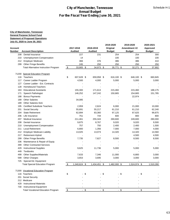|                | <b>City of Manchester, Tennessee</b>           |                    |                |                |      |               |               |      |               |
|----------------|------------------------------------------------|--------------------|----------------|----------------|------|---------------|---------------|------|---------------|
|                | <b>General Purpose School Fund</b>             |                    |                |                |      |               |               |      |               |
|                | <b>Statement of Proposed Operations</b>        |                    |                |                |      |               |               |      |               |
|                | July 01, 2020 to June 30, 2021                 |                    |                |                |      |               |               |      |               |
|                |                                                |                    |                |                |      | 2019-2020     | 2019-2020     |      | 2020-2021     |
| <b>Account</b> |                                                | 2017-2018          | 2018-2019      |                |      | Original      | Amendment #2  |      | Approved      |
| Number         | <b>Account Description</b>                     | <b>Audited</b>     | <b>Audited</b> |                |      | <b>Budget</b> | <b>Budget</b> |      | <b>Budget</b> |
| 208            | Dental Insurance                               | 227                |                | 231            |      | 254           | 254           |      | 300           |
| 210            | <b>Unemployment Compensation</b>               | 14                 |                |                |      | 100           | 100           |      | 100           |
| 212            | <b>Employer Medicare</b>                       | 366                |                | 376            |      | 386           | 386           |      | 410           |
| 299            | <b>Other Fringe Benefits</b>                   | 245                |                | 250            |      | 250           | 250           |      | 250           |
|                | <b>Total Alternative Instruction Program</b>   | \$<br>33,905 \$    |                | 34,973 \$      |      | 35,771 \$     | 32,271 \$     |      | 37,902        |
|                |                                                |                    |                |                |      |               |               |      |               |
|                | 71200 Special Education Program                |                    |                |                |      |               |               |      |               |
| 116            | Teachers                                       | \$<br>607,628 \$   |                | 659,958 \$     |      | 616,100 \$    | 646,100 \$    |      | 660,845       |
| 117            | Career Ladder Program                          | 4,500              |                | 4,000          |      | 5,000         | 5,000         |      | 3,000         |
| 127            | Career Ladder - Ext. Contracts                 |                    |                |                |      |               |               |      |               |
| 128            | <b>Homebound Teachers</b>                      |                    |                |                |      |               |               |      |               |
| 163            | <b>Educational Assistants</b>                  | 155,300            |                | 171,613        |      | 215,460       | 215,460       |      | 188,175       |
| 171            | Speech Pathologist                             | 146,252            |                | 147,242        |      | 150,665       | 154,665       |      | 151,785       |
| 188            | <b>Bonus Payments</b><br><b>Other Salaries</b> |                    |                |                |      |               | 22,974        |      |               |
| 189            | <b>Other Salaries-Sick</b>                     | 34,085             |                |                |      |               |               |      |               |
| 189<br>195     | <b>Certified Substitute Teachers</b>           | 2,959              |                | 2,624          |      | 6,000         | 21,000        |      | 10,000        |
| 201            | Social Security                                | 55,691             |                | 55,217         |      | 61,210        | 61,210        |      | 62,240        |
| 204            | <b>State Retirement</b>                        | 62,894             |                | 83,360         |      | 97,125        | 87,625        |      | 99,875        |
| 206            | Life Insurance                                 | 751                |                | 744            |      | 600           | 800           |      | 800           |
| 207            | Medical Insurance                              | 211,461            |                | 255,343        |      | 269,600       | 249,600       |      | 280,000       |
| 208            | Dental Insurance                               | 9,875              |                | 8,767          |      | 9,020         | 9,020         |      | 9,500         |
| 210            | <b>Unemployment Compensation</b>               | 757                |                | 750            |      | 2,400         | 2,400         |      | 1,500         |
| 211            | <b>Local Retirement</b>                        | 6,800              |                | 1,356          |      | 7,000         | 7,000         |      | 4,000         |
| 212            | <b>Employer Medicare Liability</b>             | 13,025             |                | 13,073         |      | 14,320        | 14,320        |      | 14,560        |
| 217            | Retirement-Hybrid                              |                    |                |                |      |               | 4,500         |      | 4,500         |
| 299            | <b>Other Fringe Benefits</b>                   | 7,735              |                | 7,627          |      | 8,500         | 8,500         |      | 8,500         |
| 336            | Maintenance & Repair of Equip.                 |                    |                |                |      |               |               |      |               |
| 399            | <b>Other Contracted Services</b>               |                    |                |                |      |               |               |      |               |
| 429            | <b>Instructional Supplies</b>                  | 9,625              |                | 11,736         |      | 5,000         | 5,000         |      | 5,000         |
| 449            | Textbooks                                      |                    |                |                |      |               |               |      |               |
| 499            | <b>Other Supplies/Materials</b>                | 7,633              |                | 7,346          |      | 11,000        | 6,800         |      | 3,000         |
| 599            | <b>Other Charges</b>                           | 3,653              |                | 3,695          |      | 3,000         | 3,000         |      | 3,000         |
| 725            | Special Ed. Equipment                          |                    |                |                |      |               |               |      |               |
|                | <b>Total Special Education Program</b>         | \$<br>1,340,624 \$ |                | $1,434,451$ \$ |      | 1,482,000 \$  | 1,524,974 \$  |      | 1,510,280     |
|                |                                                |                    |                |                |      |               |               |      |               |
|                | 71300 Vocational Education Program             |                    |                |                |      |               |               |      |               |
|                | 116 Teachers                                   | \$                 | \$             |                | \$   | $-$ \$        |               | - \$ |               |
|                | 201 Social Security                            |                    |                |                |      |               |               |      |               |
|                | 212 Medicare                                   |                    |                |                |      |               |               |      |               |
| 429            | <b>Instructional Materials</b>                 |                    |                |                |      |               |               |      |               |
| 730            | <b>Instructional Equipment</b>                 |                    |                |                |      |               |               |      |               |
|                | <b>Total Vocational Education Program</b>      | \$<br>$-$ \$       |                | ÷.             | - \$ | $-$ \$        |               | - \$ |               |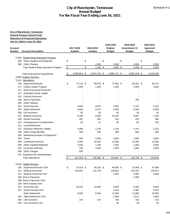| For the Fiscal Year Ending June 30, 2021<br>2019-2020<br>2019-2020<br>2020-2021<br>2017-2018<br>2018-2019<br>Original<br>Amendment #2<br>Approved<br><b>Account Description</b><br><b>Audited</b><br><b>Audited</b><br><b>Budget</b><br><b>Budget</b><br><b>Budget</b><br>71400 Student Body Education Program<br>$-$ \$<br>- \$<br>$-$ \$<br>$-$ \$<br><b>Other Supplies and Materials</b><br>\$<br>499<br><b>Other Charges</b><br>1,500<br>2,000<br>2,000<br>599<br>$-$ \$<br>$\sqrt[6]{3}$<br>$1,500$ \$<br><b>Total Student Body Education Program</b><br>$2,000$ \$<br>$2,000$ \$<br>\$<br>8,506,842 \$<br>8,507,152 \$<br>8,886,711 \$<br>8,897,158 \$<br>9,228,430<br><b>Total Instructional Expenditures</b><br>72000 Support Services<br>72110 Attendance<br>\$<br>77,116 \$<br>80,978 \$<br>77,881 \$<br>83,281 \$<br>83,271<br>105<br>Supervisor/Director<br>1,000<br>Career Ladder Program<br>1,000<br>1,000<br>2,000<br>1,000<br>117<br>121<br>Data Processing Personnel<br><b>Extended Career Ladder</b><br>127<br>162 Clerical Personnel<br><b>Bonus Payments</b><br>758<br>188<br>189<br><b>Other Salaries</b><br><b>Social Security</b><br>4,656<br>4,875<br>4,891<br>5,791<br>201<br><b>State Retirement</b><br>8,385<br>9,185<br>204<br>6,935<br>8,575<br>206<br>Life Insurance<br>36<br>36<br>36<br>36<br><b>Medical Insurance</b><br>9,169<br>9,055<br>10,167<br>9,967<br>207<br>423<br>208<br>Dental Insurance<br>461<br>461<br>423<br><b>Unemployment Compensation</b><br>21<br>90<br>90<br>210<br>28<br><b>Local Retirement</b><br>211<br>212 Employer Medicare Liability<br>1,089<br>1,140<br>1,144<br>1,247<br>299<br><b>Other Fringe Benefits</b><br>500<br>500<br>500<br>500<br>Maintenance/repair of Equipment<br>336<br>582<br>355<br>Travel<br>1,850<br>3,000<br>3,000<br>399<br><b>Contracted Services</b><br>2,548<br>22,943<br>14,300<br>14,300<br><b>Other Supplies/Materials</b><br>1,639<br>1,299<br>1,500<br>1,500<br>499<br>524<br>In-service Staff Dev.<br>740<br>2,629<br>1,650<br>1,650<br>599<br><b>Other Charges</b><br>555<br>701 Equipment for Administration<br>107,054 \$<br>\$<br>135,362 \$<br>124,967 \$<br>133,728 \$<br><b>Total Attendance</b><br>72120 Health Services<br>47,524 \$<br>48,000 \$<br>47,999<br>Supervisor/Director-CSH<br>\$<br>48,323 \$<br>47,999 \$<br>105<br><b>Medical Personnel</b><br>130,920<br>131,755<br>128,692<br>129,192<br>129,874<br>131<br><b>Medical Personnel CSH</b><br>5,050<br>5,000<br>5,000<br>131<br>188 Bonus Payments<br>2,300<br>188 Bonus Payments-CSH<br><b>Other Salaries-Sick</b><br>189<br>Social Security<br>201<br>10,024<br>10,094<br>8,305<br>8,305<br>201 Social Security CSH<br>2,444<br>2,484<br>2,976<br><b>State Retirement</b><br>6,920<br>6,940<br>11,900<br>11,900<br>10,000<br><b>State Retirement CSH</b><br>2,486<br>2,511<br>204<br>144<br>144<br>108<br>108<br>206<br>Life Insurance |     |                    |  | <b>Annual Budget</b> | <b>City of Manchester, Tennessee</b> |    |         |
|-------------------------------------------------------------------------------------------------------------------------------------------------------------------------------------------------------------------------------------------------------------------------------------------------------------------------------------------------------------------------------------------------------------------------------------------------------------------------------------------------------------------------------------------------------------------------------------------------------------------------------------------------------------------------------------------------------------------------------------------------------------------------------------------------------------------------------------------------------------------------------------------------------------------------------------------------------------------------------------------------------------------------------------------------------------------------------------------------------------------------------------------------------------------------------------------------------------------------------------------------------------------------------------------------------------------------------------------------------------------------------------------------------------------------------------------------------------------------------------------------------------------------------------------------------------------------------------------------------------------------------------------------------------------------------------------------------------------------------------------------------------------------------------------------------------------------------------------------------------------------------------------------------------------------------------------------------------------------------------------------------------------------------------------------------------------------------------------------------------------------------------------------------------------------------------------------------------------------------------------------------------------------------------------------------------------------------------------------------------------------------------------------------------------------------------------------------------------------------------------------------------------------------------------------------------------------------------------------------------------------------------------------------------------------------------------------------------------------------------------------------------------------------------------------------------------------------------------------------------------------------------------------------------|-----|--------------------|--|----------------------|--------------------------------------|----|---------|
| <b>City of Manchester, Tennessee</b>                                                                                                                                                                                                                                                                                                                                                                                                                                                                                                                                                                                                                                                                                                                                                                                                                                                                                                                                                                                                                                                                                                                                                                                                                                                                                                                                                                                                                                                                                                                                                                                                                                                                                                                                                                                                                                                                                                                                                                                                                                                                                                                                                                                                                                                                                                                                                                                                                                                                                                                                                                                                                                                                                                                                                                                                                                                                        |     |                    |  |                      |                                      |    |         |
| <b>General Purpose School Fund</b><br><b>Statement of Proposed Operations</b><br>July 01, 2020 to June 30, 2021<br>Account<br>Number                                                                                                                                                                                                                                                                                                                                                                                                                                                                                                                                                                                                                                                                                                                                                                                                                                                                                                                                                                                                                                                                                                                                                                                                                                                                                                                                                                                                                                                                                                                                                                                                                                                                                                                                                                                                                                                                                                                                                                                                                                                                                                                                                                                                                                                                                                                                                                                                                                                                                                                                                                                                                                                                                                                                                                        |     |                    |  |                      |                                      |    |         |
|                                                                                                                                                                                                                                                                                                                                                                                                                                                                                                                                                                                                                                                                                                                                                                                                                                                                                                                                                                                                                                                                                                                                                                                                                                                                                                                                                                                                                                                                                                                                                                                                                                                                                                                                                                                                                                                                                                                                                                                                                                                                                                                                                                                                                                                                                                                                                                                                                                                                                                                                                                                                                                                                                                                                                                                                                                                                                                             |     |                    |  |                      |                                      |    |         |
|                                                                                                                                                                                                                                                                                                                                                                                                                                                                                                                                                                                                                                                                                                                                                                                                                                                                                                                                                                                                                                                                                                                                                                                                                                                                                                                                                                                                                                                                                                                                                                                                                                                                                                                                                                                                                                                                                                                                                                                                                                                                                                                                                                                                                                                                                                                                                                                                                                                                                                                                                                                                                                                                                                                                                                                                                                                                                                             |     |                    |  |                      |                                      |    |         |
|                                                                                                                                                                                                                                                                                                                                                                                                                                                                                                                                                                                                                                                                                                                                                                                                                                                                                                                                                                                                                                                                                                                                                                                                                                                                                                                                                                                                                                                                                                                                                                                                                                                                                                                                                                                                                                                                                                                                                                                                                                                                                                                                                                                                                                                                                                                                                                                                                                                                                                                                                                                                                                                                                                                                                                                                                                                                                                             |     |                    |  |                      |                                      |    |         |
|                                                                                                                                                                                                                                                                                                                                                                                                                                                                                                                                                                                                                                                                                                                                                                                                                                                                                                                                                                                                                                                                                                                                                                                                                                                                                                                                                                                                                                                                                                                                                                                                                                                                                                                                                                                                                                                                                                                                                                                                                                                                                                                                                                                                                                                                                                                                                                                                                                                                                                                                                                                                                                                                                                                                                                                                                                                                                                             |     |                    |  |                      |                                      |    |         |
|                                                                                                                                                                                                                                                                                                                                                                                                                                                                                                                                                                                                                                                                                                                                                                                                                                                                                                                                                                                                                                                                                                                                                                                                                                                                                                                                                                                                                                                                                                                                                                                                                                                                                                                                                                                                                                                                                                                                                                                                                                                                                                                                                                                                                                                                                                                                                                                                                                                                                                                                                                                                                                                                                                                                                                                                                                                                                                             |     |                    |  |                      |                                      |    |         |
|                                                                                                                                                                                                                                                                                                                                                                                                                                                                                                                                                                                                                                                                                                                                                                                                                                                                                                                                                                                                                                                                                                                                                                                                                                                                                                                                                                                                                                                                                                                                                                                                                                                                                                                                                                                                                                                                                                                                                                                                                                                                                                                                                                                                                                                                                                                                                                                                                                                                                                                                                                                                                                                                                                                                                                                                                                                                                                             |     |                    |  |                      |                                      |    |         |
|                                                                                                                                                                                                                                                                                                                                                                                                                                                                                                                                                                                                                                                                                                                                                                                                                                                                                                                                                                                                                                                                                                                                                                                                                                                                                                                                                                                                                                                                                                                                                                                                                                                                                                                                                                                                                                                                                                                                                                                                                                                                                                                                                                                                                                                                                                                                                                                                                                                                                                                                                                                                                                                                                                                                                                                                                                                                                                             |     |                    |  |                      |                                      |    |         |
|                                                                                                                                                                                                                                                                                                                                                                                                                                                                                                                                                                                                                                                                                                                                                                                                                                                                                                                                                                                                                                                                                                                                                                                                                                                                                                                                                                                                                                                                                                                                                                                                                                                                                                                                                                                                                                                                                                                                                                                                                                                                                                                                                                                                                                                                                                                                                                                                                                                                                                                                                                                                                                                                                                                                                                                                                                                                                                             |     |                    |  |                      |                                      |    |         |
|                                                                                                                                                                                                                                                                                                                                                                                                                                                                                                                                                                                                                                                                                                                                                                                                                                                                                                                                                                                                                                                                                                                                                                                                                                                                                                                                                                                                                                                                                                                                                                                                                                                                                                                                                                                                                                                                                                                                                                                                                                                                                                                                                                                                                                                                                                                                                                                                                                                                                                                                                                                                                                                                                                                                                                                                                                                                                                             |     |                    |  |                      |                                      |    |         |
|                                                                                                                                                                                                                                                                                                                                                                                                                                                                                                                                                                                                                                                                                                                                                                                                                                                                                                                                                                                                                                                                                                                                                                                                                                                                                                                                                                                                                                                                                                                                                                                                                                                                                                                                                                                                                                                                                                                                                                                                                                                                                                                                                                                                                                                                                                                                                                                                                                                                                                                                                                                                                                                                                                                                                                                                                                                                                                             |     |                    |  |                      |                                      |    | 2,000   |
|                                                                                                                                                                                                                                                                                                                                                                                                                                                                                                                                                                                                                                                                                                                                                                                                                                                                                                                                                                                                                                                                                                                                                                                                                                                                                                                                                                                                                                                                                                                                                                                                                                                                                                                                                                                                                                                                                                                                                                                                                                                                                                                                                                                                                                                                                                                                                                                                                                                                                                                                                                                                                                                                                                                                                                                                                                                                                                             |     |                    |  |                      |                                      |    | 2,000   |
|                                                                                                                                                                                                                                                                                                                                                                                                                                                                                                                                                                                                                                                                                                                                                                                                                                                                                                                                                                                                                                                                                                                                                                                                                                                                                                                                                                                                                                                                                                                                                                                                                                                                                                                                                                                                                                                                                                                                                                                                                                                                                                                                                                                                                                                                                                                                                                                                                                                                                                                                                                                                                                                                                                                                                                                                                                                                                                             |     |                    |  |                      |                                      |    |         |
|                                                                                                                                                                                                                                                                                                                                                                                                                                                                                                                                                                                                                                                                                                                                                                                                                                                                                                                                                                                                                                                                                                                                                                                                                                                                                                                                                                                                                                                                                                                                                                                                                                                                                                                                                                                                                                                                                                                                                                                                                                                                                                                                                                                                                                                                                                                                                                                                                                                                                                                                                                                                                                                                                                                                                                                                                                                                                                             |     |                    |  |                      |                                      |    |         |
|                                                                                                                                                                                                                                                                                                                                                                                                                                                                                                                                                                                                                                                                                                                                                                                                                                                                                                                                                                                                                                                                                                                                                                                                                                                                                                                                                                                                                                                                                                                                                                                                                                                                                                                                                                                                                                                                                                                                                                                                                                                                                                                                                                                                                                                                                                                                                                                                                                                                                                                                                                                                                                                                                                                                                                                                                                                                                                             |     |                    |  |                      |                                      |    |         |
|                                                                                                                                                                                                                                                                                                                                                                                                                                                                                                                                                                                                                                                                                                                                                                                                                                                                                                                                                                                                                                                                                                                                                                                                                                                                                                                                                                                                                                                                                                                                                                                                                                                                                                                                                                                                                                                                                                                                                                                                                                                                                                                                                                                                                                                                                                                                                                                                                                                                                                                                                                                                                                                                                                                                                                                                                                                                                                             |     |                    |  |                      |                                      |    |         |
|                                                                                                                                                                                                                                                                                                                                                                                                                                                                                                                                                                                                                                                                                                                                                                                                                                                                                                                                                                                                                                                                                                                                                                                                                                                                                                                                                                                                                                                                                                                                                                                                                                                                                                                                                                                                                                                                                                                                                                                                                                                                                                                                                                                                                                                                                                                                                                                                                                                                                                                                                                                                                                                                                                                                                                                                                                                                                                             |     |                    |  |                      |                                      |    |         |
|                                                                                                                                                                                                                                                                                                                                                                                                                                                                                                                                                                                                                                                                                                                                                                                                                                                                                                                                                                                                                                                                                                                                                                                                                                                                                                                                                                                                                                                                                                                                                                                                                                                                                                                                                                                                                                                                                                                                                                                                                                                                                                                                                                                                                                                                                                                                                                                                                                                                                                                                                                                                                                                                                                                                                                                                                                                                                                             |     |                    |  |                      |                                      |    |         |
|                                                                                                                                                                                                                                                                                                                                                                                                                                                                                                                                                                                                                                                                                                                                                                                                                                                                                                                                                                                                                                                                                                                                                                                                                                                                                                                                                                                                                                                                                                                                                                                                                                                                                                                                                                                                                                                                                                                                                                                                                                                                                                                                                                                                                                                                                                                                                                                                                                                                                                                                                                                                                                                                                                                                                                                                                                                                                                             |     |                    |  |                      |                                      |    |         |
|                                                                                                                                                                                                                                                                                                                                                                                                                                                                                                                                                                                                                                                                                                                                                                                                                                                                                                                                                                                                                                                                                                                                                                                                                                                                                                                                                                                                                                                                                                                                                                                                                                                                                                                                                                                                                                                                                                                                                                                                                                                                                                                                                                                                                                                                                                                                                                                                                                                                                                                                                                                                                                                                                                                                                                                                                                                                                                             |     |                    |  |                      |                                      |    |         |
|                                                                                                                                                                                                                                                                                                                                                                                                                                                                                                                                                                                                                                                                                                                                                                                                                                                                                                                                                                                                                                                                                                                                                                                                                                                                                                                                                                                                                                                                                                                                                                                                                                                                                                                                                                                                                                                                                                                                                                                                                                                                                                                                                                                                                                                                                                                                                                                                                                                                                                                                                                                                                                                                                                                                                                                                                                                                                                             |     |                    |  |                      |                                      |    |         |
|                                                                                                                                                                                                                                                                                                                                                                                                                                                                                                                                                                                                                                                                                                                                                                                                                                                                                                                                                                                                                                                                                                                                                                                                                                                                                                                                                                                                                                                                                                                                                                                                                                                                                                                                                                                                                                                                                                                                                                                                                                                                                                                                                                                                                                                                                                                                                                                                                                                                                                                                                                                                                                                                                                                                                                                                                                                                                                             |     |                    |  |                      |                                      |    |         |
|                                                                                                                                                                                                                                                                                                                                                                                                                                                                                                                                                                                                                                                                                                                                                                                                                                                                                                                                                                                                                                                                                                                                                                                                                                                                                                                                                                                                                                                                                                                                                                                                                                                                                                                                                                                                                                                                                                                                                                                                                                                                                                                                                                                                                                                                                                                                                                                                                                                                                                                                                                                                                                                                                                                                                                                                                                                                                                             |     |                    |  |                      |                                      |    | 5,225   |
|                                                                                                                                                                                                                                                                                                                                                                                                                                                                                                                                                                                                                                                                                                                                                                                                                                                                                                                                                                                                                                                                                                                                                                                                                                                                                                                                                                                                                                                                                                                                                                                                                                                                                                                                                                                                                                                                                                                                                                                                                                                                                                                                                                                                                                                                                                                                                                                                                                                                                                                                                                                                                                                                                                                                                                                                                                                                                                             |     |                    |  |                      |                                      |    | 8,958   |
|                                                                                                                                                                                                                                                                                                                                                                                                                                                                                                                                                                                                                                                                                                                                                                                                                                                                                                                                                                                                                                                                                                                                                                                                                                                                                                                                                                                                                                                                                                                                                                                                                                                                                                                                                                                                                                                                                                                                                                                                                                                                                                                                                                                                                                                                                                                                                                                                                                                                                                                                                                                                                                                                                                                                                                                                                                                                                                             |     |                    |  |                      |                                      |    | 36      |
|                                                                                                                                                                                                                                                                                                                                                                                                                                                                                                                                                                                                                                                                                                                                                                                                                                                                                                                                                                                                                                                                                                                                                                                                                                                                                                                                                                                                                                                                                                                                                                                                                                                                                                                                                                                                                                                                                                                                                                                                                                                                                                                                                                                                                                                                                                                                                                                                                                                                                                                                                                                                                                                                                                                                                                                                                                                                                                             |     |                    |  |                      |                                      |    | 7,200   |
|                                                                                                                                                                                                                                                                                                                                                                                                                                                                                                                                                                                                                                                                                                                                                                                                                                                                                                                                                                                                                                                                                                                                                                                                                                                                                                                                                                                                                                                                                                                                                                                                                                                                                                                                                                                                                                                                                                                                                                                                                                                                                                                                                                                                                                                                                                                                                                                                                                                                                                                                                                                                                                                                                                                                                                                                                                                                                                             |     |                    |  |                      |                                      |    | 466     |
|                                                                                                                                                                                                                                                                                                                                                                                                                                                                                                                                                                                                                                                                                                                                                                                                                                                                                                                                                                                                                                                                                                                                                                                                                                                                                                                                                                                                                                                                                                                                                                                                                                                                                                                                                                                                                                                                                                                                                                                                                                                                                                                                                                                                                                                                                                                                                                                                                                                                                                                                                                                                                                                                                                                                                                                                                                                                                                             |     |                    |  |                      |                                      |    | 100     |
|                                                                                                                                                                                                                                                                                                                                                                                                                                                                                                                                                                                                                                                                                                                                                                                                                                                                                                                                                                                                                                                                                                                                                                                                                                                                                                                                                                                                                                                                                                                                                                                                                                                                                                                                                                                                                                                                                                                                                                                                                                                                                                                                                                                                                                                                                                                                                                                                                                                                                                                                                                                                                                                                                                                                                                                                                                                                                                             |     |                    |  |                      |                                      |    |         |
|                                                                                                                                                                                                                                                                                                                                                                                                                                                                                                                                                                                                                                                                                                                                                                                                                                                                                                                                                                                                                                                                                                                                                                                                                                                                                                                                                                                                                                                                                                                                                                                                                                                                                                                                                                                                                                                                                                                                                                                                                                                                                                                                                                                                                                                                                                                                                                                                                                                                                                                                                                                                                                                                                                                                                                                                                                                                                                             |     |                    |  |                      |                                      |    | 1,222   |
|                                                                                                                                                                                                                                                                                                                                                                                                                                                                                                                                                                                                                                                                                                                                                                                                                                                                                                                                                                                                                                                                                                                                                                                                                                                                                                                                                                                                                                                                                                                                                                                                                                                                                                                                                                                                                                                                                                                                                                                                                                                                                                                                                                                                                                                                                                                                                                                                                                                                                                                                                                                                                                                                                                                                                                                                                                                                                                             |     |                    |  |                      |                                      |    | 500     |
|                                                                                                                                                                                                                                                                                                                                                                                                                                                                                                                                                                                                                                                                                                                                                                                                                                                                                                                                                                                                                                                                                                                                                                                                                                                                                                                                                                                                                                                                                                                                                                                                                                                                                                                                                                                                                                                                                                                                                                                                                                                                                                                                                                                                                                                                                                                                                                                                                                                                                                                                                                                                                                                                                                                                                                                                                                                                                                             |     |                    |  |                      |                                      |    |         |
|                                                                                                                                                                                                                                                                                                                                                                                                                                                                                                                                                                                                                                                                                                                                                                                                                                                                                                                                                                                                                                                                                                                                                                                                                                                                                                                                                                                                                                                                                                                                                                                                                                                                                                                                                                                                                                                                                                                                                                                                                                                                                                                                                                                                                                                                                                                                                                                                                                                                                                                                                                                                                                                                                                                                                                                                                                                                                                             |     |                    |  |                      |                                      |    | 3,000   |
|                                                                                                                                                                                                                                                                                                                                                                                                                                                                                                                                                                                                                                                                                                                                                                                                                                                                                                                                                                                                                                                                                                                                                                                                                                                                                                                                                                                                                                                                                                                                                                                                                                                                                                                                                                                                                                                                                                                                                                                                                                                                                                                                                                                                                                                                                                                                                                                                                                                                                                                                                                                                                                                                                                                                                                                                                                                                                                             |     |                    |  |                      |                                      |    | 14,000  |
|                                                                                                                                                                                                                                                                                                                                                                                                                                                                                                                                                                                                                                                                                                                                                                                                                                                                                                                                                                                                                                                                                                                                                                                                                                                                                                                                                                                                                                                                                                                                                                                                                                                                                                                                                                                                                                                                                                                                                                                                                                                                                                                                                                                                                                                                                                                                                                                                                                                                                                                                                                                                                                                                                                                                                                                                                                                                                                             |     |                    |  |                      |                                      |    | 3,000   |
|                                                                                                                                                                                                                                                                                                                                                                                                                                                                                                                                                                                                                                                                                                                                                                                                                                                                                                                                                                                                                                                                                                                                                                                                                                                                                                                                                                                                                                                                                                                                                                                                                                                                                                                                                                                                                                                                                                                                                                                                                                                                                                                                                                                                                                                                                                                                                                                                                                                                                                                                                                                                                                                                                                                                                                                                                                                                                                             |     |                    |  |                      |                                      |    | 2,000   |
|                                                                                                                                                                                                                                                                                                                                                                                                                                                                                                                                                                                                                                                                                                                                                                                                                                                                                                                                                                                                                                                                                                                                                                                                                                                                                                                                                                                                                                                                                                                                                                                                                                                                                                                                                                                                                                                                                                                                                                                                                                                                                                                                                                                                                                                                                                                                                                                                                                                                                                                                                                                                                                                                                                                                                                                                                                                                                                             |     |                    |  |                      |                                      |    |         |
|                                                                                                                                                                                                                                                                                                                                                                                                                                                                                                                                                                                                                                                                                                                                                                                                                                                                                                                                                                                                                                                                                                                                                                                                                                                                                                                                                                                                                                                                                                                                                                                                                                                                                                                                                                                                                                                                                                                                                                                                                                                                                                                                                                                                                                                                                                                                                                                                                                                                                                                                                                                                                                                                                                                                                                                                                                                                                                             |     |                    |  |                      |                                      |    |         |
|                                                                                                                                                                                                                                                                                                                                                                                                                                                                                                                                                                                                                                                                                                                                                                                                                                                                                                                                                                                                                                                                                                                                                                                                                                                                                                                                                                                                                                                                                                                                                                                                                                                                                                                                                                                                                                                                                                                                                                                                                                                                                                                                                                                                                                                                                                                                                                                                                                                                                                                                                                                                                                                                                                                                                                                                                                                                                                             |     |                    |  |                      |                                      |    | 129,978 |
|                                                                                                                                                                                                                                                                                                                                                                                                                                                                                                                                                                                                                                                                                                                                                                                                                                                                                                                                                                                                                                                                                                                                                                                                                                                                                                                                                                                                                                                                                                                                                                                                                                                                                                                                                                                                                                                                                                                                                                                                                                                                                                                                                                                                                                                                                                                                                                                                                                                                                                                                                                                                                                                                                                                                                                                                                                                                                                             |     |                    |  |                      |                                      |    |         |
|                                                                                                                                                                                                                                                                                                                                                                                                                                                                                                                                                                                                                                                                                                                                                                                                                                                                                                                                                                                                                                                                                                                                                                                                                                                                                                                                                                                                                                                                                                                                                                                                                                                                                                                                                                                                                                                                                                                                                                                                                                                                                                                                                                                                                                                                                                                                                                                                                                                                                                                                                                                                                                                                                                                                                                                                                                                                                                             |     |                    |  |                      |                                      |    |         |
|                                                                                                                                                                                                                                                                                                                                                                                                                                                                                                                                                                                                                                                                                                                                                                                                                                                                                                                                                                                                                                                                                                                                                                                                                                                                                                                                                                                                                                                                                                                                                                                                                                                                                                                                                                                                                                                                                                                                                                                                                                                                                                                                                                                                                                                                                                                                                                                                                                                                                                                                                                                                                                                                                                                                                                                                                                                                                                             |     |                    |  |                      |                                      |    |         |
|                                                                                                                                                                                                                                                                                                                                                                                                                                                                                                                                                                                                                                                                                                                                                                                                                                                                                                                                                                                                                                                                                                                                                                                                                                                                                                                                                                                                                                                                                                                                                                                                                                                                                                                                                                                                                                                                                                                                                                                                                                                                                                                                                                                                                                                                                                                                                                                                                                                                                                                                                                                                                                                                                                                                                                                                                                                                                                             |     |                    |  |                      |                                      |    |         |
|                                                                                                                                                                                                                                                                                                                                                                                                                                                                                                                                                                                                                                                                                                                                                                                                                                                                                                                                                                                                                                                                                                                                                                                                                                                                                                                                                                                                                                                                                                                                                                                                                                                                                                                                                                                                                                                                                                                                                                                                                                                                                                                                                                                                                                                                                                                                                                                                                                                                                                                                                                                                                                                                                                                                                                                                                                                                                                             |     |                    |  |                      |                                      |    |         |
|                                                                                                                                                                                                                                                                                                                                                                                                                                                                                                                                                                                                                                                                                                                                                                                                                                                                                                                                                                                                                                                                                                                                                                                                                                                                                                                                                                                                                                                                                                                                                                                                                                                                                                                                                                                                                                                                                                                                                                                                                                                                                                                                                                                                                                                                                                                                                                                                                                                                                                                                                                                                                                                                                                                                                                                                                                                                                                             |     |                    |  |                      |                                      |    |         |
|                                                                                                                                                                                                                                                                                                                                                                                                                                                                                                                                                                                                                                                                                                                                                                                                                                                                                                                                                                                                                                                                                                                                                                                                                                                                                                                                                                                                                                                                                                                                                                                                                                                                                                                                                                                                                                                                                                                                                                                                                                                                                                                                                                                                                                                                                                                                                                                                                                                                                                                                                                                                                                                                                                                                                                                                                                                                                                             |     |                    |  |                      |                                      |    |         |
|                                                                                                                                                                                                                                                                                                                                                                                                                                                                                                                                                                                                                                                                                                                                                                                                                                                                                                                                                                                                                                                                                                                                                                                                                                                                                                                                                                                                                                                                                                                                                                                                                                                                                                                                                                                                                                                                                                                                                                                                                                                                                                                                                                                                                                                                                                                                                                                                                                                                                                                                                                                                                                                                                                                                                                                                                                                                                                             |     |                    |  |                      |                                      |    | 8,363   |
|                                                                                                                                                                                                                                                                                                                                                                                                                                                                                                                                                                                                                                                                                                                                                                                                                                                                                                                                                                                                                                                                                                                                                                                                                                                                                                                                                                                                                                                                                                                                                                                                                                                                                                                                                                                                                                                                                                                                                                                                                                                                                                                                                                                                                                                                                                                                                                                                                                                                                                                                                                                                                                                                                                                                                                                                                                                                                                             |     |                    |  |                      |                                      |    |         |
|                                                                                                                                                                                                                                                                                                                                                                                                                                                                                                                                                                                                                                                                                                                                                                                                                                                                                                                                                                                                                                                                                                                                                                                                                                                                                                                                                                                                                                                                                                                                                                                                                                                                                                                                                                                                                                                                                                                                                                                                                                                                                                                                                                                                                                                                                                                                                                                                                                                                                                                                                                                                                                                                                                                                                                                                                                                                                                             |     |                    |  |                      |                                      |    |         |
|                                                                                                                                                                                                                                                                                                                                                                                                                                                                                                                                                                                                                                                                                                                                                                                                                                                                                                                                                                                                                                                                                                                                                                                                                                                                                                                                                                                                                                                                                                                                                                                                                                                                                                                                                                                                                                                                                                                                                                                                                                                                                                                                                                                                                                                                                                                                                                                                                                                                                                                                                                                                                                                                                                                                                                                                                                                                                                             |     |                    |  |                      |                                      |    | 3,508   |
|                                                                                                                                                                                                                                                                                                                                                                                                                                                                                                                                                                                                                                                                                                                                                                                                                                                                                                                                                                                                                                                                                                                                                                                                                                                                                                                                                                                                                                                                                                                                                                                                                                                                                                                                                                                                                                                                                                                                                                                                                                                                                                                                                                                                                                                                                                                                                                                                                                                                                                                                                                                                                                                                                                                                                                                                                                                                                                             |     |                    |  |                      |                                      |    | 110     |
|                                                                                                                                                                                                                                                                                                                                                                                                                                                                                                                                                                                                                                                                                                                                                                                                                                                                                                                                                                                                                                                                                                                                                                                                                                                                                                                                                                                                                                                                                                                                                                                                                                                                                                                                                                                                                                                                                                                                                                                                                                                                                                                                                                                                                                                                                                                                                                                                                                                                                                                                                                                                                                                                                                                                                                                                                                                                                                             | 206 | Life Insurance CSH |  |                      | 36                                   | 39 | 40      |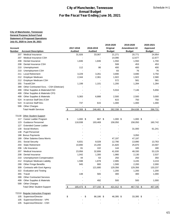|         | <b>Annual Budget</b><br>For the Fiscal Year Ending June 30, 2021 |                             |                 |               |               |               |  |  |  |
|---------|------------------------------------------------------------------|-----------------------------|-----------------|---------------|---------------|---------------|--|--|--|
|         |                                                                  |                             |                 |               |               |               |  |  |  |
|         |                                                                  |                             |                 |               |               |               |  |  |  |
|         | <b>City of Manchester, Tennessee</b>                             |                             |                 |               |               |               |  |  |  |
|         | General Purpose School Fund                                      |                             |                 |               |               |               |  |  |  |
|         | <b>Statement of Proposed Operations</b>                          |                             |                 |               |               |               |  |  |  |
|         | July 01, 2020 to June 30, 2021                                   |                             |                 | 2019-2020     | 2019-2020     | 2020-2021     |  |  |  |
| Account |                                                                  | 2017-2018                   | 2018-2019       | Original      | Amendment #2  | Approved      |  |  |  |
| Number  | <b>Account Description</b>                                       | <b>Audited</b>              | <b>Audited</b>  | <b>Budget</b> | <b>Budget</b> | <b>Budget</b> |  |  |  |
| 207     | <b>Medical Insurance</b>                                         | 31,926                      | 33,067          | 21,271        | 20,771        | 24,954        |  |  |  |
| 207     | Medical Insurance CSH                                            |                             |                 | 14,090        | 12,677        | 12,677        |  |  |  |
| 208     | Dental Insurance                                                 | 1,846                       | 1,846           | 1,550         | 1,550         | 1,700         |  |  |  |
| 208     | Dental Insurance CSH                                             |                             |                 | 508           | 453           | 453           |  |  |  |
| 210     | Unemployment                                                     | 112                         | 86              | 400           | 400           | 400           |  |  |  |
| 210     | Unemployment CSH                                                 |                             |                 | 83            | 76            | 76            |  |  |  |
| 211     | <b>Local Retirement</b>                                          | 3,229                       | 3,261           | 3,690         | 3,690         | 3,750         |  |  |  |
| 212     | <b>Employer Medicare</b>                                         | 2,344                       | 2,361           | 1,922         | 1,922         | 2,580         |  |  |  |
| 212     | Employer Medicare CSH                                            |                             |                 | 572           | 581           | 581           |  |  |  |
| 355     | Travel/CSH                                                       | 1,199                       | 1,101           | 1,200         | 1,284         | 1,284         |  |  |  |
| 399     | Other Contracted Svcs. - CSH (Dietician)                         |                             |                 |               |               |               |  |  |  |
| 499     | Other Supplies & Materials/CSH                                   |                             |                 | 5,916         | 7,146         | 5,656         |  |  |  |
| 499     | Other Supplies & Materials CFG                                   |                             |                 |               |               |               |  |  |  |
| 499     | <b>Other Supplies &amp; Materials</b>                            | 5,383                       | 6,888           | 2,500         | 2,500         | 3,000         |  |  |  |
| 524     | In-service Staff Dev./CSH                                        |                             |                 | 615           | 750           | 750           |  |  |  |
| 524     | In-service Staff Dev.                                            | 737                         | 615             | 1,000         | 1,000         | 1,000         |  |  |  |
|         | 599 Other Charges                                                |                             |                 |               |               |               |  |  |  |
|         | <b>Total Health Services</b>                                     | $\sqrt[6]{3}$<br>242,308 \$ | 246,481 \$      | 262,338 \$    | 264,638 \$    | 266,731       |  |  |  |
|         | 72130 Other Student Support                                      |                             |                 |               |               |               |  |  |  |
| 117     | Career Ladder Program                                            | \$<br>$1,000$ \$            | 667 \$          | $1,000$ \$    | $1,000$ \$    |               |  |  |  |
| 123     | <b>Guidance Personnel</b>                                        | 118,938                     | 193,469         | 158,050       | 158,050       | 160,742       |  |  |  |
| 127     | <b>Extended Career Ladder</b>                                    |                             |                 |               |               |               |  |  |  |
| 130     | <b>Social Workers</b>                                            |                             |                 |               | 31,000        | 61,241        |  |  |  |
| 138     | <b>Pupil Personnel</b>                                           |                             |                 |               |               |               |  |  |  |
|         | 188 Bonus Payments                                               |                             |                 |               | 3,050         |               |  |  |  |
| 189     | Other Salaries-Dana Morris                                       |                             |                 | 47,197        | 47,197        |               |  |  |  |
| 201     | Social Security                                                  | 6,831                       | 8,028           | 12,790        | 13,890        | 13,763        |  |  |  |
| 204     | <b>State Retirement</b>                                          | 10,890                      | 15,200          | 21,820        | 25,870        | 23,597        |  |  |  |
| 206     | Life Insurance                                                   | 81                          | 102             | 144           | 165           | 180           |  |  |  |
| 207     | Medical Insurance                                                | 23,956                      | 32,806          | 41,930        | 48,330        | 53,129        |  |  |  |
| 208     | Dental Insurance                                                 | 1,042                       | 1,300           | 1,980         | 2,130         | 2,537         |  |  |  |
| 210     | Unemployment Compensation                                        | 44                          | 63              | 250           | 250           | 350           |  |  |  |
| 212     | <b>Employer Medicare Liability</b>                               | 1,598                       | 1,878           | 2,995         | 3,245         | 3,219         |  |  |  |
| 299     | <b>Other Fringe Benefits</b>                                     | 945                         | 900             | 1,500         | 2,200         | 2,000         |  |  |  |
| 309     | Contracts with Govt Agency                                       |                             | 121,680         | 129,356       | 129,356       | 133,237       |  |  |  |
| 322     | <b>Evaluation and Testing</b>                                    |                             |                 | 1,200         | 1,200         | 1,200         |  |  |  |
| 355     | Travel                                                           | 148                         | 565             | 300           | 300           | 1,000         |  |  |  |
| 399     | <b>Other Contracted Services</b>                                 |                             |                 |               |               |               |  |  |  |
| 499     | Other Supplies & Materials                                       |                             | 492             | 500           | 500           | 1,000         |  |  |  |
| 599     | <b>Other Charges</b>                                             |                             |                 |               |               |               |  |  |  |
|         | <b>Total Other Student Support</b>                               | 165,473 \$<br>$\sqrt{2}$    | 377,150 \$      | 421,012 \$    | 467,733 \$    | 457,195       |  |  |  |
| 72210   | <b>Regular Instruction Program</b>                               |                             |                 |               |               |               |  |  |  |
| 105     | Supervisor/Director                                              | \$                          | \$<br>86,186 \$ | 46,395 \$     | 33,395 \$     |               |  |  |  |
| 105     | Supervisor/Director - VPK                                        |                             |                 |               |               |               |  |  |  |
|         | Supervisor/Director - CSH                                        |                             |                 |               |               |               |  |  |  |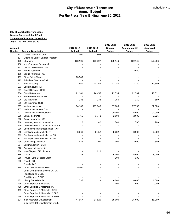| <b>Annual Budget</b><br>For the Fiscal Year Ending June 30, 2021 |                                                                            |                |                |               |               |               |  |  |
|------------------------------------------------------------------|----------------------------------------------------------------------------|----------------|----------------|---------------|---------------|---------------|--|--|
|                                                                  |                                                                            |                |                |               |               |               |  |  |
|                                                                  |                                                                            |                |                |               |               |               |  |  |
|                                                                  | <b>City of Manchester, Tennessee</b><br><b>General Purpose School Fund</b> |                |                |               |               |               |  |  |
|                                                                  | <b>Statement of Proposed Operations</b>                                    |                |                |               |               |               |  |  |
|                                                                  | July 01, 2020 to June 30, 2021                                             |                |                |               |               |               |  |  |
|                                                                  |                                                                            |                |                | 2019-2020     | 2019-2020     | 2020-2021     |  |  |
| Account                                                          |                                                                            | 2017-2018      | 2018-2019      | Original      | Amendment #2  | Approved      |  |  |
| Number                                                           | <b>Account Description</b>                                                 | <b>Audited</b> | <b>Audited</b> | <b>Budget</b> | <b>Budget</b> | <b>Budget</b> |  |  |
|                                                                  | 117 Career Ladder Program                                                  | 1,000          | 505            |               |               |               |  |  |
| 127                                                              | Extended Career Ladder Program                                             |                |                |               |               |               |  |  |
| 129                                                              | Librarians                                                                 | 168,106        | 166,897        | 169,146       | 169,146       | 172,256       |  |  |
| 138                                                              | Inst. Computer Personnel                                                   |                |                |               |               |               |  |  |
| 162                                                              | Clerical Personnel - CSH                                                   |                |                |               |               |               |  |  |
| 188                                                              | <b>Bonus Payments</b>                                                      |                |                |               | 3,030         |               |  |  |
| 188                                                              | Bonus Payments - CSH                                                       |                |                |               |               |               |  |  |
| 189                                                              | Other Sal. & Wages                                                         | 63,949         |                |               |               |               |  |  |
| 195                                                              | Substitute Teachers-TAP                                                    |                |                |               |               |               |  |  |
| 201                                                              | Social Security                                                            | 13,951         | 14,759         | 13,180        | 13,180        | 10,680        |  |  |
| 201                                                              | Social Security-TAP                                                        |                |                |               |               |               |  |  |
| 201                                                              | Social Security - CSH                                                      |                |                |               |               |               |  |  |
| 204                                                              | <b>State Retirement</b>                                                    | 21,161         | 26,455         | 22,594        | 22,594        | 18,311        |  |  |
| 204                                                              | State Retirement - CSH                                                     |                |                |               |               |               |  |  |
| 206                                                              | Life Insurance                                                             | 138            | 138            | 150           | 150           | 150           |  |  |
| 206                                                              | Life Insurance CSH                                                         |                |                |               |               |               |  |  |
| 207<br>207                                                       | Medical Insurance<br>Medical Insurance - CSH                               | 94,138         | 117,745        | 37,700        | 37,700        | 32,000        |  |  |
| 207                                                              | Medical Insurance-Retirees                                                 |                | $\overline{a}$ | 90,000        | 76,000        | 90,000        |  |  |
| 208                                                              | Dental Insurance                                                           | 1,765          | 1,772          |               |               |               |  |  |
| 208                                                              | Dental Insurance - CSH                                                     |                |                | 2,000         | 2,000         | 1,525         |  |  |
| 210                                                              | <b>Unemployment Compensation</b>                                           | 110            | 42             | 700           | 700           | 700           |  |  |
| 210                                                              | Unemployment Compensation - CSH                                            |                |                |               |               |               |  |  |
| 210                                                              | Unemployment Compensation-TAP                                              |                |                |               |               |               |  |  |
| 212                                                              | <b>Employer Medicare Liability</b>                                         | 3,263          | 3,452          | 3,082         | 3,082         | 2,500         |  |  |
| 212                                                              | Employer Medicare Liability - CSH                                          |                |                |               |               |               |  |  |
| 212                                                              | Employer Medicare Liability-TAP                                            |                |                |               |               |               |  |  |
| 299                                                              | <b>Other Fringe Benefits</b>                                               | 1,946          | 1,200          | 3,000         | 3,000         | 1,500         |  |  |
|                                                                  | 307 Communication - CSH                                                    |                |                |               |               |               |  |  |
| 320                                                              | Dues and Memberships                                                       |                |                |               |               |               |  |  |
| 336                                                              | Maint/Repair of Equipment                                                  |                | 1,226          |               |               |               |  |  |
| 355                                                              | Travel                                                                     | 388            |                | 5,000         | 5,000         | 5,000         |  |  |
| 355                                                              | Travel - Safe Schools Grant                                                |                |                | 100           | 100           |               |  |  |
|                                                                  | 355 Travel - CSH                                                           |                |                |               |               |               |  |  |
|                                                                  | Travel - TAP                                                               |                |                |               |               |               |  |  |
|                                                                  | 399 Other Contracted Services                                              | 9,000          |                |               |               |               |  |  |
|                                                                  | <b>Other Contracted Services-SAFES</b>                                     |                |                |               |               |               |  |  |
|                                                                  | Food Supples CCLE                                                          |                |                |               |               |               |  |  |
|                                                                  | Food Supples CCLE                                                          |                |                |               |               |               |  |  |
| 432                                                              | Library Books/Media                                                        | 1,735          |                | 6,000         | 6,000         | 6,000         |  |  |
| 499                                                              | Other Supplies & Materials                                                 |                |                | 1,000         | 1,000         | 1,000         |  |  |
| 499                                                              | Other Supplies & Materials-TAP                                             |                |                |               |               |               |  |  |
| 499                                                              | Other Supplies & Materials - CSH                                           |                |                |               |               |               |  |  |
|                                                                  | Other Supplies & Materials - CCLE                                          |                |                |               |               |               |  |  |
| 499                                                              | Other Supplies & Materials - SAFES                                         |                |                |               |               |               |  |  |
|                                                                  | 524 In-service/Staff Development                                           | 47,957         | 14,820         | 15,000        | 15,000        | 15,000        |  |  |
|                                                                  | In-service/Staff Development-CCLE                                          |                |                |               |               |               |  |  |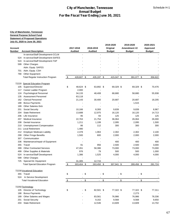| <b>City of Manchester, Tennessee</b><br><b>Annual Budget</b><br>For the Fiscal Year Ending June 30, 2021 |                                                                    |               |                |        |                |    |                 |  |                 |      |               |
|----------------------------------------------------------------------------------------------------------|--------------------------------------------------------------------|---------------|----------------|--------|----------------|----|-----------------|--|-----------------|------|---------------|
|                                                                                                          |                                                                    |               |                |        |                |    |                 |  |                 |      |               |
|                                                                                                          |                                                                    |               |                |        |                |    |                 |  |                 |      |               |
|                                                                                                          | <b>City of Manchester, Tennessee</b>                               |               |                |        |                |    |                 |  |                 |      |               |
|                                                                                                          | <b>General Purpose School Fund</b>                                 |               |                |        |                |    |                 |  |                 |      |               |
|                                                                                                          | <b>Statement of Proposed Operations</b>                            |               |                |        |                |    |                 |  |                 |      |               |
|                                                                                                          | July 01, 2020 to June 30, 2021                                     |               |                |        |                |    |                 |  |                 |      |               |
|                                                                                                          |                                                                    |               |                |        |                |    | 2019-2020       |  | 2019-2020       |      | 2020-2021     |
| Account                                                                                                  |                                                                    |               | 2017-2018      |        | 2018-2019      |    | Original        |  | Amendment #2    |      | Approved      |
| Number                                                                                                   | <b>Account Description</b>                                         |               | <b>Audited</b> |        | <b>Audited</b> |    | <b>Budget</b>   |  | <b>Budget</b>   |      | <b>Budget</b> |
|                                                                                                          | In-service/Staff Development-CCLM                                  |               |                |        |                |    |                 |  |                 |      |               |
| 524                                                                                                      | In-service/Staff Development-SAFES                                 |               |                |        |                |    |                 |  |                 |      |               |
| 524                                                                                                      | In-service/Staff Development-TAP                                   |               |                |        |                |    |                 |  |                 |      |               |
| 599                                                                                                      | <b>Other Charges</b>                                               |               |                |        |                |    |                 |  |                 |      |               |
|                                                                                                          | Adm. Equip. SAFES                                                  |               |                |        |                |    |                 |  |                 |      |               |
| 701                                                                                                      | Adm. Equip. CSH                                                    |               |                |        |                |    |                 |  |                 |      |               |
| 790                                                                                                      | <b>Other Equipment</b>                                             |               |                |        |                |    |                 |  |                 |      |               |
|                                                                                                          | <b>Total Regular Instruction Program</b>                           | -\$           | 428,607 \$     |        | 435,197 \$     |    | 415,047 \$      |  | 391,077 \$      |      | 356,622       |
|                                                                                                          |                                                                    |               |                |        |                |    |                 |  |                 |      |               |
| 72220                                                                                                    | <b>Special Education Program</b>                                   |               |                |        |                |    |                 |  |                 |      |               |
| 105                                                                                                      | Supervisor/Director                                                | \$            | 48,624 \$      |        | 63,892 \$      |    | 69,329 \$       |  | 69,329 \$       |      | 70,476        |
| 117                                                                                                      | Career Ladder Program                                              |               | 2,000          |        |                |    |                 |  |                 |      |               |
| 124                                                                                                      | <b>Psychological Personnel</b>                                     |               | 34,133         |        | 48,408         |    | 68,680          |  | 58,680          |      | 55,938        |
| 135                                                                                                      | <b>Assessment Personnel</b>                                        |               | 63,118         |        |                |    |                 |  |                 |      |               |
|                                                                                                          | 162 Clerical Personnel                                             |               | 21,143         |        | 30,400         |    | 20,687          |  | 20,687          |      | 18,205        |
| 188                                                                                                      | <b>Bonus Payments</b>                                              |               |                |        |                |    |                 |  | 1,515           |      |               |
| 189                                                                                                      | <b>Other Salaries-Sick</b>                                         |               |                |        |                |    |                 |  |                 |      |               |
| 201                                                                                                      | Social Security                                                    |               | 10,166         |        | 8,393          |    | 9,839           |  | 9,839           |      | 8,967         |
| 204                                                                                                      | <b>State Retirement</b>                                            |               | 13,688         |        | 12,975         |    | 16,120          |  | 16,120          |      | 14,713        |
| 206                                                                                                      | Life Insurance                                                     |               | 95             |        | 93             |    | 125             |  | 125             |      | 125           |
| 207                                                                                                      | <b>Medical Insurance</b>                                           |               | 22,763         |        | 21,754         |    | 36,064          |  | 26,064          |      | 26,000        |
| 208                                                                                                      | Dental Insurance                                                   |               | 1,211          |        | 1,199          |    | 2,095           |  | 2,095           |      | 1,500         |
| 210                                                                                                      | Unemployment Compensation                                          |               | 86             |        | 112            |    | 300             |  | 300             |      | 300           |
|                                                                                                          | 211 Local Retirement                                               |               | 1,480          |        |                |    |                 |  |                 |      |               |
| 212                                                                                                      | <b>Employer Medicare Liability</b><br><b>Other Fringe Benefits</b> |               | 2,378          |        | 1,963          |    | 2,302           |  | 2,302           |      | 2,100         |
| 299                                                                                                      | Communication                                                      |               | 1,500          |        | 600            |    | 2,000           |  | 2,000           |      | 2,000         |
| 307                                                                                                      |                                                                    |               |                |        | ÷.             |    |                 |  |                 |      |               |
| 336<br>355                                                                                               | Maintenance/repair of Equipment<br>Travel                          |               | 91             |        | 956            |    | 400             |  | 400             |      | 400<br>3,000  |
| 399                                                                                                      | <b>Other Contracted Services</b>                                   |               | 47,261         |        | 58,386         |    | 2,500<br>73,000 |  | 2,500<br>73,000 |      | 73,000        |
| 499                                                                                                      | Other Supplies & Materials                                         |               | 976            |        | 79             |    | 500             |  | 500             |      | 1,000         |
| 524                                                                                                      | In-service/Staff Development                                       |               | 1,386          |        | 1,525          |    | 4,000           |  | 4,000           |      | 4,000         |
| 599                                                                                                      | <b>Other Charges</b>                                               |               |                |        |                |    |                 |  |                 |      |               |
| 725                                                                                                      | Special Ed. Equipment                                              |               | 31,305         |        | 12,715         |    |                 |  |                 |      |               |
|                                                                                                          | <b>Total Special Education Program</b>                             | \$            | 303,404 \$     |        | 263,450 \$     |    | 307,941 \$      |  | 289,456 \$      |      | 281,724       |
|                                                                                                          |                                                                    |               |                |        |                |    |                 |  |                 |      |               |
|                                                                                                          | 72230 Vocational Education                                         |               |                |        |                |    |                 |  |                 |      |               |
|                                                                                                          | 355 Travel                                                         | \$            |                | $-$ \$ | $\blacksquare$ | \$ | $-$ \$          |  |                 | - \$ |               |
| 524                                                                                                      | In Service Development                                             |               |                |        |                |    |                 |  |                 |      |               |
|                                                                                                          | <b>Total Vocational Education</b>                                  | $\frac{3}{2}$ | $\blacksquare$ | \$     | $\blacksquare$ | \$ | $-$ \$          |  | $\blacksquare$  | \$   |               |
|                                                                                                          |                                                                    |               |                |        |                |    |                 |  |                 |      |               |
|                                                                                                          | 72250 Technology                                                   |               |                |        |                |    |                 |  |                 |      |               |
| 105                                                                                                      | Director of Technology                                             | \$            |                | $-$ \$ | 82,501 \$      |    | 77,322 \$       |  | 77,322 \$       |      | 77,311        |
| 188                                                                                                      | <b>Bonus Payments</b>                                              |               |                |        |                |    |                 |  | 2,273           |      |               |
| 189                                                                                                      | Other Salaries and Wages                                           |               |                |        | 83,561         |    | 76,986          |  | 76,986          |      | 78,336        |
| 201                                                                                                      | Social Security                                                    |               |                |        | 9,162          |    | 9,568           |  | 9,568           |      | 9,650         |
| 204                                                                                                      | <b>State Retirement</b>                                            |               |                |        | 12,546         |    | 13,609          |  | 13,609          |      | 13,702        |
|                                                                                                          |                                                                    |               |                |        |                |    |                 |  |                 |      |               |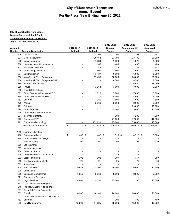| <b>City of Manchester, Tennessee</b><br><b>Annual Budget</b><br>For the Fiscal Year Ending June 30, 2021 |                                                             |                  |                   |               |                      |                   |  |  |
|----------------------------------------------------------------------------------------------------------|-------------------------------------------------------------|------------------|-------------------|---------------|----------------------|-------------------|--|--|
|                                                                                                          |                                                             |                  |                   |               |                      |                   |  |  |
|                                                                                                          | <b>City of Manchester, Tennessee</b>                        |                  |                   |               |                      |                   |  |  |
|                                                                                                          | General Purpose School Fund                                 |                  |                   |               |                      |                   |  |  |
|                                                                                                          | <b>Statement of Proposed Operations</b>                     |                  |                   |               |                      |                   |  |  |
|                                                                                                          | July 01, 2020 to June 30, 2021                              |                  |                   |               |                      |                   |  |  |
|                                                                                                          |                                                             |                  |                   | 2019-2020     | 2019-2020            | 2020-2021         |  |  |
| Account                                                                                                  |                                                             | 2017-2018        | 2018-2019         | Original      | Amendment #2         | Approved          |  |  |
| Number                                                                                                   | <b>Account Description</b>                                  | <b>Audited</b>   | <b>Audited</b>    | <b>Budget</b> | <b>Budget</b>        | <b>Budget</b>     |  |  |
| 206                                                                                                      | Life Insurance                                              |                  | 108               |               | 108<br>108           | 108               |  |  |
| 207                                                                                                      | Medical Insurance                                           |                  | 29,454            | 33,790        | 33,790               | 36,000            |  |  |
| 208                                                                                                      | Dental Insurance                                            |                  | 1,384             | 1,523         | 1,523                | 1,523             |  |  |
| 210                                                                                                      | Unemployment Compensation                                   |                  | 63                |               | 400<br>400           | 400               |  |  |
| 212                                                                                                      | <b>Employer Medicare</b>                                    |                  | 2,143             | 2,238         | 2,238                | 2,257             |  |  |
| 299                                                                                                      | <b>Other Fringe Benefits</b>                                |                  | 500               |               | 500<br>500           | 500               |  |  |
| 307                                                                                                      | Communication                                               |                  | 1,437             | 6,000         | 6,000                | 6,000             |  |  |
| 336                                                                                                      | Main/Repair Tech Equipment                                  |                  | 57,458            | 60,000        | 60,000               | 60,000            |  |  |
| 336                                                                                                      | Main/Repair Tech Equipment/DPP                              |                  |                   | 8,500         | 8,500                | 8,500             |  |  |
| 350                                                                                                      | <b>Internet Connectivity</b>                                |                  |                   |               | 36,060               | 36,060            |  |  |
| 355                                                                                                      | Travel                                                      |                  | 1,264             | 3,000         | 3,000                | 3,000             |  |  |
| 355                                                                                                      | <b>Travel/Safe Schools</b>                                  |                  |                   |               |                      |                   |  |  |
| 399                                                                                                      | <b>Other Contracted Services/DPP</b>                        |                  | 3,026             | 7,000         | 7,000                | 7,000             |  |  |
| 399                                                                                                      | <b>Other Contracted Services</b>                            |                  |                   | 4,000         | 4,000                | 4,000             |  |  |
| 451                                                                                                      | Uniforms                                                    |                  | 280               |               | 600<br>600           | 600               |  |  |
| 470                                                                                                      | Wiring                                                      |                  | 2,260             | 3,000         | 3,000                | 3,000             |  |  |
| 471                                                                                                      | Software                                                    |                  |                   |               | 69,000               | 70,000            |  |  |
| 499                                                                                                      | <b>Other Supplies</b>                                       |                  | 3,517             | 15,000        | 15,000               | 15,000            |  |  |
| 499                                                                                                      | Other Supplies/Safe Schools                                 |                  |                   |               |                      |                   |  |  |
| 524                                                                                                      | <b>Inservice Staff Dev</b>                                  |                  |                   | 4,200         | 4,200                | 4,200             |  |  |
| 722                                                                                                      | Equipment/DPP                                               |                  |                   | 77,000        | 77,000               | 112,000           |  |  |
|                                                                                                          | 722 Equipment-Technology<br><b>Total Board of Education</b> | $\sqrt{2}$       | 132,819<br>$-$ \$ | 75,000        | 75,000               | 75,000<br>624,147 |  |  |
|                                                                                                          |                                                             |                  | 423,483 \$        | 479,344 \$    | 586,677 \$           |                   |  |  |
|                                                                                                          | 72310 Board of Education                                    |                  |                   |               |                      |                   |  |  |
| 118                                                                                                      | Secretary to Board                                          | \$<br>$1,462$ \$ | 1,462 \$          |               | 1,515 \$<br>4,715 \$ | 5,000             |  |  |
| 189                                                                                                      | Other Salaries and Wages                                    |                  |                   |               |                      |                   |  |  |
| 201                                                                                                      | Social Security                                             | 91               | 91                |               | 94<br>294            | 310               |  |  |
| 206                                                                                                      | Life Insurance                                              |                  |                   |               |                      |                   |  |  |
| 207                                                                                                      | Medical Insurance                                           |                  | 1                 |               |                      |                   |  |  |
| 208                                                                                                      | Dental Insurance                                            |                  |                   |               |                      |                   |  |  |
| 210                                                                                                      | <b>Unemployment Compensation</b>                            |                  | 1<br>1            |               | 6<br>6               |                   |  |  |
| 211                                                                                                      | <b>Local Retirement</b>                                     | 102              | 102               |               | 107<br>357           | 350               |  |  |
| 212                                                                                                      | <b>Employer Medicare Liability</b>                          | 21               | 21                |               | 25<br>70             | 73                |  |  |
| 302                                                                                                      | Advertising                                                 |                  |                   |               |                      |                   |  |  |
| 305                                                                                                      | <b>Audit Services</b>                                       | 9,943            | 13,300            | 16,000        | 16,000               | 17,500            |  |  |
| 308                                                                                                      | Consultants                                                 |                  |                   |               |                      |                   |  |  |
| 320                                                                                                      | Dues and Membership                                         | 6,556            | 8,869             | 8,500         | 8,500                | 8,500             |  |  |
| 321                                                                                                      | <b>Engineering Services</b>                                 |                  |                   |               |                      |                   |  |  |
| 331                                                                                                      | <b>Legal Services</b>                                       | 18,862           | 9,396             | 25,000        | 12,305               | 25,000            |  |  |
| 332                                                                                                      | Legal Notice Recording Fees                                 |                  |                   |               |                      |                   |  |  |
| 349                                                                                                      | Printing, Stationery and Forms                              |                  |                   |               |                      |                   |  |  |
| 351                                                                                                      | Bd. of Ed. Rental Payments                                  |                  |                   |               |                      |                   |  |  |
|                                                                                                          | 355 Travel                                                  | 6,087            | 14,188            | 20,000        | 20,000               | 20,000            |  |  |
|                                                                                                          | Other Contracted Svcs. TSBA Bd. P                           |                  |                   |               |                      |                   |  |  |
|                                                                                                          | Uniforms                                                    |                  |                   |               | 300<br>300           | 400               |  |  |
| 451                                                                                                      |                                                             |                  |                   |               |                      |                   |  |  |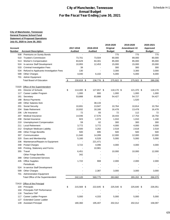|                          | <b>City of Manchester, Tennessee</b><br><b>Annual Budget</b><br>For the Fiscal Year Ending June 30, 2021 |                             |                             |                           |                               |                           |  |  |  |
|--------------------------|----------------------------------------------------------------------------------------------------------|-----------------------------|-----------------------------|---------------------------|-------------------------------|---------------------------|--|--|--|
|                          |                                                                                                          |                             |                             |                           |                               |                           |  |  |  |
|                          |                                                                                                          |                             |                             |                           |                               |                           |  |  |  |
|                          | <b>City of Manchester, Tennessee</b>                                                                     |                             |                             |                           |                               |                           |  |  |  |
|                          | <b>General Purpose School Fund</b>                                                                       |                             |                             |                           |                               |                           |  |  |  |
|                          | <b>Statement of Proposed Operations</b>                                                                  |                             |                             |                           |                               |                           |  |  |  |
|                          | July 01, 2020 to June 30, 2021                                                                           |                             |                             |                           |                               |                           |  |  |  |
|                          |                                                                                                          |                             |                             | 2019-2020                 | 2019-2020                     | 2020-2021                 |  |  |  |
| <b>Account</b><br>Number | <b>Account Description</b>                                                                               | 2017-2018<br><b>Audited</b> | 2018-2019<br><b>Audited</b> | Original<br><b>Budget</b> | Amendment #2<br><b>Budget</b> | Approved<br><b>Budget</b> |  |  |  |
| 508                      | <b>Premiums on Surety Bonds</b>                                                                          |                             |                             | 775                       | 775                           | 775                       |  |  |  |
| 510                      | <b>Trustee's Commission</b>                                                                              | 73,701                      | 73,504                      | 80,000                    | 89,000                        | 80,000                    |  |  |  |
| 513                      | <b>Worker's Compensation</b>                                                                             | 83,629                      | 84,301                      | 85,000                    | 85,000                        | 85,000                    |  |  |  |
| 524                      | In-service Staff Development                                                                             | 10,955                      | 12,453                      | 15,000                    | 15,000                        | 20,000                    |  |  |  |
| 533                      | <b>Criminal Investigation Fees</b>                                                                       | 39                          |                             | 300                       | 300                           | 300                       |  |  |  |
| 534                      | Refund to Applicants-Investigation Fees                                                                  | 130                         |                             | 3,300                     | 3,300                         | 3,000                     |  |  |  |
| 599                      | <b>Other Charges</b>                                                                                     | 4,040                       | 6,102                       | 5,000                     | 5,000                         | 8,000                     |  |  |  |
|                          | 701 Admin Equipment                                                                                      |                             |                             |                           |                               |                           |  |  |  |
|                          | <b>Total Board of Education</b>                                                                          | $\sqrt{2}$<br>230,619 \$    | 238,776 \$                  | 275,922 \$                | 275,922 \$                    | 289,208                   |  |  |  |
| 72320                    | Office of the Superintendent                                                                             |                             |                             |                           |                               |                           |  |  |  |
| 101                      | Director of Schools                                                                                      | \$<br>114,400 \$            | 127,657 \$                  | 118,170 \$                | 121,370 \$                    | 118,170                   |  |  |  |
| 117                      | Career Ladder Program                                                                                    | 1,000                       | 800                         | 1,000                     | 1,000                         | 1,000                     |  |  |  |
| 161                      | Secretary                                                                                                | 53,888                      | 83,888                      | 54,427                    | 54,727                        | 54,427                    |  |  |  |
| 188                      | <b>Bonus Payments</b>                                                                                    |                             |                             |                           | 1,520                         |                           |  |  |  |
| 189                      | <b>Other Salaries-Sick</b>                                                                               |                             | 38,133                      |                           |                               |                           |  |  |  |
| 201                      | <b>Social Security</b>                                                                                   | 10,691                      | 13,947                      | 10,764                    | 10,814                        | 10,764                    |  |  |  |
| 204                      | <b>State Retirement</b>                                                                                  | 10,932                      | 18,166                      | 16,478                    | 13,478                        | 16,478                    |  |  |  |
| 206                      | Life Insurance                                                                                           | 72                          | 83                          | 72                        | 112                           | 72                        |  |  |  |
| 207                      | Medical Insurance                                                                                        | 14,046                      | 17,576                      | 18,443                    | 17,753                        | 18,750                    |  |  |  |
| 208                      | Dental Insurance                                                                                         | 923                         | 1,074                       | 1,010                     | 1,010                         | 1,100                     |  |  |  |
| 210                      | Unemployment Compensation                                                                                | 59                          | 62                          | 300                       | 300                           | 300                       |  |  |  |
| 211                      | <b>Local Retirement</b>                                                                                  | 3,772                       | 3,772                       | 4,000                     | 4,000                         | 4,000                     |  |  |  |
|                          | 212 Employer Medicare Liability                                                                          | 2,500                       | 3,262                       | 2,518                     | 2,618                         | 2,518                     |  |  |  |
| 299                      | <b>Other Fringe Benefits</b>                                                                             | 500                         | 695                         | 500                       | 500                           | 500                       |  |  |  |
|                          | 307 Communication                                                                                        | 11,940                      | 14,289                      | 12,000                    | 12,000                        | 12,000                    |  |  |  |
| 320                      | Dues and Membership                                                                                      | 5,160                       | 6,528                       | 5,000                     | 5,000                         | 5,000                     |  |  |  |
| 336                      | Maintenance/Repairs to Equipment                                                                         |                             | 221,471                     |                           |                               |                           |  |  |  |
| 348                      | Postal Charges                                                                                           | 3,722                       | 4,096                       | 4,000                     | 4,000                         | 4,000                     |  |  |  |
| 349                      | Printing, Stationery and Forms                                                                           |                             | 10,981                      |                           |                               |                           |  |  |  |
|                          | 355 Travel                                                                                               | 6,451                       |                             | 10,000                    | 10,000                        | 12,000                    |  |  |  |
|                          | <b>Other Fringe Benefits</b>                                                                             | 342                         |                             |                           |                               |                           |  |  |  |
|                          | 399 Other Contracted Services<br>435 Office Supplies                                                     | 1,722                       | 908                         |                           |                               |                           |  |  |  |
|                          | Periodicals                                                                                              |                             |                             | 2,000                     | 2,000                         | 2,000                     |  |  |  |
|                          | 524 In-service Staff Development                                                                         |                             |                             |                           |                               |                           |  |  |  |
| 599                      | <b>Other Charges</b>                                                                                     |                             | 2,387                       | 3,000                     | 3,000                         | 3,000                     |  |  |  |
|                          | 701 Administration Equipment                                                                             |                             |                             |                           |                               |                           |  |  |  |
|                          | Total Office of the Superintendent                                                                       | 242,120                     | 569,775                     | 263,682                   | 265,202 \$                    | 266,079                   |  |  |  |
|                          |                                                                                                          |                             |                             |                           |                               |                           |  |  |  |
|                          | 72410 Office of the Principal                                                                            |                             |                             |                           |                               |                           |  |  |  |
| 104                      | Principals                                                                                               | \$<br>215,569 \$            | 222,645 \$                  | 225,540 \$                | 225,640 \$                    | 226,051                   |  |  |  |
| 104                      | Principals-TAP Performance                                                                               |                             |                             |                           |                               |                           |  |  |  |
| 116                      | Teachers-TAP                                                                                             |                             |                             |                           |                               |                           |  |  |  |
| 117                      | Career Ladder Program                                                                                    | 5,000                       | 4,333                       | 5,000                     | 5,000                         | 5,000                     |  |  |  |
| 127                      | <b>Extended Career Ladder</b><br><b>Assistant Principal</b>                                              | 180,360                     | 195,407                     | 202,012                   | 202,012                       | 158,097                   |  |  |  |
| 139                      |                                                                                                          |                             |                             |                           |                               |                           |  |  |  |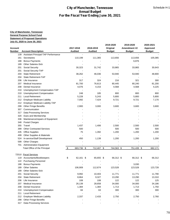|            |                                                        | <b>City of Manchester, Tennessee</b>     | <b>Annual Budget</b> |               |                          |               |
|------------|--------------------------------------------------------|------------------------------------------|----------------------|---------------|--------------------------|---------------|
|            |                                                        | For the Fiscal Year Ending June 30, 2021 |                      |               |                          |               |
|            |                                                        |                                          |                      |               |                          |               |
|            | <b>City of Manchester, Tennessee</b>                   |                                          |                      |               |                          |               |
|            | <b>General Purpose School Fund</b>                     |                                          |                      |               |                          |               |
|            | <b>Statement of Proposed Operations</b>                |                                          |                      |               |                          |               |
|            | July 01, 2020 to June 30, 2021                         |                                          |                      |               |                          |               |
|            |                                                        |                                          |                      | 2019-2020     | 2019-2020                | 2020-2021     |
| Account    |                                                        | 2017-2018                                | 2018-2019            | Original      | Amendment #2             | Approved      |
| Number     | <b>Account Description</b>                             | <b>Audited</b>                           | <b>Audited</b>       | <b>Budget</b> | <b>Budget</b>            | <b>Budget</b> |
| 161        | 139 Assistant Principal-TAP Performance<br>Secretaries | 110,199                                  | 111,365              | 113,656       | 113,656                  | 105,085       |
| 188        | <b>Bonus Payments</b>                                  |                                          |                      |               | 6,876                    |               |
| 189        | <b>Other Salaries-Sick</b>                             |                                          |                      |               |                          |               |
| 201        | Social Security                                        | 30,323                                   | 31,742               | 33,865        | 33,865                   | 30,643        |
| 201        | Social Security-TAP                                    |                                          | $\blacksquare$       |               | $\overline{\phantom{a}}$ |               |
| 204        | <b>State Retirement</b>                                | 38,262                                   | 46,036               | 53,940        | 53,940                   | 48,800        |
| 204        | State Retirement-TAP                                   |                                          |                      |               |                          |               |
| 206        | Life Insurance                                         | 317                                      | 324                  | 216           | 321                      | 300           |
| 207        | Medical Insurance                                      | 81,700                                   | 76,613               | 80,445        | 80,240                   | 81,200        |
| 208        | Dental Insurance                                       | 4,076                                    | 4,153                | 4,568         | 4,568                    | 4,225         |
| 210        | Unemployment Compensation-TAP                          |                                          |                      |               |                          |               |
| 210        | Unemployment Compensation                              | 248                                      | 185                  | 800           | 800                      | 800           |
| 211        | <b>Local Retirement</b>                                | 5,228                                    | 5,243                | 5,800         | 5,800                    | 5,800         |
| 212        | <b>Employer Medicare Liability</b>                     | 7,092                                    | 7,424                | 9,721         | 9,721                    | 7,170         |
| 212        | Employer Medicare Liability-TAP                        |                                          |                      |               |                          |               |
| 299        | <b>Other Fringe Benefits</b>                           | 2,900                                    | 3,000                | 3,600         | 3,600                    | 3,600         |
| 307        | Communication                                          |                                          |                      |               |                          |               |
| 317        | Data Processing Services                               |                                          |                      |               |                          |               |
| 320        | Dues and Membership                                    |                                          |                      |               |                          |               |
| 336        | Maintenance/repairs of Equipment                       |                                          |                      |               |                          |               |
| 348<br>355 | <b>Postal Charges</b><br>Travel                        | 1,437                                    | 1,406                | 2,500         | 2,500                    | 2,500         |
|            | 399 Other Contracted Services                          | 500                                      |                      | 500           | 500                      | 500           |
| 435        | <b>Office Supplies</b>                                 | 75                                       | 1,392                | 1,200         | 1,200                    | 1,200         |
| 499        | Other Supplies & Materials                             |                                          |                      |               |                          |               |
| 524        | In-service/Staff Development                           | 450                                      | 1,139                | 1,200         | 1,200                    | 1,200         |
| 599        | <b>Other Charges</b>                                   |                                          |                      |               |                          |               |
|            | 701 Administration Equipment                           |                                          |                      |               |                          |               |
|            | Total Office of the Principal                          | 683,736 \$<br>\$                         | 712,407 \$           | 744,563 \$    | 751,439 \$               | 682,171       |
|            |                                                        |                                          |                      |               |                          |               |
|            | 72510 Fiscal Services                                  |                                          |                      |               |                          |               |
| 119        | Accountants/Bookkeepers                                | \$<br>62,161 \$                          | 65,655 \$            | 66,312 \$     | 66,312 \$                | 66,312        |
| 122        | <b>Purchasing Personnel</b>                            |                                          |                      |               |                          |               |
| 188        | <b>Bonus Payments</b>                                  |                                          |                      |               | 3,030                    |               |
| 189        | <b>Other Salaries</b>                                  | 106,909                                  | 112,674              | 123,528       | 123,528                  | 123,728       |
| 189        | Other Salaries-Sick                                    |                                          |                      |               |                          |               |
| 201        | Social Security                                        | 9,992                                    | 10,403               | 11,771        | 11,771                   | 11,790        |
| 204        | <b>State Retirement</b>                                | 8,864                                    | 9,327                | 13,290        | 13,290                   | 13,310        |
| 206        | Life Insurance                                         | 108                                      | 108                  | 122           | 122                      | 125           |
| 207        | <b>Medical Insurance</b>                               | 26,139                                   | 28,658               | 34,000        | 34,000                   | 34,186        |
| 208        | Dental Insurance                                       | 1,384                                    | 1,384                | 1,713         | 1,713                    | 1,750         |
| 210        | Unemployment Compensation                              | 84                                       | 63                   | 300           | 300                      | 300           |
| 211        | <b>Local Retirement</b>                                |                                          |                      |               |                          |               |
| 212<br>299 | <b>Employer Medicare Liability</b>                     | 2,337                                    | 2,433                | 2,750         | 2,750                    | 2,760         |
| 317        | <b>Other Fringe Benefits</b>                           |                                          |                      |               |                          |               |
|            | <b>Data Processing Services</b>                        |                                          |                      |               |                          |               |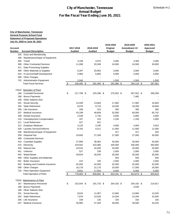|            |                                         | For the Fiscal Year Ending June 30, 2021 | <b>Annual Budget</b> |               |                     |               |
|------------|-----------------------------------------|------------------------------------------|----------------------|---------------|---------------------|---------------|
|            |                                         |                                          |                      |               |                     |               |
|            | <b>City of Manchester, Tennessee</b>    |                                          |                      |               |                     |               |
|            | <b>General Purpose School Fund</b>      |                                          |                      |               |                     |               |
|            | <b>Statement of Proposed Operations</b> |                                          |                      |               |                     |               |
|            | July 01, 2020 to June 30, 2021          |                                          |                      |               |                     |               |
|            |                                         |                                          |                      | 2019-2020     | 2019-2020           | 2020-2021     |
| Account    |                                         | 2017-2018                                | 2018-2019            | Original      | Amendment #2        | Approved      |
| Number     | <b>Account Description</b>              | <b>Audited</b>                           | <b>Audited</b>       | <b>Budget</b> | <b>Budget</b>       | <b>Budget</b> |
| 320        | Dues and Membership                     |                                          |                      |               |                     |               |
| 336        | Maintenance/repair of Equipment         |                                          |                      |               |                     |               |
| 355        | Travel                                  | 3,199                                    | 3,675                | 3,300         | 3,300               | 3,300         |
| 399        | <b>Other Contracted Services</b>        | 11,008                                   | 20,308               | 24,500        | 24,500              | 30,000        |
| 411        | Data Processing Supplies                |                                          |                      |               |                     |               |
| 499        | Other Materials & Supplies              | 6,287                                    | 20,903               | 3,000         | 3,000               | 3,000         |
| 524        | In-service/Staff Development            | 5,983                                    | 5,893                | 5,000         | 5,000               | 5,000         |
| 599        | <b>Other Charges</b>                    |                                          |                      |               |                     |               |
|            | 701 Administration Equipment            | 2,040                                    |                      | 1,500         | 1,500               | 1,500         |
|            | <b>Total Fiscal Services</b>            | $\sqrt{2}$<br>246,495 \$                 | 281,484 \$           | 291,086 \$    | 294,116 \$          | 297,061       |
| 72610      | <b>Operation of Plant</b>               |                                          |                      |               |                     |               |
|            | <b>Custodial Personnel</b>              |                                          |                      |               |                     |               |
| 166<br>188 | <b>Bonus Payments</b>                   | \$<br>217,708 \$                         | 225,298 \$           | 275,552 \$    | 267,552 \$<br>7,482 | 269,258       |
| 189        | <b>Other Salaries-Sick</b>              |                                          |                      |               |                     |               |
| 201        | <b>Social Security</b>                  | 13,339                                   | 13,663               | 17,082        | 17,082              | 16,694        |
| 204        | <b>State Retirement</b>                 | 9,078                                    | 9,719                | 19,290        | 19,290              | 18,849        |
| 206        | Life Insurance                          | 198                                      | 213                  | 300           | 300                 | 300           |
| 207        | <b>Medical Insurance</b>                | 43,199                                   | 48,609               | 52,000        | 60,000              | 65,742        |
| 208        | Dental Insurance                        | 2,538                                    | 2,730                | 5,000         | 5,000               | 4,000         |
| 210        | Unemployment Compensation               | 337                                      | 223                  | 1,100         | 1,100               | 1,000         |
| 211        | <b>Local Retirement</b>                 | 527                                      | 501                  |               |                     |               |
| 212        | <b>Employer Medicare</b>                | 3,120                                    | 3,195                | 4,000         | 4,000               | 3,910         |
| 329        | Laundry Service/Uniforms                | 8,763                                    | 9,311                | 11,000        | 11,000              | 11,000        |
| 336        | Maintenance/repair of Equipment         |                                          |                      | 317           | 317                 | 320           |
| 359        | Disposal Fee                            | 24,600                                   | 27,166               | 27,000        | 27,000              | 30,000        |
| 399        | <b>Contracted Services</b>              |                                          |                      |               |                     |               |
| 410        | <b>Custodial Supplies</b>               | 27,995                                   | 38,362               | 35,000        | 35,000              | 35,000        |
| 415        | Electricity                             | 319,502                                  | 323,385              | 335,000       | 335,000             | 350,000       |
| 434        | <b>Natural Gas</b>                      | 10,516                                   | 16,200               | 20,000        | 20,000              | 20,000        |
| 451        | Uniforms                                | 527                                      | 238                  | 2,000         | 2,000               | 2,000         |
| 454        | Water/Sewer                             | 29,834                                   | 30,045               | 35,000        | 35,000              | 35,000        |
| 499        | Other Supplies and Materials            |                                          |                      | 550           | 550                 | 550           |
| 501        | <b>Boiler Insurance</b>                 | 215                                      | 150                  | 2,000         | 2,000               | 2,000         |
| 502        | <b>Building and Contents Insurance</b>  | 42,000                                   | 42,000               | 42,000        | 42,000              | 42,000        |
| 599        | <b>Other Charges</b>                    | 16,178                                   | 22,170               | 20,000        | 17,000              | 20,000        |
| 720        | <b>Plant Operation Equipment</b>        | 8,831                                    | 17,503               | 6,000         | 6,000               | 6,000         |
|            | <b>Total Operation of Plant</b>         | $\sqrt{2}$<br>779,005 \$                 | 830,681 \$           | $910,191$ \$  | 914,673 \$          | 933,623       |
|            |                                         |                                          |                      |               |                     |               |
|            | 72620 Maintenance of Plant              |                                          |                      |               |                     |               |
| 167        | Maintenance Personnel                   | \$<br>152,544 \$                         | 191,733 \$           | 204,192 \$    | 204,192 \$          | 214,817       |
| 188        | <b>Bonus Payments</b>                   |                                          |                      |               | 3,030               |               |
| 189        | <b>Other Salaries-Sick</b>              |                                          |                      |               |                     |               |
| 201        | Social Security                         | 8,634                                    | 11,067               | 12,660        | 12,660              | 13,320        |
| 204        | <b>State Retirement</b>                 | 7,978                                    | 10,028               | 14,294        | 14,294              | 15,040        |
| 206        | Life Insurance                          | 108                                      | 135                  | 150           | 150                 | 150           |
| 207        | <b>Medical Insurance</b>                | 30,985                                   | 37,284               | 39,500        | 39,500              | 43,220        |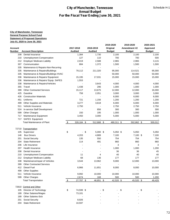| Account<br>Number<br>208 | <b>City of Manchester, Tennessee</b><br><b>General Purpose School Fund</b><br><b>Statement of Proposed Operations</b><br>July 01, 2020 to June 30, 2021 | For the Fiscal Year Ending June 30, 2021 |                             |               |               |               |
|--------------------------|---------------------------------------------------------------------------------------------------------------------------------------------------------|------------------------------------------|-----------------------------|---------------|---------------|---------------|
|                          |                                                                                                                                                         |                                          |                             |               |               |               |
|                          |                                                                                                                                                         |                                          |                             |               |               |               |
|                          |                                                                                                                                                         |                                          |                             |               |               |               |
|                          |                                                                                                                                                         |                                          |                             |               |               |               |
|                          |                                                                                                                                                         |                                          |                             |               |               |               |
|                          |                                                                                                                                                         |                                          |                             |               |               |               |
|                          |                                                                                                                                                         |                                          |                             | 2019-2020     | 2019-2020     | 2020-2021     |
|                          |                                                                                                                                                         | 2017-2018<br><b>Audited</b>              | 2018-2019<br><b>Audited</b> | Original      | Amendment #2  | Approved      |
|                          | <b>Account Description</b>                                                                                                                              |                                          |                             | <b>Budget</b> | <b>Budget</b> | <b>Budget</b> |
|                          | Dental Insurance                                                                                                                                        | 1,384                                    | 1,730                       | 2,100         | 2,100         | 2,100         |
| 210                      | Unemployment Compensation                                                                                                                               | 127                                      | 110                         | 700           | 700           | 500           |
| 212                      | <b>Employer Medicare Liability</b>                                                                                                                      | 2,019                                    | 2,588                       | 2,965         | 2,965         | 3,115         |
| 307                      | Communication                                                                                                                                           | 884                                      | 1,372                       | 1,500         | 1,500         | 1,500         |
| 335                      | Mainenance & Repairs-Non-Recurring                                                                                                                      |                                          |                             |               |               |               |
| 335                      | Maintenance & Repairs/Buildings                                                                                                                         | 79,112                                   | 211,320                     | 95,000        | 114,521       | 95,000        |
| 335                      | Maintenance & Repairs/Buildings HVAC                                                                                                                    |                                          |                             | 50,000        | 50,000        | 50,000        |
| 336                      | Maintenance & Repairs/ Equipment                                                                                                                        | 15,195                                   | 17,031                      | 15,000        | 15,000        | 15,000        |
| 336                      | Maintenance & Repairs/ Equip. SAFES                                                                                                                     | 1,553                                    |                             |               |               |               |
| 338                      | Maintenance & Repairs/Vehicles                                                                                                                          |                                          | 3,643                       | 4,000         | 4,000         | 4,000         |
| 355                      | Travel                                                                                                                                                  | 1,438                                    | 296                         | 1,000         | 1,000         | 1,000         |
| 399                      | <b>Other Contracted Services</b>                                                                                                                        | 15,117                                   | 13,675                      | 12,000        | 12,000        | 16,000        |
| 425                      | Gasoline                                                                                                                                                | 758                                      | 2,051                       | 3,000         | 3,000         | 3,000         |
| 426                      | <b>Construction Materials</b>                                                                                                                           |                                          |                             | 6,000         | 6,000         | 6,000         |
| 451                      | Uniforms                                                                                                                                                | 721                                      | 1,156                       | 1,200         | 1,200         | 1,200         |
| 499                      | Other Supplies and Materials                                                                                                                            | 3,277                                    | 3,618                       | 6,000         | 6,000         | 6,000         |
| 511                      | Vehicle Insurance                                                                                                                                       | 2,750                                    |                             | 2,750         | 2,750         | 2,750         |
| 524                      | In-service Staff Development                                                                                                                            |                                          | 856                         | 300           | 300           | 300           |
| 599                      | <b>Other Charges</b>                                                                                                                                    | 150                                      | 195                         | 1,000         | 1,000         | 1,000         |
| 717                      | Maintenance Equipment                                                                                                                                   | 3,450                                    | 3,000                       | 5,000         | 5,000         | 5,000         |
|                          | 717 SAFES Equipment                                                                                                                                     |                                          | $\blacksquare$              |               |               |               |
|                          | <b>Total Maintenance of Plant</b>                                                                                                                       | $\sqrt{2}$<br>328,184 \$                 | 512,888 \$                  | 480,311 \$    | 502,862 \$    | 500,012       |
|                          |                                                                                                                                                         |                                          |                             |               |               |               |
|                          | 72710 Transportation                                                                                                                                    |                                          |                             |               |               |               |
| 105                      | Supervisor                                                                                                                                              | \$<br>- \$                               | $5,000$ \$                  | $5,050$ \$    | 5,050         | 5,050         |
| 146                      | <b>Bus Drivers</b>                                                                                                                                      | 4,203                                    | 4,889                       | 7,100         | 7,100 \$      | 7,100         |
| 201                      | Social Security                                                                                                                                         | 135                                      | 550                         | 754           | 754           | 754           |
| 204                      | <b>State Retirement</b>                                                                                                                                 | 114                                      | 491                         | 860           | 860           | 860           |
| 206                      | Life Insurance                                                                                                                                          |                                          |                             | 3             | 3             | 3             |
| 207                      | Health Insurance                                                                                                                                        |                                          |                             | 1,000         | 1,000         | 1,200         |
| 208                      | Dental Insurance                                                                                                                                        |                                          |                             | 36            | 36            | 45            |
| 210                      | Unemployment Compensation                                                                                                                               | 11                                       | 4                           | 40            | 40            | 40            |
| 212                      | <b>Employer Medicare Liability</b>                                                                                                                      | 68                                       | 136                         | 177           | 177           | 177           |
| 338                      | Maintenance/repair of Vehicles                                                                                                                          | 3,544                                    | 13,962                      | 9,000         | 12,000        | 13,000        |
| 399                      | <b>Other Contracted Services</b>                                                                                                                        |                                          |                             |               |               |               |
| 412                      | Diesel Fuel                                                                                                                                             | 6,966                                    | 11,651                      | 8,000         | 8,000         | 10,000        |
| 499                      | <b>Other Supplies</b>                                                                                                                                   |                                          |                             |               |               |               |
| 511                      | Vehicle Insurance                                                                                                                                       | 9,992                                    | 10,000                      | 10,000        | 10,000        | 10,000        |
| 599                      | <b>Other Charges</b>                                                                                                                                    | 2,674                                    | 168                         | 500           | 500           | 1,200         |
|                          | <b>Total Transportation</b>                                                                                                                             | $\sqrt{2}$<br>27,707 \$                  | $46,851$ \$                 | $42,520$ \$   | $45,520$ \$   | 49,429        |
|                          |                                                                                                                                                         |                                          |                             |               |               |               |
|                          | 72810 Central and Other                                                                                                                                 |                                          |                             |               |               |               |
| 105                      | Director of Technology                                                                                                                                  | \$<br>74,599 \$                          |                             | \$            | \$            | \$            |
| 189                      | Other Salaries/Wages                                                                                                                                    | 73,101                                   |                             |               |               |               |
| 189                      | <b>Other Salaries-Sick</b>                                                                                                                              |                                          |                             |               |               |               |
| 201                      | Social Security                                                                                                                                         | 8,926                                    |                             |               |               |               |
| 204                      | <b>State Retirement</b>                                                                                                                                 | 10,597                                   |                             |               |               |               |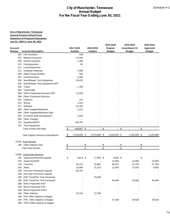|            |                                                           |               |                |        | <b>Annual Budget</b> |                                          |                |                           |
|------------|-----------------------------------------------------------|---------------|----------------|--------|----------------------|------------------------------------------|----------------|---------------------------|
|            |                                                           |               |                |        |                      | For the Fiscal Year Ending June 30, 2021 |                |                           |
|            |                                                           |               |                |        |                      |                                          |                |                           |
|            | <b>City of Manchester, Tennessee</b>                      |               |                |        |                      |                                          |                |                           |
|            | <b>General Purpose School Fund</b>                        |               |                |        |                      |                                          |                |                           |
|            | <b>Statement of Proposed Operations</b>                   |               |                |        |                      |                                          |                |                           |
|            | July 01, 2020 to June 30, 2021                            |               |                |        |                      |                                          |                |                           |
|            |                                                           |               |                |        |                      | 2019-2020                                | 2019-2020      | 2020-2021                 |
| Account    |                                                           |               | 2017-2018      |        | 2018-2019            | Original                                 | Amendment #2   | Approved                  |
| Number     | <b>Account Description</b>                                |               | <b>Audited</b> |        | <b>Audited</b>       | <b>Budget</b>                            | <b>Budget</b>  | <b>Budget</b>             |
| 206<br>207 | Life Insurance<br>Medical Insurance                       |               | 108<br>24,346  |        |                      |                                          |                |                           |
| 208        | Dental Insurance                                          |               | 1,384          |        |                      |                                          |                |                           |
| 210        | Unemployment                                              |               | 84             |        |                      |                                          |                |                           |
| 211        | <b>Local Retirement</b>                                   |               |                |        |                      |                                          |                |                           |
| 212        | <b>Employer Medicare</b>                                  |               | 2,088          |        |                      |                                          |                |                           |
| 299        | <b>Other Fringe Benefits</b>                              |               | 500            |        |                      |                                          |                |                           |
| 307        | Communication                                             |               | 3,336          |        |                      |                                          |                |                           |
| 336        | Maint/Repair Tech Equipment                               |               | 50,432         |        |                      |                                          |                |                           |
| 336        | Maint/Repair Tech Equipment-DPP                           |               |                |        |                      |                                          |                |                           |
| 355        | Travel                                                    |               | 1,780          |        |                      |                                          |                |                           |
| 355        | <b>Travel-Safe</b>                                        |               |                |        |                      |                                          |                |                           |
| 399        | <b>Other Contracted Services-DPP</b>                      |               | 11,925         |        |                      |                                          |                |                           |
| 399        | <b>Other Contracted Services</b>                          |               |                |        |                      |                                          |                |                           |
| 451        | Uniforms                                                  |               | 247            |        |                      |                                          |                |                           |
| 470        | Wiring                                                    |               | 1,415          |        |                      |                                          |                |                           |
| 471        | Software                                                  |               | 51,780         |        |                      |                                          |                |                           |
| 499        | <b>Other Supplies/Materials</b>                           |               | 1,417          |        |                      |                                          |                |                           |
| 499        | Other Supplies/Materials-Safe                             |               |                |        |                      |                                          |                |                           |
| 524        | In-service Staff Development                              |               | 1,035          |        |                      |                                          |                |                           |
| 599        | Other Charges                                             |               |                |        |                      |                                          |                |                           |
| 722        | Equipment/DPP                                             |               | 130,797        |        |                      |                                          |                |                           |
|            | 722 Tech Equipment                                        |               |                |        |                      |                                          |                |                           |
|            | <b>Total Central and Other</b>                            | $\frac{1}{2}$ | 449,897 \$     |        | - \$                 | $-$ \$                                   |                | - \$                      |
|            | <b>Total Support Services Expenditures</b>                | \$            | 4,234,609 \$   |        | 5,073,985 \$         | 5,018,924 \$                             | 5,183,043 \$   | 5,133,980                 |
|            | 73100_Food Service                                        |               |                |        |                      |                                          |                |                           |
|            | 189 Other Salaries-Sick                                   | \$            |                | $-$ \$ | - \$                 | $-$ \$                                   | - \$           |                           |
|            | <b>Total Food Service</b>                                 | \$            |                | $-$ \$ | $-$ \$               | $-$ \$                                   | $-$ \$         |                           |
|            |                                                           |               |                |        |                      |                                          |                |                           |
|            | 73300 Community Services                                  |               |                |        |                      |                                          |                |                           |
| 105        | Supervisor/Director/LeapsM                                | \$            | 6,813 \$       |        | 17,859 \$            | $9,000$ \$                               | $\blacksquare$ | $\boldsymbol{\mathsf{S}}$ |
| 105        | Supervisor/ESP                                            |               |                |        |                      | 10,000                                   | 10,000         | 10,000                    |
| 116        | Teachers                                                  |               | 63,113         |        | 55,881               | 68,875                                   | 67,700         | 67,700                    |
| 163        | Aides                                                     |               | 23,089         |        | 21,013               | 12,500                                   | 12,910         | 9,900                     |
| 169        | Part-time Personnel-LeapsM                                |               | 96,767         |        | $\blacksquare$       |                                          |                |                           |
| 169        | Part-time Personnel-LeapsW                                |               |                |        | $\blacksquare$       |                                          |                |                           |
| 169        | ESP Temp/Part Time Personnel                              |               |                |        | 79,699               |                                          |                |                           |
| 169        | ESP Temp/Part Time Personnel                              |               |                |        |                      | 94,940                                   | 94,940         | 94,940                    |
| 188        | Bonus Payments-ESP                                        |               |                |        |                      |                                          |                |                           |
| 188        | <b>Bonus Payments-FRC</b>                                 |               |                |        |                      |                                          |                |                           |
| 188        | <b>Bonus Payments-FRC2</b>                                |               |                |        |                      |                                          |                |                           |
| 189        | <b>Other Salaries</b>                                     |               | 32,145         |        | 27,338               |                                          |                |                           |
| 189<br>189 | <b>ESP Other Salaries &amp; Wages</b>                     |               |                |        |                      |                                          |                |                           |
| 189        | FRC Other Salaries & Wages<br>FRC2 Other Salaries & Wages |               |                |        |                      | 27,338                                   | 28,528         | 28,528                    |
|            |                                                           |               |                |        |                      |                                          |                |                           |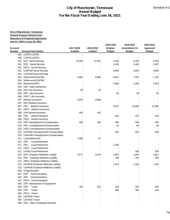|            |                                                                               | For the Fiscal Year Ending June 30, 2021 | <b>Annual Budget</b> |               |               |                                   |
|------------|-------------------------------------------------------------------------------|------------------------------------------|----------------------|---------------|---------------|-----------------------------------|
|            |                                                                               |                                          |                      |               |               |                                   |
|            |                                                                               |                                          |                      |               |               |                                   |
|            | <b>City of Manchester, Tennessee</b>                                          |                                          |                      |               |               |                                   |
|            | <b>General Purpose School Fund</b><br><b>Statement of Proposed Operations</b> |                                          |                      |               |               |                                   |
|            | July 01, 2020 to June 30, 2021                                                |                                          |                      |               |               |                                   |
|            |                                                                               |                                          |                      | 2019-2020     | 2019-2020     | 2020-2021                         |
| Account    |                                                                               | 2017-2018                                | 2018-2019            | Original      | Amendment #2  | Approved                          |
| Number     | <b>Account Description</b>                                                    | <b>Audited</b>                           | <b>Audited</b>       | <b>Budget</b> | <b>Budget</b> | <b>Budget</b>                     |
| 189        | LEAPS-LEAPM                                                                   |                                          |                      |               |               |                                   |
| 189        | LEAPS-LEAPW                                                                   |                                          |                      |               |               |                                   |
| 201        | <b>ESP</b> Social Security                                                    | 13,560                                   | 12,311               | 6,700         | 6,700         | 6,700                             |
| 201        | FRC Social Security                                                           |                                          |                      | 1,493         | 1,463         | 1,387                             |
| 201        | FRC2 Social Security                                                          |                                          |                      |               |               |                                   |
| 201<br>201 | <b>LEAPSM Social Security</b><br><b>LEAPSW Social Security</b>                |                                          |                      | 5,690         | 4,838         | 4,838<br>$\overline{\phantom{a}}$ |
| 204        | Retirement/LEAPSM                                                             | 6,961                                    | 9,086                | 8,297         | 7,730         | 7,730                             |
| 204        | Retirement/LEAPSW                                                             |                                          |                      |               |               |                                   |
| 204        | Retirement/FRC                                                                |                                          |                      | 1,596         | 1,493         | 1,493                             |
| 204        | <b>ESP-State Retirement</b>                                                   |                                          |                      |               |               |                                   |
| 206        | <b>ESP Life Insurance</b>                                                     | 36                                       | 36                   |               |               |                                   |
| 206        | <b>FRC</b> Life Insurance                                                     |                                          |                      | 36            | 39            | 40                                |
| 206        | <b>FRC2</b> Life Insurance                                                    |                                          |                      |               |               |                                   |
| 207        | Medical Insurance                                                             | 8,978                                    | 8,996                |               |               |                                   |
| 207        | <b>ESP Medical Insurance</b>                                                  |                                          |                      |               |               |                                   |
| 207        | <b>FRC</b><br>Medical Insurance                                               |                                          |                      | 9,107         | 10,602        | 11,605                            |
| 207        | FRC2 Medical Insurance                                                        |                                          |                      |               |               |                                   |
| 208        | <b>ESP Dental Insurance</b>                                                   | 461                                      | 461                  |               |               |                                   |
| 208        | <b>FRC</b><br>Dental Insurance<br><b>FRC2</b> Dental Insurance                |                                          |                      | 461           | 470           | 470                               |
| 208<br>210 | <b>ESP Unemployment Compensation</b>                                          | 409                                      | 265                  | 500           | 500           | 500                               |
| 210        | FRC Unemployment Compensation                                                 |                                          |                      | 41            | 46            | 46                                |
|            | 210 FRC2 Unemployment Compensation                                            |                                          |                      |               |               |                                   |
| 210        | <b>LEAPSM Unemployment Compensation</b>                                       |                                          |                      | 551           | 935           | 935                               |
| 210        | <b>LEAPSW Unemployment Compensation</b>                                       |                                          |                      |               |               |                                   |
| 211        | <b>Local Retirement</b>                                                       | 2,396                                    | 91                   |               |               |                                   |
| 211        | <b>ESP</b><br><b>Local Retirement</b>                                         |                                          |                      |               |               |                                   |
| 211        | <b>FRC</b><br><b>Local Retirement</b>                                         |                                          |                      | 1,430         |               |                                   |
| 211        | FRC2 Local Retirement                                                         |                                          |                      |               |               |                                   |
| 211        | <b>LEAPS Local Retirement</b>                                                 |                                          |                      |               | 329           | 329                               |
|            | 212 ESP Employer Medicare Liability                                           | 3,171                                    | 2,879                | 1,551         | 1,551         | 1,551                             |
|            | 212 FRC Employer Medicare Liability                                           |                                          |                      | 349           | 343           | 325                               |
|            | 212 FRC2 Employer Medicare Liability                                          |                                          |                      |               |               |                                   |
| 212        | <b>LEAPSM Employer Medicare Liability</b>                                     |                                          |                      | 1,314         | 1,130         | 1,130                             |
| 212<br>299 | <b>LEAPSW Employer Medicare Liability</b><br><b>Fringe Benefits</b>           |                                          |                      |               |               |                                   |
|            | 307 ESP Communications                                                        |                                          |                      |               |               |                                   |
| 307        | Communications<br>FRC                                                         |                                          |                      |               |               |                                   |
| 307        | FRC2 Communications                                                           |                                          |                      |               |               |                                   |
| 336        | ESP Maintenance of Equipment                                                  |                                          |                      |               |               |                                   |
|            | 355 ESP<br>Travel                                                             | 756                                      | 623                  | 250           | 250           | 250                               |
| 355        | <b>FRC</b><br>Travel                                                          |                                          |                      | 900           | 340           | 193                               |
| 355        | FRC2 Travel                                                                   |                                          |                      |               |               |                                   |
| 355        | <b>LEAPSM Travel</b>                                                          |                                          |                      |               |               |                                   |
| 355        | <b>LEAPSW Travel</b>                                                          |                                          |                      |               |               |                                   |
| 399        | <b>ESP</b> Other Contracted Services                                          |                                          |                      |               |               |                                   |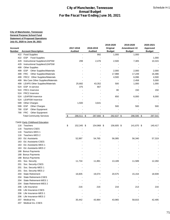|                                                                         | For the Fiscal Year Ending June 30, 2021 | <b>Annual Budget</b> |               |               |               |
|-------------------------------------------------------------------------|------------------------------------------|----------------------|---------------|---------------|---------------|
|                                                                         |                                          |                      |               |               |               |
| <b>City of Manchester, Tennessee</b>                                    |                                          |                      |               |               |               |
| <b>General Purpose School Fund</b>                                      |                                          |                      |               |               |               |
| <b>Statement of Proposed Operations</b>                                 |                                          |                      |               |               |               |
| July 01, 2020 to June 30, 2021                                          |                                          |                      |               |               |               |
|                                                                         |                                          |                      | 2019-2020     | 2019-2020     | 2020-2021     |
| Account                                                                 | 2017-2018                                | 2018-2019            | Original      | Amendment #2  | Approved      |
| Number<br><b>Account Description</b>                                    | <b>Audited</b>                           | <b>Audited</b>       | <b>Budget</b> | <b>Budget</b> | <b>Budget</b> |
| 422 Food Supplies                                                       |                                          | 992                  | 1,000         | 1,000         |               |
| ESP Food Supplies<br>422                                                |                                          |                      |               |               | 1,000         |
| Instructional Supplies/LEAPSM<br>429                                    | 299                                      | 2,476                | 2,500         | 7,305         | 10,315        |
| Instructional Supplies/LEAPSW<br>429<br><b>Other Supplies</b><br>499    |                                          |                      |               |               |               |
| <b>Other Supplies/Materials</b><br>499<br>ESP                           |                                          |                      | 2,000         | 2,000         | 2,000         |
| <b>Other Supplies/Materials</b><br>FRC<br>499                           |                                          |                      | 17,988        | 17,249        | 16,486        |
| FRC2 Other Supplies/Materials<br>499                                    |                                          |                      | 4,500         | 6,096         | 4,500         |
| We Care Other Supplies/Materials<br>499                                 |                                          |                      |               | 2,458         | 5,000         |
| <b>LEAPS Other Supplies/Materials</b><br>499                            | 25,682                                   | 43,352               | 500           | 1,000         | 1,000         |
| ESP In-service<br>524                                                   | 375                                      | 667                  |               |               |               |
| <b>FRC1</b> Inservice<br>524                                            |                                          |                      | 80            | 150           | 150           |
| <b>FRC2</b> Inservice<br>524                                            |                                          |                      |               |               |               |
| <b>LEAPSM</b> Inservice<br>524                                          |                                          |                      | 650           | 6,000         | 6,000         |
| <b>LEAPSW Inservice</b><br>524                                          |                                          |                      |               |               |               |
| <b>Other Charges</b><br>599                                             | 1,500                                    | 3,641                |               |               |               |
| <b>ESP</b><br><b>Other Charges</b><br>599                               |                                          |                      | 500           | 500           | 500           |
| <b>ESP</b><br>Other Equipment<br>790                                    |                                          |                      |               |               |               |
| 790<br><b>FRC</b><br>Other Equipment<br><b>Total Community Services</b> | 286,511 \$<br>\$                         | 287,666 \$           |               | 296,595 \$    |               |
|                                                                         |                                          |                      | 292,637 \$    |               | 297,541       |
| 73400 Early Childhood Education                                         |                                          |                      |               |               |               |
| Teachers<br>116                                                         | \$<br>152,345 \$                         | 154,968 \$           | 156,605 \$    | 141,670 \$    | 140,417       |
| 116 Teachers-CSES                                                       |                                          |                      |               |               |               |
| 116<br>Teachers-WES 1                                                   |                                          |                      |               |               |               |
| Teachers-WES 2<br>116                                                   |                                          |                      |               |               |               |
| 163<br>Ed. Assistants                                                   | 52,997                                   | 54,765               | 56,085        | 56,340        | 57,319        |
| Ed. Assistants-CSES<br>163                                              |                                          |                      |               |               |               |
| Ed. Assistants-WES 1<br>163                                             |                                          |                      |               |               |               |
| Ed. Assistants-WES 2<br>163                                             |                                          |                      |               |               |               |
| 188 Bonus Payments                                                      |                                          |                      |               |               |               |
| 188 Bonus Payments                                                      |                                          |                      |               |               |               |
| <b>Bonus Payments</b><br>188                                            |                                          |                      |               |               |               |
| Soc. Security<br>201<br>Soc. Security-CSES<br>201                       | 11,734                                   | 11,891               | 13,189        | 11,589        | 12,260        |
| Soc. Security-WES 1<br>201                                              |                                          |                      |               |               |               |
| Soc. Security-WES 2<br>201                                              |                                          |                      |               |               |               |
| 204<br><b>State Retirement</b>                                          | 16,605                                   | 19,074               | 20,575        | 15,154        | 18,939        |
| 204<br><b>State Retirement-CSES</b>                                     |                                          |                      |               |               |               |
| State Retirement-WES 1<br>204                                           |                                          |                      |               |               |               |
| State Retirement-WES 2<br>204                                           |                                          |                      |               |               |               |
| 206<br>Life Insurance                                                   | 216                                      | 216                  | 216           | 213           | 216           |
| 206<br>Life Insurance-CSES                                              |                                          |                      |               |               |               |
| 206<br>Life Insurance-WES 1                                             |                                          |                      |               |               |               |
| Life Insurance-WES 2<br>206                                             |                                          |                      |               |               |               |
| Medical Ins.<br>207                                                     | 35,442                                   | 43,964               | 43,965        | 58,815        | 42,495        |
| Medical Ins.-CSES<br>207                                                |                                          |                      |               |               |               |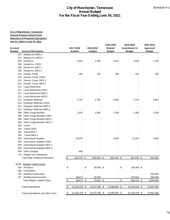| <b>City of Manchester, Tennessee</b><br><b>General Purpose School Fund</b><br><b>Statement of Proposed Operations</b><br>July 01, 2020 to June 30, 2021<br>2019-2020<br>2019-2020<br>2020-2021<br>2017-2018<br>2018-2019<br>Original<br>Amendment #2<br><b>Account</b><br>Approved<br><b>Number</b><br><b>Account Description</b><br><b>Audited</b><br><b>Audited</b><br><b>Budget</b><br><b>Budget</b><br><b>Budget</b><br>Medical Ins-WES 1<br>207<br>Medical Ins.-WES 2<br>207<br>Dental Ins<br>2,768<br>2,910<br>2,538<br>208<br>2,303<br>208<br>Dental Ins.-CSES<br>Dental Ins.-WES 1<br>208<br>208<br>Dental Ins. WES 2<br>Unemp. Comp<br>166<br>126<br>150<br>200<br>210<br>400<br>Unemp. Comp.-CSES<br>210<br>Unemp. Comp.-WES 1<br>210<br>Unemp. Comp. WES 2<br>210<br><b>Local Retirement</b><br>211<br><b>Local Retirement-CSES</b><br>211<br>211<br>Local Retirement-WES 1<br>Local Retirement-WES2<br>211<br>2,781<br>212<br><b>Employer Medicare</b><br>2,744<br>3,085<br>2,710<br>2,867<br><b>Employer Medicare-CSES</b><br>212<br>212<br>Employer Medicare-WES 1<br>212<br><b>Employer Medicare-WES 2</b><br>Other Fringe Benefits<br>1,500<br>1,500<br>1,500<br>1,300<br>1,500<br>299<br>299<br>Other Fringe Benefits-CSES<br>299<br>Other Fringe Benefits-WES 1<br>299<br>Other Fringe Benefits-WES 2<br>355<br>Travel<br>Travel-CSES<br>355<br>355<br>Travel-WES 1<br>Travel-WES 2<br>355<br><b>Instructional Supplies</b><br>15,578<br>3,000<br>11,051<br>429<br>3,000<br><b>Instructional Supplies-CSES</b><br>429<br>Instructional Supplies-WES 1<br>429<br>Instructional Supplies-WES 2<br>429<br>Other Charges<br>599<br>446<br>Regular Inst. Equipment<br>722<br>292,076 \$<br><b>Total Early Childhood Education</b><br>\$<br>292,053 \$<br>301,530 \$<br>301,530 \$<br>282,005<br>76100 Regular Capital Outlay<br>Architects<br>\$<br>\$<br>50,000 \$<br>130,400 \$<br>304<br>- \$<br>$\sim$<br>Consultants<br>308<br><b>Building Construction</b><br>706<br><b>Building Improvements</b><br>96,671<br>707<br>26,502<br>375,810<br><b>Total Regular Capital Outlay</b><br>$\sqrt{2}$<br>96,671 \$<br>76,502 \$<br>$-$ \$<br>$506,210$ \$<br><b>Total Expenditures</b><br>13,416,709 \$<br>14,237,358 \$<br>14,499,802 \$<br>15,184,536 \$<br>\$<br>15,941,956<br>13,416,709 \$<br>14,237,358 \$<br>14,499,802 \$<br>15,184,536 \$<br>15,941,956<br>\$<br><b>Total Expenditures and Other Uses</b> |  |  |  |  |           |
|------------------------------------------------------------------------------------------------------------------------------------------------------------------------------------------------------------------------------------------------------------------------------------------------------------------------------------------------------------------------------------------------------------------------------------------------------------------------------------------------------------------------------------------------------------------------------------------------------------------------------------------------------------------------------------------------------------------------------------------------------------------------------------------------------------------------------------------------------------------------------------------------------------------------------------------------------------------------------------------------------------------------------------------------------------------------------------------------------------------------------------------------------------------------------------------------------------------------------------------------------------------------------------------------------------------------------------------------------------------------------------------------------------------------------------------------------------------------------------------------------------------------------------------------------------------------------------------------------------------------------------------------------------------------------------------------------------------------------------------------------------------------------------------------------------------------------------------------------------------------------------------------------------------------------------------------------------------------------------------------------------------------------------------------------------------------------------------------------------------------------------------------------------------------------------------------------------------------------------------------------------------------------------------------------------------------------------------------------------------------------------------------------------------------------|--|--|--|--|-----------|
|                                                                                                                                                                                                                                                                                                                                                                                                                                                                                                                                                                                                                                                                                                                                                                                                                                                                                                                                                                                                                                                                                                                                                                                                                                                                                                                                                                                                                                                                                                                                                                                                                                                                                                                                                                                                                                                                                                                                                                                                                                                                                                                                                                                                                                                                                                                                                                                                                              |  |  |  |  |           |
|                                                                                                                                                                                                                                                                                                                                                                                                                                                                                                                                                                                                                                                                                                                                                                                                                                                                                                                                                                                                                                                                                                                                                                                                                                                                                                                                                                                                                                                                                                                                                                                                                                                                                                                                                                                                                                                                                                                                                                                                                                                                                                                                                                                                                                                                                                                                                                                                                              |  |  |  |  |           |
|                                                                                                                                                                                                                                                                                                                                                                                                                                                                                                                                                                                                                                                                                                                                                                                                                                                                                                                                                                                                                                                                                                                                                                                                                                                                                                                                                                                                                                                                                                                                                                                                                                                                                                                                                                                                                                                                                                                                                                                                                                                                                                                                                                                                                                                                                                                                                                                                                              |  |  |  |  |           |
|                                                                                                                                                                                                                                                                                                                                                                                                                                                                                                                                                                                                                                                                                                                                                                                                                                                                                                                                                                                                                                                                                                                                                                                                                                                                                                                                                                                                                                                                                                                                                                                                                                                                                                                                                                                                                                                                                                                                                                                                                                                                                                                                                                                                                                                                                                                                                                                                                              |  |  |  |  |           |
|                                                                                                                                                                                                                                                                                                                                                                                                                                                                                                                                                                                                                                                                                                                                                                                                                                                                                                                                                                                                                                                                                                                                                                                                                                                                                                                                                                                                                                                                                                                                                                                                                                                                                                                                                                                                                                                                                                                                                                                                                                                                                                                                                                                                                                                                                                                                                                                                                              |  |  |  |  |           |
|                                                                                                                                                                                                                                                                                                                                                                                                                                                                                                                                                                                                                                                                                                                                                                                                                                                                                                                                                                                                                                                                                                                                                                                                                                                                                                                                                                                                                                                                                                                                                                                                                                                                                                                                                                                                                                                                                                                                                                                                                                                                                                                                                                                                                                                                                                                                                                                                                              |  |  |  |  |           |
|                                                                                                                                                                                                                                                                                                                                                                                                                                                                                                                                                                                                                                                                                                                                                                                                                                                                                                                                                                                                                                                                                                                                                                                                                                                                                                                                                                                                                                                                                                                                                                                                                                                                                                                                                                                                                                                                                                                                                                                                                                                                                                                                                                                                                                                                                                                                                                                                                              |  |  |  |  |           |
|                                                                                                                                                                                                                                                                                                                                                                                                                                                                                                                                                                                                                                                                                                                                                                                                                                                                                                                                                                                                                                                                                                                                                                                                                                                                                                                                                                                                                                                                                                                                                                                                                                                                                                                                                                                                                                                                                                                                                                                                                                                                                                                                                                                                                                                                                                                                                                                                                              |  |  |  |  |           |
|                                                                                                                                                                                                                                                                                                                                                                                                                                                                                                                                                                                                                                                                                                                                                                                                                                                                                                                                                                                                                                                                                                                                                                                                                                                                                                                                                                                                                                                                                                                                                                                                                                                                                                                                                                                                                                                                                                                                                                                                                                                                                                                                                                                                                                                                                                                                                                                                                              |  |  |  |  |           |
|                                                                                                                                                                                                                                                                                                                                                                                                                                                                                                                                                                                                                                                                                                                                                                                                                                                                                                                                                                                                                                                                                                                                                                                                                                                                                                                                                                                                                                                                                                                                                                                                                                                                                                                                                                                                                                                                                                                                                                                                                                                                                                                                                                                                                                                                                                                                                                                                                              |  |  |  |  | 2,792     |
|                                                                                                                                                                                                                                                                                                                                                                                                                                                                                                                                                                                                                                                                                                                                                                                                                                                                                                                                                                                                                                                                                                                                                                                                                                                                                                                                                                                                                                                                                                                                                                                                                                                                                                                                                                                                                                                                                                                                                                                                                                                                                                                                                                                                                                                                                                                                                                                                                              |  |  |  |  |           |
|                                                                                                                                                                                                                                                                                                                                                                                                                                                                                                                                                                                                                                                                                                                                                                                                                                                                                                                                                                                                                                                                                                                                                                                                                                                                                                                                                                                                                                                                                                                                                                                                                                                                                                                                                                                                                                                                                                                                                                                                                                                                                                                                                                                                                                                                                                                                                                                                                              |  |  |  |  |           |
|                                                                                                                                                                                                                                                                                                                                                                                                                                                                                                                                                                                                                                                                                                                                                                                                                                                                                                                                                                                                                                                                                                                                                                                                                                                                                                                                                                                                                                                                                                                                                                                                                                                                                                                                                                                                                                                                                                                                                                                                                                                                                                                                                                                                                                                                                                                                                                                                                              |  |  |  |  |           |
|                                                                                                                                                                                                                                                                                                                                                                                                                                                                                                                                                                                                                                                                                                                                                                                                                                                                                                                                                                                                                                                                                                                                                                                                                                                                                                                                                                                                                                                                                                                                                                                                                                                                                                                                                                                                                                                                                                                                                                                                                                                                                                                                                                                                                                                                                                                                                                                                                              |  |  |  |  |           |
|                                                                                                                                                                                                                                                                                                                                                                                                                                                                                                                                                                                                                                                                                                                                                                                                                                                                                                                                                                                                                                                                                                                                                                                                                                                                                                                                                                                                                                                                                                                                                                                                                                                                                                                                                                                                                                                                                                                                                                                                                                                                                                                                                                                                                                                                                                                                                                                                                              |  |  |  |  |           |
|                                                                                                                                                                                                                                                                                                                                                                                                                                                                                                                                                                                                                                                                                                                                                                                                                                                                                                                                                                                                                                                                                                                                                                                                                                                                                                                                                                                                                                                                                                                                                                                                                                                                                                                                                                                                                                                                                                                                                                                                                                                                                                                                                                                                                                                                                                                                                                                                                              |  |  |  |  |           |
|                                                                                                                                                                                                                                                                                                                                                                                                                                                                                                                                                                                                                                                                                                                                                                                                                                                                                                                                                                                                                                                                                                                                                                                                                                                                                                                                                                                                                                                                                                                                                                                                                                                                                                                                                                                                                                                                                                                                                                                                                                                                                                                                                                                                                                                                                                                                                                                                                              |  |  |  |  |           |
|                                                                                                                                                                                                                                                                                                                                                                                                                                                                                                                                                                                                                                                                                                                                                                                                                                                                                                                                                                                                                                                                                                                                                                                                                                                                                                                                                                                                                                                                                                                                                                                                                                                                                                                                                                                                                                                                                                                                                                                                                                                                                                                                                                                                                                                                                                                                                                                                                              |  |  |  |  |           |
|                                                                                                                                                                                                                                                                                                                                                                                                                                                                                                                                                                                                                                                                                                                                                                                                                                                                                                                                                                                                                                                                                                                                                                                                                                                                                                                                                                                                                                                                                                                                                                                                                                                                                                                                                                                                                                                                                                                                                                                                                                                                                                                                                                                                                                                                                                                                                                                                                              |  |  |  |  |           |
|                                                                                                                                                                                                                                                                                                                                                                                                                                                                                                                                                                                                                                                                                                                                                                                                                                                                                                                                                                                                                                                                                                                                                                                                                                                                                                                                                                                                                                                                                                                                                                                                                                                                                                                                                                                                                                                                                                                                                                                                                                                                                                                                                                                                                                                                                                                                                                                                                              |  |  |  |  |           |
|                                                                                                                                                                                                                                                                                                                                                                                                                                                                                                                                                                                                                                                                                                                                                                                                                                                                                                                                                                                                                                                                                                                                                                                                                                                                                                                                                                                                                                                                                                                                                                                                                                                                                                                                                                                                                                                                                                                                                                                                                                                                                                                                                                                                                                                                                                                                                                                                                              |  |  |  |  |           |
|                                                                                                                                                                                                                                                                                                                                                                                                                                                                                                                                                                                                                                                                                                                                                                                                                                                                                                                                                                                                                                                                                                                                                                                                                                                                                                                                                                                                                                                                                                                                                                                                                                                                                                                                                                                                                                                                                                                                                                                                                                                                                                                                                                                                                                                                                                                                                                                                                              |  |  |  |  |           |
|                                                                                                                                                                                                                                                                                                                                                                                                                                                                                                                                                                                                                                                                                                                                                                                                                                                                                                                                                                                                                                                                                                                                                                                                                                                                                                                                                                                                                                                                                                                                                                                                                                                                                                                                                                                                                                                                                                                                                                                                                                                                                                                                                                                                                                                                                                                                                                                                                              |  |  |  |  |           |
|                                                                                                                                                                                                                                                                                                                                                                                                                                                                                                                                                                                                                                                                                                                                                                                                                                                                                                                                                                                                                                                                                                                                                                                                                                                                                                                                                                                                                                                                                                                                                                                                                                                                                                                                                                                                                                                                                                                                                                                                                                                                                                                                                                                                                                                                                                                                                                                                                              |  |  |  |  |           |
|                                                                                                                                                                                                                                                                                                                                                                                                                                                                                                                                                                                                                                                                                                                                                                                                                                                                                                                                                                                                                                                                                                                                                                                                                                                                                                                                                                                                                                                                                                                                                                                                                                                                                                                                                                                                                                                                                                                                                                                                                                                                                                                                                                                                                                                                                                                                                                                                                              |  |  |  |  |           |
|                                                                                                                                                                                                                                                                                                                                                                                                                                                                                                                                                                                                                                                                                                                                                                                                                                                                                                                                                                                                                                                                                                                                                                                                                                                                                                                                                                                                                                                                                                                                                                                                                                                                                                                                                                                                                                                                                                                                                                                                                                                                                                                                                                                                                                                                                                                                                                                                                              |  |  |  |  |           |
|                                                                                                                                                                                                                                                                                                                                                                                                                                                                                                                                                                                                                                                                                                                                                                                                                                                                                                                                                                                                                                                                                                                                                                                                                                                                                                                                                                                                                                                                                                                                                                                                                                                                                                                                                                                                                                                                                                                                                                                                                                                                                                                                                                                                                                                                                                                                                                                                                              |  |  |  |  |           |
|                                                                                                                                                                                                                                                                                                                                                                                                                                                                                                                                                                                                                                                                                                                                                                                                                                                                                                                                                                                                                                                                                                                                                                                                                                                                                                                                                                                                                                                                                                                                                                                                                                                                                                                                                                                                                                                                                                                                                                                                                                                                                                                                                                                                                                                                                                                                                                                                                              |  |  |  |  |           |
|                                                                                                                                                                                                                                                                                                                                                                                                                                                                                                                                                                                                                                                                                                                                                                                                                                                                                                                                                                                                                                                                                                                                                                                                                                                                                                                                                                                                                                                                                                                                                                                                                                                                                                                                                                                                                                                                                                                                                                                                                                                                                                                                                                                                                                                                                                                                                                                                                              |  |  |  |  |           |
|                                                                                                                                                                                                                                                                                                                                                                                                                                                                                                                                                                                                                                                                                                                                                                                                                                                                                                                                                                                                                                                                                                                                                                                                                                                                                                                                                                                                                                                                                                                                                                                                                                                                                                                                                                                                                                                                                                                                                                                                                                                                                                                                                                                                                                                                                                                                                                                                                              |  |  |  |  |           |
|                                                                                                                                                                                                                                                                                                                                                                                                                                                                                                                                                                                                                                                                                                                                                                                                                                                                                                                                                                                                                                                                                                                                                                                                                                                                                                                                                                                                                                                                                                                                                                                                                                                                                                                                                                                                                                                                                                                                                                                                                                                                                                                                                                                                                                                                                                                                                                                                                              |  |  |  |  |           |
|                                                                                                                                                                                                                                                                                                                                                                                                                                                                                                                                                                                                                                                                                                                                                                                                                                                                                                                                                                                                                                                                                                                                                                                                                                                                                                                                                                                                                                                                                                                                                                                                                                                                                                                                                                                                                                                                                                                                                                                                                                                                                                                                                                                                                                                                                                                                                                                                                              |  |  |  |  |           |
|                                                                                                                                                                                                                                                                                                                                                                                                                                                                                                                                                                                                                                                                                                                                                                                                                                                                                                                                                                                                                                                                                                                                                                                                                                                                                                                                                                                                                                                                                                                                                                                                                                                                                                                                                                                                                                                                                                                                                                                                                                                                                                                                                                                                                                                                                                                                                                                                                              |  |  |  |  |           |
|                                                                                                                                                                                                                                                                                                                                                                                                                                                                                                                                                                                                                                                                                                                                                                                                                                                                                                                                                                                                                                                                                                                                                                                                                                                                                                                                                                                                                                                                                                                                                                                                                                                                                                                                                                                                                                                                                                                                                                                                                                                                                                                                                                                                                                                                                                                                                                                                                              |  |  |  |  |           |
|                                                                                                                                                                                                                                                                                                                                                                                                                                                                                                                                                                                                                                                                                                                                                                                                                                                                                                                                                                                                                                                                                                                                                                                                                                                                                                                                                                                                                                                                                                                                                                                                                                                                                                                                                                                                                                                                                                                                                                                                                                                                                                                                                                                                                                                                                                                                                                                                                              |  |  |  |  |           |
|                                                                                                                                                                                                                                                                                                                                                                                                                                                                                                                                                                                                                                                                                                                                                                                                                                                                                                                                                                                                                                                                                                                                                                                                                                                                                                                                                                                                                                                                                                                                                                                                                                                                                                                                                                                                                                                                                                                                                                                                                                                                                                                                                                                                                                                                                                                                                                                                                              |  |  |  |  |           |
|                                                                                                                                                                                                                                                                                                                                                                                                                                                                                                                                                                                                                                                                                                                                                                                                                                                                                                                                                                                                                                                                                                                                                                                                                                                                                                                                                                                                                                                                                                                                                                                                                                                                                                                                                                                                                                                                                                                                                                                                                                                                                                                                                                                                                                                                                                                                                                                                                              |  |  |  |  |           |
|                                                                                                                                                                                                                                                                                                                                                                                                                                                                                                                                                                                                                                                                                                                                                                                                                                                                                                                                                                                                                                                                                                                                                                                                                                                                                                                                                                                                                                                                                                                                                                                                                                                                                                                                                                                                                                                                                                                                                                                                                                                                                                                                                                                                                                                                                                                                                                                                                              |  |  |  |  |           |
|                                                                                                                                                                                                                                                                                                                                                                                                                                                                                                                                                                                                                                                                                                                                                                                                                                                                                                                                                                                                                                                                                                                                                                                                                                                                                                                                                                                                                                                                                                                                                                                                                                                                                                                                                                                                                                                                                                                                                                                                                                                                                                                                                                                                                                                                                                                                                                                                                              |  |  |  |  |           |
|                                                                                                                                                                                                                                                                                                                                                                                                                                                                                                                                                                                                                                                                                                                                                                                                                                                                                                                                                                                                                                                                                                                                                                                                                                                                                                                                                                                                                                                                                                                                                                                                                                                                                                                                                                                                                                                                                                                                                                                                                                                                                                                                                                                                                                                                                                                                                                                                                              |  |  |  |  |           |
|                                                                                                                                                                                                                                                                                                                                                                                                                                                                                                                                                                                                                                                                                                                                                                                                                                                                                                                                                                                                                                                                                                                                                                                                                                                                                                                                                                                                                                                                                                                                                                                                                                                                                                                                                                                                                                                                                                                                                                                                                                                                                                                                                                                                                                                                                                                                                                                                                              |  |  |  |  |           |
|                                                                                                                                                                                                                                                                                                                                                                                                                                                                                                                                                                                                                                                                                                                                                                                                                                                                                                                                                                                                                                                                                                                                                                                                                                                                                                                                                                                                                                                                                                                                                                                                                                                                                                                                                                                                                                                                                                                                                                                                                                                                                                                                                                                                                                                                                                                                                                                                                              |  |  |  |  |           |
|                                                                                                                                                                                                                                                                                                                                                                                                                                                                                                                                                                                                                                                                                                                                                                                                                                                                                                                                                                                                                                                                                                                                                                                                                                                                                                                                                                                                                                                                                                                                                                                                                                                                                                                                                                                                                                                                                                                                                                                                                                                                                                                                                                                                                                                                                                                                                                                                                              |  |  |  |  |           |
|                                                                                                                                                                                                                                                                                                                                                                                                                                                                                                                                                                                                                                                                                                                                                                                                                                                                                                                                                                                                                                                                                                                                                                                                                                                                                                                                                                                                                                                                                                                                                                                                                                                                                                                                                                                                                                                                                                                                                                                                                                                                                                                                                                                                                                                                                                                                                                                                                              |  |  |  |  | 500,000   |
|                                                                                                                                                                                                                                                                                                                                                                                                                                                                                                                                                                                                                                                                                                                                                                                                                                                                                                                                                                                                                                                                                                                                                                                                                                                                                                                                                                                                                                                                                                                                                                                                                                                                                                                                                                                                                                                                                                                                                                                                                                                                                                                                                                                                                                                                                                                                                                                                                              |  |  |  |  | 500,000   |
|                                                                                                                                                                                                                                                                                                                                                                                                                                                                                                                                                                                                                                                                                                                                                                                                                                                                                                                                                                                                                                                                                                                                                                                                                                                                                                                                                                                                                                                                                                                                                                                                                                                                                                                                                                                                                                                                                                                                                                                                                                                                                                                                                                                                                                                                                                                                                                                                                              |  |  |  |  | 1,000,000 |
|                                                                                                                                                                                                                                                                                                                                                                                                                                                                                                                                                                                                                                                                                                                                                                                                                                                                                                                                                                                                                                                                                                                                                                                                                                                                                                                                                                                                                                                                                                                                                                                                                                                                                                                                                                                                                                                                                                                                                                                                                                                                                                                                                                                                                                                                                                                                                                                                                              |  |  |  |  |           |
|                                                                                                                                                                                                                                                                                                                                                                                                                                                                                                                                                                                                                                                                                                                                                                                                                                                                                                                                                                                                                                                                                                                                                                                                                                                                                                                                                                                                                                                                                                                                                                                                                                                                                                                                                                                                                                                                                                                                                                                                                                                                                                                                                                                                                                                                                                                                                                                                                              |  |  |  |  |           |
|                                                                                                                                                                                                                                                                                                                                                                                                                                                                                                                                                                                                                                                                                                                                                                                                                                                                                                                                                                                                                                                                                                                                                                                                                                                                                                                                                                                                                                                                                                                                                                                                                                                                                                                                                                                                                                                                                                                                                                                                                                                                                                                                                                                                                                                                                                                                                                                                                              |  |  |  |  |           |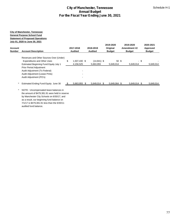|                                                                                                                                                         |                                                                                                                                                                                                                                                                                                       | <b>City of Manchester, Tennessee</b><br><b>Annual Budget</b><br>For the Fiscal Year Ending June 30, 2021 | Schedule H-1                |                                        |                                            |                                        |  |  |  |  |
|---------------------------------------------------------------------------------------------------------------------------------------------------------|-------------------------------------------------------------------------------------------------------------------------------------------------------------------------------------------------------------------------------------------------------------------------------------------------------|----------------------------------------------------------------------------------------------------------|-----------------------------|----------------------------------------|--------------------------------------------|----------------------------------------|--|--|--|--|
| <b>City of Manchester, Tennessee</b><br><b>General Purpose School Fund</b><br><b>Statement of Proposed Operations</b><br>July 01, 2020 to June 30, 2021 |                                                                                                                                                                                                                                                                                                       |                                                                                                          |                             |                                        |                                            |                                        |  |  |  |  |
| Account<br><b>Number</b>                                                                                                                                | <b>Account Description</b>                                                                                                                                                                                                                                                                            | 2017-2018<br><b>Audited</b>                                                                              | 2018-2019<br><b>Audited</b> | 2019-2020<br>Original<br><b>Budget</b> | 2019-2020<br>Amendment #2<br><b>Budget</b> | 2020-2021<br>Approved<br><b>Budget</b> |  |  |  |  |
|                                                                                                                                                         | Revenues and Other Sources Over (Under)<br><b>Expenditures and Other Uses</b><br>Estimated Beginning Fund Equity July 1<br>Prior Period Adjustment<br>Audit Adjustment (To Federal)<br>Audit Adjustment (Lease Pmts)<br>Audit Adjustment (PO's)                                                       | \$<br>1,507,430 \$<br>4,156,525                                                                          | $(14,941)$ \$<br>5,663,955  | 50 \$<br>5,649,014                     | 5,649,014                                  | $-$ \$<br>5,649,014                    |  |  |  |  |
| $^\star$                                                                                                                                                | Estimated Ending Fund Equity June 30<br>NOTE: Uncompensated leave balances in<br>the amount of \$479,381.91 were held in reserve<br>by Manchester City Schools on 6/30/17, and<br>as a result, our beginning fund balance on<br>7/1/17 is \$479,381.91 less than the 6/30/11<br>audited fund balance. | $5,663,955$ \$<br>- \$                                                                                   | $5,649,014$ \$              | $5,649,064$ \$                         | $5,649,014$ \$                             | 5,649,014                              |  |  |  |  |
|                                                                                                                                                         |                                                                                                                                                                                                                                                                                                       |                                                                                                          |                             |                                        |                                            |                                        |  |  |  |  |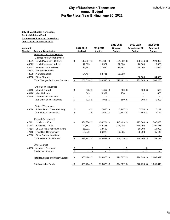#### **City of Manchester, Tennessee Central Cafeteria Fund Statement of Proposed Operations July 1, 2020 To June 30, 2021**

|                   | <b>City of Manchester, Tennessee</b><br><u>Central Cafeteria Fund</u><br><b>Statement of Proposed Operations</b><br><u>July 1, 2020 To June 30, 2021</u> |               |                             |                             |                                        |      |                                            |                                        |
|-------------------|----------------------------------------------------------------------------------------------------------------------------------------------------------|---------------|-----------------------------|-----------------------------|----------------------------------------|------|--------------------------------------------|----------------------------------------|
| Account<br>Number | <b>Account Description</b>                                                                                                                               |               | 2017-2018<br><b>Audited</b> | 2018-2019<br><b>Audited</b> | 2019-2020<br>Original<br><b>Budget</b> |      | 2019-2020<br>Amendment #2<br><b>Budget</b> | 2020-2021<br>Approved<br><b>Budget</b> |
|                   | <b>Revenues and Other Sources</b>                                                                                                                        |               |                             |                             |                                        |      |                                            |                                        |
|                   | <b>Charges for Current Services</b>                                                                                                                      |               |                             |                             |                                        |      |                                            |                                        |
|                   | 43521 Lunch Payments - Children                                                                                                                          | \$            | 112,637 \$                  | 111,648 \$                  | 121,589 \$                             |      | 132,346 \$                                 | 120,000                                |
| 43523             | 43522 Lunch Payments - Adults<br>Income from Breakfast                                                                                                   |               | 17,583<br>16,382            | 16,571<br>17,630            | 22,000<br>18,892                       |      | 20,000<br>30,000                           | 16,600<br>17,680                       |
| 43524             | <b>Special Milk Sales</b>                                                                                                                                |               | ÷                           | $\blacksquare$              | $\blacksquare$                         |      |                                            |                                        |
| 43525             | Ala Carte Sales                                                                                                                                          |               | 54,417                      | 53,741                      | 56,000                                 |      |                                            |                                        |
|                   | 43990 Other Charges                                                                                                                                      |               |                             |                             |                                        |      | 50,000                                     | 54,000                                 |
|                   | <b>Total Charges for Current Services</b>                                                                                                                | $\frac{1}{2}$ | 201,019 \$                  | 199,590 \$                  | 218,481 \$                             |      | 232,346 \$                                 | 208,280                                |
|                   |                                                                                                                                                          |               |                             |                             |                                        |      |                                            |                                        |
|                   | <b>Other Local Revenues</b>                                                                                                                              |               |                             |                             |                                        |      |                                            |                                        |
| 44110             | <b>Interest Earned</b>                                                                                                                                   | \$            | 373 \$                      | 1,657 \$                    | 300 <sup>5</sup>                       |      | 300S                                       | 500                                    |
| 44170             | Misc. Refunds                                                                                                                                            |               | 349                         | 6,339                       | 250                                    |      |                                            | 800                                    |
|                   | 44570 Contributions and Gifts                                                                                                                            |               | $\overline{\phantom{a}}$    | $\blacksquare$              | $\blacksquare$                         |      | $\overline{\phantom{a}}$                   | $\sim$                                 |
|                   | <b>Total Other Local Revenues</b>                                                                                                                        | \$            | 722 \$                      | 7,996 \$                    | 550 \$                                 |      | 300 \$                                     | 1,300                                  |
|                   | <b>State of Tennessee</b>                                                                                                                                |               |                             |                             |                                        |      |                                            |                                        |
|                   | 46520 School Food - State Matching                                                                                                                       | \$            | - \$                        | $7,650$ \$                  | $7,147$ \$                             |      | 7,650 \$                                   | 7,147                                  |
|                   | <b>Total State of Tennessee</b>                                                                                                                          | \$            | $-$ \$                      | 7,650 \$                    | 7,147 \$                               |      | 7,650 \$                                   | 7,147                                  |
|                   |                                                                                                                                                          |               |                             |                             |                                        |      |                                            |                                        |
|                   | <b>Federal Government</b>                                                                                                                                |               |                             |                             |                                        |      |                                            |                                        |
|                   | 47111 Lunch - USDA                                                                                                                                       | \$            | 434,374 \$                  | 458,724 \$                  | 445,499 \$                             |      | 475,000 \$                                 | 507,488                                |
| 47113             | <b>Breakfast - USDA</b>                                                                                                                                  |               | 140,382                     | 149,328                     | 146,005                                |      | 150,000                                    | 197,488                                |
|                   | 47114 USDA Fruit & Vegetable Grant                                                                                                                       |               | 65,911                      | 18,662                      |                                        |      | 50,000                                     | 19,000                                 |
|                   | 47115 Food Svc. Commodities<br>47590 Other Federal thru State                                                                                            |               | 58,076                      | 56,925                      | 56,925                                 |      | 55,503                                     | 65,146                                 |
|                   | <b>Total Federal Government</b>                                                                                                                          | $\frac{1}{2}$ | 698,743 \$                  | 683,639 \$                  | 648,429 \$                             |      | 730,503 \$                                 | 789,122                                |
|                   |                                                                                                                                                          |               |                             |                             |                                        |      |                                            |                                        |
|                   | <b>Other Sources</b>                                                                                                                                     |               |                             |                             |                                        |      |                                            |                                        |
|                   | 49700 Insurance Recovery                                                                                                                                 | <u>\$</u>     |                             | \$                          | \$                                     | - \$ | - \$                                       |                                        |
|                   | <b>Total Other Sources</b>                                                                                                                               | \$            | ä.                          | \$<br>$\blacksquare$        | \$<br>$\mathcal{L}^{\pm}$              | \$   | ÷.                                         | \$                                     |
|                   | <b>Total Revenues and Other Sources</b>                                                                                                                  | \$            | 900,484 \$                  | 898,875 \$                  | 874,607 \$                             |      | 970,799 \$                                 | 1,005,849                              |
|                   |                                                                                                                                                          |               |                             |                             |                                        |      |                                            |                                        |
|                   | <b>Total Available Funds</b>                                                                                                                             | <u>\$</u>     | 900,484 \$                  | 898,875 \$                  | 874,607 \$                             |      | 970,799 \$                                 | 1,005,849                              |